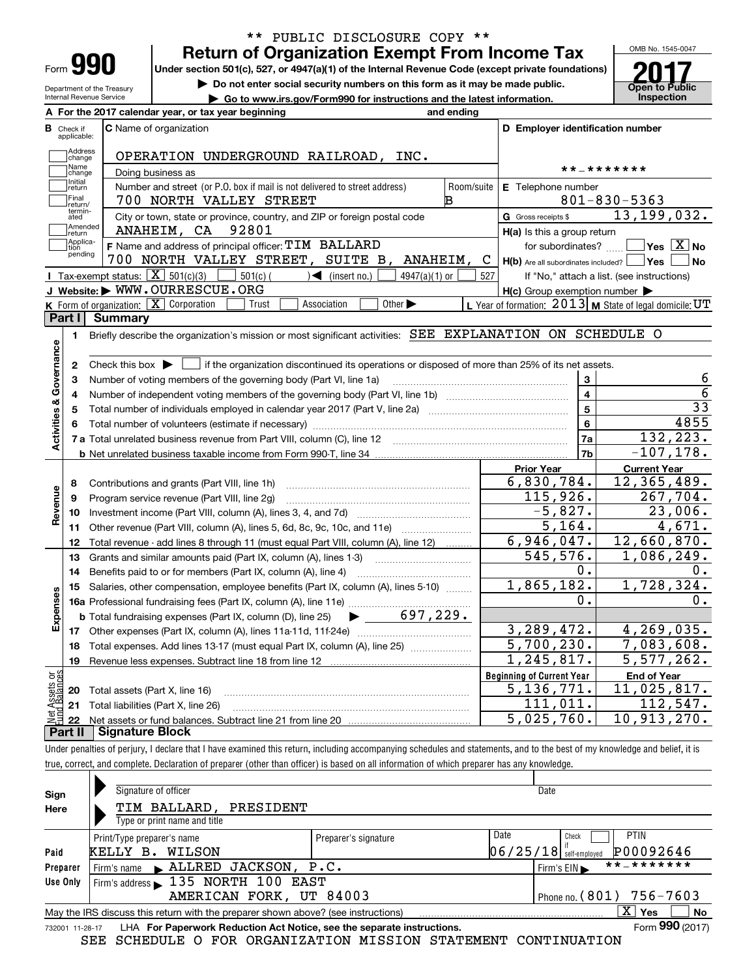| Form |  |
|------|--|

## **Return of Organization Exempt From Income Tax** \*\* PUBLIC DISCLOSURE COPY \*\*

**Under section 501(c), 527, or 4947(a)(1) of the Internal Revenue Code (except private foundations)**

**| Do not enter social security numbers on this form as it may be made public.**

**Open to Public 2017**

OMB No. 1545-0047

| Internal Revenue Service | Department of the Treasury |  |
|--------------------------|----------------------------|--|
|                          |                            |  |

**| Go to www.irs.gov/Form990 for instructions and the latest information. Inspection A For the 2017 calendar year, or tax year beginning and ending**

| в<br><b>C</b> Name of organization<br>Check if<br>applicable:<br>Address<br>OPERATION UNDERGROUND RAILROAD, INC.<br>change                                          | D Employer identification number                    |                                                           |
|---------------------------------------------------------------------------------------------------------------------------------------------------------------------|-----------------------------------------------------|-----------------------------------------------------------|
|                                                                                                                                                                     |                                                     |                                                           |
|                                                                                                                                                                     |                                                     |                                                           |
| Name<br>Doing business as<br>change                                                                                                                                 |                                                     | * * _ * * * * * * *                                       |
| Initial<br>Number and street (or P.O. box if mail is not delivered to street address)<br>Room/suite<br>return                                                       | E Telephone number                                  |                                                           |
| Final<br>700 NORTH VALLEY STREET<br>в<br>return/                                                                                                                    |                                                     | $801 - 830 - 5363$                                        |
| termin-<br>City or town, state or province, country, and ZIP or foreign postal code<br>ated                                                                         | G Gross receipts \$                                 | 13, 199, 032.                                             |
| Amended<br>ANAHEIM, CA 92801<br> return                                                                                                                             | H(a) Is this a group return                         |                                                           |
| Applica-<br>F Name and address of principal officer: TIM BALLARD<br>tion                                                                                            | for subordinates?                                   | $\boxed{\phantom{1}}$ Yes $\boxed{\text{X}}$ No           |
| pending<br>700 NORTH VALLEY STREET, SUITE B,<br>ANAHEIM,<br>C                                                                                                       | $H(b)$ Are all subordinates included? $\Box$ Yes    | ∣No                                                       |
| Tax-exempt status: $\boxed{\mathbf{X}}$ 501(c)(3) [<br>$\frac{1}{2}$ 501(c) (<br>$\sqrt{\bullet}$ (insert no.)<br>4947(a)(1) or<br>527                              |                                                     | If "No," attach a list. (see instructions)                |
| J Website: WWW.OURRESCUE.ORG                                                                                                                                        | $H(c)$ Group exemption number $\blacktriangleright$ |                                                           |
| <b>K</b> Form of organization: $\boxed{\textbf{X}}$ Corporation<br>Other $\blacktriangleright$<br>Trust<br>Association                                              |                                                     | L Year of formation: $2013$ M State of legal domicile: UT |
| Part I<br><b>Summary</b>                                                                                                                                            |                                                     |                                                           |
| Briefly describe the organization's mission or most significant activities: SEE EXPLANATION ON SCHEDULE O<br>1.                                                     |                                                     |                                                           |
| Activities & Governance                                                                                                                                             |                                                     |                                                           |
| Check this box $\blacktriangleright$ $\blacksquare$ if the organization discontinued its operations or disposed of more than 25% of its net assets.<br>$\mathbf{2}$ |                                                     |                                                           |
| Number of voting members of the governing body (Part VI, line 1a)<br>3                                                                                              | 3                                                   | 6                                                         |
| 4                                                                                                                                                                   | $\overline{4}$                                      | $\overline{6}$                                            |
| 5                                                                                                                                                                   | 5                                                   | $\overline{33}$                                           |
| 6                                                                                                                                                                   | $6\phantom{a}$                                      | 4855                                                      |
|                                                                                                                                                                     | 7a                                                  | $\overline{132}$ , 223.                                   |
|                                                                                                                                                                     | 7 <sub>b</sub>                                      | $-107, 178.$                                              |
|                                                                                                                                                                     | <b>Prior Year</b>                                   | <b>Current Year</b>                                       |
| Contributions and grants (Part VIII, line 1h)<br>8                                                                                                                  | 6,830,784.                                          | 12,365,489.                                               |
| Program service revenue (Part VIII, line 2g)<br>9                                                                                                                   | 115,926.                                            | 267,704.                                                  |
| Revenue<br>10                                                                                                                                                       | $-5,827.$                                           | 23,006.                                                   |
| Other revenue (Part VIII, column (A), lines 5, 6d, 8c, 9c, 10c, and 11e)<br>11                                                                                      | 5, 164.                                             | 4,671.                                                    |
| 12 <sup>2</sup><br>Total revenue - add lines 8 through 11 (must equal Part VIII, column (A), line 12)                                                               | 6,946,047.                                          | 12,660,870.                                               |
| 13<br>Grants and similar amounts paid (Part IX, column (A), lines 1-3)                                                                                              | 545,576.                                            | 1,086,249.                                                |
| Benefits paid to or for members (Part IX, column (A), line 4)<br>14                                                                                                 | 0.                                                  | 0.                                                        |
| Salaries, other compensation, employee benefits (Part IX, column (A), lines 5-10)<br>15                                                                             | 1,865,182.                                          | 1,728,324.                                                |
| Expenses                                                                                                                                                            | 0.                                                  | 0.                                                        |
| 697,229.<br><b>b</b> Total fundraising expenses (Part IX, column (D), line 25)                                                                                      |                                                     |                                                           |
|                                                                                                                                                                     | 3,289,472.                                          | 4,269,035.                                                |
| Total expenses. Add lines 13-17 (must equal Part IX, column (A), line 25)<br>18                                                                                     | 5,700,230.                                          | 7,083,608.                                                |
| 19                                                                                                                                                                  | 1,245,817.                                          | 5,577,262.                                                |
| ăğ                                                                                                                                                                  | <b>Beginning of Current Year</b>                    | <b>End of Year</b>                                        |
| Total assets (Part X, line 16)<br>20                                                                                                                                | $\overline{5,136,771.}$                             | 11,025,817.                                               |
|                                                                                                                                                                     |                                                     |                                                           |
|                                                                                                                                                                     |                                                     |                                                           |
| 21<br>Total liabilities (Part X, line 26)<br>22                                                                                                                     | 111,011.<br>5,025,760.                              | 112,547.<br>10,913,270.                                   |

Under penalties of perjury, I declare that I have examined this return, including accompanying schedules and statements, and to the best of my knowledge and belief, it is true, correct, and complete. Declaration of preparer (other than officer) is based on all information of which preparer has any knowledge.

| Sign     | Signature of officer                                                                                         |                              | Date                                           |  |  |  |  |  |  |
|----------|--------------------------------------------------------------------------------------------------------------|------------------------------|------------------------------------------------|--|--|--|--|--|--|
| Here     | TIM BALLARD, PRESIDENT                                                                                       |                              |                                                |  |  |  |  |  |  |
|          | Type or print name and title                                                                                 |                              |                                                |  |  |  |  |  |  |
|          | Print/Type preparer's name                                                                                   | Date<br>Preparer's signature | PTIN<br>Check                                  |  |  |  |  |  |  |
| Paid     | KELLY B.<br>WILSON                                                                                           |                              | P00092646<br>$06/25/18$ self-employed          |  |  |  |  |  |  |
| Preparer | Firm's name RLLRED JACKSON, P.C.                                                                             |                              | **_*******<br>Firm's $EIN \blacktriangleright$ |  |  |  |  |  |  |
| Use Only | Firm's address 135 NORTH 100 EAST                                                                            |                              |                                                |  |  |  |  |  |  |
|          | AMERICAN FORK, UT 84003                                                                                      |                              | Phone no. $(801)$ 756-7603                     |  |  |  |  |  |  |
|          | x<br><b>No</b><br>May the IRS discuss this return with the preparer shown above? (see instructions)<br>Yes   |                              |                                                |  |  |  |  |  |  |
|          | Form 990 (2017)<br>LHA For Paperwork Reduction Act Notice, see the separate instructions.<br>732001 11-28-17 |                              |                                                |  |  |  |  |  |  |

SEE SCHEDULE O FOR ORGANIZATION MISSION STATEMENT CONTINUATION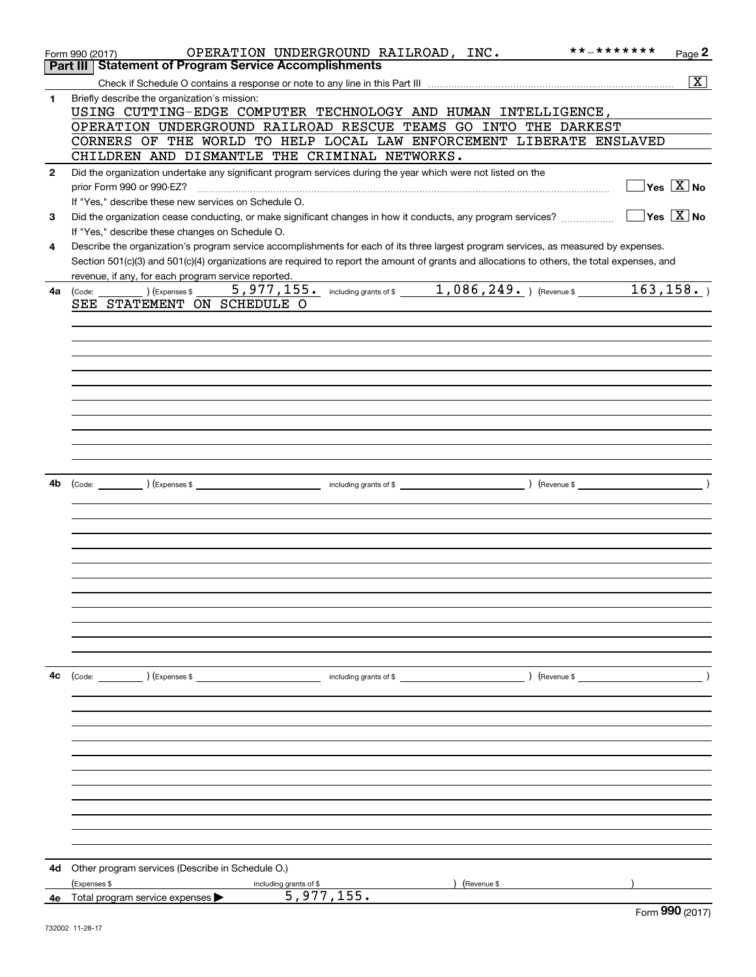|              | OPERATION UNDERGROUND RAILROAD, INC.<br>Form 990 (2017)                                                                                      | **_*******             | Page 2                                  |
|--------------|----------------------------------------------------------------------------------------------------------------------------------------------|------------------------|-----------------------------------------|
|              | Part III   Statement of Program Service Accomplishments                                                                                      |                        |                                         |
|              |                                                                                                                                              |                        | $\overline{\mathbf{x}}$                 |
| 1            | Briefly describe the organization's mission:<br>USING CUTTING-EDGE COMPUTER TECHNOLOGY AND HUMAN INTELLIGENCE,                               |                        |                                         |
|              | OPERATION UNDERGROUND RAILROAD RESCUE TEAMS GO INTO THE DARKEST                                                                              |                        |                                         |
|              | CORNERS OF THE WORLD TO HELP LOCAL LAW ENFORCEMENT LIBERATE ENSLAVED                                                                         |                        |                                         |
|              | CHILDREN AND DISMANTLE THE CRIMINAL NETWORKS.                                                                                                |                        |                                         |
| $\mathbf{2}$ | Did the organization undertake any significant program services during the year which were not listed on the                                 |                        |                                         |
|              | prior Form 990 or 990-EZ?                                                                                                                    |                        | $\Box$ Yes $[\overline{\mathrm{X}}]$ No |
|              | If "Yes," describe these new services on Schedule O.                                                                                         |                        |                                         |
| 3            | Did the organization cease conducting, or make significant changes in how it conducts, any program services?                                 |                        | $\Box$ Yes $\Box$ No                    |
|              | If "Yes," describe these changes on Schedule O.                                                                                              |                        |                                         |
| 4            | Describe the organization's program service accomplishments for each of its three largest program services, as measured by expenses.         |                        |                                         |
|              | Section 501(c)(3) and 501(c)(4) organizations are required to report the amount of grants and allocations to others, the total expenses, and |                        |                                         |
|              | revenue, if any, for each program service reported.                                                                                          |                        |                                         |
| 4a           | 5,977,155. including grants of \$1,086,249. (Revenue \$163,158.)<br>$\left(\text{Code:}\right)$ $\left(\text{Expenses $}\right)$             |                        |                                         |
|              | SEE STATEMENT ON SCHEDULE O                                                                                                                  |                        |                                         |
|              |                                                                                                                                              |                        |                                         |
|              |                                                                                                                                              |                        |                                         |
|              |                                                                                                                                              |                        |                                         |
|              |                                                                                                                                              |                        |                                         |
|              |                                                                                                                                              |                        |                                         |
|              |                                                                                                                                              |                        |                                         |
|              |                                                                                                                                              |                        |                                         |
|              |                                                                                                                                              |                        |                                         |
|              |                                                                                                                                              |                        |                                         |
|              |                                                                                                                                              |                        |                                         |
| 4b           |                                                                                                                                              |                        |                                         |
|              |                                                                                                                                              |                        |                                         |
|              |                                                                                                                                              |                        |                                         |
|              |                                                                                                                                              |                        |                                         |
|              |                                                                                                                                              |                        |                                         |
|              |                                                                                                                                              |                        |                                         |
|              |                                                                                                                                              |                        |                                         |
|              |                                                                                                                                              |                        |                                         |
|              |                                                                                                                                              |                        |                                         |
|              |                                                                                                                                              |                        |                                         |
|              |                                                                                                                                              |                        |                                         |
|              |                                                                                                                                              |                        |                                         |
| 4с           |                                                                                                                                              | $( \text{Revenue } \$$ |                                         |
|              |                                                                                                                                              |                        |                                         |
|              |                                                                                                                                              |                        |                                         |
|              |                                                                                                                                              |                        |                                         |
|              |                                                                                                                                              |                        |                                         |
|              |                                                                                                                                              |                        |                                         |
|              |                                                                                                                                              |                        |                                         |
|              |                                                                                                                                              |                        |                                         |
|              |                                                                                                                                              |                        |                                         |
|              |                                                                                                                                              |                        |                                         |
|              |                                                                                                                                              |                        |                                         |
|              |                                                                                                                                              |                        |                                         |
|              |                                                                                                                                              |                        |                                         |
| 4d           | Other program services (Describe in Schedule O.)                                                                                             |                        |                                         |
|              | ) (Revenue \$<br>(Expenses \$<br>including grants of \$<br>5,977,155.<br>Total program service expenses >                                    |                        |                                         |
| 4е           |                                                                                                                                              |                        | $F_{2}$ <b>000</b> (0017)               |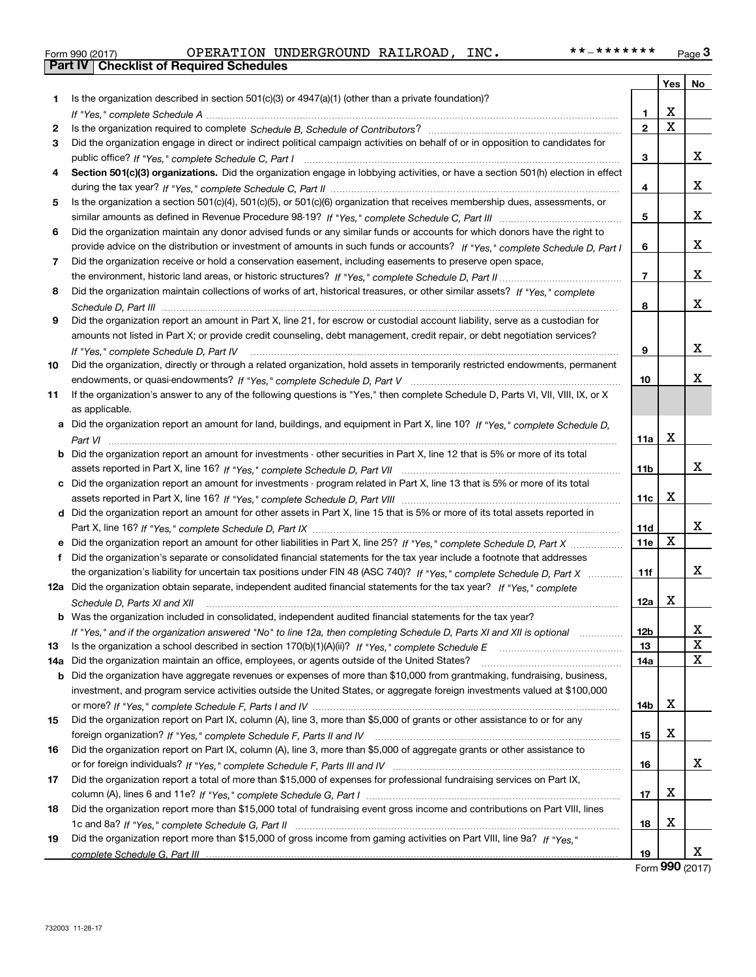| Form 990 (2017) |  |  |
|-----------------|--|--|

|     |                                                                                                                                      |                 | Yes | No |
|-----|--------------------------------------------------------------------------------------------------------------------------------------|-----------------|-----|----|
| 1.  | Is the organization described in section $501(c)(3)$ or $4947(a)(1)$ (other than a private foundation)?                              |                 |     |    |
|     |                                                                                                                                      | 1.              | х   |    |
| 2   |                                                                                                                                      | $\mathbf{2}$    | X   |    |
| 3   | Did the organization engage in direct or indirect political campaign activities on behalf of or in opposition to candidates for      |                 |     |    |
|     |                                                                                                                                      | 3               |     | x  |
| 4   | Section 501(c)(3) organizations. Did the organization engage in lobbying activities, or have a section 501(h) election in effect     |                 |     |    |
|     |                                                                                                                                      | 4               |     | x  |
| 5   | Is the organization a section 501(c)(4), 501(c)(5), or 501(c)(6) organization that receives membership dues, assessments, or         |                 |     |    |
|     |                                                                                                                                      | 5               |     | x  |
| 6   | Did the organization maintain any donor advised funds or any similar funds or accounts for which donors have the right to            |                 |     |    |
|     | provide advice on the distribution or investment of amounts in such funds or accounts? If "Yes," complete Schedule D, Part I         | 6               |     | x  |
| 7   | Did the organization receive or hold a conservation easement, including easements to preserve open space,                            |                 |     |    |
|     |                                                                                                                                      | 7               |     | x  |
| 8   | Did the organization maintain collections of works of art, historical treasures, or other similar assets? If "Yes," complete         |                 |     |    |
|     |                                                                                                                                      | 8               |     | x  |
| 9   | Did the organization report an amount in Part X, line 21, for escrow or custodial account liability, serve as a custodian for        |                 |     |    |
|     | amounts not listed in Part X; or provide credit counseling, debt management, credit repair, or debt negotiation services?            |                 |     |    |
|     | If "Yes." complete Schedule D. Part IV                                                                                               | 9               |     | x  |
| 10  | Did the organization, directly or through a related organization, hold assets in temporarily restricted endowments, permanent        |                 |     |    |
|     |                                                                                                                                      | 10              |     | x  |
| 11  | If the organization's answer to any of the following questions is "Yes," then complete Schedule D, Parts VI, VIII, VIII, IX, or X    |                 |     |    |
|     | as applicable.                                                                                                                       |                 |     |    |
|     | a Did the organization report an amount for land, buildings, and equipment in Part X, line 10? If "Yes," complete Schedule D,        |                 |     |    |
|     |                                                                                                                                      | 11a             | x   |    |
|     | <b>b</b> Did the organization report an amount for investments - other securities in Part X, line 12 that is 5% or more of its total |                 |     |    |
|     |                                                                                                                                      | 11 <sub>b</sub> |     | x  |
|     | c Did the organization report an amount for investments - program related in Part X, line 13 that is 5% or more of its total         |                 |     |    |
|     |                                                                                                                                      | 11c             | X   |    |
|     | d Did the organization report an amount for other assets in Part X, line 15 that is 5% or more of its total assets reported in       |                 |     |    |
|     |                                                                                                                                      | 11d             |     | x  |
|     | e Did the organization report an amount for other liabilities in Part X, line 25? If "Yes," complete Schedule D, Part X              | 11e             | х   |    |
| f   | Did the organization's separate or consolidated financial statements for the tax year include a footnote that addresses              |                 |     |    |
|     | the organization's liability for uncertain tax positions under FIN 48 (ASC 740)? If "Yes," complete Schedule D, Part X               | 11f             |     | x  |
|     | 12a Did the organization obtain separate, independent audited financial statements for the tax year? If "Yes." complete              |                 |     |    |
|     | Schedule D, Parts XI and XII                                                                                                         | 12a             | x   |    |
|     | <b>b</b> Was the organization included in consolidated, independent audited financial statements for the tax year?                   |                 |     |    |
|     | If "Yes," and if the organization answered "No" to line 12a, then completing Schedule D, Parts XI and XII is optional manum          | 12b             |     | x  |
| 13  |                                                                                                                                      | 13              |     | X  |
| 14a | Did the organization maintain an office, employees, or agents outside of the United States?                                          | 14a             |     | х  |
|     | b Did the organization have aggregate revenues or expenses of more than \$10,000 from grantmaking, fundraising, business,            |                 |     |    |
|     | investment, and program service activities outside the United States, or aggregate foreign investments valued at \$100,000           |                 |     |    |
|     |                                                                                                                                      | 14b             | x   |    |
| 15  | Did the organization report on Part IX, column (A), line 3, more than \$5,000 of grants or other assistance to or for any            |                 |     |    |
|     |                                                                                                                                      | 15              | х   |    |
| 16  | Did the organization report on Part IX, column (A), line 3, more than \$5,000 of aggregate grants or other assistance to             |                 |     |    |
|     |                                                                                                                                      | 16              |     | x  |
| 17  | Did the organization report a total of more than \$15,000 of expenses for professional fundraising services on Part IX,              |                 |     |    |
|     |                                                                                                                                      | 17              | х   |    |
| 18  | Did the organization report more than \$15,000 total of fundraising event gross income and contributions on Part VIII, lines         |                 |     |    |
|     |                                                                                                                                      | 18              | x   |    |
| 19  | Did the organization report more than \$15,000 of gross income from gaming activities on Part VIII, line 9a? If "Yes."               |                 |     |    |
|     |                                                                                                                                      | 19              |     | x  |

Form (2017) **990**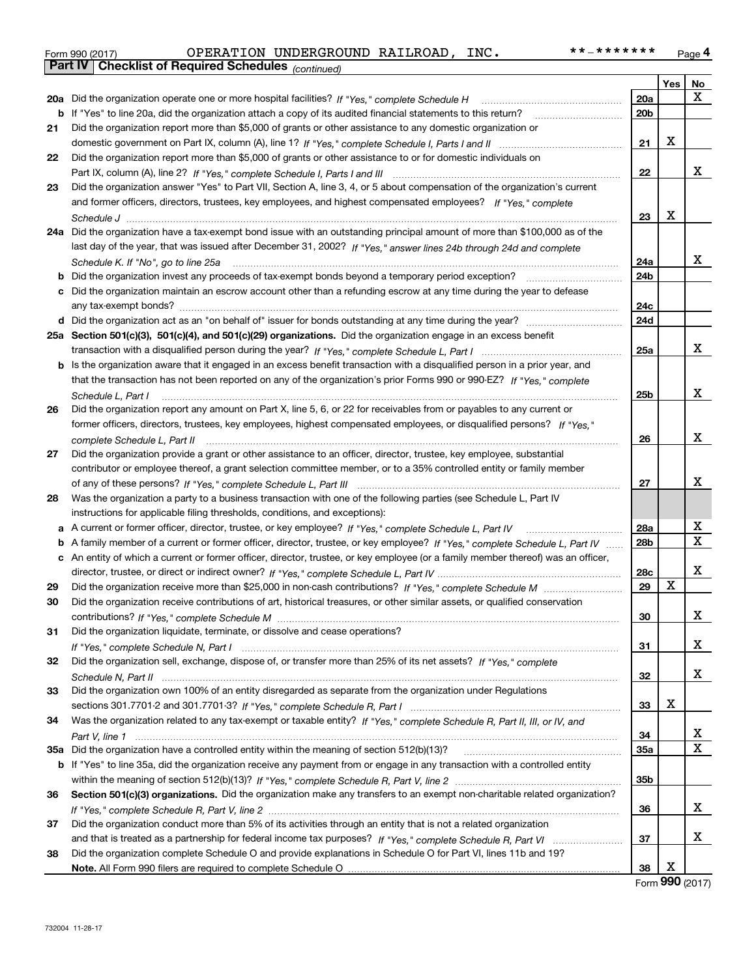| Form 990 (2017) |                                                              | OPERATION UNDERGROUND RAILROAD, | INC. | **_******* | Page 4 |
|-----------------|--------------------------------------------------------------|---------------------------------|------|------------|--------|
|                 | <b>Part IV   Checklist of Required Schedules</b> (continued) |                                 |      |            |        |

|    | Pall IV  <br>Criecklist of Required Scriedules (continued)                                                                        |           |            |    |
|----|-----------------------------------------------------------------------------------------------------------------------------------|-----------|------------|----|
|    |                                                                                                                                   |           | <b>Yes</b> | No |
|    | 20a Did the organization operate one or more hospital facilities? If "Yes," complete Schedule H                                   | 20a       |            | х  |
|    | <b>b</b> If "Yes" to line 20a, did the organization attach a copy of its audited financial statements to this return?             | 20b       |            |    |
| 21 | Did the organization report more than \$5,000 of grants or other assistance to any domestic organization or                       |           |            |    |
|    |                                                                                                                                   | 21        | х          |    |
| 22 | Did the organization report more than \$5,000 of grants or other assistance to or for domestic individuals on                     |           |            |    |
|    |                                                                                                                                   | 22        |            | х  |
| 23 | Did the organization answer "Yes" to Part VII, Section A, line 3, 4, or 5 about compensation of the organization's current        |           |            |    |
|    | and former officers, directors, trustees, key employees, and highest compensated employees? If "Yes," complete                    |           |            |    |
|    |                                                                                                                                   | 23        | х          |    |
|    | 24a Did the organization have a tax-exempt bond issue with an outstanding principal amount of more than \$100,000 as of the       |           |            |    |
|    | last day of the year, that was issued after December 31, 2002? If "Yes," answer lines 24b through 24d and complete                |           |            |    |
|    | Schedule K. If "No", go to line 25a                                                                                               | 24a       |            | х  |
|    | <b>b</b> Did the organization invest any proceeds of tax-exempt bonds beyond a temporary period exception?                        | 24b       |            |    |
|    | c Did the organization maintain an escrow account other than a refunding escrow at any time during the year to defease            |           |            |    |
|    |                                                                                                                                   | 24с       |            |    |
|    |                                                                                                                                   | 24d       |            |    |
|    | 25a Section 501(c)(3), 501(c)(4), and 501(c)(29) organizations. Did the organization engage in an excess benefit                  |           |            |    |
|    |                                                                                                                                   | 25a       |            | х  |
|    | b Is the organization aware that it engaged in an excess benefit transaction with a disqualified person in a prior year, and      |           |            |    |
|    | that the transaction has not been reported on any of the organization's prior Forms 990 or 990-EZ? If "Yes," complete             |           |            |    |
|    | Schedule L. Part I                                                                                                                | 25b       |            | х  |
| 26 | Did the organization report any amount on Part X, line 5, 6, or 22 for receivables from or payables to any current or             |           |            |    |
|    | former officers, directors, trustees, key employees, highest compensated employees, or disqualified persons? If "Yes."            |           |            |    |
|    |                                                                                                                                   | 26        |            | х  |
| 27 | Did the organization provide a grant or other assistance to an officer, director, trustee, key employee, substantial              |           |            |    |
|    | contributor or employee thereof, a grant selection committee member, or to a 35% controlled entity or family member               |           |            |    |
|    |                                                                                                                                   | 27        |            | x  |
| 28 | Was the organization a party to a business transaction with one of the following parties (see Schedule L, Part IV                 |           |            |    |
|    | instructions for applicable filing thresholds, conditions, and exceptions):                                                       |           |            |    |
|    | a A current or former officer, director, trustee, or key employee? If "Yes," complete Schedule L, Part IV                         | 28a       |            | х  |
|    |                                                                                                                                   | 28b       |            | х  |
|    | b A family member of a current or former officer, director, trustee, or key employee? If "Yes," complete Schedule L, Part IV      |           |            |    |
|    | c An entity of which a current or former officer, director, trustee, or key employee (or a family member thereof) was an officer, |           |            | x  |
|    |                                                                                                                                   | 28c<br>29 | x          |    |
| 29 |                                                                                                                                   |           |            |    |
| 30 | Did the organization receive contributions of art, historical treasures, or other similar assets, or qualified conservation       |           |            | x  |
|    |                                                                                                                                   | 30        |            |    |
| 31 | Did the organization liquidate, terminate, or dissolve and cease operations?                                                      |           |            |    |
|    |                                                                                                                                   | 31        |            | x  |
| 32 | Did the organization sell, exchange, dispose of, or transfer more than 25% of its net assets? If "Yes," complete                  |           |            |    |
|    |                                                                                                                                   | 32        |            | x  |
| 33 | Did the organization own 100% of an entity disregarded as separate from the organization under Regulations                        |           |            |    |
|    |                                                                                                                                   | 33        | х          |    |
| 34 | Was the organization related to any tax-exempt or taxable entity? If "Yes," complete Schedule R, Part II, III, or IV, and         |           |            |    |
|    |                                                                                                                                   | 34        |            | X  |
|    | 35a Did the organization have a controlled entity within the meaning of section 512(b)(13)?                                       | 35a       |            | X  |
|    | b If "Yes" to line 35a, did the organization receive any payment from or engage in any transaction with a controlled entity       |           |            |    |
|    |                                                                                                                                   | 35b       |            |    |
| 36 | Section 501(c)(3) organizations. Did the organization make any transfers to an exempt non-charitable related organization?        |           |            |    |
|    |                                                                                                                                   | 36        |            | х  |
| 37 | Did the organization conduct more than 5% of its activities through an entity that is not a related organization                  |           |            |    |
|    |                                                                                                                                   | 37        |            | х  |
| 38 | Did the organization complete Schedule O and provide explanations in Schedule O for Part VI, lines 11b and 19?                    |           |            |    |
|    |                                                                                                                                   | 38        | х          |    |

Form (2017) **990**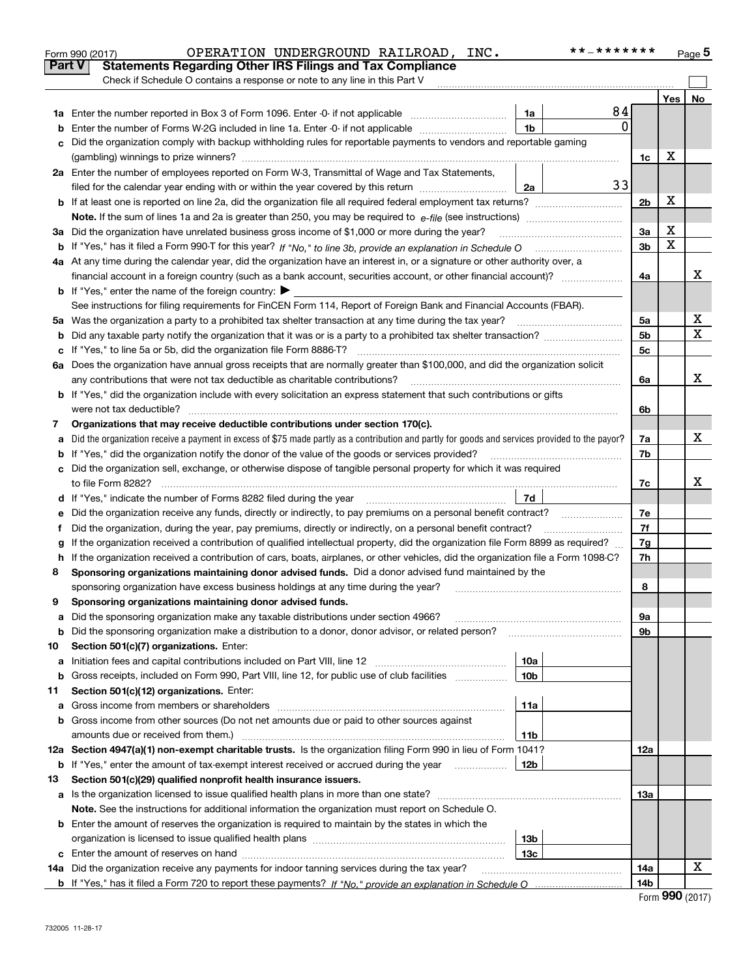|    | OPERATION UNDERGROUND RAILROAD, INC.<br>Form 990 (2017)                                                                                         |                 | * * _ * * * * * * * |                |     | Page 5 |
|----|-------------------------------------------------------------------------------------------------------------------------------------------------|-----------------|---------------------|----------------|-----|--------|
|    | <b>Part V</b><br><b>Statements Regarding Other IRS Filings and Tax Compliance</b>                                                               |                 |                     |                |     |        |
|    | Check if Schedule O contains a response or note to any line in this Part V                                                                      |                 |                     |                |     |        |
|    |                                                                                                                                                 |                 |                     |                | Yes | No     |
|    |                                                                                                                                                 | 1a              | 84                  |                |     |        |
| b  | Enter the number of Forms W-2G included in line 1a. Enter -0- if not applicable                                                                 | 1 <sub>b</sub>  | 0                   |                |     |        |
| c  | Did the organization comply with backup withholding rules for reportable payments to vendors and reportable gaming                              |                 |                     |                |     |        |
|    |                                                                                                                                                 |                 |                     | 1c             | X   |        |
|    | 2a Enter the number of employees reported on Form W-3, Transmittal of Wage and Tax Statements,                                                  |                 |                     |                |     |        |
|    | filed for the calendar year ending with or within the year covered by this return                                                               | 2a              | 33                  |                |     |        |
| b  |                                                                                                                                                 |                 |                     | 2 <sub>b</sub> | х   |        |
|    |                                                                                                                                                 |                 |                     |                |     |        |
|    | 3a Did the organization have unrelated business gross income of \$1,000 or more during the year?                                                |                 |                     | 3a             | х   |        |
|    |                                                                                                                                                 |                 |                     | 3 <sub>b</sub> | X   |        |
|    | 4a At any time during the calendar year, did the organization have an interest in, or a signature or other authority over, a                    |                 |                     |                |     |        |
|    | financial account in a foreign country (such as a bank account, securities account, or other financial account)?                                |                 |                     | 4a             |     | х      |
|    | <b>b</b> If "Yes," enter the name of the foreign country: $\blacktriangleright$                                                                 |                 |                     |                |     |        |
|    | See instructions for filing requirements for FinCEN Form 114, Report of Foreign Bank and Financial Accounts (FBAR).                             |                 |                     |                |     |        |
|    | 5a Was the organization a party to a prohibited tax shelter transaction at any time during the tax year?                                        |                 |                     | 5a             |     | x      |
| b  |                                                                                                                                                 |                 |                     | 5 <sub>b</sub> |     | Χ      |
| c  | If "Yes," to line 5a or 5b, did the organization file Form 8886-T?                                                                              |                 |                     | 5c             |     |        |
|    | 6a Does the organization have annual gross receipts that are normally greater than \$100,000, and did the organization solicit                  |                 |                     |                |     |        |
|    | any contributions that were not tax deductible as charitable contributions?                                                                     |                 |                     | 6a             |     | х      |
|    | <b>b</b> If "Yes," did the organization include with every solicitation an express statement that such contributions or gifts                   |                 |                     |                |     |        |
|    | were not tax deductible?                                                                                                                        |                 |                     | 6b             |     |        |
| 7  | Organizations that may receive deductible contributions under section 170(c).                                                                   |                 |                     |                |     |        |
| а  | Did the organization receive a payment in excess of \$75 made partly as a contribution and partly for goods and services provided to the payor? |                 |                     | 7a             |     | х      |
| b  | If "Yes," did the organization notify the donor of the value of the goods or services provided?                                                 |                 |                     | 7b             |     |        |
|    | c Did the organization sell, exchange, or otherwise dispose of tangible personal property for which it was required                             |                 |                     |                |     |        |
|    |                                                                                                                                                 |                 |                     | 7c             |     | х      |
|    |                                                                                                                                                 | 7d              |                     |                |     |        |
| е  | Did the organization receive any funds, directly or indirectly, to pay premiums on a personal benefit contract?                                 |                 |                     | 7e             |     |        |
| f  | Did the organization, during the year, pay premiums, directly or indirectly, on a personal benefit contract?                                    |                 |                     | 7f             |     |        |
| g  | If the organization received a contribution of qualified intellectual property, did the organization file Form 8899 as required?                |                 |                     | 7g             |     |        |
| h. | If the organization received a contribution of cars, boats, airplanes, or other vehicles, did the organization file a Form 1098-C?              |                 |                     | 7h             |     |        |
| 8  | Sponsoring organizations maintaining donor advised funds. Did a donor advised fund maintained by the                                            |                 |                     |                |     |        |
|    | sponsoring organization have excess business holdings at any time during the year?                                                              |                 |                     | 8              |     |        |
|    | Sponsoring organizations maintaining donor advised funds.                                                                                       |                 |                     |                |     |        |
| a  | Did the sponsoring organization make any taxable distributions under section 4966?                                                              |                 |                     | 9а             |     |        |
| b  | Did the sponsoring organization make a distribution to a donor, donor advisor, or related person?                                               |                 |                     | 9b             |     |        |
| 10 | Section 501(c)(7) organizations. Enter:                                                                                                         |                 |                     |                |     |        |
| а  |                                                                                                                                                 | 10a             |                     |                |     |        |
| b  | Gross receipts, included on Form 990, Part VIII, line 12, for public use of club facilities                                                     | 10 <sub>b</sub> |                     |                |     |        |
| 11 | Section 501(c)(12) organizations. Enter:                                                                                                        |                 |                     |                |     |        |
| а  | Gross income from members or shareholders                                                                                                       | 11a             |                     |                |     |        |
| b  | Gross income from other sources (Do not net amounts due or paid to other sources against                                                        |                 |                     |                |     |        |
|    |                                                                                                                                                 | 11b             |                     |                |     |        |
|    | 12a Section 4947(a)(1) non-exempt charitable trusts. Is the organization filing Form 990 in lieu of Form 1041?                                  |                 |                     | 12a            |     |        |
|    | <b>b</b> If "Yes," enter the amount of tax-exempt interest received or accrued during the year <i>manument</i> of                               | 12b             |                     |                |     |        |
| 13 | Section 501(c)(29) qualified nonprofit health insurance issuers.                                                                                |                 |                     |                |     |        |
| а  | Is the organization licensed to issue qualified health plans in more than one state?                                                            |                 |                     | 13a            |     |        |
|    | Note. See the instructions for additional information the organization must report on Schedule O.                                               |                 |                     |                |     |        |
| b  | Enter the amount of reserves the organization is required to maintain by the states in which the                                                |                 |                     |                |     |        |
|    |                                                                                                                                                 | 13 <sub>b</sub> |                     |                |     |        |
| c  |                                                                                                                                                 | 13 <sub>c</sub> |                     |                |     |        |
|    | 14a Did the organization receive any payments for indoor tanning services during the tax year?                                                  |                 |                     | 14a            |     | x      |
|    |                                                                                                                                                 |                 |                     | 14b            |     |        |

| Form 990 (2017) |  |
|-----------------|--|
|-----------------|--|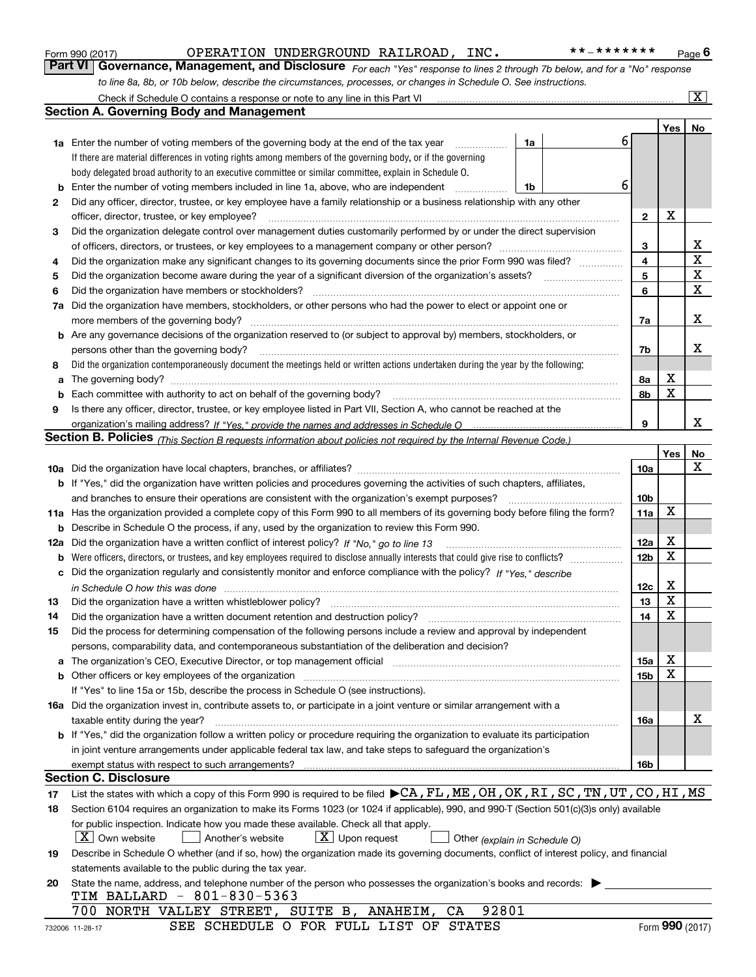|     | OPERATION UNDERGROUND RAILROAD, INC.<br>* * _ * * * * * * *<br>Form 990 (2017)                                                                                                                 |                 |     | <u>Page</u> 6           |
|-----|------------------------------------------------------------------------------------------------------------------------------------------------------------------------------------------------|-----------------|-----|-------------------------|
|     | Part VI   Governance, Management, and Disclosure For each "Yes" response to lines 2 through 7b below, and for a "No" response                                                                  |                 |     |                         |
|     | to line 8a, 8b, or 10b below, describe the circumstances, processes, or changes in Schedule O. See instructions.                                                                               |                 |     |                         |
|     |                                                                                                                                                                                                |                 |     | $\overline{\mathbf{x}}$ |
|     | <b>Section A. Governing Body and Management</b>                                                                                                                                                |                 |     |                         |
|     |                                                                                                                                                                                                |                 | Yes | No                      |
|     | 6<br>1a Enter the number of voting members of the governing body at the end of the tax year<br>1a<br>.                                                                                         |                 |     |                         |
|     | If there are material differences in voting rights among members of the governing body, or if the governing                                                                                    |                 |     |                         |
|     |                                                                                                                                                                                                |                 |     |                         |
|     | body delegated broad authority to an executive committee or similar committee, explain in Schedule O.<br>6                                                                                     |                 |     |                         |
| b   | Enter the number of voting members included in line 1a, above, who are independent<br>1b                                                                                                       |                 |     |                         |
| 2   | Did any officer, director, trustee, or key employee have a family relationship or a business relationship with any other                                                                       |                 |     |                         |
|     | officer, director, trustee, or key employee?                                                                                                                                                   | 2               | х   |                         |
| З   | Did the organization delegate control over management duties customarily performed by or under the direct supervision                                                                          |                 |     |                         |
|     |                                                                                                                                                                                                | 3               |     | х                       |
| 4   | Did the organization make any significant changes to its governing documents since the prior Form 990 was filed?                                                                               | 4               |     | $\overline{\mathtt{x}}$ |
| 5   |                                                                                                                                                                                                | 5               |     | X                       |
| 6   | Did the organization have members or stockholders?                                                                                                                                             | 6               |     | $\mathbf X$             |
| 7a  | Did the organization have members, stockholders, or other persons who had the power to elect or appoint one or                                                                                 |                 |     |                         |
|     | more members of the governing body?                                                                                                                                                            | 7a              |     | x                       |
| b   | Are any governance decisions of the organization reserved to (or subject to approval by) members, stockholders, or                                                                             |                 |     |                         |
|     | persons other than the governing body?                                                                                                                                                         | 7b              |     | х                       |
|     |                                                                                                                                                                                                |                 |     |                         |
| 8   | Did the organization contemporaneously document the meetings held or written actions undertaken during the year by the following:                                                              |                 |     |                         |
| a   | The governing body?                                                                                                                                                                            | 8а              | x   |                         |
| b   |                                                                                                                                                                                                | 8b              | X   |                         |
| 9   | Is there any officer, director, trustee, or key employee listed in Part VII, Section A, who cannot be reached at the                                                                           |                 |     |                         |
|     |                                                                                                                                                                                                | 9               |     | х                       |
|     | Section B. Policies (This Section B requests information about policies not required by the Internal Revenue Code.)                                                                            |                 |     |                         |
|     |                                                                                                                                                                                                |                 | Yes | No                      |
|     |                                                                                                                                                                                                | 10a             |     | X                       |
|     | b If "Yes," did the organization have written policies and procedures governing the activities of such chapters, affiliates,                                                                   |                 |     |                         |
|     | and branches to ensure their operations are consistent with the organization's exempt purposes?                                                                                                | 10 <sub>b</sub> |     |                         |
|     | 11a Has the organization provided a complete copy of this Form 990 to all members of its governing body before filing the form?                                                                | 11a             | х   |                         |
| b   | Describe in Schedule O the process, if any, used by the organization to review this Form 990.                                                                                                  |                 |     |                         |
| 12a | Did the organization have a written conflict of interest policy? If "No," go to line 13                                                                                                        | 12a             | х   |                         |
| b   |                                                                                                                                                                                                | 12 <sub>b</sub> | X   |                         |
|     | c Did the organization regularly and consistently monitor and enforce compliance with the policy? If "Yes," describe                                                                           |                 |     |                         |
|     |                                                                                                                                                                                                | 12c             | х   |                         |
|     | in Schedule O how this was done manufactured and contain an account of the state of the state of the state of t                                                                                | 13              | X   |                         |
|     | Did the organization have a written whistleblower policy? [11] manufaction material manufaction material manuf                                                                                 |                 | Χ   |                         |
| 14  | Did the organization have a written document retention and destruction policy?                                                                                                                 | 14              |     |                         |
| 15  | Did the process for determining compensation of the following persons include a review and approval by independent                                                                             |                 |     |                         |
|     | persons, comparability data, and contemporaneous substantiation of the deliberation and decision?                                                                                              |                 |     |                         |
| a   | The organization's CEO, Executive Director, or top management official manufactured contains and contained a support of the organization's CEO, Executive Director, or top management official | 15a             | х   |                         |
| b   |                                                                                                                                                                                                | 15 <sub>b</sub> | X   |                         |
|     | If "Yes" to line 15a or 15b, describe the process in Schedule O (see instructions).                                                                                                            |                 |     |                         |
|     | 16a Did the organization invest in, contribute assets to, or participate in a joint venture or similar arrangement with a                                                                      |                 |     |                         |
|     | taxable entity during the year?                                                                                                                                                                | 16a             |     | х                       |
|     | <b>b</b> If "Yes," did the organization follow a written policy or procedure requiring the organization to evaluate its participation                                                          |                 |     |                         |
|     | in joint venture arrangements under applicable federal tax law, and take steps to safequard the organization's                                                                                 |                 |     |                         |
|     | exempt status with respect to such arrangements?                                                                                                                                               | 16b             |     |                         |
|     | <b>Section C. Disclosure</b>                                                                                                                                                                   |                 |     |                         |
| 17  | List the states with which a copy of this Form 990 is required to be filed ▶CA, FL, ME, OH, OK, RI, SC, TN, UT, CO, HI, MS                                                                     |                 |     |                         |
|     | Section 6104 requires an organization to make its Forms 1023 (or 1024 if applicable), 990, and 990-T (Section 501(c)(3)s only) available                                                       |                 |     |                         |
| 18  |                                                                                                                                                                                                |                 |     |                         |
|     | for public inspection. Indicate how you made these available. Check all that apply.                                                                                                            |                 |     |                         |
|     | $X$ Own website<br>$\lfloor x \rfloor$ Upon request<br>Another's website<br>Other (explain in Schedule O)                                                                                      |                 |     |                         |
| 19  | Describe in Schedule O whether (and if so, how) the organization made its governing documents, conflict of interest policy, and financial                                                      |                 |     |                         |
|     | statements available to the public during the tax year.                                                                                                                                        |                 |     |                         |
| 20  | State the name, address, and telephone number of the person who possesses the organization's books and records:                                                                                |                 |     |                         |
|     | TIM BALLARD - 801-830-5363                                                                                                                                                                     |                 |     |                         |
|     | 92801<br>700 NORTH VALLEY STREET, SUITE B, ANAHEIM,<br>CA                                                                                                                                      |                 |     |                         |
|     | SEE SCHEDULE O FOR FULL LIST OF STATES<br>732006 11-28-17                                                                                                                                      |                 |     | Form 990 (2017)         |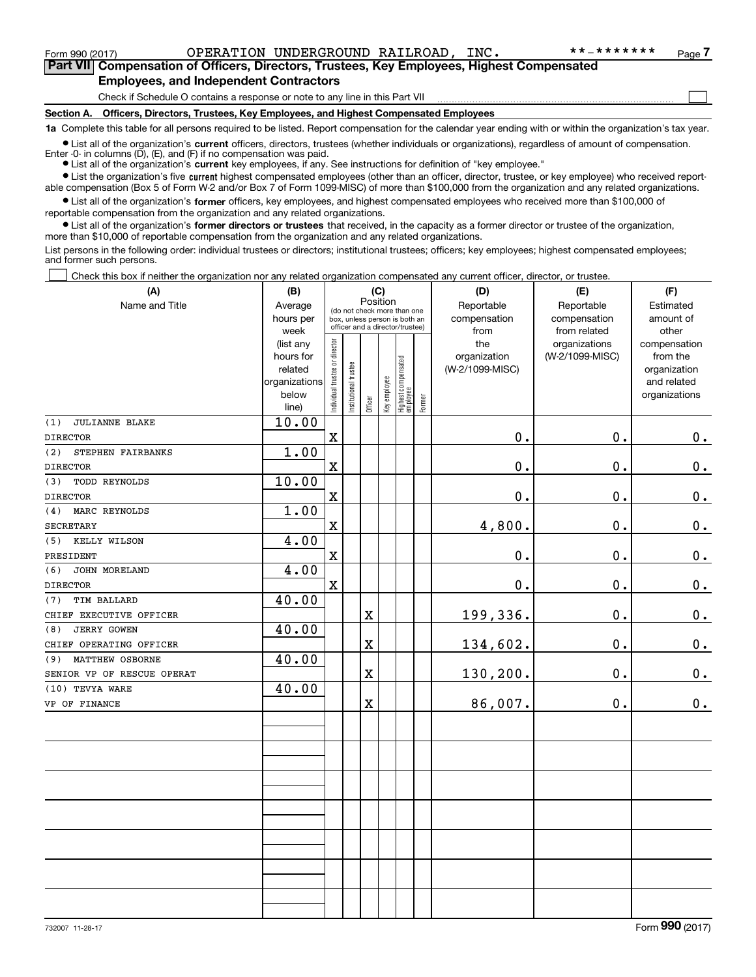Form 990 (2017) OPERATION UNDERGROUND RAILROAD , INC • \* \* - \* \* \* \* \* \* \* \* Page

 $\mathcal{L}^{\text{max}}$ 

Form 990 (2017) OPERATION UNDERGROUND RAILROAD, INC **.** \*\*\*\*\*\*\*\*\*\*\*\*\* Page 7<br>**Part VII** Compensation of Officers, Directors, Trustees, Key Employees, Highest Compensated **Employees, and Independent Contractors**

Check if Schedule O contains a response or note to any line in this Part VII

**Section A. Officers, Directors, Trustees, Key Employees, and Highest Compensated Employees**

**1a**  Complete this table for all persons required to be listed. Report compensation for the calendar year ending with or within the organization's tax year.

**•** List all of the organization's current officers, directors, trustees (whether individuals or organizations), regardless of amount of compensation. Enter -0- in columns  $(D)$ ,  $(E)$ , and  $(F)$  if no compensation was paid.

● List all of the organization's **current** key employees, if any. See instructions for definition of "key employee."

**•** List the organization's five current highest compensated employees (other than an officer, director, trustee, or key employee) who received report-

 $\bullet$  List all of the organization's **former** officers, key employees, and highest compensated employees who received more than \$100,000 of able compensation (Box 5 of Form W-2 and/or Box 7 of Form 1099-MISC) of more than \$100,000 from the organization and any related organizations.

**•** List all of the organization's former directors or trustees that received, in the capacity as a former director or trustee of the organization, reportable compensation from the organization and any related organizations. more than \$10,000 of reportable compensation from the organization and any related organizations.

List persons in the following order: individual trustees or directors; institutional trustees; officers; key employees; highest compensated employees; and former such persons.

Check this box if neither the organization nor any related organization compensated any current officer, director, or trustee.  $\mathcal{L}^{\text{max}}$ 

| (A)                          | (B)<br>(C)        |                                |                                                                  | (D)                     | (E)          | (F)                               |           |                 |                               |                       |
|------------------------------|-------------------|--------------------------------|------------------------------------------------------------------|-------------------------|--------------|-----------------------------------|-----------|-----------------|-------------------------------|-----------------------|
| Name and Title               | Average           |                                | Position<br>(do not check more than one                          |                         |              |                                   |           | Reportable      | Reportable                    | Estimated             |
|                              | hours per         |                                | box, unless person is both an<br>officer and a director/trustee) |                         | compensation | compensation                      | amount of |                 |                               |                       |
|                              | week<br>(list any |                                |                                                                  |                         |              |                                   |           | from<br>the     | from related<br>organizations | other<br>compensation |
|                              | hours for         |                                |                                                                  |                         |              |                                   |           | organization    | (W-2/1099-MISC)               | from the              |
|                              | related           |                                |                                                                  |                         |              |                                   |           | (W-2/1099-MISC) |                               | organization          |
|                              | organizations     |                                |                                                                  |                         |              |                                   |           |                 |                               | and related           |
|                              | below             | Individual trustee or director | Institutional trustee                                            | Officer                 | Key employee | Highest compensated<br>  employee | Former    |                 |                               | organizations         |
|                              | line)             |                                |                                                                  |                         |              |                                   |           |                 |                               |                       |
| <b>JULIANNE BLAKE</b><br>(1) | 10.00             |                                |                                                                  |                         |              |                                   |           |                 |                               |                       |
| <b>DIRECTOR</b>              |                   | $\mathbf x$                    |                                                                  |                         |              |                                   |           | 0.              | 0.                            | $0_{\cdot}$           |
| STEPHEN FAIRBANKS<br>(2)     | 1.00              |                                |                                                                  |                         |              |                                   |           |                 |                               |                       |
| <b>DIRECTOR</b>              |                   | $\mathbf x$                    |                                                                  |                         |              |                                   |           | 0.              | 0.                            | $\mathbf 0$ .         |
| TODD REYNOLDS<br>(3)         | 10.00             |                                |                                                                  |                         |              |                                   |           |                 |                               |                       |
| <b>DIRECTOR</b>              |                   | $\mathbf X$                    |                                                                  |                         |              |                                   |           | 0.              | $\mathbf 0$ .                 | $\mathbf 0$ .         |
| MARC REYNOLDS<br>(4)         | 1.00              |                                |                                                                  |                         |              |                                   |           |                 |                               |                       |
| <b>SECRETARY</b>             |                   | $\mathbf X$                    |                                                                  |                         |              |                                   |           | 4,800.          | $\mathbf 0$ .                 | $\mathbf 0$ .         |
| KELLY WILSON<br>(5)          | 4.00              |                                |                                                                  |                         |              |                                   |           |                 |                               |                       |
| PRESIDENT                    |                   | $\mathbf X$                    |                                                                  |                         |              |                                   |           | 0.              | $\mathbf 0$ .                 | $\mathbf 0$ .         |
| JOHN MORELAND<br>(6)         | 4.00              |                                |                                                                  |                         |              |                                   |           |                 |                               |                       |
| <b>DIRECTOR</b>              |                   | $\mathbf X$                    |                                                                  |                         |              |                                   |           | 0.              | 0.                            | $\mathbf 0$ .         |
| TIM BALLARD<br>(7)           | 40.00             |                                |                                                                  |                         |              |                                   |           |                 |                               |                       |
| CHIEF EXECUTIVE OFFICER      |                   |                                |                                                                  | $\mathbf X$             |              |                                   |           | 199,336.        | $\mathbf 0$ .                 | $\mathbf 0$ .         |
| <b>JERRY GOWEN</b><br>(8)    | 40.00             |                                |                                                                  |                         |              |                                   |           |                 |                               |                       |
| CHIEF OPERATING OFFICER      |                   |                                |                                                                  | $\overline{\textbf{X}}$ |              |                                   |           | 134,602.        | $\mathbf 0$ .                 | $\mathbf 0$ .         |
| MATTHEW OSBORNE<br>(9)       | 40.00             |                                |                                                                  |                         |              |                                   |           |                 | $\mathbf 0$ .                 |                       |
| SENIOR VP OF RESCUE OPERAT   |                   |                                |                                                                  | $\mathbf X$             |              |                                   |           | 130,200.        |                               | $\mathbf 0$ .         |
| (10) TEVYA WARE              | 40.00             |                                |                                                                  |                         |              |                                   |           |                 |                               |                       |
| VP OF FINANCE                |                   |                                |                                                                  | $\overline{\textbf{X}}$ |              |                                   |           | 86,007.         | $\mathbf 0$ .                 | $0_{.}$               |
|                              |                   |                                |                                                                  |                         |              |                                   |           |                 |                               |                       |
|                              |                   |                                |                                                                  |                         |              |                                   |           |                 |                               |                       |
|                              |                   |                                |                                                                  |                         |              |                                   |           |                 |                               |                       |
|                              |                   |                                |                                                                  |                         |              |                                   |           |                 |                               |                       |
|                              |                   |                                |                                                                  |                         |              |                                   |           |                 |                               |                       |
|                              |                   |                                |                                                                  |                         |              |                                   |           |                 |                               |                       |
|                              |                   |                                |                                                                  |                         |              |                                   |           |                 |                               |                       |
|                              |                   |                                |                                                                  |                         |              |                                   |           |                 |                               |                       |
|                              |                   |                                |                                                                  |                         |              |                                   |           |                 |                               |                       |
|                              |                   |                                |                                                                  |                         |              |                                   |           |                 |                               |                       |
|                              |                   |                                |                                                                  |                         |              |                                   |           |                 |                               |                       |
|                              |                   |                                |                                                                  |                         |              |                                   |           |                 |                               |                       |
|                              |                   |                                |                                                                  |                         |              |                                   |           |                 |                               |                       |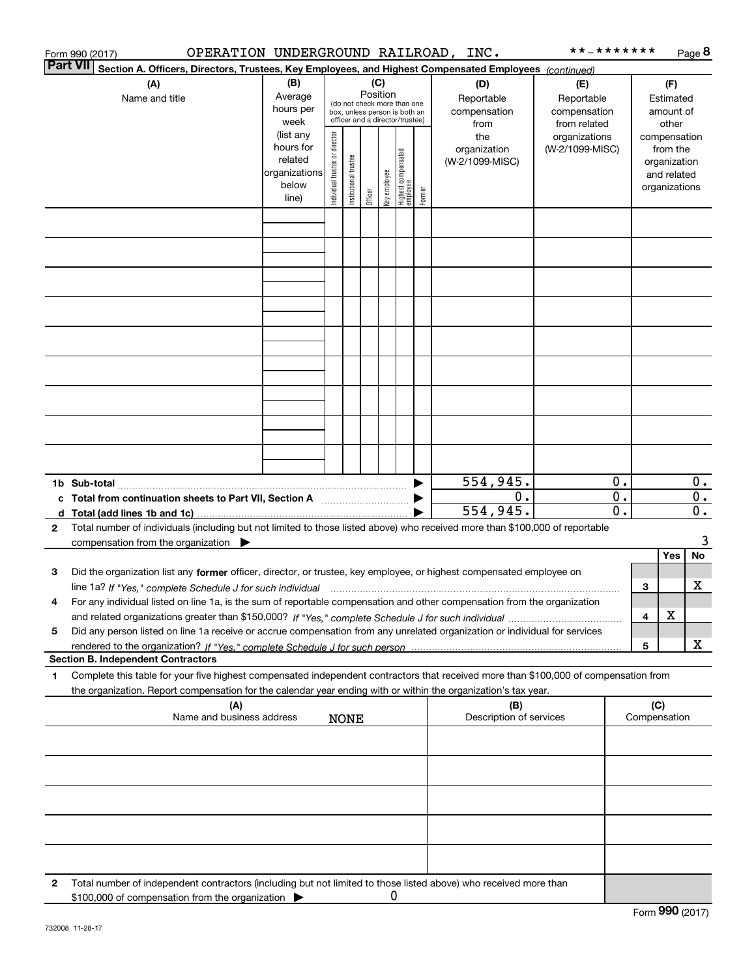|                 | OPERATION UNDERGROUND RAILROAD, INC.<br>Form 990 (2017)                                                                                                                                                                                                                      |                                                                      |                                                                                                                    |                       |         |              |                                   |        |                                           | * * _ * * * * * * *                                                |          |     |                                                                          | Page 8   |
|-----------------|------------------------------------------------------------------------------------------------------------------------------------------------------------------------------------------------------------------------------------------------------------------------------|----------------------------------------------------------------------|--------------------------------------------------------------------------------------------------------------------|-----------------------|---------|--------------|-----------------------------------|--------|-------------------------------------------|--------------------------------------------------------------------|----------|-----|--------------------------------------------------------------------------|----------|
| <b>Part VII</b> | Section A. Officers, Directors, Trustees, Key Employees, and Highest Compensated Employees (continued)                                                                                                                                                                       |                                                                      |                                                                                                                    |                       |         |              |                                   |        |                                           |                                                                    |          |     |                                                                          |          |
|                 | (A)<br>Name and title                                                                                                                                                                                                                                                        | (B)<br>Average<br>hours per<br>week                                  | (C)<br>Position<br>(do not check more than one<br>box, unless person is both an<br>officer and a director/trustee) |                       |         |              |                                   |        | (D)<br>Reportable<br>compensation<br>from | (E)<br>Reportable<br>compensation<br>from related<br>organizations |          |     | (F)<br>Estimated<br>amount of<br>other                                   |          |
|                 |                                                                                                                                                                                                                                                                              | (list any<br>hours for<br>related<br>organizations<br>below<br>line) | Individual trustee or director                                                                                     | Institutional trustee | Officer | key employee | Highest compensated<br>  employee | Former | the<br>organization<br>(W-2/1099-MISC)    | (W-2/1099-MISC)                                                    |          |     | compensation<br>from the<br>organization<br>and related<br>organizations |          |
|                 |                                                                                                                                                                                                                                                                              |                                                                      |                                                                                                                    |                       |         |              |                                   |        |                                           |                                                                    |          |     |                                                                          |          |
|                 |                                                                                                                                                                                                                                                                              |                                                                      |                                                                                                                    |                       |         |              |                                   |        |                                           |                                                                    |          |     |                                                                          |          |
|                 |                                                                                                                                                                                                                                                                              |                                                                      |                                                                                                                    |                       |         |              |                                   |        |                                           |                                                                    |          |     |                                                                          |          |
|                 |                                                                                                                                                                                                                                                                              |                                                                      |                                                                                                                    |                       |         |              |                                   |        |                                           |                                                                    |          |     |                                                                          |          |
|                 |                                                                                                                                                                                                                                                                              |                                                                      |                                                                                                                    |                       |         |              |                                   |        |                                           |                                                                    |          |     |                                                                          |          |
|                 |                                                                                                                                                                                                                                                                              |                                                                      |                                                                                                                    |                       |         |              |                                   |        |                                           |                                                                    |          |     |                                                                          |          |
|                 |                                                                                                                                                                                                                                                                              |                                                                      |                                                                                                                    |                       |         |              |                                   |        |                                           |                                                                    |          |     |                                                                          |          |
|                 |                                                                                                                                                                                                                                                                              |                                                                      |                                                                                                                    |                       |         |              |                                   |        |                                           |                                                                    |          |     |                                                                          |          |
|                 |                                                                                                                                                                                                                                                                              |                                                                      |                                                                                                                    |                       |         |              |                                   |        | 554,945.<br>0.                            |                                                                    | 0.<br>0. |     |                                                                          | 0.<br>0. |
|                 | c Total from continuation sheets to Part VII, Section A                                                                                                                                                                                                                      |                                                                      |                                                                                                                    |                       |         |              |                                   |        | 554,945.                                  |                                                                    | 0.       |     |                                                                          | $0$ .    |
| 2               | Total number of individuals (including but not limited to those listed above) who received more than \$100,000 of reportable<br>compensation from the organization $\blacktriangleright$                                                                                     |                                                                      |                                                                                                                    |                       |         |              |                                   |        |                                           |                                                                    |          |     |                                                                          | 3        |
|                 |                                                                                                                                                                                                                                                                              |                                                                      |                                                                                                                    |                       |         |              |                                   |        |                                           |                                                                    |          |     | Yes                                                                      | No       |
| 3               | Did the organization list any former officer, director, or trustee, key employee, or highest compensated employee on<br>line 1a? If "Yes," complete Schedule J for such individual manufactured contained and the line 1a? If "Yes," complete Schedule J for such individual |                                                                      |                                                                                                                    |                       |         |              |                                   |        |                                           |                                                                    |          | 3   |                                                                          | x        |
|                 | For any individual listed on line 1a, is the sum of reportable compensation and other compensation from the organization                                                                                                                                                     |                                                                      |                                                                                                                    |                       |         |              |                                   |        |                                           |                                                                    |          | 4   | X                                                                        |          |
| 5               | Did any person listed on line 1a receive or accrue compensation from any unrelated organization or individual for services                                                                                                                                                   |                                                                      |                                                                                                                    |                       |         |              |                                   |        |                                           |                                                                    |          | 5   |                                                                          | х        |
|                 | <b>Section B. Independent Contractors</b>                                                                                                                                                                                                                                    |                                                                      |                                                                                                                    |                       |         |              |                                   |        |                                           |                                                                    |          |     |                                                                          |          |
| 1               | Complete this table for your five highest compensated independent contractors that received more than \$100,000 of compensation from<br>the organization. Report compensation for the calendar year ending with or within the organization's tax year.                       |                                                                      |                                                                                                                    |                       |         |              |                                   |        |                                           |                                                                    |          |     |                                                                          |          |
|                 | (A)<br>Name and business address                                                                                                                                                                                                                                             |                                                                      |                                                                                                                    | <b>NONE</b>           |         |              |                                   |        | (B)<br>Description of services            |                                                                    |          | (C) | Compensation                                                             |          |
|                 |                                                                                                                                                                                                                                                                              |                                                                      |                                                                                                                    |                       |         |              |                                   |        |                                           |                                                                    |          |     |                                                                          |          |
|                 |                                                                                                                                                                                                                                                                              |                                                                      |                                                                                                                    |                       |         |              |                                   |        |                                           |                                                                    |          |     |                                                                          |          |
|                 |                                                                                                                                                                                                                                                                              |                                                                      |                                                                                                                    |                       |         |              |                                   |        |                                           |                                                                    |          |     |                                                                          |          |
|                 |                                                                                                                                                                                                                                                                              |                                                                      |                                                                                                                    |                       |         |              |                                   |        |                                           |                                                                    |          |     |                                                                          |          |
| 2               | Total number of independent contractors (including but not limited to those listed above) who received more than<br>\$100,000 of compensation from the organization                                                                                                          |                                                                      |                                                                                                                    |                       |         | 0            |                                   |        |                                           |                                                                    |          |     |                                                                          |          |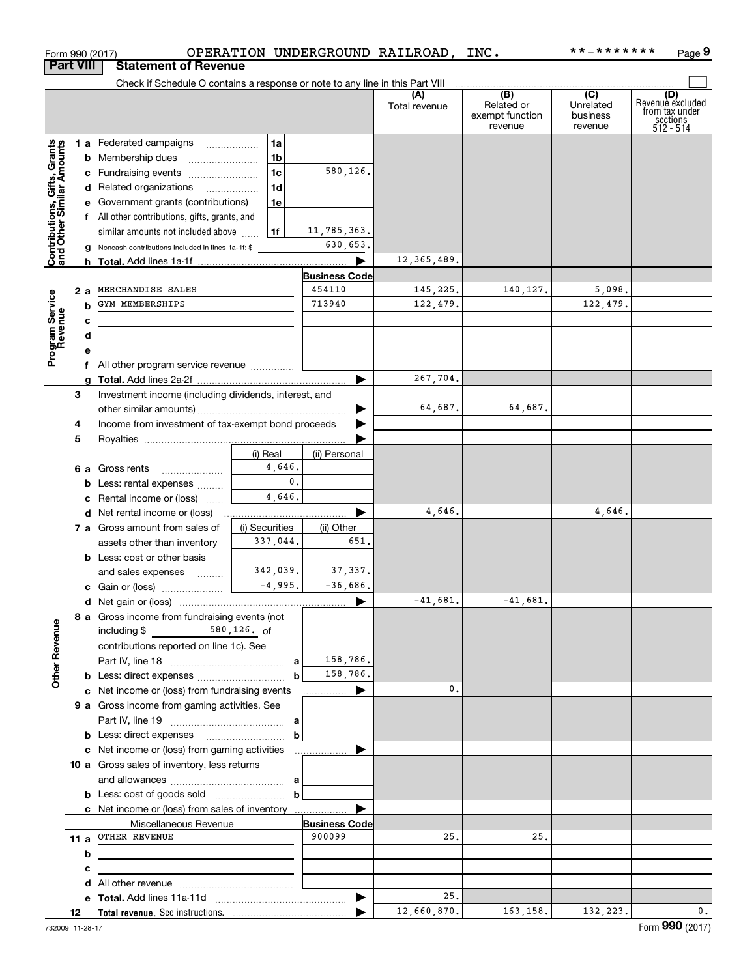|                                                           |                  |   | Form 990 (2017)                                                               |                |                       | OPERATION UNDERGROUND RAILROAD, INC. |                                                 | **_*******                                         | Page 9                                                             |
|-----------------------------------------------------------|------------------|---|-------------------------------------------------------------------------------|----------------|-----------------------|--------------------------------------|-------------------------------------------------|----------------------------------------------------|--------------------------------------------------------------------|
|                                                           | <b>Part VIII</b> |   | <b>Statement of Revenue</b>                                                   |                |                       |                                      |                                                 |                                                    |                                                                    |
|                                                           |                  |   | Check if Schedule O contains a response or note to any line in this Part VIII |                |                       |                                      |                                                 |                                                    |                                                                    |
|                                                           |                  |   |                                                                               |                |                       | (A)<br>Total revenue                 | (B)<br>Related or<br>exempt function<br>revenue | $\overline{C}$<br>Unrelated<br>business<br>revenue | (D)<br>Revenue excluded<br>from tax under<br>sections<br>512 - 514 |
|                                                           |                  |   | 1 a Federated campaigns                                                       | 1a             |                       |                                      |                                                 |                                                    |                                                                    |
| Contributions, Gifts, Grants<br>and Other Similar Amounts |                  |   | <b>b</b> Membership dues                                                      | 1 <sub>b</sub> |                       |                                      |                                                 |                                                    |                                                                    |
|                                                           |                  |   | c Fundraising events                                                          | 1 <sub>c</sub> | 580,126.              |                                      |                                                 |                                                    |                                                                    |
|                                                           |                  |   | d Related organizations                                                       | 1 <sub>d</sub> |                       |                                      |                                                 |                                                    |                                                                    |
|                                                           |                  |   | e Government grants (contributions)                                           | 1e             |                       |                                      |                                                 |                                                    |                                                                    |
|                                                           |                  |   | f All other contributions, gifts, grants, and                                 |                |                       |                                      |                                                 |                                                    |                                                                    |
|                                                           |                  |   | similar amounts not included above                                            | 1f             | 11,785,363.           |                                      |                                                 |                                                    |                                                                    |
|                                                           |                  |   | <b>g</b> Noncash contributions included in lines 1a-1f: \$                    |                | 630,653.              |                                      |                                                 |                                                    |                                                                    |
|                                                           |                  |   |                                                                               |                |                       | 12, 365, 489.                        |                                                 |                                                    |                                                                    |
|                                                           |                  |   |                                                                               |                | <b>Business Code</b>  |                                      |                                                 |                                                    |                                                                    |
|                                                           | 2 a              |   | MERCHANDISE SALES                                                             |                | 454110                | 145,225.                             | 140,127.                                        | 5,098.                                             |                                                                    |
|                                                           |                  | b | GYM MEMBERSHIPS                                                               |                | 713940                | 122,479.                             |                                                 | 122,479.                                           |                                                                    |
|                                                           |                  | c |                                                                               |                |                       |                                      |                                                 |                                                    |                                                                    |
| Program Service<br>Revenue                                |                  | d |                                                                               |                |                       |                                      |                                                 |                                                    |                                                                    |
|                                                           |                  | e |                                                                               |                |                       |                                      |                                                 |                                                    |                                                                    |
|                                                           |                  |   | f All other program service revenue                                           |                |                       |                                      |                                                 |                                                    |                                                                    |
|                                                           |                  |   |                                                                               |                |                       | 267,704.                             |                                                 |                                                    |                                                                    |
|                                                           | 3                |   | Investment income (including dividends, interest, and                         |                |                       | 64,687.                              | 64,687.                                         |                                                    |                                                                    |
|                                                           |                  |   | Income from investment of tax-exempt bond proceeds                            |                |                       |                                      |                                                 |                                                    |                                                                    |
|                                                           | 4                |   |                                                                               |                |                       |                                      |                                                 |                                                    |                                                                    |
|                                                           | 5                |   |                                                                               | (i) Real       |                       |                                      |                                                 |                                                    |                                                                    |
|                                                           |                  |   |                                                                               | 4,646.         | (ii) Personal         |                                      |                                                 |                                                    |                                                                    |
|                                                           |                  |   | 6 a Gross rents<br><b>b</b> Less: rental expenses                             | 0.             |                       |                                      |                                                 |                                                    |                                                                    |
|                                                           |                  |   | c Rental income or (loss)                                                     | 4,646.         |                       |                                      |                                                 |                                                    |                                                                    |
|                                                           |                  |   | <b>d</b> Net rental income or (loss)                                          |                |                       | 4,646.                               |                                                 | 4,646.                                             |                                                                    |
|                                                           |                  |   | 7 a Gross amount from sales of                                                | (i) Securities | (ii) Other            |                                      |                                                 |                                                    |                                                                    |
|                                                           |                  |   | assets other than inventory                                                   | 337,044.       | 651.                  |                                      |                                                 |                                                    |                                                                    |
|                                                           |                  |   | <b>b</b> Less: cost or other basis                                            |                |                       |                                      |                                                 |                                                    |                                                                    |
|                                                           |                  |   | and sales expenses                                                            | 342,039.       | 37,337.               |                                      |                                                 |                                                    |                                                                    |
|                                                           |                  |   | c Gain or (loss)                                                              | $-4,995.$      | $-36,686.$            |                                      |                                                 |                                                    |                                                                    |
|                                                           |                  |   |                                                                               |                |                       | $-41,681.$                           | $-41,681.$                                      |                                                    |                                                                    |
|                                                           |                  |   | 8 a Gross income from fundraising events (not                                 |                |                       |                                      |                                                 |                                                    |                                                                    |
|                                                           |                  |   | $580, 126.$ of<br>including \$                                                |                |                       |                                      |                                                 |                                                    |                                                                    |
|                                                           |                  |   | contributions reported on line 1c). See                                       |                |                       |                                      |                                                 |                                                    |                                                                    |
|                                                           |                  |   |                                                                               |                | 158,786.              |                                      |                                                 |                                                    |                                                                    |
| <b>Other Revenue</b>                                      |                  |   | <b>b</b> Less: direct expenses                                                | $\mathbf b$    | 158,786.              |                                      |                                                 |                                                    |                                                                    |
|                                                           |                  |   | c Net income or (loss) from fundraising events                                |                |                       | 0.                                   |                                                 |                                                    |                                                                    |
|                                                           |                  |   | 9 a Gross income from gaming activities. See                                  |                |                       |                                      |                                                 |                                                    |                                                                    |
|                                                           |                  |   |                                                                               |                |                       |                                      |                                                 |                                                    |                                                                    |
|                                                           |                  |   | <b>b</b> Less: direct expenses <b>contained b</b>                             |                |                       |                                      |                                                 |                                                    |                                                                    |
|                                                           |                  |   |                                                                               |                |                       |                                      |                                                 |                                                    |                                                                    |
|                                                           |                  |   | 10 a Gross sales of inventory, less returns                                   |                |                       |                                      |                                                 |                                                    |                                                                    |
|                                                           |                  |   |                                                                               |                |                       |                                      |                                                 |                                                    |                                                                    |
|                                                           |                  |   |                                                                               |                |                       |                                      |                                                 |                                                    |                                                                    |
|                                                           |                  |   | c Net income or (loss) from sales of inventory                                |                |                       |                                      |                                                 |                                                    |                                                                    |
|                                                           |                  |   | Miscellaneous Revenue                                                         |                | <b>Business Code</b>  |                                      |                                                 |                                                    |                                                                    |
|                                                           |                  |   | 11 a OTHER REVENUE                                                            |                | 900099                | 25.                                  | 25.                                             |                                                    |                                                                    |
|                                                           |                  | b |                                                                               |                |                       |                                      |                                                 |                                                    |                                                                    |
|                                                           |                  | с |                                                                               |                |                       |                                      |                                                 |                                                    |                                                                    |
|                                                           |                  |   |                                                                               |                |                       | 25.                                  |                                                 |                                                    |                                                                    |
|                                                           |                  |   |                                                                               |                | $\blacktriangleright$ | 12,660,870.                          | 163,158.                                        | 132,223.                                           | 0.                                                                 |
|                                                           | 12               |   |                                                                               |                |                       |                                      |                                                 |                                                    |                                                                    |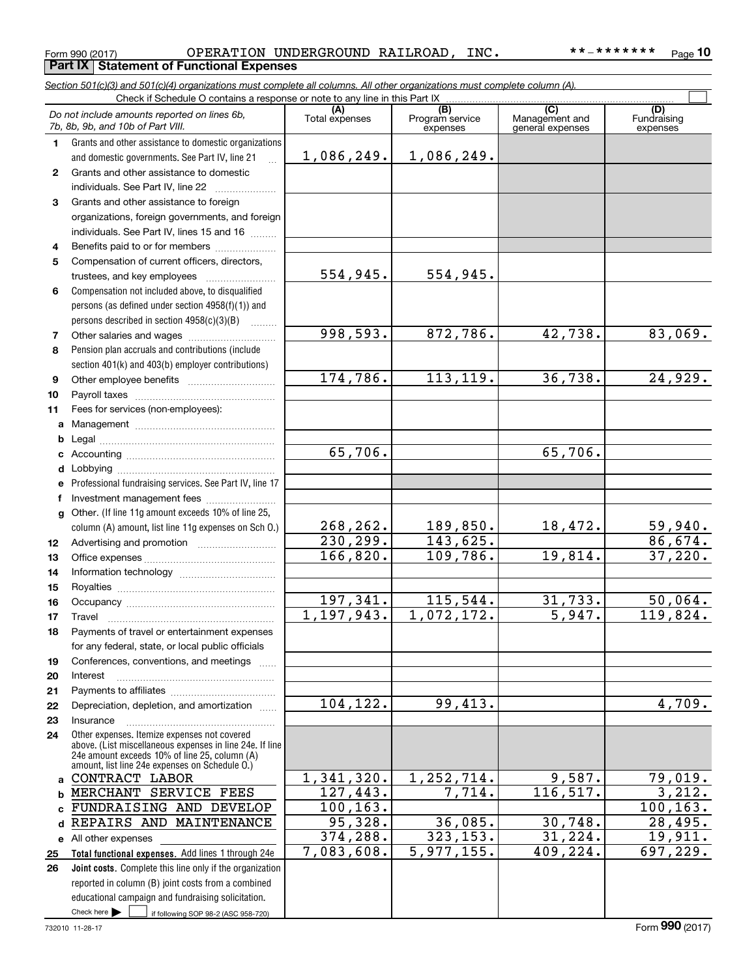$\Box$ 

*Section 501(c)(3) and 501(c)(4) organizations must complete all columns. All other organizations must complete column (A).* Check if Schedule O contains a response or note to any line in this Part IX

|              | Do not include amounts reported on lines 6b,<br>7b, 8b, 9b, and 10b of Part VIII.                        | (A)<br>Total expenses | (B)<br>Program service<br>expenses | $\overline{(C)}$<br>Management and<br>general expenses | (D)<br>Fundraising<br>expenses |
|--------------|----------------------------------------------------------------------------------------------------------|-----------------------|------------------------------------|--------------------------------------------------------|--------------------------------|
| 1.           | Grants and other assistance to domestic organizations                                                    |                       |                                    |                                                        |                                |
|              | and domestic governments. See Part IV, line 21                                                           | $1,086,249$ .         | 1,086,249.                         |                                                        |                                |
| $\mathbf{2}$ | Grants and other assistance to domestic                                                                  |                       |                                    |                                                        |                                |
|              | individuals. See Part IV, line 22                                                                        |                       |                                    |                                                        |                                |
| 3            | Grants and other assistance to foreign                                                                   |                       |                                    |                                                        |                                |
|              | organizations, foreign governments, and foreign                                                          |                       |                                    |                                                        |                                |
|              | individuals. See Part IV, lines 15 and 16                                                                |                       |                                    |                                                        |                                |
| 4            | Benefits paid to or for members                                                                          |                       |                                    |                                                        |                                |
| 5            | Compensation of current officers, directors,                                                             |                       |                                    |                                                        |                                |
|              | trustees, and key employees                                                                              | 554,945.              | 554,945.                           |                                                        |                                |
| 6            | Compensation not included above, to disqualified                                                         |                       |                                    |                                                        |                                |
|              | persons (as defined under section 4958(f)(1)) and                                                        |                       |                                    |                                                        |                                |
|              | persons described in section 4958(c)(3)(B)<br>$\sim$                                                     |                       |                                    |                                                        |                                |
| 7            | Other salaries and wages                                                                                 | 998,593.              | 872,786.                           | 42,738.                                                | 83,069.                        |
| 8            | Pension plan accruals and contributions (include                                                         |                       |                                    |                                                        |                                |
|              | section 401(k) and 403(b) employer contributions)                                                        |                       |                                    |                                                        |                                |
| 9            | Other employee benefits                                                                                  | 174,786.              | 113, 119.                          | 36,738.                                                | 24,929.                        |
| 10           |                                                                                                          |                       |                                    |                                                        |                                |
| 11           | Fees for services (non-employees):                                                                       |                       |                                    |                                                        |                                |
| a            |                                                                                                          |                       |                                    |                                                        |                                |
| b            |                                                                                                          |                       |                                    |                                                        |                                |
| с            |                                                                                                          | 65,706.               |                                    | 65,706.                                                |                                |
| d            |                                                                                                          |                       |                                    |                                                        |                                |
| е            | Professional fundraising services. See Part IV, line 17                                                  |                       |                                    |                                                        |                                |
| f            | Investment management fees                                                                               |                       |                                    |                                                        |                                |
| g            | Other. (If line 11g amount exceeds 10% of line 25,                                                       | <u>268,262.</u>       | 189,850.                           | 18,472.                                                | 59,940.                        |
|              | column (A) amount, list line 11g expenses on Sch O.)                                                     | 230,299.              | 143,625.                           |                                                        | 86,674.                        |
| 12           |                                                                                                          | 166,820.              | 109,786.                           | 19,814.                                                | 37,220.                        |
| 13           |                                                                                                          |                       |                                    |                                                        |                                |
| 14<br>15     |                                                                                                          |                       |                                    |                                                        |                                |
| 16           |                                                                                                          | 197,341.              | 115,544.                           | 31,733.                                                | 50,064.                        |
| 17           | Travel                                                                                                   | 1, 197, 943.          | 1,072,172.                         | 5,947.                                                 | 119,824.                       |
| 18           | Payments of travel or entertainment expenses                                                             |                       |                                    |                                                        |                                |
|              | for any federal, state, or local public officials                                                        |                       |                                    |                                                        |                                |
| 19           | Conferences, conventions, and meetings                                                                   |                       |                                    |                                                        |                                |
| 20           | Interest                                                                                                 |                       |                                    |                                                        |                                |
| 21           |                                                                                                          |                       |                                    |                                                        |                                |
| 22           | Depreciation, depletion, and amortization                                                                | 104,122.              | 99,413.                            |                                                        | 4,709.                         |
| 23           | Insurance                                                                                                |                       |                                    |                                                        |                                |
| 24           | Other expenses. Itemize expenses not covered<br>above. (List miscellaneous expenses in line 24e. If line |                       |                                    |                                                        |                                |
|              | 24e amount exceeds 10% of line 25, column (A)<br>amount, list line 24e expenses on Schedule O.)          |                       |                                    |                                                        |                                |
| a            | CONTRACT LABOR                                                                                           | 1,341,320.            | 1,252,714.                         | 9,587.                                                 | 79,019.                        |
| b            | MERCHANT SERVICE FEES                                                                                    | 127,443.              | 7,714.                             | 116, 517.                                              | 3,212.                         |
| C            | FUNDRAISING AND DEVELOP                                                                                  | 100, 163.             |                                    |                                                        | 100, 163.                      |
| d            | REPAIRS AND MAINTENANCE                                                                                  | 95,328.               | 36,085.                            | 30,748.                                                | 28,495.                        |
| е            | All other expenses                                                                                       | 374,288.              | 323, 153.                          | 31,224.                                                | 19,911.                        |
| 25           | Total functional expenses. Add lines 1 through 24e                                                       | 7,083,608.            | 5,977,155.                         | 409,224.                                               | 697,229.                       |
| 26           | Joint costs. Complete this line only if the organization                                                 |                       |                                    |                                                        |                                |
|              | reported in column (B) joint costs from a combined                                                       |                       |                                    |                                                        |                                |
|              | educational campaign and fundraising solicitation.                                                       |                       |                                    |                                                        |                                |
|              | Check here $\blacktriangleright$<br>if following SOP 98-2 (ASC 958-720)                                  |                       |                                    |                                                        |                                |
|              |                                                                                                          |                       |                                    |                                                        |                                |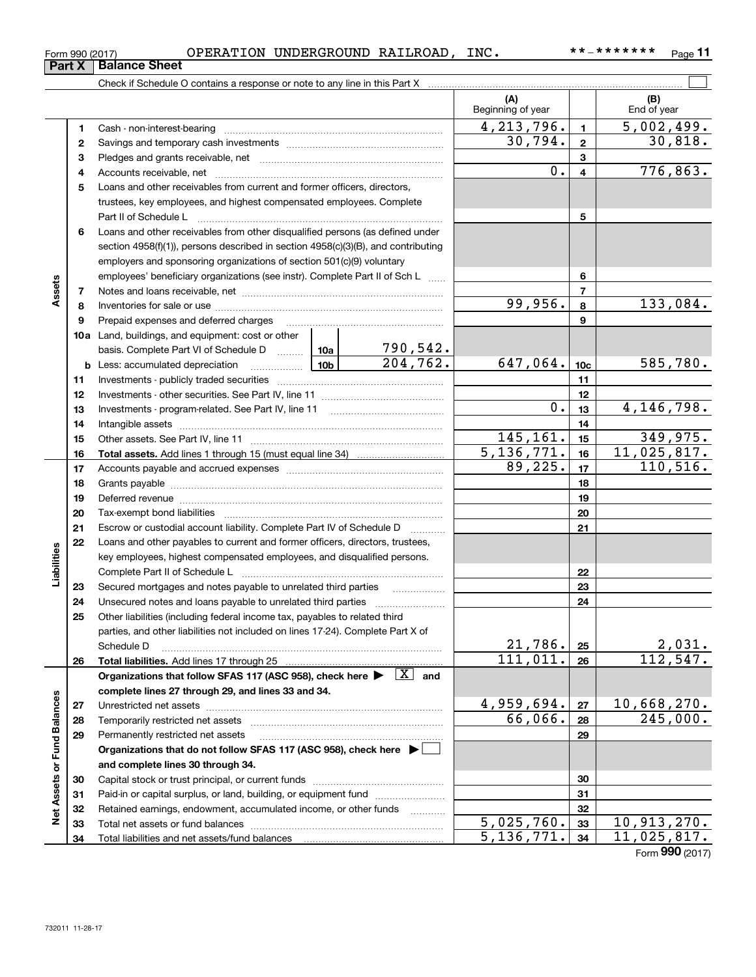| Form 990 (2017) | OPERATION | UNDERGROUND RAILROAD, |  | INC |  | $P$ age |  |
|-----------------|-----------|-----------------------|--|-----|--|---------|--|
|-----------------|-----------|-----------------------|--|-----|--|---------|--|

**11**

|                             |    |                                                                                                                                                                                                                                | (A)<br>Beginning of year |                 | (B)<br>End of year |
|-----------------------------|----|--------------------------------------------------------------------------------------------------------------------------------------------------------------------------------------------------------------------------------|--------------------------|-----------------|--------------------|
|                             | 1  |                                                                                                                                                                                                                                | 4, 213, 796.             | $\blacksquare$  | 5,002,499.         |
|                             | 2  |                                                                                                                                                                                                                                | 30,794.                  | $\mathbf{2}$    | 30,818.            |
|                             | 3  |                                                                                                                                                                                                                                |                          | 3               |                    |
|                             | 4  |                                                                                                                                                                                                                                | $\overline{0}$ .         | 4               | 776,863.           |
|                             | 5  | Loans and other receivables from current and former officers, directors,                                                                                                                                                       |                          |                 |                    |
|                             |    | trustees, key employees, and highest compensated employees. Complete                                                                                                                                                           |                          |                 |                    |
|                             |    |                                                                                                                                                                                                                                |                          | 5               |                    |
|                             | 6  | Loans and other receivables from other disqualified persons (as defined under                                                                                                                                                  |                          |                 |                    |
|                             |    | section 4958(f)(1)), persons described in section 4958(c)(3)(B), and contributing                                                                                                                                              |                          |                 |                    |
|                             |    | employers and sponsoring organizations of section 501(c)(9) voluntary                                                                                                                                                          |                          |                 |                    |
|                             |    | employees' beneficiary organizations (see instr). Complete Part II of Sch L                                                                                                                                                    |                          | 6               |                    |
| Assets                      | 7  |                                                                                                                                                                                                                                |                          | 7               |                    |
|                             | 8  |                                                                                                                                                                                                                                | 99,956.                  | 8               | 133,084.           |
|                             | 9  | Prepaid expenses and deferred charges                                                                                                                                                                                          |                          | 9               |                    |
|                             |    | <b>10a</b> Land, buildings, and equipment: cost or other                                                                                                                                                                       |                          |                 |                    |
|                             |    | 790,542.<br>basis. Complete Part VI of Schedule D  10a                                                                                                                                                                         |                          |                 |                    |
|                             |    | 204, 762.<br>10 <sub>b</sub><br><b>b</b> Less: accumulated depreciation<br>. 1                                                                                                                                                 | 647,064.                 | 10 <sub>c</sub> | 585,780.           |
|                             | 11 |                                                                                                                                                                                                                                |                          | 11              |                    |
|                             | 12 |                                                                                                                                                                                                                                |                          | 12              |                    |
|                             | 13 |                                                                                                                                                                                                                                | 0.                       | 13              | 4, 146, 798.       |
|                             | 14 |                                                                                                                                                                                                                                |                          | 14              |                    |
|                             | 15 |                                                                                                                                                                                                                                | 145,161.                 | 15              | 349,975.           |
|                             | 16 |                                                                                                                                                                                                                                | 5, 136, 771.             | 16              | 11,025,817.        |
|                             | 17 |                                                                                                                                                                                                                                | 89,225.                  | 17              | 110,516.           |
|                             | 18 |                                                                                                                                                                                                                                |                          | 18              |                    |
|                             | 19 | Deferred revenue manual contracts and contracts are contracted and contract and contract are contracted and contract are contracted and contract are contracted and contract are contracted and contract are contracted and co |                          | 19              |                    |
|                             | 20 |                                                                                                                                                                                                                                |                          | 20              |                    |
|                             | 21 | Escrow or custodial account liability. Complete Part IV of Schedule D<br>.                                                                                                                                                     |                          | 21              |                    |
|                             | 22 | Loans and other payables to current and former officers, directors, trustees,                                                                                                                                                  |                          |                 |                    |
|                             |    | key employees, highest compensated employees, and disqualified persons.                                                                                                                                                        |                          |                 |                    |
| Liabilities                 |    |                                                                                                                                                                                                                                |                          | 22              |                    |
|                             | 23 |                                                                                                                                                                                                                                |                          | 23              |                    |
|                             | 24 |                                                                                                                                                                                                                                |                          | 24              |                    |
|                             | 25 | Other liabilities (including federal income tax, payables to related third                                                                                                                                                     |                          |                 |                    |
|                             |    | parties, and other liabilities not included on lines 17-24). Complete Part X of                                                                                                                                                | 21,786.                  |                 | 2,031.             |
|                             |    | Schedule D                                                                                                                                                                                                                     | 111,011.                 | 25              | 112, 547.          |
|                             | 26 | Organizations that follow SFAS 117 (ASC 958), check here $\blacktriangleright \begin{array}{ c } \hline X & \text{and} \end{array}$                                                                                            |                          | 26              |                    |
|                             |    | complete lines 27 through 29, and lines 33 and 34.                                                                                                                                                                             |                          |                 |                    |
|                             | 27 |                                                                                                                                                                                                                                | 4,959,694.               | 27              | 10,668,270.        |
|                             | 28 |                                                                                                                                                                                                                                | 66,066.                  | 28              | 245,000.           |
|                             | 29 | Permanently restricted net assets                                                                                                                                                                                              |                          | 29              |                    |
|                             |    | Organizations that do not follow SFAS 117 (ASC 958), check here ▶ │                                                                                                                                                            |                          |                 |                    |
|                             |    | and complete lines 30 through 34.                                                                                                                                                                                              |                          |                 |                    |
| Net Assets or Fund Balances | 30 |                                                                                                                                                                                                                                |                          | 30              |                    |
|                             | 31 | Paid-in or capital surplus, or land, building, or equipment fund                                                                                                                                                               |                          | 31              |                    |
|                             | 32 | Retained earnings, endowment, accumulated income, or other funds                                                                                                                                                               |                          | 32              |                    |
|                             | 33 |                                                                                                                                                                                                                                | $\overline{5,025,760}$ . | 33              | 10,913,270.        |
|                             | 34 |                                                                                                                                                                                                                                | 5,136,771.               | 34              | 11,025,817.        |

Form (2017) **990**

## **Part X Balance Sheet**

|  | -nrm 990 (2017) |  |
|--|-----------------|--|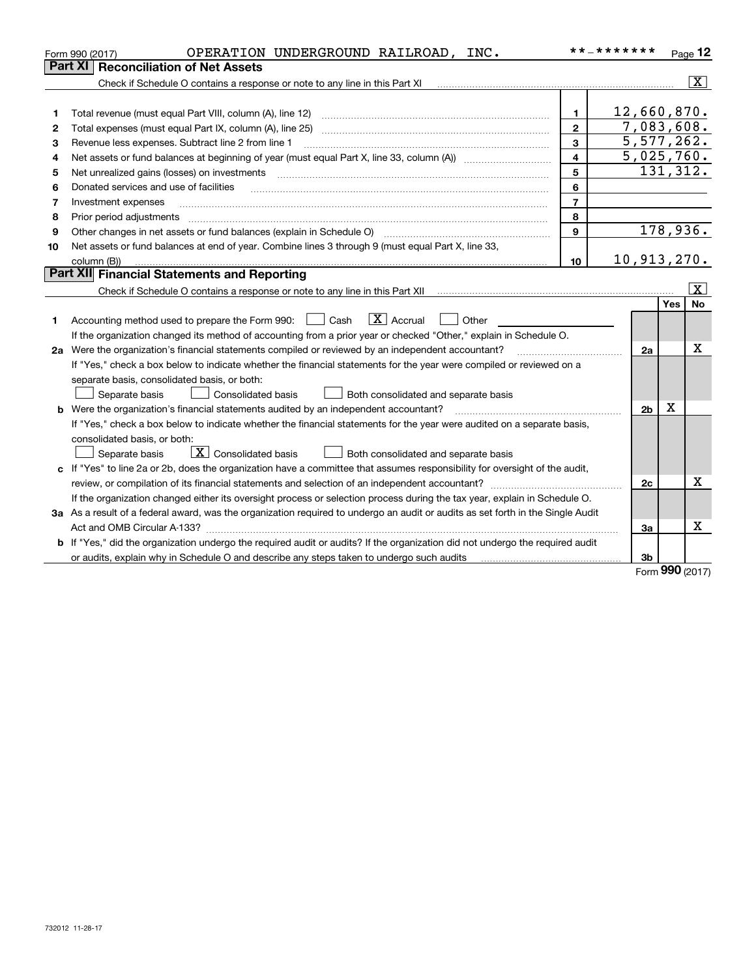|    | OPERATION UNDERGROUND RAILROAD, INC.<br>Form 990 (2017)                                                                              |                         | **_*******     |           | Page 12                 |
|----|--------------------------------------------------------------------------------------------------------------------------------------|-------------------------|----------------|-----------|-------------------------|
|    | Part XI<br><b>Reconciliation of Net Assets</b>                                                                                       |                         |                |           |                         |
|    | Check if Schedule O contains a response or note to any line in this Part XI                                                          |                         |                |           | $\overline{\mathbf{x}}$ |
|    |                                                                                                                                      |                         |                |           |                         |
| 1  | Total revenue (must equal Part VIII, column (A), line 12)                                                                            | $\mathbf{1}$            | 12,660,870.    |           |                         |
| 2  | Total expenses (must equal Part IX, column (A), line 25)                                                                             | $\mathbf{2}$            | 7,083,608.     |           |                         |
| З  | Revenue less expenses. Subtract line 2 from line 1                                                                                   | 3                       | 5,577,262.     |           |                         |
| 4  |                                                                                                                                      | $\overline{\mathbf{4}}$ | 5,025,760.     |           |                         |
| 5  | Net unrealized gains (losses) on investments                                                                                         | 5                       |                | 131, 312. |                         |
| 6  | Donated services and use of facilities                                                                                               | 6                       |                |           |                         |
| 7  | Investment expenses                                                                                                                  | $\overline{7}$          |                |           |                         |
| 8  | Prior period adjustments                                                                                                             | 8                       |                |           |                         |
| 9  | Other changes in net assets or fund balances (explain in Schedule O)                                                                 | 9                       |                | 178,936.  |                         |
| 10 | Net assets or fund balances at end of year. Combine lines 3 through 9 (must equal Part X, line 33,                                   |                         |                |           |                         |
|    | column (B))                                                                                                                          | 10                      | 10,913,270.    |           |                         |
|    | Part XII Financial Statements and Reporting                                                                                          |                         |                |           |                         |
|    |                                                                                                                                      |                         |                |           | $\vert$ X $\vert$       |
|    |                                                                                                                                      |                         |                | Yes       | <b>No</b>               |
| 1  | $\boxed{\mathbf{X}}$ Accrual<br>Accounting method used to prepare the Form 990: <u>[</u> Cash<br>Other                               |                         |                |           |                         |
|    | If the organization changed its method of accounting from a prior year or checked "Other," explain in Schedule O.                    |                         |                |           |                         |
|    | 2a Were the organization's financial statements compiled or reviewed by an independent accountant?                                   |                         | 2a             |           | х                       |
|    | If "Yes," check a box below to indicate whether the financial statements for the year were compiled or reviewed on a                 |                         |                |           |                         |
|    | separate basis, consolidated basis, or both:                                                                                         |                         |                |           |                         |
|    | Separate basis<br>Consolidated basis<br>Both consolidated and separate basis                                                         |                         |                |           |                         |
|    | <b>b</b> Were the organization's financial statements audited by an independent accountant?                                          |                         | 2 <sub>b</sub> | x         |                         |
|    | If "Yes," check a box below to indicate whether the financial statements for the year were audited on a separate basis,              |                         |                |           |                         |
|    | consolidated basis, or both:                                                                                                         |                         |                |           |                         |
|    | $\lfloor \texttt{X} \rfloor$ Consolidated basis<br>Separate basis<br>Both consolidated and separate basis                            |                         |                |           |                         |
|    | c If "Yes" to line 2a or 2b, does the organization have a committee that assumes responsibility for oversight of the audit,          |                         |                |           |                         |
|    |                                                                                                                                      |                         | 2c             |           | х                       |
|    | If the organization changed either its oversight process or selection process during the tax year, explain in Schedule O.            |                         |                |           |                         |
|    | 3a As a result of a federal award, was the organization required to undergo an audit or audits as set forth in the Single Audit      |                         |                |           |                         |
|    |                                                                                                                                      |                         | 3a             |           | x                       |
|    | <b>b</b> If "Yes," did the organization undergo the required audit or audits? If the organization did not undergo the required audit |                         |                |           |                         |
|    | or audits, explain why in Schedule O and describe any steps taken to undergo such audits matures and the matur                       |                         | 3b             | $000 - 1$ |                         |

Form (2017) **990**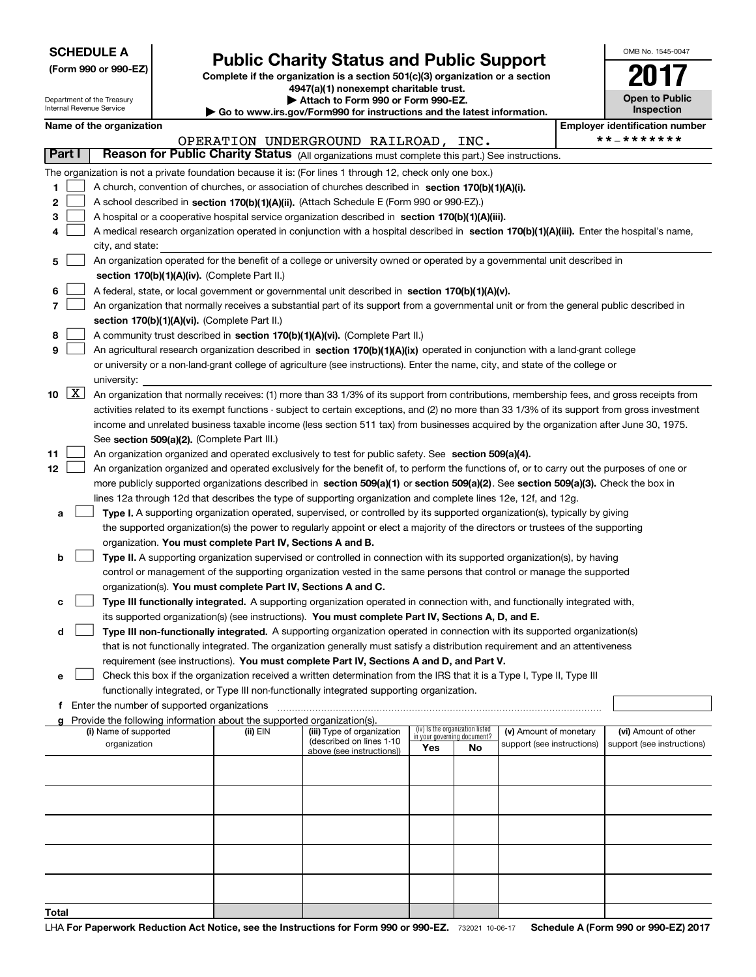| <b>SCHEDULE A</b> |
|-------------------|
|-------------------|

Department of the Treasury

**(Form 990 or 990-EZ)**

# **Public Charity Status and Public Support**

**Complete if the organization is a section 501(c)(3) organization or a section 4947(a)(1) nonexempt charitable trust. | Attach to Form 990 or Form 990-EZ.** 

| www.irs.gov/Form990 for instructions and the latest information. |  |
|------------------------------------------------------------------|--|

| OMB No 1545-0047                    |
|-------------------------------------|
| I)                                  |
| <b>Open to Public</b><br>Inspection |

|       |        | Internal Revenue Service |                                             | $\blacktriangleright$ Go to www.irs.gov/Form990 for instructions and the latest information. | Inspection                                                                                                                                    |                             |                                 |                            |  |                                       |  |
|-------|--------|--------------------------|---------------------------------------------|----------------------------------------------------------------------------------------------|-----------------------------------------------------------------------------------------------------------------------------------------------|-----------------------------|---------------------------------|----------------------------|--|---------------------------------------|--|
|       |        | Name of the organization |                                             |                                                                                              |                                                                                                                                               |                             |                                 |                            |  | <b>Employer identification number</b> |  |
|       |        |                          |                                             |                                                                                              | OPERATION UNDERGROUND RAILROAD, INC.                                                                                                          |                             |                                 |                            |  | **_*******                            |  |
|       | Part I |                          |                                             |                                                                                              | Reason for Public Charity Status (All organizations must complete this part.) See instructions.                                               |                             |                                 |                            |  |                                       |  |
|       |        |                          |                                             |                                                                                              | The organization is not a private foundation because it is: (For lines 1 through 12, check only one box.)                                     |                             |                                 |                            |  |                                       |  |
| 1     |        |                          |                                             |                                                                                              | A church, convention of churches, or association of churches described in section 170(b)(1)(A)(i).                                            |                             |                                 |                            |  |                                       |  |
| 2     |        |                          |                                             |                                                                                              | A school described in section 170(b)(1)(A)(ii). (Attach Schedule E (Form 990 or 990-EZ).)                                                     |                             |                                 |                            |  |                                       |  |
| з     |        |                          |                                             |                                                                                              | A hospital or a cooperative hospital service organization described in section 170(b)(1)(A)(iii).                                             |                             |                                 |                            |  |                                       |  |
| 4     |        |                          |                                             |                                                                                              | A medical research organization operated in conjunction with a hospital described in section 170(b)(1)(A)(iii). Enter the hospital's name,    |                             |                                 |                            |  |                                       |  |
|       |        | city, and state:         |                                             |                                                                                              |                                                                                                                                               |                             |                                 |                            |  |                                       |  |
| 5     |        |                          |                                             |                                                                                              | An organization operated for the benefit of a college or university owned or operated by a governmental unit described in                     |                             |                                 |                            |  |                                       |  |
|       |        |                          |                                             | section 170(b)(1)(A)(iv). (Complete Part II.)                                                |                                                                                                                                               |                             |                                 |                            |  |                                       |  |
| 6     |        |                          |                                             |                                                                                              | A federal, state, or local government or governmental unit described in section 170(b)(1)(A)(v).                                              |                             |                                 |                            |  |                                       |  |
| 7     |        |                          |                                             |                                                                                              | An organization that normally receives a substantial part of its support from a governmental unit or from the general public described in     |                             |                                 |                            |  |                                       |  |
|       |        |                          |                                             | section 170(b)(1)(A)(vi). (Complete Part II.)                                                |                                                                                                                                               |                             |                                 |                            |  |                                       |  |
| 8     |        |                          |                                             |                                                                                              | A community trust described in section 170(b)(1)(A)(vi). (Complete Part II.)                                                                  |                             |                                 |                            |  |                                       |  |
| 9     |        |                          |                                             |                                                                                              | An agricultural research organization described in section 170(b)(1)(A)(ix) operated in conjunction with a land-grant college                 |                             |                                 |                            |  |                                       |  |
|       |        |                          |                                             |                                                                                              | or university or a non-land-grant college of agriculture (see instructions). Enter the name, city, and state of the college or                |                             |                                 |                            |  |                                       |  |
|       |        | university:              |                                             |                                                                                              |                                                                                                                                               |                             |                                 |                            |  |                                       |  |
|       | 10 $X$ |                          |                                             |                                                                                              | An organization that normally receives: (1) more than 33 1/3% of its support from contributions, membership fees, and gross receipts from     |                             |                                 |                            |  |                                       |  |
|       |        |                          |                                             |                                                                                              | activities related to its exempt functions - subject to certain exceptions, and (2) no more than 33 1/3% of its support from gross investment |                             |                                 |                            |  |                                       |  |
|       |        |                          |                                             |                                                                                              | income and unrelated business taxable income (less section 511 tax) from businesses acquired by the organization after June 30, 1975.         |                             |                                 |                            |  |                                       |  |
|       |        |                          |                                             | See section 509(a)(2). (Complete Part III.)                                                  |                                                                                                                                               |                             |                                 |                            |  |                                       |  |
| 11    |        |                          |                                             |                                                                                              | An organization organized and operated exclusively to test for public safety. See section 509(a)(4).                                          |                             |                                 |                            |  |                                       |  |
| 12    |        |                          |                                             |                                                                                              | An organization organized and operated exclusively for the benefit of, to perform the functions of, or to carry out the purposes of one or    |                             |                                 |                            |  |                                       |  |
|       |        |                          |                                             |                                                                                              | more publicly supported organizations described in section 509(a)(1) or section 509(a)(2). See section 509(a)(3). Check the box in            |                             |                                 |                            |  |                                       |  |
|       |        |                          |                                             |                                                                                              | lines 12a through 12d that describes the type of supporting organization and complete lines 12e, 12f, and 12g.                                |                             |                                 |                            |  |                                       |  |
| а     |        |                          |                                             |                                                                                              | Type I. A supporting organization operated, supervised, or controlled by its supported organization(s), typically by giving                   |                             |                                 |                            |  |                                       |  |
|       |        |                          |                                             |                                                                                              | the supported organization(s) the power to regularly appoint or elect a majority of the directors or trustees of the supporting               |                             |                                 |                            |  |                                       |  |
|       |        |                          |                                             | organization. You must complete Part IV, Sections A and B.                                   |                                                                                                                                               |                             |                                 |                            |  |                                       |  |
| b     |        |                          |                                             |                                                                                              | Type II. A supporting organization supervised or controlled in connection with its supported organization(s), by having                       |                             |                                 |                            |  |                                       |  |
|       |        |                          |                                             |                                                                                              | control or management of the supporting organization vested in the same persons that control or manage the supported                          |                             |                                 |                            |  |                                       |  |
|       |        |                          |                                             | organization(s). You must complete Part IV, Sections A and C.                                |                                                                                                                                               |                             |                                 |                            |  |                                       |  |
| с     |        |                          |                                             |                                                                                              | Type III functionally integrated. A supporting organization operated in connection with, and functionally integrated with,                    |                             |                                 |                            |  |                                       |  |
|       |        |                          |                                             |                                                                                              | its supported organization(s) (see instructions). You must complete Part IV, Sections A, D, and E.                                            |                             |                                 |                            |  |                                       |  |
| d     |        |                          |                                             |                                                                                              | Type III non-functionally integrated. A supporting organization operated in connection with its supported organization(s)                     |                             |                                 |                            |  |                                       |  |
|       |        |                          |                                             |                                                                                              | that is not functionally integrated. The organization generally must satisfy a distribution requirement and an attentiveness                  |                             |                                 |                            |  |                                       |  |
|       |        |                          |                                             |                                                                                              | requirement (see instructions). You must complete Part IV, Sections A and D, and Part V.                                                      |                             |                                 |                            |  |                                       |  |
| е     |        |                          |                                             |                                                                                              | Check this box if the organization received a written determination from the IRS that it is a Type I, Type II, Type III                       |                             |                                 |                            |  |                                       |  |
|       |        |                          |                                             |                                                                                              | functionally integrated, or Type III non-functionally integrated supporting organization.                                                     |                             |                                 |                            |  |                                       |  |
| f     |        |                          | Enter the number of supported organizations |                                                                                              |                                                                                                                                               |                             |                                 |                            |  |                                       |  |
|       |        |                          |                                             | Provide the following information about the supported organization(s).                       |                                                                                                                                               |                             |                                 |                            |  |                                       |  |
|       |        | (i) Name of supported    |                                             | (ii) EIN                                                                                     | (iii) Type of organization<br>(described on lines 1-10                                                                                        | in your governing document? | (iv) Is the organization listed | (v) Amount of monetary     |  | (vi) Amount of other                  |  |
|       |        | organization             |                                             |                                                                                              | above (see instructions))                                                                                                                     | Yes                         | No                              | support (see instructions) |  | support (see instructions)            |  |
|       |        |                          |                                             |                                                                                              |                                                                                                                                               |                             |                                 |                            |  |                                       |  |
|       |        |                          |                                             |                                                                                              |                                                                                                                                               |                             |                                 |                            |  |                                       |  |
|       |        |                          |                                             |                                                                                              |                                                                                                                                               |                             |                                 |                            |  |                                       |  |
|       |        |                          |                                             |                                                                                              |                                                                                                                                               |                             |                                 |                            |  |                                       |  |
|       |        |                          |                                             |                                                                                              |                                                                                                                                               |                             |                                 |                            |  |                                       |  |
|       |        |                          |                                             |                                                                                              |                                                                                                                                               |                             |                                 |                            |  |                                       |  |
|       |        |                          |                                             |                                                                                              |                                                                                                                                               |                             |                                 |                            |  |                                       |  |
|       |        |                          |                                             |                                                                                              |                                                                                                                                               |                             |                                 |                            |  |                                       |  |
|       |        |                          |                                             |                                                                                              |                                                                                                                                               |                             |                                 |                            |  |                                       |  |
|       |        |                          |                                             |                                                                                              |                                                                                                                                               |                             |                                 |                            |  |                                       |  |
| Total |        |                          |                                             |                                                                                              |                                                                                                                                               |                             |                                 |                            |  |                                       |  |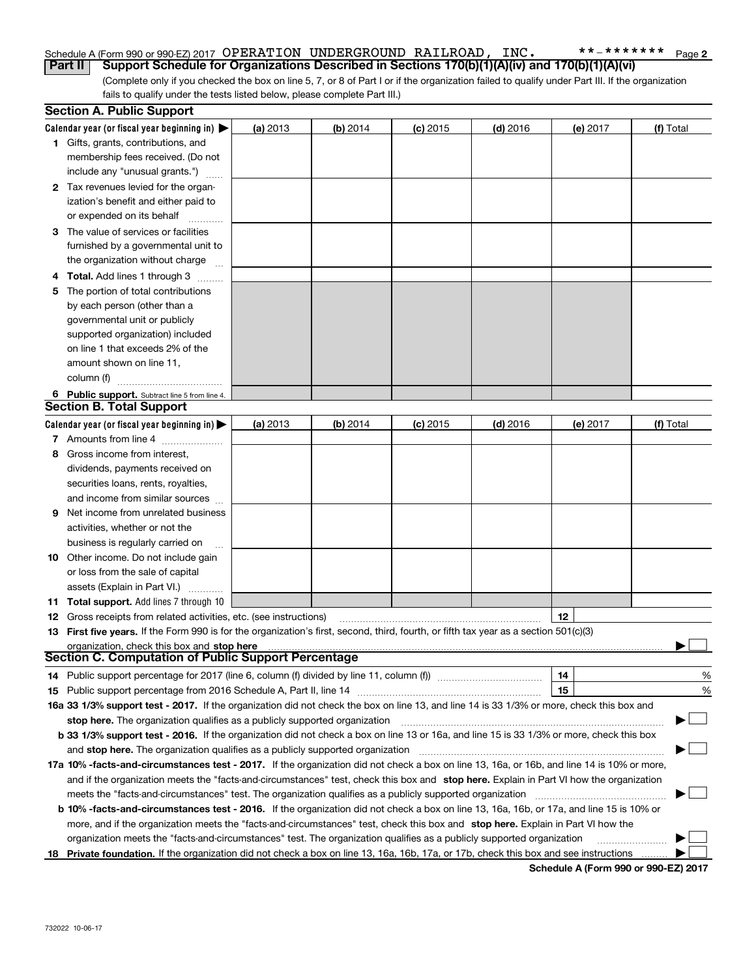#### Schedule A (Form 990 or 990-EZ) 2017 Page OPERATION UNDERGROUND RAILROAD, INC. \*\*-\*\*\*\*\*\*\***Part II Support Schedule for Organizations Described in Sections 170(b)(1)(A)(iv) and 170(b)(1)(A)(vi)**

(Complete only if you checked the box on line 5, 7, or 8 of Part I or if the organization failed to qualify under Part III. If the organization fails to qualify under the tests listed below, please complete Part III.)

|    | <b>Section A. Public Support</b>                                                                                                               |          |            |            |            |          |           |
|----|------------------------------------------------------------------------------------------------------------------------------------------------|----------|------------|------------|------------|----------|-----------|
|    | Calendar year (or fiscal year beginning in) $\blacktriangleright$                                                                              | (a) 2013 | (b) 2014   | $(c)$ 2015 | $(d)$ 2016 | (e) 2017 | (f) Total |
|    | 1 Gifts, grants, contributions, and                                                                                                            |          |            |            |            |          |           |
|    | membership fees received. (Do not                                                                                                              |          |            |            |            |          |           |
|    | include any "unusual grants.")                                                                                                                 |          |            |            |            |          |           |
|    | 2 Tax revenues levied for the organ-                                                                                                           |          |            |            |            |          |           |
|    | ization's benefit and either paid to                                                                                                           |          |            |            |            |          |           |
|    | or expended on its behalf                                                                                                                      |          |            |            |            |          |           |
|    | 3 The value of services or facilities                                                                                                          |          |            |            |            |          |           |
|    | furnished by a governmental unit to                                                                                                            |          |            |            |            |          |           |
|    | the organization without charge                                                                                                                |          |            |            |            |          |           |
|    | 4 Total. Add lines 1 through 3                                                                                                                 |          |            |            |            |          |           |
| 5. | The portion of total contributions                                                                                                             |          |            |            |            |          |           |
|    | by each person (other than a                                                                                                                   |          |            |            |            |          |           |
|    | governmental unit or publicly                                                                                                                  |          |            |            |            |          |           |
|    | supported organization) included                                                                                                               |          |            |            |            |          |           |
|    | on line 1 that exceeds 2% of the                                                                                                               |          |            |            |            |          |           |
|    | amount shown on line 11,                                                                                                                       |          |            |            |            |          |           |
|    | column (f)                                                                                                                                     |          |            |            |            |          |           |
|    | 6 Public support. Subtract line 5 from line 4.                                                                                                 |          |            |            |            |          |           |
|    | <b>Section B. Total Support</b>                                                                                                                |          |            |            |            |          |           |
|    | Calendar year (or fiscal year beginning in)                                                                                                    | (a) 2013 | (b) $2014$ | $(c)$ 2015 | $(d)$ 2016 | (e) 2017 | (f) Total |
|    | 7 Amounts from line 4                                                                                                                          |          |            |            |            |          |           |
|    | 8 Gross income from interest,                                                                                                                  |          |            |            |            |          |           |
|    | dividends, payments received on                                                                                                                |          |            |            |            |          |           |
|    | securities loans, rents, royalties,                                                                                                            |          |            |            |            |          |           |
|    | and income from similar sources                                                                                                                |          |            |            |            |          |           |
| 9. | Net income from unrelated business                                                                                                             |          |            |            |            |          |           |
|    | activities, whether or not the                                                                                                                 |          |            |            |            |          |           |
|    | business is regularly carried on                                                                                                               |          |            |            |            |          |           |
|    | <b>10</b> Other income. Do not include gain                                                                                                    |          |            |            |            |          |           |
|    | or loss from the sale of capital                                                                                                               |          |            |            |            |          |           |
|    | assets (Explain in Part VI.)                                                                                                                   |          |            |            |            |          |           |
|    | 11 Total support. Add lines 7 through 10                                                                                                       |          |            |            |            |          |           |
|    | <b>12</b> Gross receipts from related activities, etc. (see instructions)                                                                      |          |            |            |            | 12       |           |
|    | 13 First five years. If the Form 990 is for the organization's first, second, third, fourth, or fifth tax year as a section 501(c)(3)          |          |            |            |            |          |           |
|    | organization, check this box and stop here                                                                                                     |          |            |            |            |          |           |
|    | Section C. Computation of Public Support Percentage                                                                                            |          |            |            |            |          |           |
|    | 14 Public support percentage for 2017 (line 6, column (f) divided by line 11, column (f) <i>mummeronoming</i>                                  |          |            |            |            | 14       | %         |
|    |                                                                                                                                                |          |            |            |            | 15       | %         |
|    | 16a 33 1/3% support test - 2017. If the organization did not check the box on line 13, and line 14 is 33 1/3% or more, check this box and      |          |            |            |            |          |           |
|    | stop here. The organization qualifies as a publicly supported organization                                                                     |          |            |            |            |          | ▔▁▏       |
|    | b 33 1/3% support test - 2016. If the organization did not check a box on line 13 or 16a, and line 15 is 33 1/3% or more, check this box       |          |            |            |            |          |           |
|    | and stop here. The organization qualifies as a publicly supported organization                                                                 |          |            |            |            |          |           |
|    | 17a 10% -facts-and-circumstances test - 2017. If the organization did not check a box on line 13, 16a, or 16b, and line 14 is 10% or more,     |          |            |            |            |          |           |
|    | and if the organization meets the "facts-and-circumstances" test, check this box and stop here. Explain in Part VI how the organization        |          |            |            |            |          |           |
|    | meets the "facts-and-circumstances" test. The organization qualifies as a publicly supported organization                                      |          |            |            |            |          |           |
|    | <b>b 10% -facts-and-circumstances test - 2016.</b> If the organization did not check a box on line 13, 16a, 16b, or 17a, and line 15 is 10% or |          |            |            |            |          |           |
|    | more, and if the organization meets the "facts-and-circumstances" test, check this box and stop here. Explain in Part VI how the               |          |            |            |            |          |           |
|    | organization meets the "facts-and-circumstances" test. The organization qualifies as a publicly supported organization                         |          |            |            |            |          |           |
|    | 18 Private foundation. If the organization did not check a box on line 13, 16a, 16b, 17a, or 17b, check this box and see instructions          |          |            |            |            |          |           |

**Schedule A (Form 990 or 990-EZ) 2017**

**2**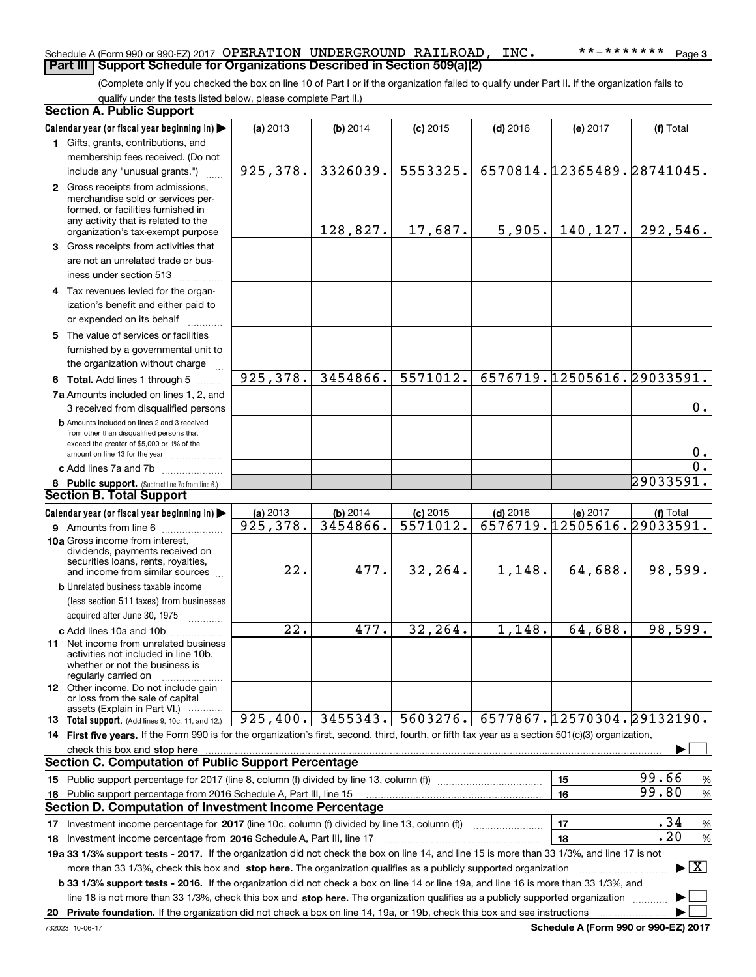#### Schedule A (Form 990 or 990-EZ) 2017 Page OPERATION UNDERGROUND RAILROAD, INC. \*\*-\*\*\*\*\*\*\* **Part III** | Support Schedule for Organizations Described in Section 509(a)(2)

(Complete only if you checked the box on line 10 of Part I or if the organization failed to qualify under Part II. If the organization fails to qualify under the tests listed below, please complete Part II.)

| <b>Section A. Public Support</b>                                                                                                                    |                                    |                      |                        |            |                                        |                                          |
|-----------------------------------------------------------------------------------------------------------------------------------------------------|------------------------------------|----------------------|------------------------|------------|----------------------------------------|------------------------------------------|
| Calendar year (or fiscal year beginning in)                                                                                                         | (a) 2013                           | (b) 2014             | $(c)$ 2015             | $(d)$ 2016 | (e) 2017                               | (f) Total                                |
| 1 Gifts, grants, contributions, and                                                                                                                 |                                    |                      |                        |            |                                        |                                          |
| membership fees received. (Do not                                                                                                                   |                                    |                      |                        |            |                                        |                                          |
| include any "unusual grants.")                                                                                                                      | 925,378.                           | 3326039.             | 5553325.               |            | 6570814.12365489.28741045.             |                                          |
| 2 Gross receipts from admissions,                                                                                                                   |                                    |                      |                        |            |                                        |                                          |
| merchandise sold or services per-                                                                                                                   |                                    |                      |                        |            |                                        |                                          |
| formed, or facilities furnished in<br>any activity that is related to the                                                                           |                                    |                      |                        |            |                                        |                                          |
| organization's tax-exempt purpose                                                                                                                   |                                    | 128,827.             | 17,687.                | 5,905.     | 140, 127.                              | 292,546.                                 |
| 3 Gross receipts from activities that                                                                                                               |                                    |                      |                        |            |                                        |                                          |
| are not an unrelated trade or bus-                                                                                                                  |                                    |                      |                        |            |                                        |                                          |
| iness under section 513                                                                                                                             |                                    |                      |                        |            |                                        |                                          |
| 4 Tax revenues levied for the organ-                                                                                                                |                                    |                      |                        |            |                                        |                                          |
| ization's benefit and either paid to                                                                                                                |                                    |                      |                        |            |                                        |                                          |
| or expended on its behalf                                                                                                                           |                                    |                      |                        |            |                                        |                                          |
| 5 The value of services or facilities                                                                                                               |                                    |                      |                        |            |                                        |                                          |
| furnished by a governmental unit to                                                                                                                 |                                    |                      |                        |            |                                        |                                          |
| the organization without charge                                                                                                                     |                                    |                      |                        |            |                                        |                                          |
| 6 Total. Add lines 1 through 5                                                                                                                      | 925,378.                           | 3454866.             | 5571012.               |            | 6576719.12505616.29033591.             |                                          |
|                                                                                                                                                     |                                    |                      |                        |            |                                        |                                          |
| 7a Amounts included on lines 1, 2, and<br>3 received from disqualified persons                                                                      |                                    |                      |                        |            |                                        | 0.                                       |
| <b>b</b> Amounts included on lines 2 and 3 received                                                                                                 |                                    |                      |                        |            |                                        |                                          |
| from other than disqualified persons that                                                                                                           |                                    |                      |                        |            |                                        |                                          |
| exceed the greater of \$5,000 or 1% of the                                                                                                          |                                    |                      |                        |            |                                        | $0$ .                                    |
| amount on line 13 for the year                                                                                                                      |                                    |                      |                        |            |                                        | 0.                                       |
| c Add lines 7a and 7b                                                                                                                               |                                    |                      |                        |            |                                        | 29033591.                                |
| 8 Public support. (Subtract line 7c from line 6.)<br><b>Section B. Total Support</b>                                                                |                                    |                      |                        |            |                                        |                                          |
|                                                                                                                                                     |                                    |                      |                        |            |                                        |                                          |
| Calendar year (or fiscal year beginning in)                                                                                                         | (a) 2013<br>$\overline{925,378}$ . | (b) 2014<br>3454866. | $(c)$ 2015<br>5571012. | $(d)$ 2016 | (e) 2017<br>6576719.12505616.29033591. | (f) Total                                |
| <b>9</b> Amounts from line 6<br>10a Gross income from interest,                                                                                     |                                    |                      |                        |            |                                        |                                          |
| dividends, payments received on                                                                                                                     |                                    |                      |                        |            |                                        |                                          |
| securities loans, rents, royalties,                                                                                                                 | 22.                                | 477.                 | 32,264.                |            | 64,688.                                | 98,599.                                  |
| and income from similar sources                                                                                                                     |                                    |                      |                        | 1,148.     |                                        |                                          |
| <b>b</b> Unrelated business taxable income                                                                                                          |                                    |                      |                        |            |                                        |                                          |
| (less section 511 taxes) from businesses                                                                                                            |                                    |                      |                        |            |                                        |                                          |
| acquired after June 30, 1975                                                                                                                        |                                    |                      |                        |            |                                        |                                          |
| c Add lines 10a and 10b                                                                                                                             | $\overline{22}$ .                  | 477.                 | 32,264.                | 1,148.     | 64,688.                                | 98,599.                                  |
| 11 Net income from unrelated business<br>activities not included in line 10b,                                                                       |                                    |                      |                        |            |                                        |                                          |
| whether or not the business is                                                                                                                      |                                    |                      |                        |            |                                        |                                          |
| regularly carried on                                                                                                                                |                                    |                      |                        |            |                                        |                                          |
| 12 Other income. Do not include gain<br>or loss from the sale of capital                                                                            |                                    |                      |                        |            |                                        |                                          |
| assets (Explain in Part VI.)                                                                                                                        |                                    |                      |                        |            |                                        |                                          |
| 13 Total support. (Add lines 9, 10c, 11, and 12.)                                                                                                   | 925, 400.                          | 3455343.             | 5603276.               |            |                                        | 6577867.12570304.29132190.               |
| 14 First five years. If the Form 990 is for the organization's first, second, third, fourth, or fifth tax year as a section 501(c)(3) organization, |                                    |                      |                        |            |                                        |                                          |
| check this box and stop here                                                                                                                        |                                    |                      |                        |            |                                        |                                          |
| <b>Section C. Computation of Public Support Percentage</b>                                                                                          |                                    |                      |                        |            |                                        |                                          |
| 15 Public support percentage for 2017 (line 8, column (f) divided by line 13, column (f))                                                           |                                    |                      |                        |            | 15                                     | 99.66<br>%                               |
| 16 Public support percentage from 2016 Schedule A, Part III, line 15                                                                                |                                    |                      |                        |            | 16                                     | 99.80<br>$\%$                            |
| Section D. Computation of Investment Income Percentage                                                                                              |                                    |                      |                        |            |                                        |                                          |
| 17 Investment income percentage for 2017 (line 10c, column (f) divided by line 13, column (f)                                                       |                                    |                      |                        |            | 17                                     | .34<br>$\%$                              |
| 18 Investment income percentage from 2016 Schedule A, Part III, line 17                                                                             |                                    |                      |                        |            | 18                                     | .20<br>%                                 |
| 19a 33 1/3% support tests - 2017. If the organization did not check the box on line 14, and line 15 is more than 33 1/3%, and line 17 is not        |                                    |                      |                        |            |                                        |                                          |
| more than 33 1/3%, check this box and stop here. The organization qualifies as a publicly supported organization                                    |                                    |                      |                        |            |                                        | $\blacktriangleright$ $\boxed{\text{X}}$ |
| <b>b 33 1/3% support tests - 2016.</b> If the organization did not check a box on line 14 or line 19a, and line 16 is more than 33 1/3%, and        |                                    |                      |                        |            |                                        |                                          |
| line 18 is not more than 33 1/3%, check this box and stop here. The organization qualifies as a publicly supported organization                     |                                    |                      |                        |            |                                        |                                          |
| 20 Private foundation. If the organization did not check a box on line 14, 19a, or 19b, check this box and see instructions                         |                                    |                      |                        |            |                                        |                                          |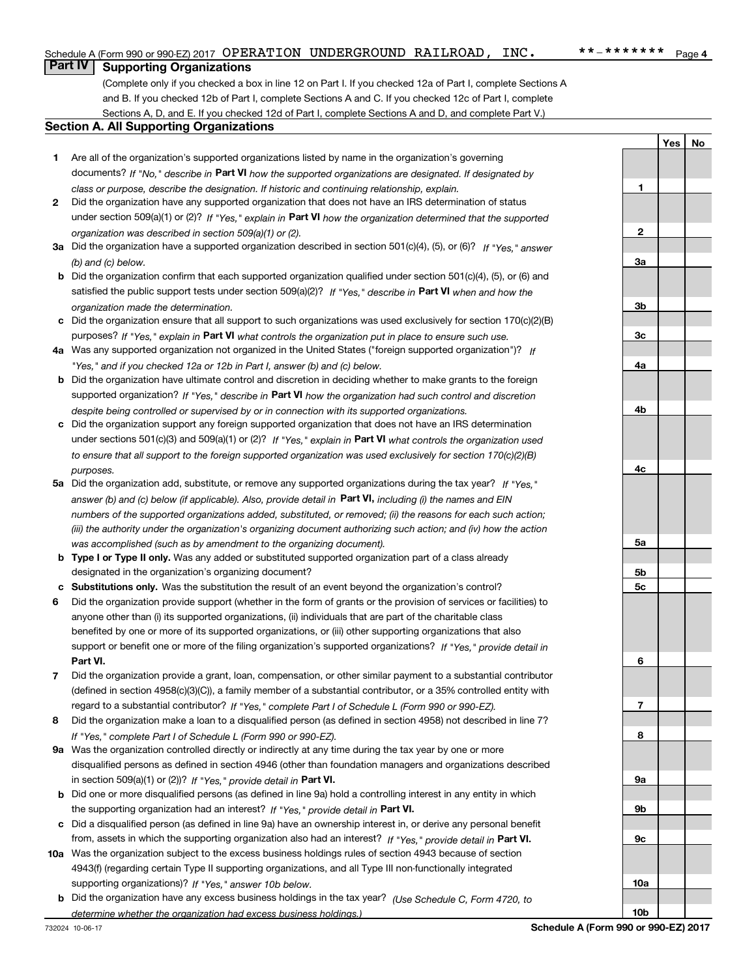**1**

**YesNo**

## **Part IV Supporting Organizations**

(Complete only if you checked a box in line 12 on Part I. If you checked 12a of Part I, complete Sections A and B. If you checked 12b of Part I, complete Sections A and C. If you checked 12c of Part I, complete Sections A, D, and E. If you checked 12d of Part I, complete Sections A and D, and complete Part V.)

#### **Section A. All Supporting Organizations**

- **1** Are all of the organization's supported organizations listed by name in the organization's governing documents? If "No," describe in **Part VI** how the supported organizations are designated. If designated by *class or purpose, describe the designation. If historic and continuing relationship, explain.*
- **2** Did the organization have any supported organization that does not have an IRS determination of status under section 509(a)(1) or (2)? If "Yes," explain in Part VI how the organization determined that the supported *organization was described in section 509(a)(1) or (2).*
- **3a** Did the organization have a supported organization described in section 501(c)(4), (5), or (6)? If "Yes," answer *(b) and (c) below.*
- **b** Did the organization confirm that each supported organization qualified under section 501(c)(4), (5), or (6) and satisfied the public support tests under section 509(a)(2)? If "Yes," describe in **Part VI** when and how the *organization made the determination.*
- **c**Did the organization ensure that all support to such organizations was used exclusively for section 170(c)(2)(B) purposes? If "Yes," explain in **Part VI** what controls the organization put in place to ensure such use.
- **4a***If* Was any supported organization not organized in the United States ("foreign supported organization")? *"Yes," and if you checked 12a or 12b in Part I, answer (b) and (c) below.*
- **b** Did the organization have ultimate control and discretion in deciding whether to make grants to the foreign supported organization? If "Yes," describe in **Part VI** how the organization had such control and discretion *despite being controlled or supervised by or in connection with its supported organizations.*
- **c** Did the organization support any foreign supported organization that does not have an IRS determination under sections 501(c)(3) and 509(a)(1) or (2)? If "Yes," explain in **Part VI** what controls the organization used *to ensure that all support to the foreign supported organization was used exclusively for section 170(c)(2)(B) purposes.*
- **5a***If "Yes,"* Did the organization add, substitute, or remove any supported organizations during the tax year? answer (b) and (c) below (if applicable). Also, provide detail in **Part VI,** including (i) the names and EIN *numbers of the supported organizations added, substituted, or removed; (ii) the reasons for each such action; (iii) the authority under the organization's organizing document authorizing such action; and (iv) how the action was accomplished (such as by amendment to the organizing document).*
- **b** Type I or Type II only. Was any added or substituted supported organization part of a class already designated in the organization's organizing document?
- **cSubstitutions only.**  Was the substitution the result of an event beyond the organization's control?
- **6** Did the organization provide support (whether in the form of grants or the provision of services or facilities) to **Part VI.** *If "Yes," provide detail in* support or benefit one or more of the filing organization's supported organizations? anyone other than (i) its supported organizations, (ii) individuals that are part of the charitable class benefited by one or more of its supported organizations, or (iii) other supporting organizations that also
- **7**Did the organization provide a grant, loan, compensation, or other similar payment to a substantial contributor *If "Yes," complete Part I of Schedule L (Form 990 or 990-EZ).* regard to a substantial contributor? (defined in section 4958(c)(3)(C)), a family member of a substantial contributor, or a 35% controlled entity with
- **8** Did the organization make a loan to a disqualified person (as defined in section 4958) not described in line 7? *If "Yes," complete Part I of Schedule L (Form 990 or 990-EZ).*
- **9a** Was the organization controlled directly or indirectly at any time during the tax year by one or more in section 509(a)(1) or (2))? If "Yes," *provide detail in* <code>Part VI.</code> disqualified persons as defined in section 4946 (other than foundation managers and organizations described
- **b** Did one or more disqualified persons (as defined in line 9a) hold a controlling interest in any entity in which the supporting organization had an interest? If "Yes," provide detail in P**art VI**.
- **c**Did a disqualified person (as defined in line 9a) have an ownership interest in, or derive any personal benefit from, assets in which the supporting organization also had an interest? If "Yes," provide detail in P**art VI.**
- **10a** Was the organization subject to the excess business holdings rules of section 4943 because of section supporting organizations)? If "Yes," answer 10b below. 4943(f) (regarding certain Type II supporting organizations, and all Type III non-functionally integrated
- **b** Did the organization have any excess business holdings in the tax year? (Use Schedule C, Form 4720, to *determine whether the organization had excess business holdings.)*

**10b**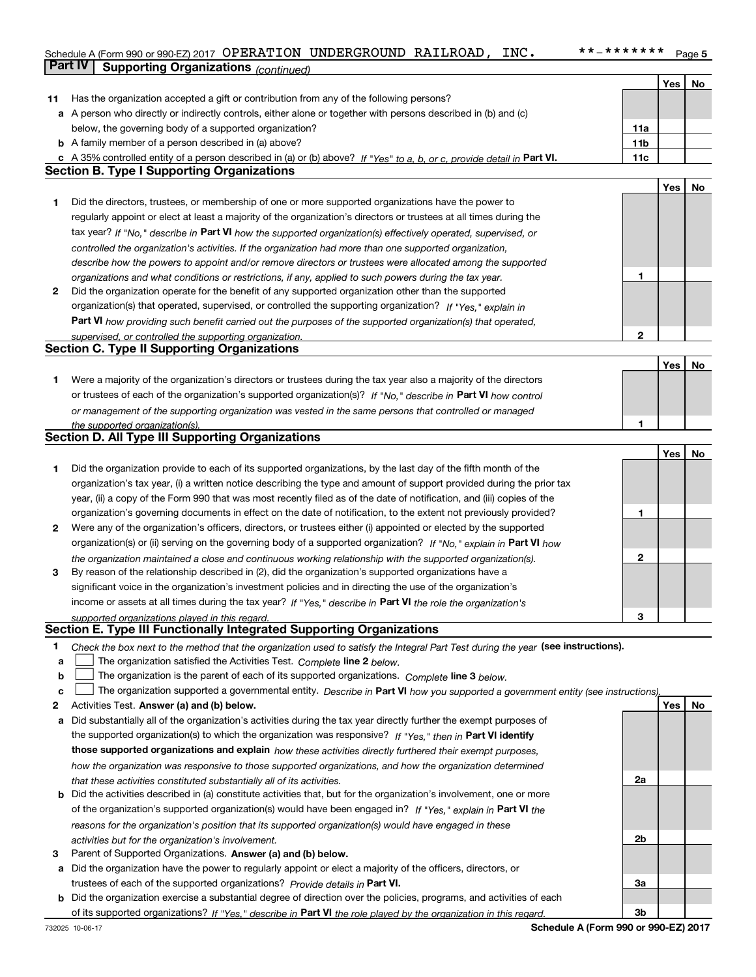## Schedule A (Form 990 or 990-EZ) 2017 Page OPERATION UNDERGROUND RAILROAD, INC. \*\*-\*\*\*\*\*\*\***Part IV Supporting Organizations** *(continued)*

т

|    |                                                                                                                                                                                                                                  |                 | Yes | No |
|----|----------------------------------------------------------------------------------------------------------------------------------------------------------------------------------------------------------------------------------|-----------------|-----|----|
| 11 | Has the organization accepted a gift or contribution from any of the following persons?                                                                                                                                          |                 |     |    |
|    | a A person who directly or indirectly controls, either alone or together with persons described in (b) and (c)                                                                                                                   |                 |     |    |
|    | below, the governing body of a supported organization?                                                                                                                                                                           | 11a             |     |    |
|    | <b>b</b> A family member of a person described in (a) above?                                                                                                                                                                     | 11 <sub>b</sub> |     |    |
|    | c A 35% controlled entity of a person described in (a) or (b) above? If "Yes" to a, b, or c, provide detail in Part VI.                                                                                                          | 11c             |     |    |
|    | <b>Section B. Type I Supporting Organizations</b>                                                                                                                                                                                |                 |     |    |
|    |                                                                                                                                                                                                                                  |                 | Yes | No |
| 1  | Did the directors, trustees, or membership of one or more supported organizations have the power to                                                                                                                              |                 |     |    |
|    | regularly appoint or elect at least a majority of the organization's directors or trustees at all times during the                                                                                                               |                 |     |    |
|    | tax year? If "No," describe in Part VI how the supported organization(s) effectively operated, supervised, or                                                                                                                    |                 |     |    |
|    | controlled the organization's activities. If the organization had more than one supported organization,                                                                                                                          |                 |     |    |
|    | describe how the powers to appoint and/or remove directors or trustees were allocated among the supported                                                                                                                        |                 |     |    |
|    | organizations and what conditions or restrictions, if any, applied to such powers during the tax year.                                                                                                                           | 1               |     |    |
| 2  | Did the organization operate for the benefit of any supported organization other than the supported                                                                                                                              |                 |     |    |
|    | organization(s) that operated, supervised, or controlled the supporting organization? If "Yes," explain in                                                                                                                       |                 |     |    |
|    | Part VI how providing such benefit carried out the purposes of the supported organization(s) that operated,                                                                                                                      |                 |     |    |
|    | supervised, or controlled the supporting organization.                                                                                                                                                                           | 2               |     |    |
|    | <b>Section C. Type II Supporting Organizations</b>                                                                                                                                                                               |                 |     |    |
|    |                                                                                                                                                                                                                                  |                 | Yes | No |
| 1. | Were a majority of the organization's directors or trustees during the tax year also a majority of the directors                                                                                                                 |                 |     |    |
|    | or trustees of each of the organization's supported organization(s)? If "No." describe in Part VI how control                                                                                                                    |                 |     |    |
|    | or management of the supporting organization was vested in the same persons that controlled or managed                                                                                                                           |                 |     |    |
|    | the supported organization(s).                                                                                                                                                                                                   | 1               |     |    |
|    | Section D. All Type III Supporting Organizations                                                                                                                                                                                 |                 |     |    |
|    |                                                                                                                                                                                                                                  |                 | Yes | No |
| 1  | Did the organization provide to each of its supported organizations, by the last day of the fifth month of the                                                                                                                   |                 |     |    |
|    | organization's tax year, (i) a written notice describing the type and amount of support provided during the prior tax                                                                                                            |                 |     |    |
|    | year, (ii) a copy of the Form 990 that was most recently filed as of the date of notification, and (iii) copies of the                                                                                                           |                 |     |    |
|    | organization's governing documents in effect on the date of notification, to the extent not previously provided?                                                                                                                 | 1               |     |    |
| 2  | Were any of the organization's officers, directors, or trustees either (i) appointed or elected by the supported                                                                                                                 |                 |     |    |
|    | organization(s) or (ii) serving on the governing body of a supported organization? If "No," explain in Part VI how                                                                                                               |                 |     |    |
|    |                                                                                                                                                                                                                                  | 2               |     |    |
| 3  | the organization maintained a close and continuous working relationship with the supported organization(s).<br>By reason of the relationship described in (2), did the organization's supported organizations have a             |                 |     |    |
|    |                                                                                                                                                                                                                                  |                 |     |    |
|    | significant voice in the organization's investment policies and in directing the use of the organization's                                                                                                                       |                 |     |    |
|    | income or assets at all times during the tax year? If "Yes," describe in Part VI the role the organization's                                                                                                                     |                 |     |    |
|    | supported organizations played in this regard.<br>Section E. Type III Functionally Integrated Supporting Organizations                                                                                                           | 3               |     |    |
|    |                                                                                                                                                                                                                                  |                 |     |    |
| 1  | Check the box next to the method that the organization used to satisfy the Integral Part Test during the year (see instructions).                                                                                                |                 |     |    |
| a  | The organization satisfied the Activities Test. Complete line 2 below.                                                                                                                                                           |                 |     |    |
| b  | The organization is the parent of each of its supported organizations. Complete line 3 below.                                                                                                                                    |                 |     |    |
| с  | The organization supported a governmental entity. Describe in Part VI how you supported a government entity (see instructions),                                                                                                  |                 |     |    |
| 2  | Activities Test. Answer (a) and (b) below.                                                                                                                                                                                       |                 | Yes | No |
| а  | Did substantially all of the organization's activities during the tax year directly further the exempt purposes of<br>the supported organization(s) to which the organization was responsive? If "Yes," then in Part VI identify |                 |     |    |
|    |                                                                                                                                                                                                                                  |                 |     |    |
|    | those supported organizations and explain how these activities directly furthered their exempt purposes,                                                                                                                         |                 |     |    |
|    | how the organization was responsive to those supported organizations, and how the organization determined                                                                                                                        |                 |     |    |
|    | that these activities constituted substantially all of its activities.                                                                                                                                                           | 2a              |     |    |
|    | <b>b</b> Did the activities described in (a) constitute activities that, but for the organization's involvement, one or more                                                                                                     |                 |     |    |
|    | of the organization's supported organization(s) would have been engaged in? If "Yes," explain in Part VI the                                                                                                                     |                 |     |    |
|    | reasons for the organization's position that its supported organization(s) would have engaged in these                                                                                                                           |                 |     |    |
|    | activities but for the organization's involvement.                                                                                                                                                                               | 2b              |     |    |
| 3  | Parent of Supported Organizations. Answer (a) and (b) below.                                                                                                                                                                     |                 |     |    |
| а  | Did the organization have the power to regularly appoint or elect a majority of the officers, directors, or                                                                                                                      |                 |     |    |
|    | trustees of each of the supported organizations? Provide details in Part VI.                                                                                                                                                     | За              |     |    |
|    | <b>b</b> Did the organization exercise a substantial degree of direction over the policies, programs, and activities of each                                                                                                     |                 |     |    |
|    | of its supported organizations? If "Yes." describe in Part VI the role played by the organization in this regard.                                                                                                                | Зb              |     |    |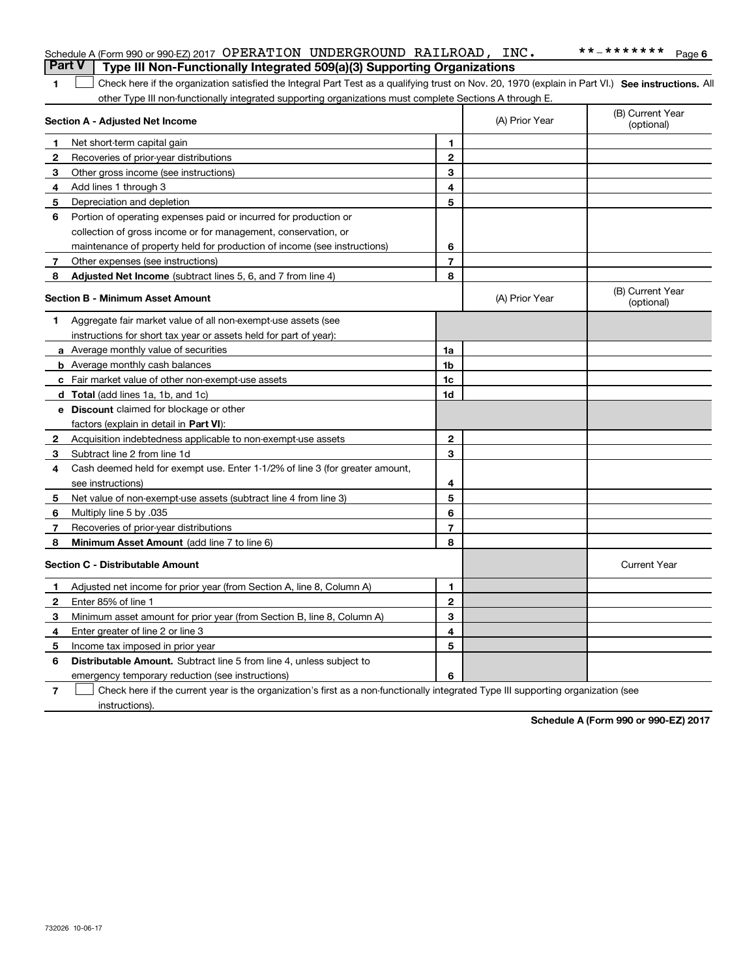| <b>Part V</b> | Schedule A (Form 990 or 990-EZ) 2017   UPERATIUN   UNDERGROUND   RAILROAD,  INC •<br>Type III Non-Functionally Integrated 509(a)(3) Supporting Organizations |                |                | . . _<br>Page 6                |
|---------------|--------------------------------------------------------------------------------------------------------------------------------------------------------------|----------------|----------------|--------------------------------|
|               |                                                                                                                                                              |                |                |                                |
| 1             | Check here if the organization satisfied the Integral Part Test as a qualifying trust on Nov. 20, 1970 (explain in Part VI.) See instructions. All           |                |                |                                |
|               | other Type III non-functionally integrated supporting organizations must complete Sections A through E.<br>Section A - Adjusted Net Income                   |                | (A) Prior Year | (B) Current Year               |
|               |                                                                                                                                                              |                |                | (optional)                     |
| 1             | Net short-term capital gain                                                                                                                                  | 1              |                |                                |
| $\mathbf{2}$  | Recoveries of prior-year distributions                                                                                                                       | $\mathbf{2}$   |                |                                |
| 3             | Other gross income (see instructions)                                                                                                                        | 3              |                |                                |
| 4             | Add lines 1 through 3                                                                                                                                        | 4              |                |                                |
| 5             | Depreciation and depletion                                                                                                                                   | 5              |                |                                |
| 6             | Portion of operating expenses paid or incurred for production or                                                                                             |                |                |                                |
|               | collection of gross income or for management, conservation, or                                                                                               |                |                |                                |
|               | maintenance of property held for production of income (see instructions)                                                                                     | 6              |                |                                |
| 7             | Other expenses (see instructions)                                                                                                                            | $\overline{7}$ |                |                                |
| 8             | <b>Adjusted Net Income</b> (subtract lines 5, 6, and 7 from line 4)                                                                                          | 8              |                |                                |
|               | <b>Section B - Minimum Asset Amount</b>                                                                                                                      |                | (A) Prior Year | (B) Current Year<br>(optional) |
| 1.            | Aggregate fair market value of all non-exempt-use assets (see                                                                                                |                |                |                                |
|               | instructions for short tax year or assets held for part of year):                                                                                            |                |                |                                |
|               | a Average monthly value of securities                                                                                                                        | 1a             |                |                                |
|               | <b>b</b> Average monthly cash balances                                                                                                                       | 1 <sub>b</sub> |                |                                |
|               | <b>c</b> Fair market value of other non-exempt-use assets                                                                                                    | 1 <sub>c</sub> |                |                                |
|               | d Total (add lines 1a, 1b, and 1c)                                                                                                                           | 1d             |                |                                |
|               | e Discount claimed for blockage or other                                                                                                                     |                |                |                                |
|               | factors (explain in detail in Part VI):                                                                                                                      |                |                |                                |
| 2             | Acquisition indebtedness applicable to non-exempt-use assets                                                                                                 | $\overline{2}$ |                |                                |
| 3             | Subtract line 2 from line 1d                                                                                                                                 | 3              |                |                                |
| 4             | Cash deemed held for exempt use. Enter 1-1/2% of line 3 (for greater amount,                                                                                 |                |                |                                |
|               | see instructions)                                                                                                                                            | 4              |                |                                |
| 5             | Net value of non-exempt-use assets (subtract line 4 from line 3)                                                                                             | 5              |                |                                |
| 6             | Multiply line 5 by .035                                                                                                                                      | 6              |                |                                |
| 7             | Recoveries of prior-year distributions                                                                                                                       | $\overline{7}$ |                |                                |
| 8             | <b>Minimum Asset Amount</b> (add line 7 to line 6)                                                                                                           | 8              |                |                                |
|               | <b>Section C - Distributable Amount</b>                                                                                                                      |                |                | <b>Current Year</b>            |
| 1             | Adjusted net income for prior year (from Section A, line 8, Column A)                                                                                        | 1              |                |                                |
| $\mathbf{2}$  | Enter 85% of line 1                                                                                                                                          | $\overline{2}$ |                |                                |
| 3             | Minimum asset amount for prior year (from Section B, line 8, Column A)                                                                                       | 3              |                |                                |
| 4             | Enter greater of line 2 or line 3                                                                                                                            | 4              |                |                                |
| 5             | Income tax imposed in prior year                                                                                                                             | 5              |                |                                |
| 6             | <b>Distributable Amount.</b> Subtract line 5 from line 4, unless subject to                                                                                  |                |                |                                |
|               | emergency temporary reduction (see instructions)                                                                                                             | 6              |                |                                |
| 7             | Check here if the current year is the organization's first as a non-functionally integrated Type III supporting organization (see                            |                |                |                                |

Schedule A (Form 990 or 990-EZ) 2017 Page OPERATION UNDERGROUND RAILROAD, INC. \*\*-\*\*\*\*\*\*\*

instructions).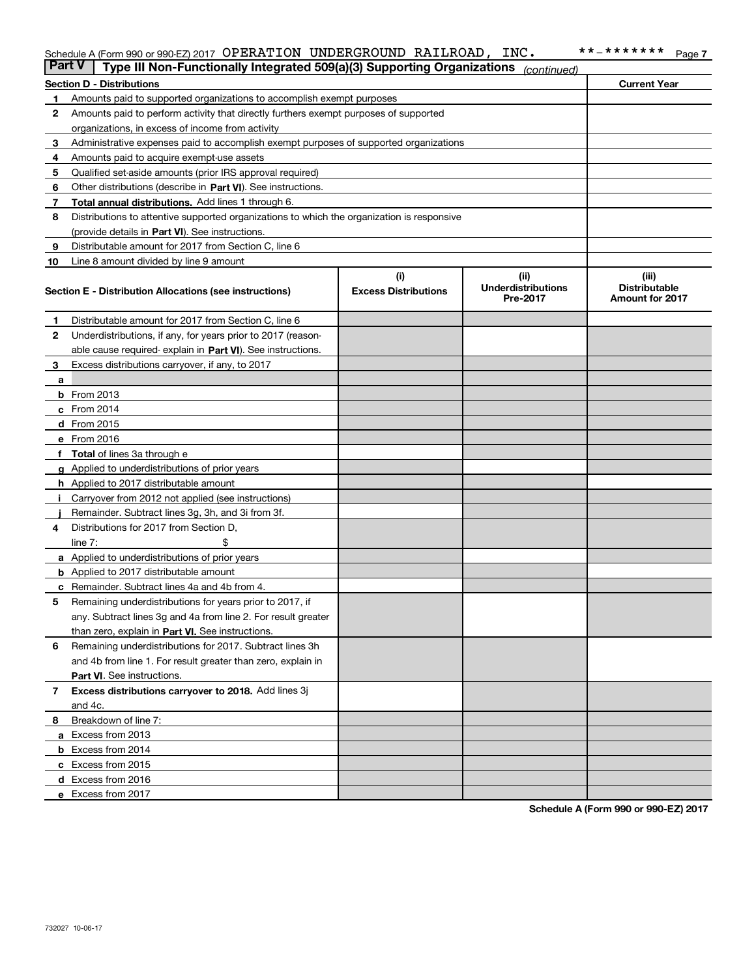#### Schedule A (Form 990 or 990-EZ) 2017 OPERATION UNDERGROUND RAILROAD, INC \* \* – \* \* \* \* \* \* \* Page OPERATION UNDERGROUND RAILROAD, INC. \*\*-\*\*\*\*\*\*\*

| <b>Part V</b> | Type III Non-Functionally Integrated 509(a)(3) Supporting Organizations                    |                             | (continued)                           |                                                |
|---------------|--------------------------------------------------------------------------------------------|-----------------------------|---------------------------------------|------------------------------------------------|
|               | <b>Section D - Distributions</b>                                                           |                             |                                       | <b>Current Year</b>                            |
| 1             | Amounts paid to supported organizations to accomplish exempt purposes                      |                             |                                       |                                                |
| 2             | Amounts paid to perform activity that directly furthers exempt purposes of supported       |                             |                                       |                                                |
|               | organizations, in excess of income from activity                                           |                             |                                       |                                                |
| з             | Administrative expenses paid to accomplish exempt purposes of supported organizations      |                             |                                       |                                                |
| 4             | Amounts paid to acquire exempt-use assets                                                  |                             |                                       |                                                |
| 5             | Qualified set-aside amounts (prior IRS approval required)                                  |                             |                                       |                                                |
| 6             | Other distributions (describe in Part VI). See instructions.                               |                             |                                       |                                                |
| 7             | Total annual distributions. Add lines 1 through 6.                                         |                             |                                       |                                                |
| 8             | Distributions to attentive supported organizations to which the organization is responsive |                             |                                       |                                                |
|               | (provide details in Part VI). See instructions.                                            |                             |                                       |                                                |
| 9             | Distributable amount for 2017 from Section C, line 6                                       |                             |                                       |                                                |
| 10            | Line 8 amount divided by line 9 amount                                                     |                             |                                       |                                                |
|               |                                                                                            | (i)                         | (ii)                                  | (iii)                                          |
|               | <b>Section E - Distribution Allocations (see instructions)</b>                             | <b>Excess Distributions</b> | <b>Underdistributions</b><br>Pre-2017 | <b>Distributable</b><br><b>Amount for 2017</b> |
| 1             | Distributable amount for 2017 from Section C, line 6                                       |                             |                                       |                                                |
| 2             | Underdistributions, if any, for years prior to 2017 (reason-                               |                             |                                       |                                                |
|               | able cause required- explain in Part VI). See instructions.                                |                             |                                       |                                                |
| 3             | Excess distributions carryover, if any, to 2017                                            |                             |                                       |                                                |
| а             |                                                                                            |                             |                                       |                                                |
|               | <b>b</b> From 2013                                                                         |                             |                                       |                                                |
|               | $c$ From 2014                                                                              |                             |                                       |                                                |
|               | d From 2015                                                                                |                             |                                       |                                                |
|               | e From 2016                                                                                |                             |                                       |                                                |
|               | Total of lines 3a through e                                                                |                             |                                       |                                                |
|               | <b>g</b> Applied to underdistributions of prior years                                      |                             |                                       |                                                |
|               | <b>h</b> Applied to 2017 distributable amount                                              |                             |                                       |                                                |
|               | Carryover from 2012 not applied (see instructions)                                         |                             |                                       |                                                |
|               | Remainder. Subtract lines 3g, 3h, and 3i from 3f.                                          |                             |                                       |                                                |
| 4             | Distributions for 2017 from Section D,                                                     |                             |                                       |                                                |
|               | line $7:$                                                                                  |                             |                                       |                                                |
|               | <b>a</b> Applied to underdistributions of prior years                                      |                             |                                       |                                                |
|               | <b>b</b> Applied to 2017 distributable amount                                              |                             |                                       |                                                |
| с             | Remainder. Subtract lines 4a and 4b from 4.                                                |                             |                                       |                                                |
| 5             | Remaining underdistributions for years prior to 2017, if                                   |                             |                                       |                                                |
|               | any. Subtract lines 3g and 4a from line 2. For result greater                              |                             |                                       |                                                |
|               | than zero, explain in Part VI. See instructions.                                           |                             |                                       |                                                |
| 6             | Remaining underdistributions for 2017. Subtract lines 3h                                   |                             |                                       |                                                |
|               | and 4b from line 1. For result greater than zero, explain in                               |                             |                                       |                                                |
|               | Part VI. See instructions.                                                                 |                             |                                       |                                                |
| 7             | Excess distributions carryover to 2018. Add lines 3j                                       |                             |                                       |                                                |
|               | and 4c.                                                                                    |                             |                                       |                                                |
| 8             | Breakdown of line 7:                                                                       |                             |                                       |                                                |
|               | a Excess from 2013                                                                         |                             |                                       |                                                |
|               | <b>b</b> Excess from 2014                                                                  |                             |                                       |                                                |
|               | c Excess from 2015                                                                         |                             |                                       |                                                |
|               | d Excess from 2016                                                                         |                             |                                       |                                                |
|               |                                                                                            |                             |                                       |                                                |
|               | e Excess from 2017                                                                         |                             |                                       |                                                |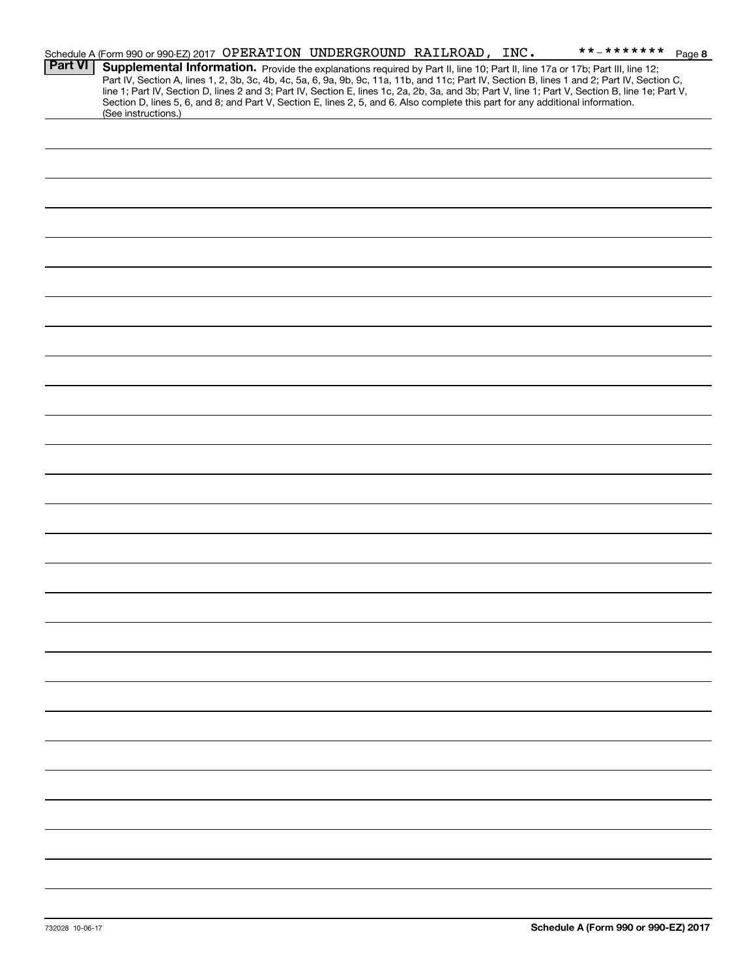|                | Schedule A (Form 990 or 990-EZ) 2017 OPERATION UNDERGROUND RAILROAD, INC.                                                                                                                                                                                                                                                                                                                                                         |  |  | **_******* | Page 8 |
|----------------|-----------------------------------------------------------------------------------------------------------------------------------------------------------------------------------------------------------------------------------------------------------------------------------------------------------------------------------------------------------------------------------------------------------------------------------|--|--|------------|--------|
| <b>Part VI</b> | Supplemental Information. Provide the explanations required by Part II, line 10; Part II, line 17a or 17b; Part III, line 12;<br>Part IV, Section A, lines 1, 2, 3b, 3c, 4b, 4c, 5a, 6, 9a, 9b, 9c, 11a, 11b, and 11c; Part IV, Section B, lines 1 and 2; Part IV, Section C,<br>line 1; Part IV, Section D, lines 2 and 3; Part IV, Section E, lines 1c, 2a, 2b, 3a, and 3b; Part V, line 1; Part V, Section B, line 1e; Part V, |  |  |            |        |
|                | Section D, lines 5, 6, and 8; and Part V, Section E, lines 2, 5, and 6. Also complete this part for any additional information.<br>(See instructions.)                                                                                                                                                                                                                                                                            |  |  |            |        |
|                |                                                                                                                                                                                                                                                                                                                                                                                                                                   |  |  |            |        |
|                |                                                                                                                                                                                                                                                                                                                                                                                                                                   |  |  |            |        |
|                |                                                                                                                                                                                                                                                                                                                                                                                                                                   |  |  |            |        |
|                |                                                                                                                                                                                                                                                                                                                                                                                                                                   |  |  |            |        |
|                |                                                                                                                                                                                                                                                                                                                                                                                                                                   |  |  |            |        |
|                |                                                                                                                                                                                                                                                                                                                                                                                                                                   |  |  |            |        |
|                |                                                                                                                                                                                                                                                                                                                                                                                                                                   |  |  |            |        |
|                |                                                                                                                                                                                                                                                                                                                                                                                                                                   |  |  |            |        |
|                |                                                                                                                                                                                                                                                                                                                                                                                                                                   |  |  |            |        |
|                |                                                                                                                                                                                                                                                                                                                                                                                                                                   |  |  |            |        |
|                |                                                                                                                                                                                                                                                                                                                                                                                                                                   |  |  |            |        |
|                |                                                                                                                                                                                                                                                                                                                                                                                                                                   |  |  |            |        |
|                |                                                                                                                                                                                                                                                                                                                                                                                                                                   |  |  |            |        |
|                |                                                                                                                                                                                                                                                                                                                                                                                                                                   |  |  |            |        |
|                |                                                                                                                                                                                                                                                                                                                                                                                                                                   |  |  |            |        |
|                |                                                                                                                                                                                                                                                                                                                                                                                                                                   |  |  |            |        |
|                |                                                                                                                                                                                                                                                                                                                                                                                                                                   |  |  |            |        |
|                |                                                                                                                                                                                                                                                                                                                                                                                                                                   |  |  |            |        |
|                |                                                                                                                                                                                                                                                                                                                                                                                                                                   |  |  |            |        |
|                |                                                                                                                                                                                                                                                                                                                                                                                                                                   |  |  |            |        |
|                |                                                                                                                                                                                                                                                                                                                                                                                                                                   |  |  |            |        |
|                |                                                                                                                                                                                                                                                                                                                                                                                                                                   |  |  |            |        |
|                |                                                                                                                                                                                                                                                                                                                                                                                                                                   |  |  |            |        |
|                |                                                                                                                                                                                                                                                                                                                                                                                                                                   |  |  |            |        |
|                |                                                                                                                                                                                                                                                                                                                                                                                                                                   |  |  |            |        |
|                |                                                                                                                                                                                                                                                                                                                                                                                                                                   |  |  |            |        |
|                |                                                                                                                                                                                                                                                                                                                                                                                                                                   |  |  |            |        |
|                |                                                                                                                                                                                                                                                                                                                                                                                                                                   |  |  |            |        |
|                |                                                                                                                                                                                                                                                                                                                                                                                                                                   |  |  |            |        |
|                |                                                                                                                                                                                                                                                                                                                                                                                                                                   |  |  |            |        |
|                |                                                                                                                                                                                                                                                                                                                                                                                                                                   |  |  |            |        |
|                |                                                                                                                                                                                                                                                                                                                                                                                                                                   |  |  |            |        |
|                |                                                                                                                                                                                                                                                                                                                                                                                                                                   |  |  |            |        |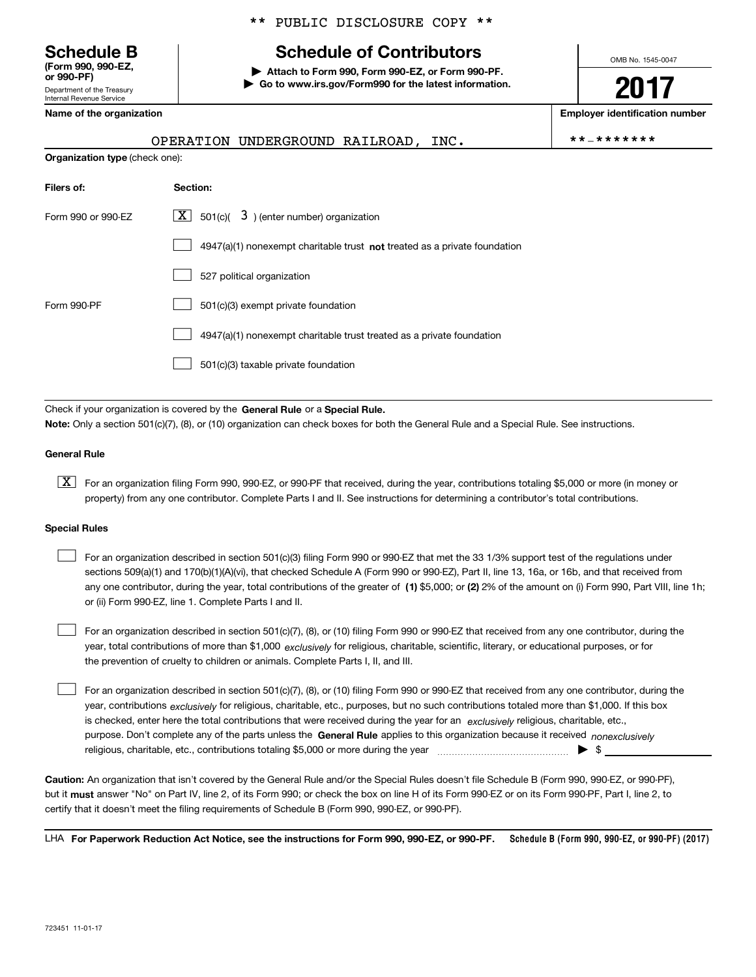Department of the Treasury **(Form 990, 990-EZ, or 990-PF)**

## \*\* PUBLIC DISCLOSURE COPY \*\*

# **Schedule B Schedule of Contributors**

**| Attach to Form 990, Form 990-EZ, or Form 990-PF. | Go to www.irs.gov/Form990 for the latest information.** OMB No. 1545-0047

**2017**

**Name of the organization Employer identification number**

\*\*\_\*\*\*\*\*\*\*\*

| Department of the Treasury<br>Internal Revenue Service |                                                                             |
|--------------------------------------------------------|-----------------------------------------------------------------------------|
| Name of the organization                               |                                                                             |
|                                                        | OPERATION UNDERGROUND RAILROAD, INC.                                        |
| <b>Organization type (check one):</b>                  |                                                                             |
| Filers of:                                             | Section:                                                                    |
| Form 990 or 990-EZ                                     | $\boxed{\textbf{X}}$ 501(c)( 3) (enter number) organization                 |
|                                                        | $4947(a)(1)$ nonexempt charitable trust not treated as a private foundation |

|             | 4947 (a) TO TEXTING CHARGED BOT NOT REACH AS A DIVAGE TO HIGARD IT    |
|-------------|-----------------------------------------------------------------------|
|             | 527 political organization                                            |
| Form 990-PF | 501(c)(3) exempt private foundation                                   |
|             | 4947(a)(1) nonexempt charitable trust treated as a private foundation |
|             | 501(c)(3) taxable private foundation                                  |

Check if your organization is covered by the **General Rule** or a **Special Rule. Note:**  Only a section 501(c)(7), (8), or (10) organization can check boxes for both the General Rule and a Special Rule. See instructions.

### **General Rule**

 $\boxed{\textbf{X}}$  For an organization filing Form 990, 990-EZ, or 990-PF that received, during the year, contributions totaling \$5,000 or more (in money or property) from any one contributor. Complete Parts I and II. See instructions for determining a contributor's total contributions.

#### **Special Rules**

 $\mathcal{L}^{\text{max}}$ 

| For an organization described in section 501(c)(3) filing Form 990 or 990-EZ that met the 33 1/3% support test of the regulations under               |
|-------------------------------------------------------------------------------------------------------------------------------------------------------|
| sections 509(a)(1) and 170(b)(1)(A)(vi), that checked Schedule A (Form 990 or 990-EZ), Part II, line 13, 16a, or 16b, and that received from          |
| any one contributor, during the year, total contributions of the greater of (1) \$5,000; or (2) 2% of the amount on (i) Form 990, Part VIII, line 1h; |
| or (ii) Form 990-EZ, line 1. Complete Parts I and II.                                                                                                 |

year, total contributions of more than \$1,000 *exclusively* for religious, charitable, scientific, literary, or educational purposes, or for For an organization described in section 501(c)(7), (8), or (10) filing Form 990 or 990-EZ that received from any one contributor, during the the prevention of cruelty to children or animals. Complete Parts I, II, and III.

purpose. Don't complete any of the parts unless the **General Rule** applies to this organization because it received *nonexclusively* year, contributions <sub>exclusively</sub> for religious, charitable, etc., purposes, but no such contributions totaled more than \$1,000. If this box is checked, enter here the total contributions that were received during the year for an  $\;$ exclusively religious, charitable, etc., For an organization described in section 501(c)(7), (8), or (10) filing Form 990 or 990-EZ that received from any one contributor, during the religious, charitable, etc., contributions totaling \$5,000 or more during the year  $\ldots$  $\ldots$  $\ldots$  $\ldots$  $\ldots$  $\ldots$ 

**Caution:**  An organization that isn't covered by the General Rule and/or the Special Rules doesn't file Schedule B (Form 990, 990-EZ, or 990-PF),  **must** but it answer "No" on Part IV, line 2, of its Form 990; or check the box on line H of its Form 990-EZ or on its Form 990-PF, Part I, line 2, to certify that it doesn't meet the filing requirements of Schedule B (Form 990, 990-EZ, or 990-PF).

**Schedule B (Form 990, 990-EZ, or 990-PF) (2017) For Paperwork Reduction Act Notice, see the instructions for Form 990, 990-EZ, or 990-PF.** LHA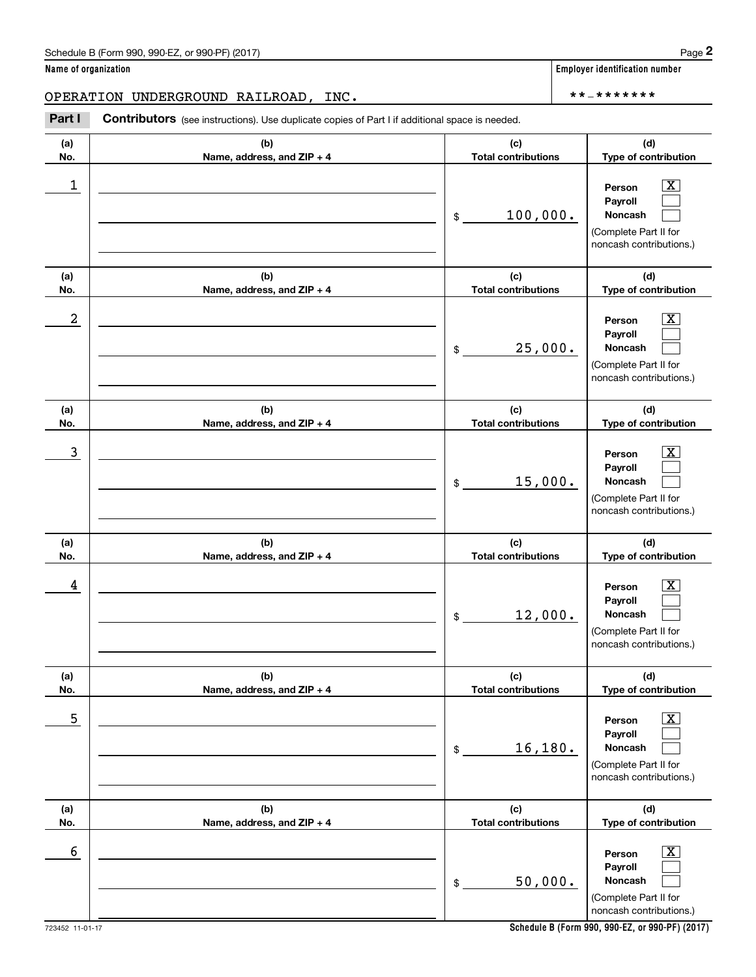(see instructions). Use duplicate copies of Part I if additional space is needed.<br> **2PERATION UNDERGROUND RAILROAD, INC.**<br> **Part I Contributors** (see instructions). Use duplicate copies of Part I if additional space is n

| (a)<br>No.  | (b)<br>Name, address, and ZIP + 4 | (c)<br><b>Total contributions</b>                    | (d)<br>Type of contribution                                                                                 |
|-------------|-----------------------------------|------------------------------------------------------|-------------------------------------------------------------------------------------------------------------|
| 1           |                                   | 100,000.<br>$$\tilde{\phantom{a}}$$                  | $\mathbf{X}$<br>Person<br>Payroll<br>Noncash<br>(Complete Part II for<br>noncash contributions.)            |
| (a)<br>No.  | (b)<br>Name, address, and ZIP + 4 | (c)<br><b>Total contributions</b>                    | (d)<br>Type of contribution                                                                                 |
| 2           |                                   | 25,000.<br>\$                                        | $\mathbf{X}$<br>Person<br>Payroll<br>Noncash<br>(Complete Part II for<br>noncash contributions.)            |
| (a)<br>No.  | (b)<br>Name, address, and ZIP + 4 | (c)<br><b>Total contributions</b>                    | (d)<br>Type of contribution                                                                                 |
| 3           |                                   | 15,000.<br>\$                                        | $\overline{\mathbf{X}}$<br>Person<br>Payroll<br>Noncash<br>(Complete Part II for<br>noncash contributions.) |
| (a)<br>No.  | (b)<br>Name, address, and ZIP + 4 | (c)<br><b>Total contributions</b>                    | (d)<br>Type of contribution                                                                                 |
| 4           |                                   | 12,000.<br>\$                                        | $\mathbf{X}$<br>Person<br>Payroll<br>Noncash<br>(Complete Part II for<br>noncash contributions.)            |
| (a)<br>No.  | (b)<br>Name, address, and ZIP + 4 | (c)<br><b>Total contributions</b>                    | (d)<br>Type of contribution                                                                                 |
| $\mathbf 5$ |                                   | 16, 180.<br>\$                                       | $\overline{\mathbf{x}}$<br>Person<br>Payroll<br>Noncash<br>(Complete Part II for<br>noncash contributions.) |
| (a)<br>No.  | (b)<br>Name, address, and ZIP + 4 | (c)<br><b>Total contributions</b>                    | (d)<br>Type of contribution                                                                                 |
| 6           |                                   | 50,000.<br>$\, \, \raisebox{12pt}{$\scriptstyle \$}$ | $\overline{\mathbf{X}}$<br>Person<br>Payroll<br>Noncash<br>(Complete Part II for<br>noncash contributions.) |

**Schedule B (Form 990, 990-EZ, or 990-PF) (2017)**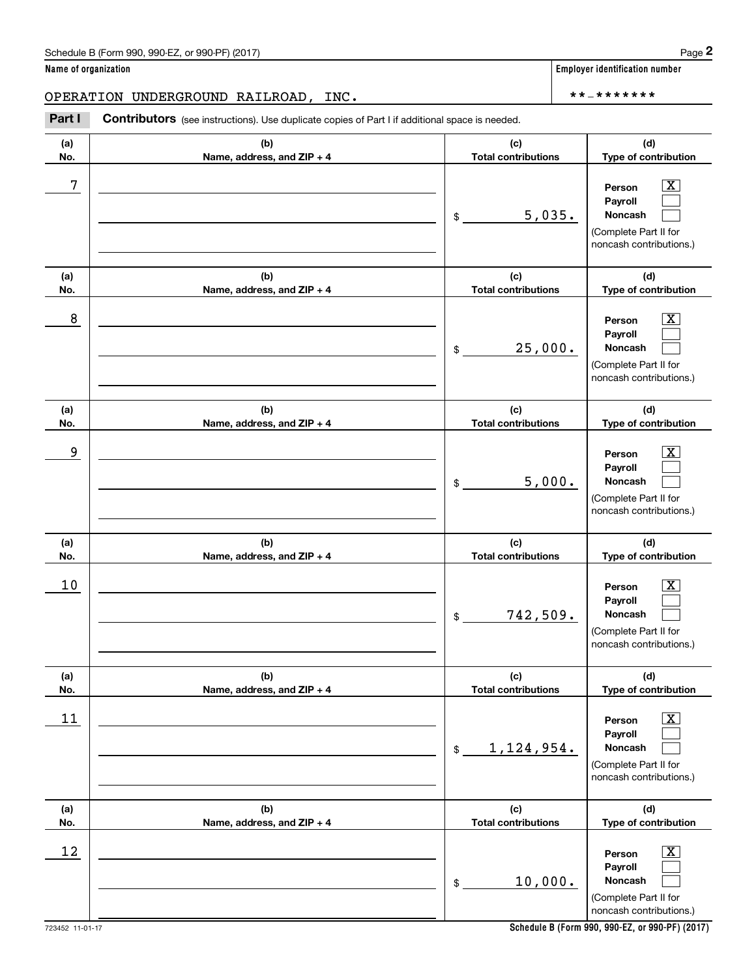(see instructions). Use duplicate copies of Part I if additional space is needed.<br> **2PERATION UNDERGROUND RAILROAD, INC.**<br> **Part I Contributors** (see instructions). Use duplicate copies of Part I if additional space is n

| (a)<br>No. | (b)<br>Name, address, and ZIP + 4 | (c)<br><b>Total contributions</b> | (d)<br>Type of contribution                                                                                 |
|------------|-----------------------------------|-----------------------------------|-------------------------------------------------------------------------------------------------------------|
| 7          |                                   | 5,035.<br>\$                      | $\overline{\mathbf{x}}$<br>Person<br>Payroll<br>Noncash<br>(Complete Part II for<br>noncash contributions.) |
| (a)<br>No. | (b)<br>Name, address, and ZIP + 4 | (c)<br><b>Total contributions</b> | (d)<br>Type of contribution                                                                                 |
| 8          |                                   | 25,000.<br>\$                     | $\overline{\mathbf{x}}$<br>Person<br>Payroll<br>Noncash<br>(Complete Part II for<br>noncash contributions.) |
| (a)<br>No. | (b)<br>Name, address, and ZIP + 4 | (c)<br><b>Total contributions</b> | (d)<br>Type of contribution                                                                                 |
| 9          |                                   | 5,000.<br>\$                      | $\overline{\mathbf{x}}$<br>Person<br>Payroll<br>Noncash<br>(Complete Part II for<br>noncash contributions.) |
| (a)<br>No. | (b)<br>Name, address, and ZIP + 4 | (c)<br><b>Total contributions</b> | (d)<br>Type of contribution                                                                                 |
| 10         |                                   | 742,509.<br>\$                    | $\boxed{\text{X}}$<br>Person<br>Payroll<br>Noncash<br>(Complete Part II for<br>noncash contributions.)      |
| (a)<br>No. | (b)<br>Name, address, and ZIP + 4 | (c)<br><b>Total contributions</b> | (d)<br>Type of contribution                                                                                 |
| $11\,$     |                                   | 1, 124, 954.<br>$$\mathbb{S}$$    | $\overline{\mathbf{x}}$<br>Person<br>Payroll<br>Noncash<br>(Complete Part II for<br>noncash contributions.) |
| (a)<br>No. | (b)<br>Name, address, and ZIP + 4 | (c)<br><b>Total contributions</b> | (d)<br>Type of contribution                                                                                 |
| $12\,$     |                                   | 10,000.<br>\$                     | $\boxed{\text{X}}$<br>Person<br>Payroll<br>Noncash<br>(Complete Part II for<br>noncash contributions.)      |

**Name of organization Employer identification number**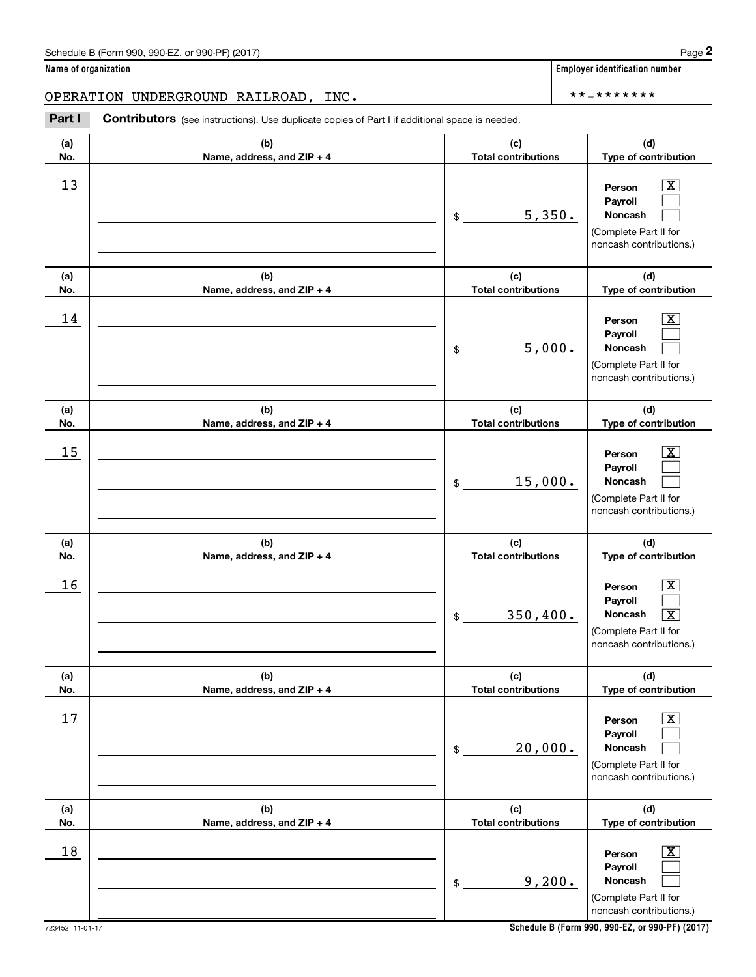(see instructions). Use duplicate copies of Part I if additional space is needed.<br> **2PERATION UNDERGROUND RAILROAD, INC.**<br> **Part I Contributors** (see instructions). Use duplicate copies of Part I if additional space is n

| (a)    | (b)                        | (c)                        | (d)                                                                                                              |
|--------|----------------------------|----------------------------|------------------------------------------------------------------------------------------------------------------|
| No.    | Name, address, and ZIP + 4 | <b>Total contributions</b> | Type of contribution                                                                                             |
| 13     |                            | 5,350.<br>\$               | x<br>Person<br>Payroll<br>Noncash<br>(Complete Part II for<br>noncash contributions.)                            |
| (a)    | (b)                        | (c)                        | (d)                                                                                                              |
| No.    | Name, address, and ZIP + 4 | <b>Total contributions</b> | Type of contribution                                                                                             |
| 14     |                            | 5,000.<br>$\frac{1}{2}$    | x<br>Person<br>Payroll<br>Noncash<br>(Complete Part II for<br>noncash contributions.)                            |
| (a)    | (b)                        | (c)                        | (d)                                                                                                              |
| No.    | Name, address, and ZIP + 4 | <b>Total contributions</b> | Type of contribution                                                                                             |
| 15     |                            | 15,000.<br>$\frac{1}{2}$   | X.<br>Person<br>Payroll<br>Noncash<br>(Complete Part II for<br>noncash contributions.)                           |
|        |                            |                            |                                                                                                                  |
| (a)    | (b)                        | (c)                        | (d)                                                                                                              |
| No.    | Name, address, and ZIP + 4 | <b>Total contributions</b> | Type of contribution                                                                                             |
| 16     |                            | 350,400.<br>\$             | X<br>Person<br>Payroll<br>$\overline{\mathbf{X}}$<br>Noncash<br>(Complete Part II for<br>noncash contributions.) |
| (a)    | (b)                        | (c)                        | (d)                                                                                                              |
| No.    | Name, address, and ZIP + 4 | <b>Total contributions</b> | Type of contribution                                                                                             |
| $17\,$ |                            | 20,000.<br>\$              | х<br>Person<br>Payroll<br>Noncash<br>(Complete Part II for<br>noncash contributions.)                            |
| (a)    | (b)                        | (c)                        | (d)                                                                                                              |
| No.    | Name, address, and ZIP + 4 | <b>Total contributions</b> | Type of contribution                                                                                             |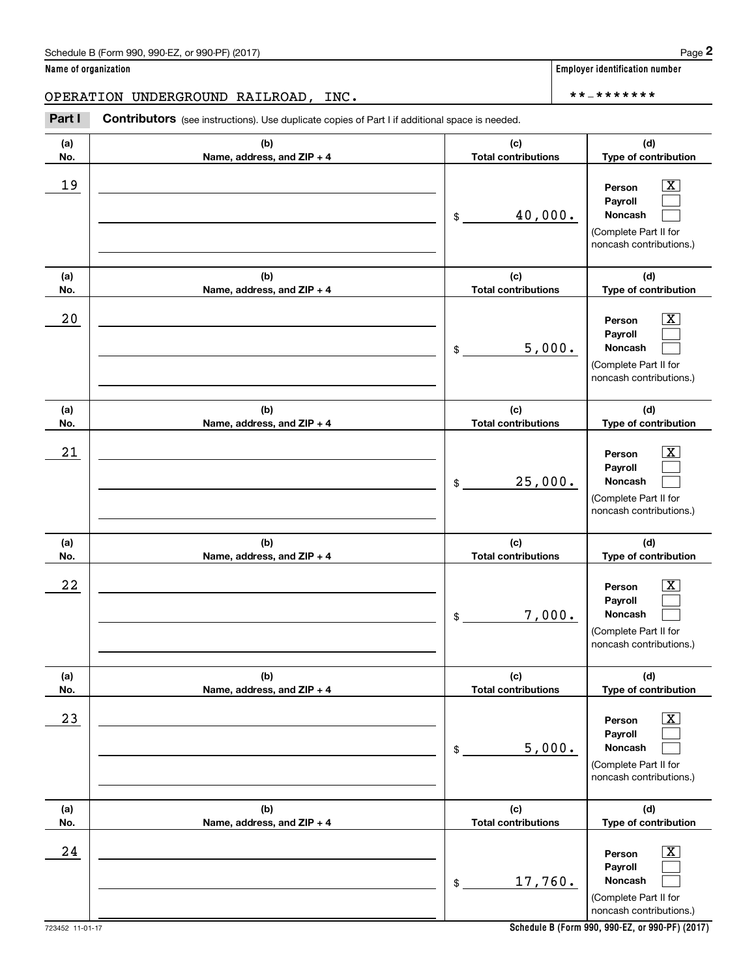(see instructions). Use duplicate copies of Part I if additional space is needed.<br> **2PERATION UNDERGROUND RAILROAD, INC.**<br> **Part I Contributors** (see instructions). Use duplicate copies of Part I if additional space is n

| (a)        | (b)                               | (c)                               | (d)                                                                                                         |
|------------|-----------------------------------|-----------------------------------|-------------------------------------------------------------------------------------------------------------|
| No.        | Name, address, and ZIP + 4        | <b>Total contributions</b>        | Type of contribution                                                                                        |
| 19         |                                   | 40,000.<br>\$                     | X<br>Person<br>Payroll<br>Noncash<br>(Complete Part II for<br>noncash contributions.)                       |
| (a)<br>No. | (b)<br>Name, address, and ZIP + 4 | (c)<br><b>Total contributions</b> | (d)<br>Type of contribution                                                                                 |
| 20         |                                   | 5,000.<br>$\frac{1}{2}$           | x<br>Person<br>Payroll<br>Noncash<br>(Complete Part II for<br>noncash contributions.)                       |
| (a)<br>No. | (b)<br>Name, address, and ZIP + 4 | (c)<br><b>Total contributions</b> | (d)<br>Type of contribution                                                                                 |
| 21         |                                   | 25,000.<br>\$                     | x<br>Person<br>Payroll<br>Noncash<br>(Complete Part II for<br>noncash contributions.)                       |
| (a)<br>No. | (b)<br>Name, address, and ZIP + 4 | (c)<br><b>Total contributions</b> | (d)<br>Type of contribution                                                                                 |
| 22         |                                   | 7,000.<br>$\frac{1}{2}$           | Person<br>x<br>Payroll<br>Noncash<br>(Complete Part II for<br>noncash contributions.)                       |
| (a)<br>No. | (b)<br>Name, address, and ZIP + 4 | (c)<br><b>Total contributions</b> | (d)<br><b>Type of contribution</b>                                                                          |
| 23         |                                   | 5,000.<br>\$                      | $\overline{\mathbf{X}}$<br>Person<br>Payroll<br>Noncash<br>(Complete Part II for<br>noncash contributions.) |
| (a)<br>No. | (b)<br>Name, address, and ZIP + 4 | (c)<br><b>Total contributions</b> | (d)<br>Type of contribution                                                                                 |
| 24         |                                   | 17,760.<br>$\frac{1}{2}$          | X<br>Person<br>Payroll<br>Noncash                                                                           |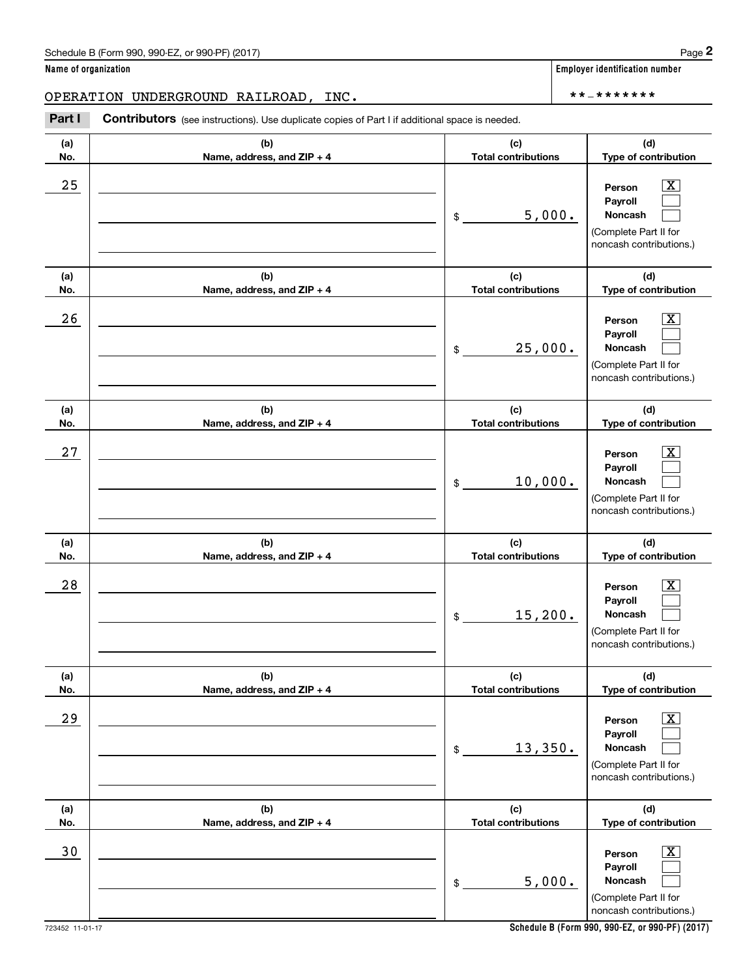(see instructions). Use duplicate copies of Part I if additional space is needed.<br> **2PERATION UNDERGROUND RAILROAD, INC.**<br> **Part I Contributors** (see instructions). Use duplicate copies of Part I if additional space is n

| (a)        | (b)                                 | (c)                               | (d)                                                                                                       |
|------------|-------------------------------------|-----------------------------------|-----------------------------------------------------------------------------------------------------------|
| No.        | Name, address, and ZIP + 4          | <b>Total contributions</b>        | Type of contribution                                                                                      |
| 25         |                                     | 5,000.<br>\$                      | X.<br>Person<br>Payroll<br>Noncash<br>(Complete Part II for<br>noncash contributions.)                    |
| (a)<br>No. | (b)<br>Name, address, and ZIP + 4   | (c)<br><b>Total contributions</b> | (d)<br>Type of contribution                                                                               |
| 26         |                                     | 25,000.<br>\$                     | x<br>Person<br>Payroll<br>Noncash<br>(Complete Part II for<br>noncash contributions.)                     |
| (a)<br>No. | (b)<br>Name, address, and ZIP + 4   | (c)<br><b>Total contributions</b> | (d)<br>Type of contribution                                                                               |
| 27         |                                     | 10,000.<br>\$                     | x<br>Person<br>Payroll<br>Noncash<br>(Complete Part II for<br>noncash contributions.)                     |
| (a)<br>No. | (b)<br>Name, address, and ZIP + 4   | (c)<br><b>Total contributions</b> | (d)<br>Type of contribution                                                                               |
| 28         |                                     | 15,200.<br>\$                     | х<br>Person<br>Payroll<br>Noncash<br>(Complete Part II for<br>noncash contributions.)                     |
| (a)<br>No. | (b)<br>Name, address, and $ZIP + 4$ | (c)<br><b>Total contributions</b> | (d)<br><b>Type of contribution</b>                                                                        |
| 29         |                                     | 13,350.<br>\$                     | $\overline{\text{X}}$<br>Person<br>Payroll<br>Noncash<br>(Complete Part II for<br>noncash contributions.) |
| (a)<br>No. | (b)<br>Name, address, and ZIP + 4   | (c)<br><b>Total contributions</b> | (d)<br>Type of contribution                                                                               |
| $30$       |                                     | 5,000.<br>\$                      | $\overline{\text{X}}$<br>Person<br>Payroll<br>Noncash<br>(Complete Part II for<br>noncash contributions.) |

**Name of organization Employer identification number**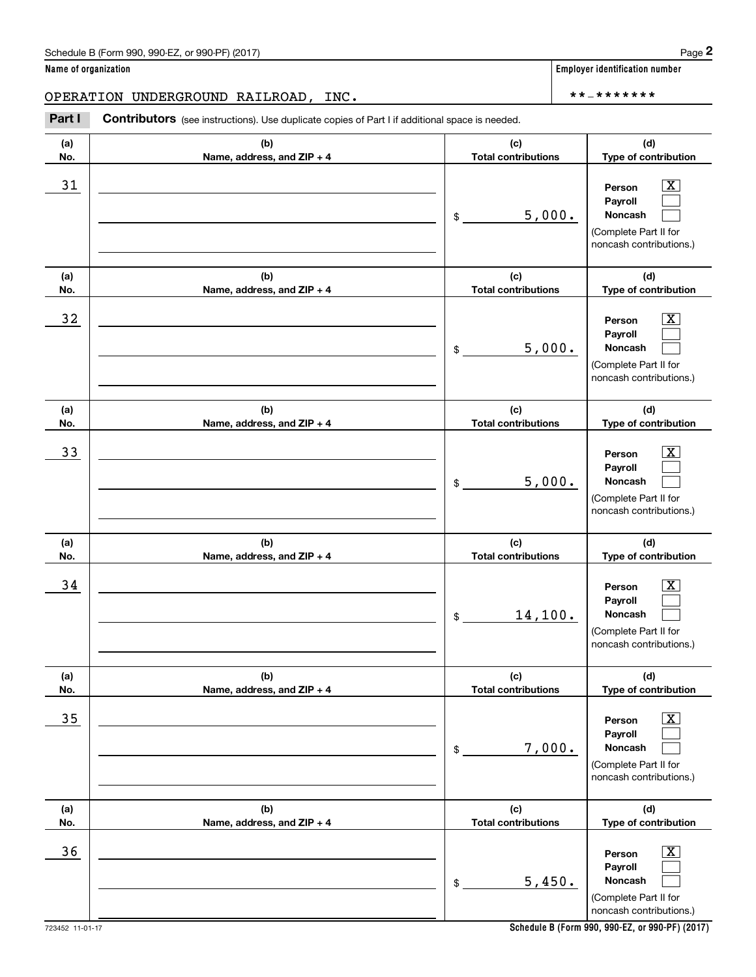(see instructions). Use duplicate copies of Part I if additional space is needed.<br> **2PERATION UNDERGROUND RAILROAD, INC.**<br> **Part I Contributors** (see instructions). Use duplicate copies of Part I if additional space is n

| (a) | (b)                        | (c)                        | (d)                                                                                                     |
|-----|----------------------------|----------------------------|---------------------------------------------------------------------------------------------------------|
| No. | Name, address, and ZIP + 4 | <b>Total contributions</b> | Type of contribution                                                                                    |
| 31  |                            | 5,000.<br>\$               | $\mathbf{X}$<br>Person<br>Pavroll<br><b>Noncash</b><br>(Complete Part II for<br>noncash contributions.) |
| (a) | (b)                        | (c)                        | (d)                                                                                                     |
| No. | Name, address, and ZIP + 4 | <b>Total contributions</b> | Type of contribution                                                                                    |
| 32  |                            | 5,000.<br>\$               | $\mathbf{X}$<br>Person<br>Payroll<br><b>Noncash</b><br>(Complete Part II for<br>noncash contributions.) |
| (a) | (b)                        | (c)                        | (d)                                                                                                     |
| No. | Name, address, and ZIP + 4 | <b>Total contributions</b> | Type of contribution                                                                                    |
| 33  |                            | 5,000.<br>\$               | $\mathbf{X}$<br>Person<br>Payroll<br><b>Noncash</b><br>(Complete Part II for<br>noncash contributions.) |
| (a) | (b)                        | (c)                        | (d)                                                                                                     |
| No. | Name, address, and ZIP + 4 | <b>Total contributions</b> | Type of contribution                                                                                    |
| 34  |                            | 14,100.<br>\$              | $\mathbf{X}$<br>Person<br>Payroll<br><b>Noncash</b>                                                     |
|     |                            |                            | (Complete Part II for<br>noncash contributions.)                                                        |
| (a) | (b)                        | (c)                        | (d)                                                                                                     |
| No. | Name, address, and ZIP + 4 | <b>Total contributions</b> | Type of contribution                                                                                    |
| 35  |                            | 7,000.<br>$$^{\circ}$      | $\boxed{\text{X}}$<br>Person<br>Payroll<br>Noncash<br>(Complete Part II for<br>noncash contributions.)  |
| (a) | (b)                        | (c)                        | (d)                                                                                                     |
| No. | Name, address, and ZIP + 4 | <b>Total contributions</b> | Type of contribution                                                                                    |

**Schedule B (Form 990, 990-EZ, or 990-PF) (2017)**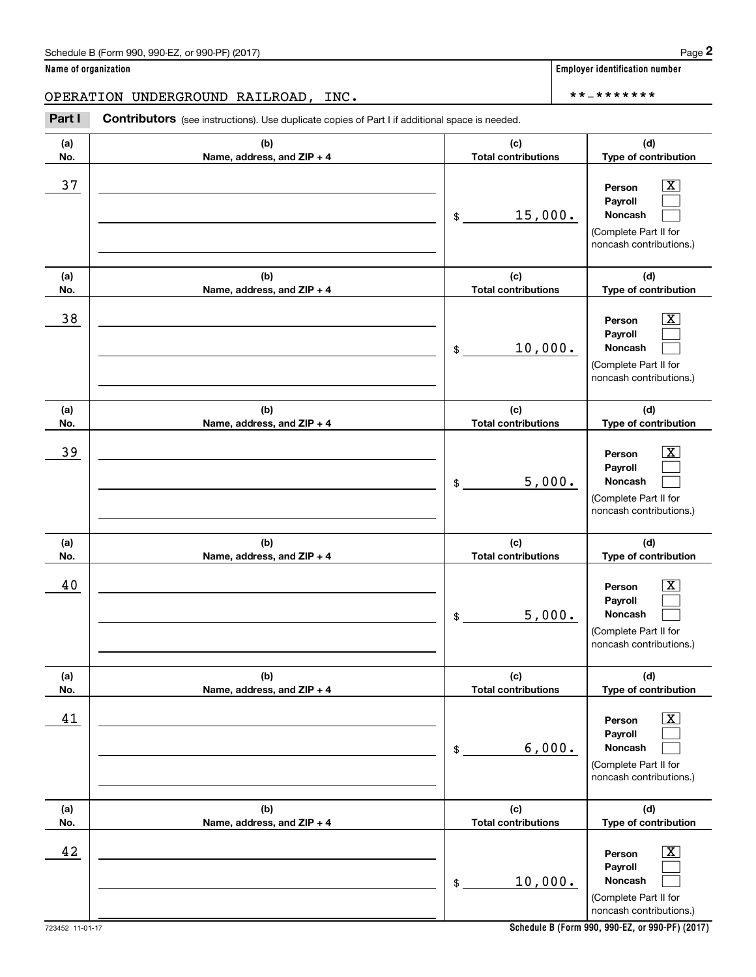(see instructions). Use duplicate copies of Part I if additional space is needed.<br> **2PERATION UNDERGROUND RAILROAD, INC.**<br> **Part I Contributors** (see instructions). Use duplicate copies of Part I if additional space is n

| (a) | (b)                        | (c)                        | (d)                                                                                                              |
|-----|----------------------------|----------------------------|------------------------------------------------------------------------------------------------------------------|
| No. | Name, address, and ZIP + 4 | <b>Total contributions</b> | Type of contribution                                                                                             |
| 37  |                            | 15,000.<br>$\frac{1}{2}$   | $\overline{\text{X}}$<br>Person<br>Payroll<br><b>Noncash</b><br>(Complete Part II for<br>noncash contributions.) |
| (a) | (b)                        | (c)                        | (d)                                                                                                              |
| No. | Name, address, and ZIP + 4 | <b>Total contributions</b> | Type of contribution                                                                                             |
| 38  |                            | 10,000.<br>$\frac{1}{2}$   | $\overline{\text{X}}$<br>Person<br>Payroll<br><b>Noncash</b><br>(Complete Part II for<br>noncash contributions.) |
| (a) | (b)                        | (c)                        | (d)                                                                                                              |
| No. | Name, address, and ZIP + 4 | <b>Total contributions</b> | Type of contribution                                                                                             |
| 39  |                            | 5,000.<br>$\frac{1}{2}$    | $\overline{\text{X}}$<br>Person<br>Payroll<br><b>Noncash</b><br>(Complete Part II for<br>noncash contributions.) |
| (a) | (b)                        | (c)                        | (d)                                                                                                              |
| No. | Name, address, and ZIP + 4 | <b>Total contributions</b> | Type of contribution                                                                                             |
| 40  |                            |                            | X<br>Person<br>Payroll                                                                                           |
|     |                            | 5,000.<br>$\frac{1}{2}$    | <b>Noncash</b><br>(Complete Part II for<br>noncash contributions.)                                               |
| (a) | (b)                        | (c)                        | (d)                                                                                                              |
| No. | Name, address, and ZIP + 4 | <b>Total contributions</b> | Type of contribution                                                                                             |
| 41  |                            | 6,000.<br>$\mathcal{L}$    | $\overline{\mathbf{X}}$<br>Person<br>Payroll<br>Noncash<br>(Complete Part II for<br>noncash contributions.)      |
| (a) | (b)                        | (c)                        | (d)                                                                                                              |
| No. | Name, address, and ZIP + 4 | <b>Total contributions</b> | Type of contribution                                                                                             |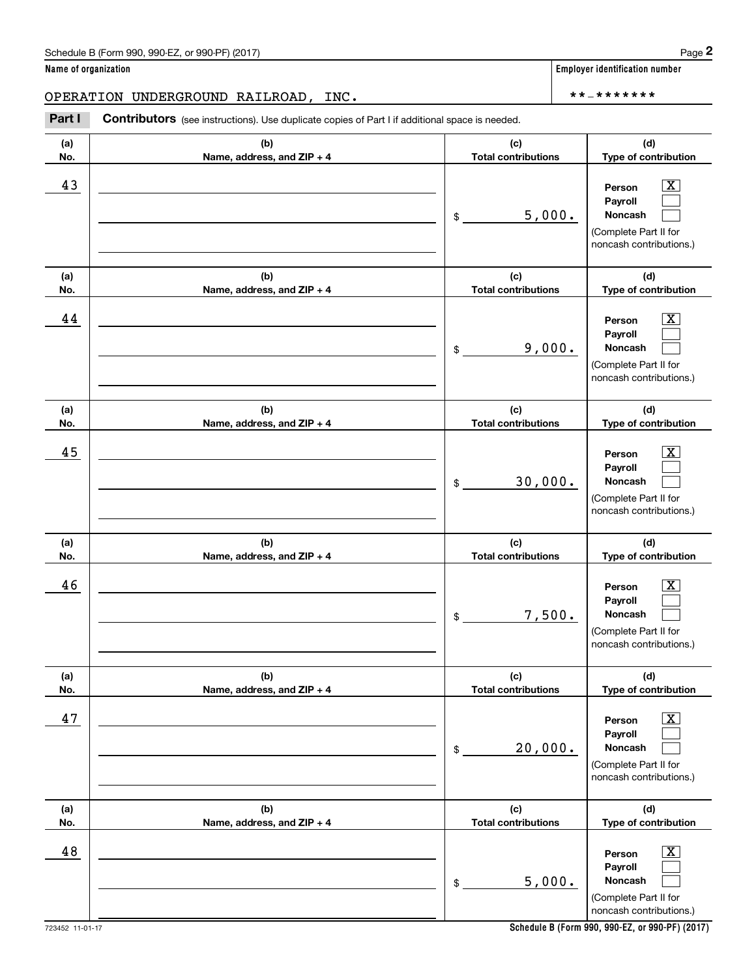(see instructions). Use duplicate copies of Part I if additional space is needed.<br> **2PERATION UNDERGROUND RAILROAD, INC.**<br> **Part I Contributors** (see instructions). Use duplicate copies of Part I if additional space is n

| (a) | (b)                        | (c)                        | (d)                                                                                                       |
|-----|----------------------------|----------------------------|-----------------------------------------------------------------------------------------------------------|
| No. | Name, address, and ZIP + 4 | <b>Total contributions</b> | Type of contribution                                                                                      |
| 43  |                            | 5,000.<br>\$               | X<br>Person<br>Payroll<br>Noncash<br>(Complete Part II for<br>noncash contributions.)                     |
| (a) | (b)                        | (c)                        | (d)                                                                                                       |
| No. | Name, address, and ZIP + 4 | <b>Total contributions</b> | Type of contribution                                                                                      |
| 44  |                            | 9,000.<br>$\frac{1}{2}$    | X<br>Person<br>Payroll<br>Noncash<br>(Complete Part II for<br>noncash contributions.)                     |
| (a) | (b)                        | (c)                        | (d)                                                                                                       |
| No. | Name, address, and ZIP + 4 | <b>Total contributions</b> | Type of contribution                                                                                      |
| 45  |                            | 30,000.<br>\$              | X<br>Person<br>Payroll<br>Noncash<br>(Complete Part II for<br>noncash contributions.)                     |
| (a) | (b)                        | (c)                        | (d)                                                                                                       |
| No. | Name, address, and ZIP + 4 | <b>Total contributions</b> | Type of contribution                                                                                      |
| 46  |                            | 7,500.<br>$\frac{1}{2}$    | X<br>Person<br>Payroll<br>Noncash<br>(Complete Part II for<br>noncash contributions.)                     |
| (a) | (b)                        | (c)                        | (d)                                                                                                       |
| No. | Name, address, and ZIP + 4 | <b>Total contributions</b> | Type of contribution                                                                                      |
| 47  |                            | 20,000.<br>$\mathcal{L}$   | $\overline{\text{X}}$<br>Person<br>Payroll<br>Noncash<br>(Complete Part II for<br>noncash contributions.) |
| (a) |                            |                            |                                                                                                           |
| No. | (b)                        | (c)                        | (d)                                                                                                       |
|     | Name, address, and ZIP + 4 | <b>Total contributions</b> | Type of contribution                                                                                      |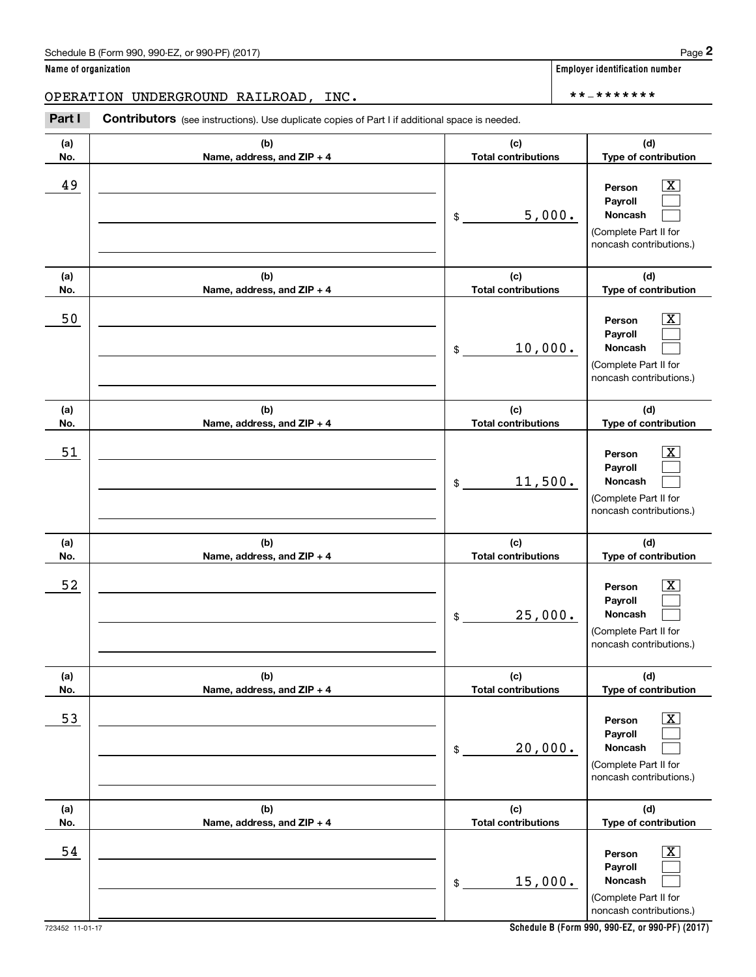(see instructions). Use duplicate copies of Part I if additional space is needed.<br> **2PERATION UNDERGROUND RAILROAD, INC.**<br> **Part I Contributors** (see instructions). Use duplicate copies of Part I if additional space is n

| (a)        | (b)                                 | (c)                               | (d)                                                                                                       |
|------------|-------------------------------------|-----------------------------------|-----------------------------------------------------------------------------------------------------------|
| No.        | Name, address, and ZIP + 4          | <b>Total contributions</b>        | Type of contribution                                                                                      |
| 49         |                                     | 5,000.<br>\$                      | X.<br>Person<br>Payroll<br>Noncash<br>(Complete Part II for<br>noncash contributions.)                    |
| (a)<br>No. | (b)<br>Name, address, and ZIP + 4   | (c)<br><b>Total contributions</b> | (d)<br>Type of contribution                                                                               |
| 50         |                                     | 10,000.<br>\$                     | x<br>Person<br>Payroll<br>Noncash<br>(Complete Part II for<br>noncash contributions.)                     |
| (a)<br>No. | (b)<br>Name, address, and ZIP + 4   | (c)<br><b>Total contributions</b> | (d)<br>Type of contribution                                                                               |
| 51         |                                     | 11,500.<br>\$                     | x<br>Person<br>Payroll<br>Noncash<br>(Complete Part II for<br>noncash contributions.)                     |
| (a)<br>No. | (b)<br>Name, address, and ZIP + 4   | (c)<br><b>Total contributions</b> | (d)<br>Type of contribution                                                                               |
| 52         |                                     | 25,000.<br>\$                     | х<br>Person<br>Payroll<br>Noncash<br>(Complete Part II for<br>noncash contributions.)                     |
| (a)<br>No. | (b)<br>Name, address, and $ZIP + 4$ | (c)<br><b>Total contributions</b> | (d)<br><b>Type of contribution</b>                                                                        |
| 53         |                                     | 20,000.<br>\$                     | $\overline{\text{X}}$<br>Person<br>Payroll<br>Noncash<br>(Complete Part II for<br>noncash contributions.) |
| (a)<br>No. | (b)<br>Name, address, and ZIP + 4   | (c)<br><b>Total contributions</b> | (d)<br>Type of contribution                                                                               |
| 54         |                                     | 15,000.<br>\$                     | X<br>Person<br>Payroll<br>Noncash<br>(Complete Part II for<br>noncash contributions.)                     |

**Schedule B (Form 990, 990-EZ, or 990-PF) (2017)**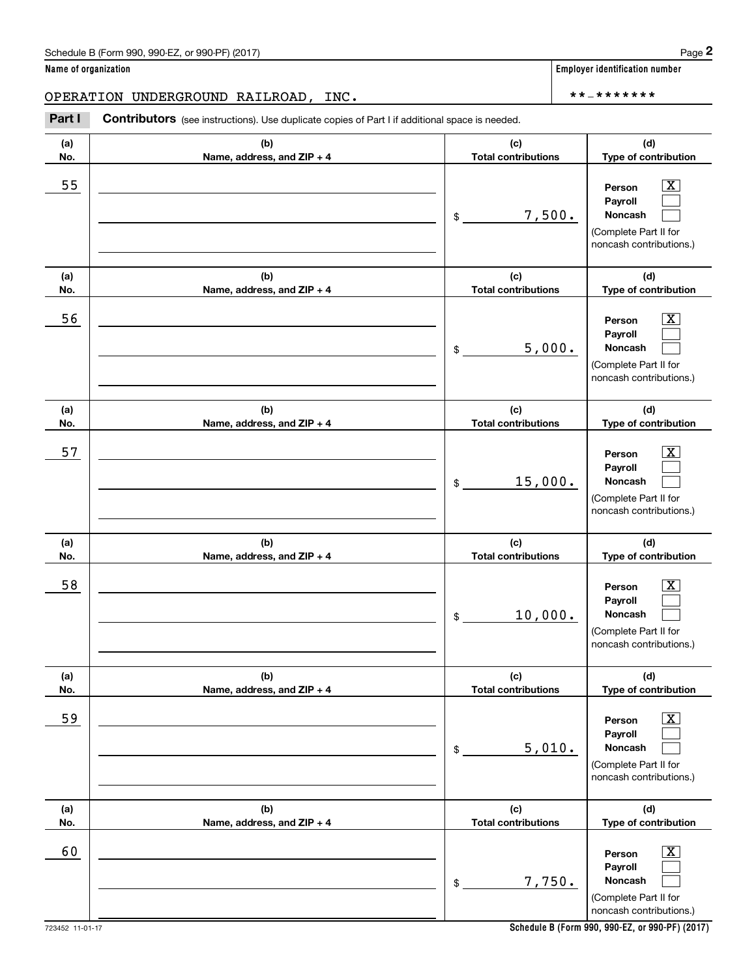(see instructions). Use duplicate copies of Part I if additional space is needed.<br> **2PERATION UNDERGROUND RAILROAD, INC.**<br> **Part I Contributors** (see instructions). Use duplicate copies of Part I if additional space is n

| (a) | (b)                        | (c)                        | (d)                                                                                                              |
|-----|----------------------------|----------------------------|------------------------------------------------------------------------------------------------------------------|
| No. | Name, address, and ZIP + 4 | <b>Total contributions</b> | Type of contribution                                                                                             |
| 55  |                            | 7,500.<br>$\frac{1}{2}$    | $\overline{\text{X}}$<br>Person<br>Payroll<br><b>Noncash</b><br>(Complete Part II for<br>noncash contributions.) |
| (a) | (b)                        | (c)                        | (d)                                                                                                              |
| No. | Name, address, and ZIP + 4 | <b>Total contributions</b> | Type of contribution                                                                                             |
| 56  |                            | 5,000.<br>$$_$             | X<br>Person<br>Payroll<br><b>Noncash</b><br>(Complete Part II for<br>noncash contributions.)                     |
| (a) | (b)                        | (c)                        | (d)                                                                                                              |
| No. | Name, address, and ZIP + 4 | <b>Total contributions</b> | Type of contribution                                                                                             |
| 57  |                            | 15,000.<br>$\mathsf{\$}$   | Х,<br>Person<br>Payroll<br><b>Noncash</b><br>(Complete Part II for<br>noncash contributions.)                    |
|     |                            |                            |                                                                                                                  |
| (a) | (b)                        | (c)                        | (d)                                                                                                              |
| No. | Name, address, and ZIP + 4 | <b>Total contributions</b> | Type of contribution                                                                                             |
| 58  |                            | 10,000.<br>$\frac{1}{2}$   | Х,<br>Person<br>Payroll<br><b>Noncash</b><br>(Complete Part II for<br>noncash contributions.)                    |
| (a) | (b)                        | (c)                        | (d)                                                                                                              |
| No. | Name, address, and ZIP + 4 | <b>Total contributions</b> | Type of contribution                                                                                             |
| 59  |                            | 5,010.<br>\$               | $\overline{\text{X}}$<br>Person<br>Payroll<br>Noncash<br>(Complete Part II for<br>noncash contributions.)        |
| (a) | (b)                        | (c)                        | (d)                                                                                                              |
| No. | Name, address, and ZIP + 4 | <b>Total contributions</b> | Type of contribution                                                                                             |

**Name of organization Employer identification number**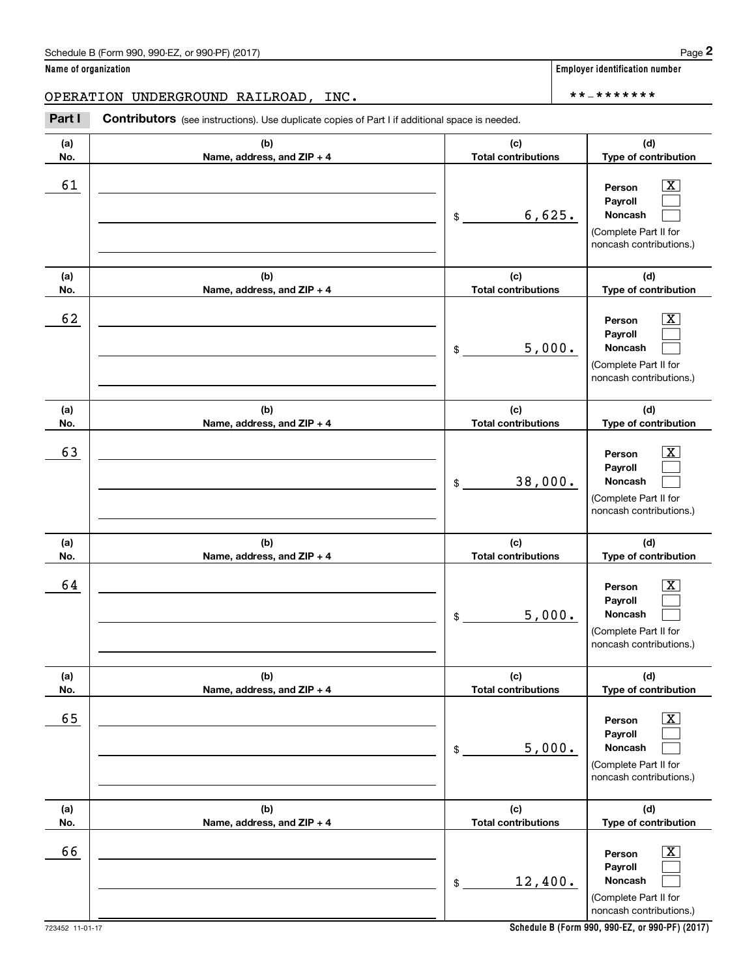(see instructions). Use duplicate copies of Part I if additional space is needed.<br> **2PERATION UNDERGROUND RAILROAD, INC.**<br> **Part I Contributors** (see instructions). Use duplicate copies of Part I if additional space is n

| (a)<br>No. | (b)<br>Name, address, and ZIP + 4 | (c)<br><b>Total contributions</b> | (d)<br>Type of contribution                                                                               |
|------------|-----------------------------------|-----------------------------------|-----------------------------------------------------------------------------------------------------------|
| 61         |                                   | 6,625.<br>\$                      | $\overline{\text{X}}$<br>Person<br>Payroll<br>Noncash<br>(Complete Part II for<br>noncash contributions.) |
| (a)<br>No. | (b)<br>Name, address, and ZIP + 4 | (c)<br><b>Total contributions</b> | (d)<br>Type of contribution                                                                               |
| 62         |                                   | 5,000.<br>\$                      | x<br>Person<br>Payroll<br>Noncash<br>(Complete Part II for<br>noncash contributions.)                     |
| (a)<br>No. | (b)<br>Name, address, and ZIP + 4 | (c)<br><b>Total contributions</b> | (d)<br>Type of contribution                                                                               |
| 63         |                                   | 38,000.<br>\$                     | x<br>Person<br>Payroll<br>Noncash<br>(Complete Part II for<br>noncash contributions.)                     |
| (a)<br>No. | (b)<br>Name, address, and ZIP + 4 | (c)<br><b>Total contributions</b> | (d)<br>Type of contribution                                                                               |
| 64         |                                   | 5,000.<br>\$                      | x<br>Person<br>Payroll<br>Noncash<br>(Complete Part II for<br>noncash contributions.)                     |
| (a)<br>No. | (b)<br>Name, address, and ZIP + 4 | (c)<br><b>Total contributions</b> | (d)<br>Type of contribution                                                                               |
| 65         |                                   | 5,000.<br>\$                      | $\boxed{\text{X}}$<br>Person<br>Payroll<br>Noncash<br>(Complete Part II for<br>noncash contributions.)    |
| (a)<br>No. | (b)<br>Name, address, and ZIP + 4 | (c)<br><b>Total contributions</b> | (d)<br>Type of contribution                                                                               |
| 66         |                                   | 12,400.<br>$\,$                   | $\boxed{\text{X}}$<br>Person<br>Payroll<br>Noncash<br>(Complete Part II for<br>noncash contributions.)    |

**Schedule B (Form 990, 990-EZ, or 990-PF) (2017)**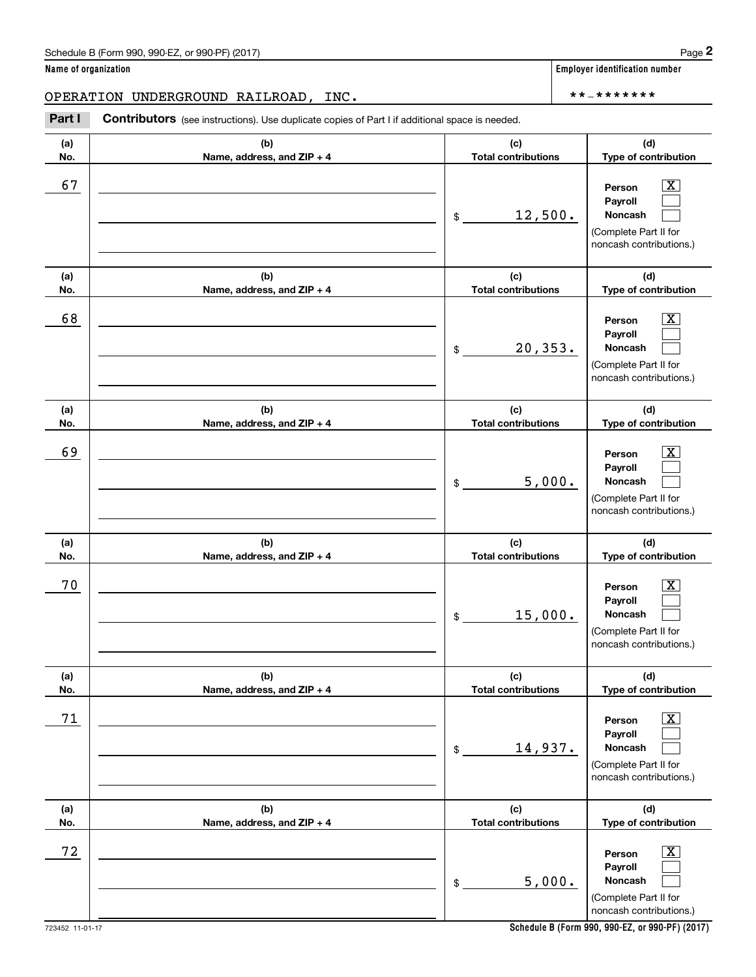(see instructions). Use duplicate copies of Part I if additional space is needed.<br> **2PERATION UNDERGROUND RAILROAD, INC.**<br> **Part I Contributors** (see instructions). Use duplicate copies of Part I if additional space is n

| (a)        | (b)                                 | (c)                               | (d)                                                                                                       |
|------------|-------------------------------------|-----------------------------------|-----------------------------------------------------------------------------------------------------------|
| No.        | Name, address, and ZIP + 4          | <b>Total contributions</b>        | Type of contribution                                                                                      |
| 67         |                                     | 12,500.<br>\$                     | Person<br>х<br>Pavroll<br>Noncash<br>(Complete Part II for<br>noncash contributions.)                     |
| (a)<br>No. | (b)<br>Name, address, and ZIP + 4   | (c)<br><b>Total contributions</b> | (d)<br>Type of contribution                                                                               |
| 68         |                                     | 20, 353.<br>\$                    | Person<br>x<br>Payroll<br>Noncash<br>(Complete Part II for<br>noncash contributions.)                     |
| (a)<br>No. | (b)<br>Name, address, and ZIP + 4   | (c)<br><b>Total contributions</b> | (d)<br>Type of contribution                                                                               |
| 69         |                                     | 5,000.<br>\$                      | Person<br>Payroll<br><b>Noncash</b><br>(Complete Part II for<br>noncash contributions.)                   |
| (a)<br>No. | (b)<br>Name, address, and ZIP + 4   | (c)<br><b>Total contributions</b> | (d)<br>Type of contribution                                                                               |
| 70         |                                     | 15,000.<br>\$                     | Person<br>Payroll<br><b>Noncash</b><br>(Complete Part II for<br>noncash contributions.)                   |
| (a)<br>No. | (b)<br>Name, address, and $ZIP + 4$ | (c)<br><b>Total contributions</b> | (d)<br>Type of contribution                                                                               |
| 71         |                                     | 14,937.<br>\$                     | $\overline{\text{X}}$<br>Person<br>Payroll<br>Noncash<br>(Complete Part II for<br>noncash contributions.) |
| (a)<br>No. | (b)<br>Name, address, and ZIP + 4   | (c)<br><b>Total contributions</b> | (d)<br>Type of contribution                                                                               |
| 72         |                                     | 5,000.<br>\$                      | x<br>Person<br>Payroll<br>Noncash<br>(Complete Part II for<br>noncash contributions.)                     |

**Schedule B (Form 990, 990-EZ, or 990-PF) (2017)**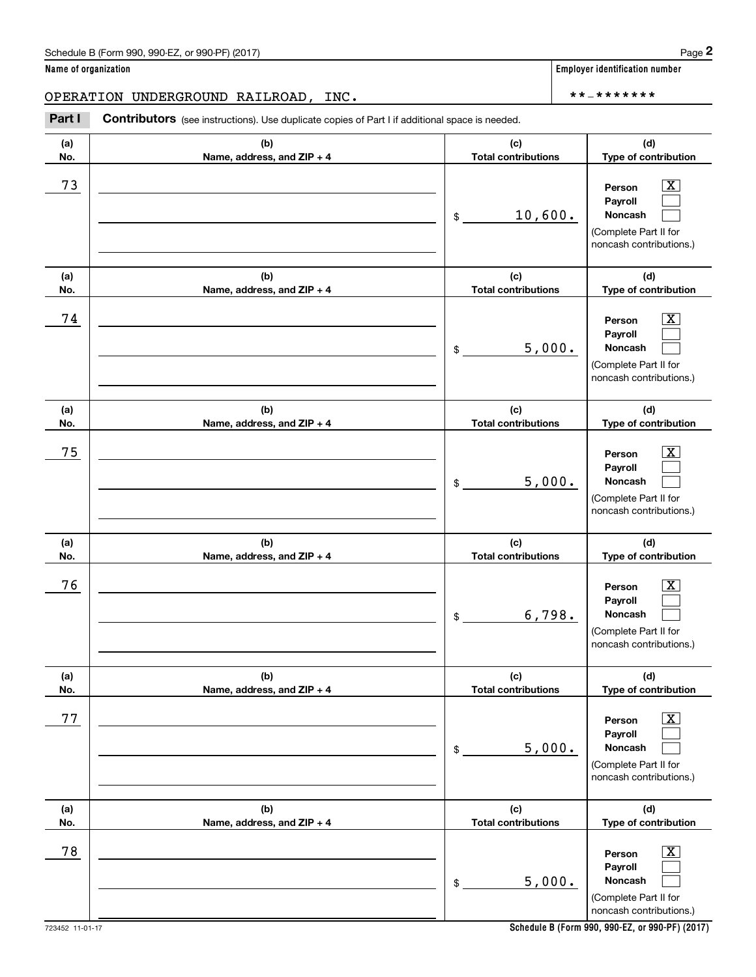(see instructions). Use duplicate copies of Part I if additional space is needed.<br> **2PERATION UNDERGROUND RAILROAD, INC.**<br> **Part I Contributors** (see instructions). Use duplicate copies of Part I if additional space is n

| (a)        | (b)                                 | (c)                               | (d)                                                                                                         |
|------------|-------------------------------------|-----------------------------------|-------------------------------------------------------------------------------------------------------------|
| No.        | Name, address, and ZIP + 4          | <b>Total contributions</b>        | Type of contribution                                                                                        |
| 73         |                                     | 10,600.<br>\$                     | Person<br>x<br>Payroll<br>Noncash<br>(Complete Part II for<br>noncash contributions.)                       |
| (a)<br>No. | (b)<br>Name, address, and ZIP + 4   | (c)<br><b>Total contributions</b> | (d)<br>Type of contribution                                                                                 |
| 74         |                                     | 5,000.<br>\$                      | Person<br>Payroll<br>Noncash<br>(Complete Part II for<br>noncash contributions.)                            |
| (a)<br>No. | (b)<br>Name, address, and ZIP + 4   | (c)<br><b>Total contributions</b> | (d)<br>Type of contribution                                                                                 |
| 75         |                                     | 5,000.<br>\$                      | Person<br>Payroll<br>Noncash<br>(Complete Part II for<br>noncash contributions.)                            |
| (a)<br>No. | (b)<br>Name, address, and ZIP + 4   | (c)<br><b>Total contributions</b> | (d)<br>Type of contribution                                                                                 |
| 76         |                                     | 6,798.<br>\$                      | Person<br>Payroll<br>Noncash<br>(Complete Part II for<br>noncash contributions.)                            |
| (a)<br>No. | (b)<br>Name, address, and $ZIP + 4$ | (c)<br>Total contributions        | (d)<br>Type of contribution                                                                                 |
| 77         |                                     | 5,000.<br>\$                      | $\overline{\texttt{x}}$<br>Person<br>Payroll<br>Noncash<br>(Complete Part II for<br>noncash contributions.) |
| (a)<br>No. | (b)<br>Name, address, and ZIP + 4   | (c)<br><b>Total contributions</b> | (d)<br>Type of contribution                                                                                 |
| 78         |                                     | 5,000.<br>\$                      | $\overline{\text{X}}$<br>Person<br>Payroll<br>Noncash<br>(Complete Part II for<br>noncash contributions.)   |

**Schedule B (Form 990, 990-EZ, or 990-PF) (2017)**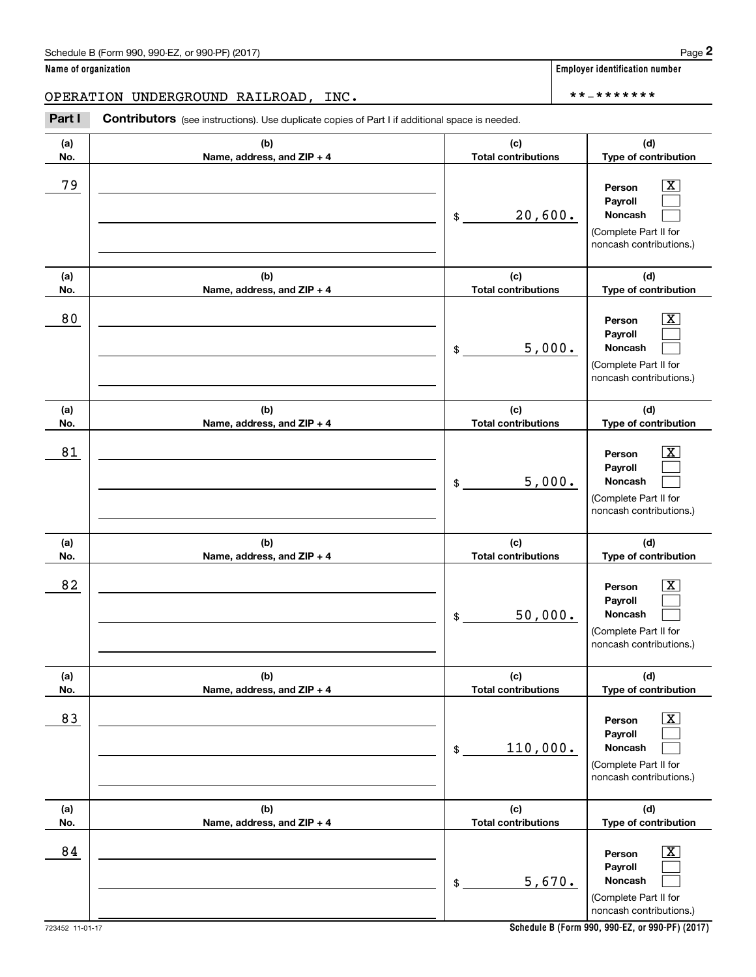(see instructions). Use duplicate copies of Part I if additional space is needed.<br> **2PERATION UNDERGROUND RAILROAD, INC.**<br> **Part I Contributors** (see instructions). Use duplicate copies of Part I if additional space is n

| (a)<br>No. | (b)<br>Name, address, and ZIP + 4 | (c)<br><b>Total contributions</b> | (d)<br>Type of contribution                                                                            |
|------------|-----------------------------------|-----------------------------------|--------------------------------------------------------------------------------------------------------|
| 79         |                                   | 20,600.<br>\$                     | X<br>Person<br>Payroll<br>Noncash<br>(Complete Part II for<br>noncash contributions.)                  |
| (a)<br>No. | (b)<br>Name, address, and ZIP + 4 | (c)<br><b>Total contributions</b> | (d)<br>Type of contribution                                                                            |
| 80         |                                   | 5,000.<br>\$                      | x<br>Person<br>Payroll<br>Noncash<br>(Complete Part II for<br>noncash contributions.)                  |
| (a)<br>No. | (b)<br>Name, address, and ZIP + 4 | (c)<br><b>Total contributions</b> | (d)<br>Type of contribution                                                                            |
| 81         |                                   | 5,000.<br>\$                      | x<br>Person<br>Payroll<br>Noncash<br>(Complete Part II for<br>noncash contributions.)                  |
| (a)<br>No. | (b)<br>Name, address, and ZIP + 4 | (c)<br><b>Total contributions</b> | (d)<br>Type of contribution                                                                            |
| 82         |                                   | 50,000.<br>\$                     | x<br>Person<br>Payroll<br>Noncash<br>(Complete Part II for<br>noncash contributions.)                  |
| (a)<br>No. | (b)<br>Name, address, and ZIP + 4 | (c)<br><b>Total contributions</b> | (d)<br>Type of contribution                                                                            |
| 83         |                                   | 110,000.<br>$\,$                  | $\boxed{\text{X}}$<br>Person<br>Payroll<br>Noncash<br>(Complete Part II for<br>noncash contributions.) |
| (a)<br>No. | (b)<br>Name, address, and ZIP + 4 | (c)<br><b>Total contributions</b> | (d)<br>Type of contribution                                                                            |
| 84         |                                   | 5,670.<br>\$                      | $\boxed{\text{X}}$<br>Person<br>Payroll<br>Noncash<br>(Complete Part II for<br>noncash contributions.) |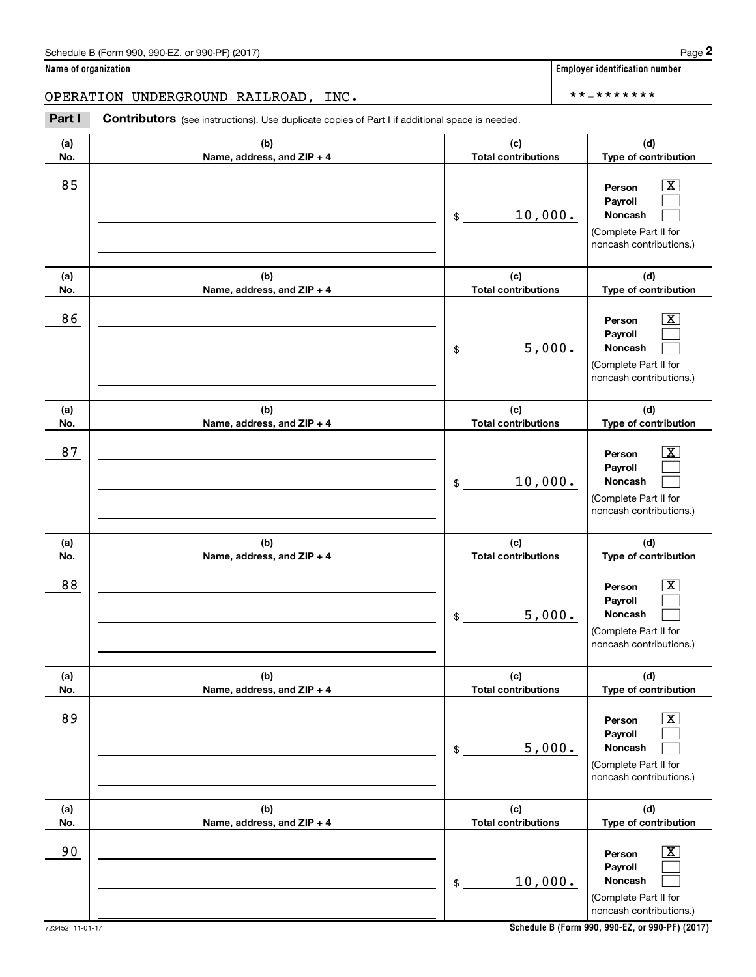Chedule B (Form 990, 990-EZ, or 990-PF) (2017)<br>**2PARTION UNDERGROUND RAILROAD, INC.**<br>**PERATION UNDERGROUND RAILROAD, INC.**<br>**2PARTION UNDERGROUND RAILROAD, INC.** OPERATION UNDERGROUND RAILROAD, INC. \*\*-\*\*\*\*\*\*\*

Contributors (see instructions). Use duplicate copies of Part I if additional space is needed.

| (a)<br>No. | (b)                               | (c)<br><b>Total contributions</b> | (d)<br>Type of contribution                                                                               |
|------------|-----------------------------------|-----------------------------------|-----------------------------------------------------------------------------------------------------------|
|            | Name, address, and ZIP + 4        |                                   |                                                                                                           |
| 85         |                                   | 10,000.<br>\$                     | $\overline{\text{X}}$<br>Person<br>Payroll<br>Noncash<br>(Complete Part II for<br>noncash contributions.) |
| (a)<br>No. | (b)<br>Name, address, and ZIP + 4 | (c)<br><b>Total contributions</b> | (d)<br>Type of contribution                                                                               |
| 86         |                                   | 5,000.<br>\$                      | $\overline{\text{X}}$<br>Person<br>Payroll<br>Noncash<br>(Complete Part II for<br>noncash contributions.) |
| (a)<br>No. | (b)<br>Name, address, and ZIP + 4 | (c)<br><b>Total contributions</b> | (d)<br>Type of contribution                                                                               |
| 87         |                                   | 10,000.<br>\$                     | $\overline{\text{X}}$<br>Person<br>Payroll<br>Noncash<br>(Complete Part II for<br>noncash contributions.) |
| (a)<br>No. | (b)<br>Name, address, and ZIP + 4 | (c)<br><b>Total contributions</b> | (d)<br>Type of contribution                                                                               |
| 88         |                                   | 5,000.<br>\$                      | $\overline{\text{X}}$<br>Person<br>Payroll<br>Noncash<br>(Complete Part II for<br>noncash contributions.) |
| (a)<br>No. | (b)<br>Name, address, and ZIP + 4 | (c)<br><b>Total contributions</b> | (d)<br>Type of contribution                                                                               |
| 89         |                                   | 5,000.<br>\$                      | Person<br>Payroll<br>Noncash<br>(Complete Part II for<br>noncash contributions.)                          |
| (a)<br>No. | (b)<br>Name, address, and ZIP + 4 | (c)<br><b>Total contributions</b> | (d)<br>Type of contribution                                                                               |
| 90         |                                   | 10,000.<br>\$                     | Person<br>Payroll<br>Noncash<br>(Complete Part II for<br>noncash contributions.)                          |

**Name of organization Employer identification number**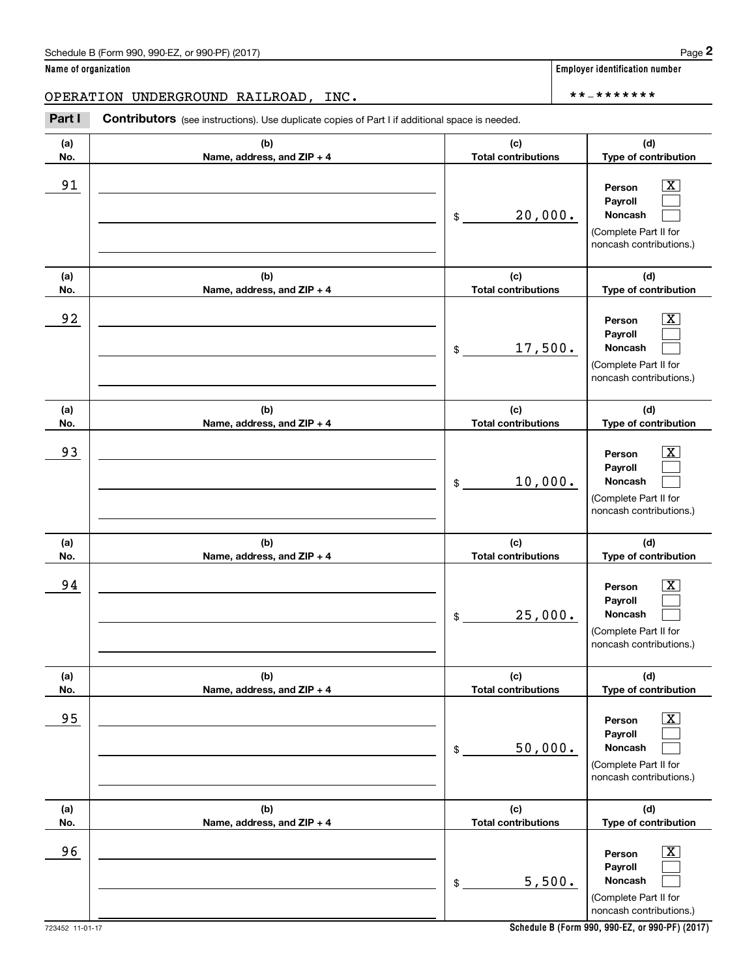(see instructions). Use duplicate copies of Part I if additional space is needed.<br> **2PERATION UNDERGROUND RAILROAD, INC.**<br> **Part I Contributors** (see instructions). Use duplicate copies of Part I if additional space is n

| (a)<br>No. | (b)<br>Name, address, and ZIP + 4 | (c)<br><b>Total contributions</b> | (d)<br>Type of contribution                                                                            |
|------------|-----------------------------------|-----------------------------------|--------------------------------------------------------------------------------------------------------|
| 91         |                                   | 20,000.<br>\$                     | X<br>Person<br>Payroll<br>Noncash<br>(Complete Part II for<br>noncash contributions.)                  |
| (a)<br>No. | (b)<br>Name, address, and ZIP + 4 | (c)<br><b>Total contributions</b> | (d)<br>Type of contribution                                                                            |
| 92         |                                   | 17,500.<br>\$                     | X<br>Person<br>Payroll<br>Noncash<br>(Complete Part II for<br>noncash contributions.)                  |
| (a)<br>No. | (b)<br>Name, address, and ZIP + 4 | (c)<br><b>Total contributions</b> | (d)<br>Type of contribution                                                                            |
| 93         |                                   | 10,000.<br>\$                     | X<br>Person<br>Payroll<br><b>Noncash</b><br>(Complete Part II for<br>noncash contributions.)           |
| (a)<br>No. | (b)<br>Name, address, and ZIP + 4 | (c)<br><b>Total contributions</b> | (d)<br>Type of contribution                                                                            |
| 94         |                                   | 25,000.<br>\$                     | X<br>Person<br>Payroll<br><b>Noncash</b><br>(Complete Part II for<br>noncash contributions.)           |
| (a)<br>No. | (b)<br>Name, address, and ZIP + 4 | (c)<br><b>Total contributions</b> | (d)<br>Type of contribution                                                                            |
| 95         |                                   | 50,000.<br>\$                     | $\boxed{\text{X}}$<br>Person<br>Payroll<br>Noncash<br>(Complete Part II for<br>noncash contributions.) |
| (a)<br>No. | (b)<br>Name, address, and ZIP + 4 | (c)<br><b>Total contributions</b> | (d)<br>Type of contribution                                                                            |
| 96         |                                   | 5,500.<br>\$                      | $\boxed{\text{X}}$<br>Person<br>Payroll<br>Noncash<br>(Complete Part II for<br>noncash contributions.) |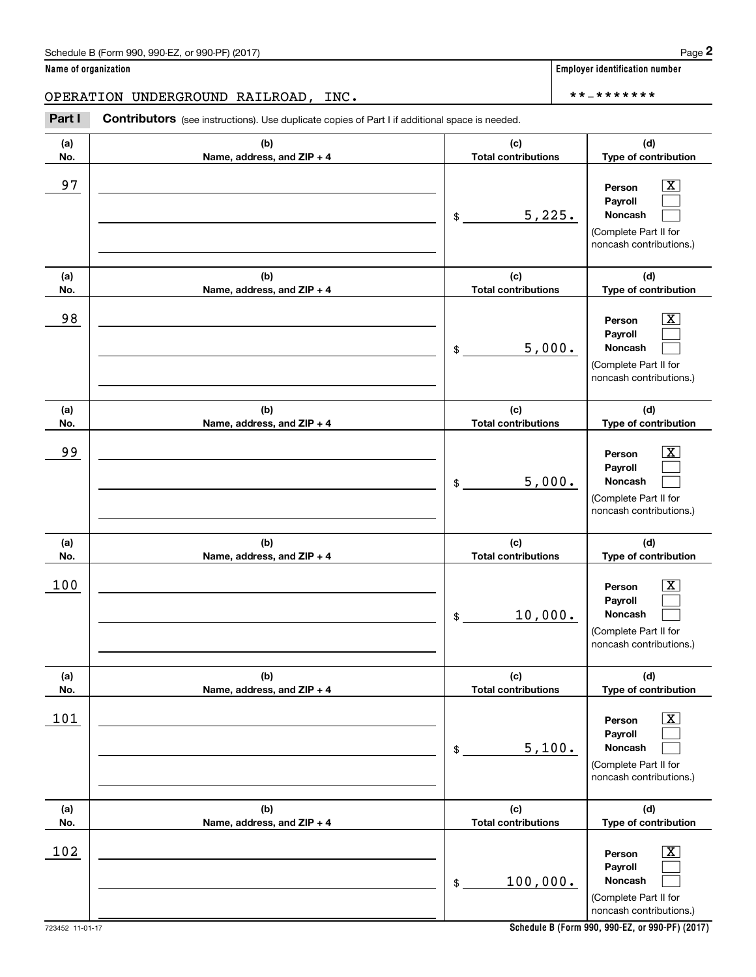(see instructions). Use duplicate copies of Part I if additional space is needed.<br> **2PERATION UNDERGROUND RAILROAD, INC.**<br> **Part I Contributors** (see instructions). Use duplicate copies of Part I if additional space is n

| (a)<br>No. | (b)<br>Name, address, and ZIP + 4 | (c)<br><b>Total contributions</b> | (d)<br>Type of contribution                                                                               |
|------------|-----------------------------------|-----------------------------------|-----------------------------------------------------------------------------------------------------------|
| 97         |                                   | 5,225.<br>\$                      | х<br>Person<br>Payroll<br><b>Noncash</b><br>(Complete Part II for<br>noncash contributions.)              |
| (a)<br>No. | (b)<br>Name, address, and ZIP + 4 | (c)<br><b>Total contributions</b> | (d)<br>Type of contribution                                                                               |
| 98         |                                   | 5,000.<br>$\frac{1}{2}$           | X<br>Person<br>Payroll<br><b>Noncash</b><br>(Complete Part II for<br>noncash contributions.)              |
| (a)<br>No. | (b)<br>Name, address, and ZIP + 4 | (c)<br><b>Total contributions</b> | (d)<br>Type of contribution                                                                               |
| 99         |                                   | 5,000.<br>$\frac{1}{2}$           | X<br>Person<br>Payroll<br>Noncash<br>(Complete Part II for<br>noncash contributions.)                     |
|            |                                   |                                   |                                                                                                           |
| (a)<br>No. | (b)<br>Name, address, and ZIP + 4 | (c)<br><b>Total contributions</b> | (d)<br>Type of contribution                                                                               |
| 100        |                                   | 10,000.<br>$\frac{1}{2}$          | X<br>Person<br>Payroll<br>Noncash<br>(Complete Part II for<br>noncash contributions.)                     |
| (a)<br>No. | (b)<br>Name, address, and ZIP + 4 | (c)<br><b>Total contributions</b> | (d)<br>Type of contribution                                                                               |
| 101        |                                   | 5,100.<br>$\frac{1}{2}$           | $\overline{\text{X}}$<br>Person<br>Payroll<br>Noncash<br>(Complete Part II for<br>noncash contributions.) |
| (a)<br>No. | (b)<br>Name, address, and ZIP + 4 | (c)<br><b>Total contributions</b> | (d)<br>Type of contribution                                                                               |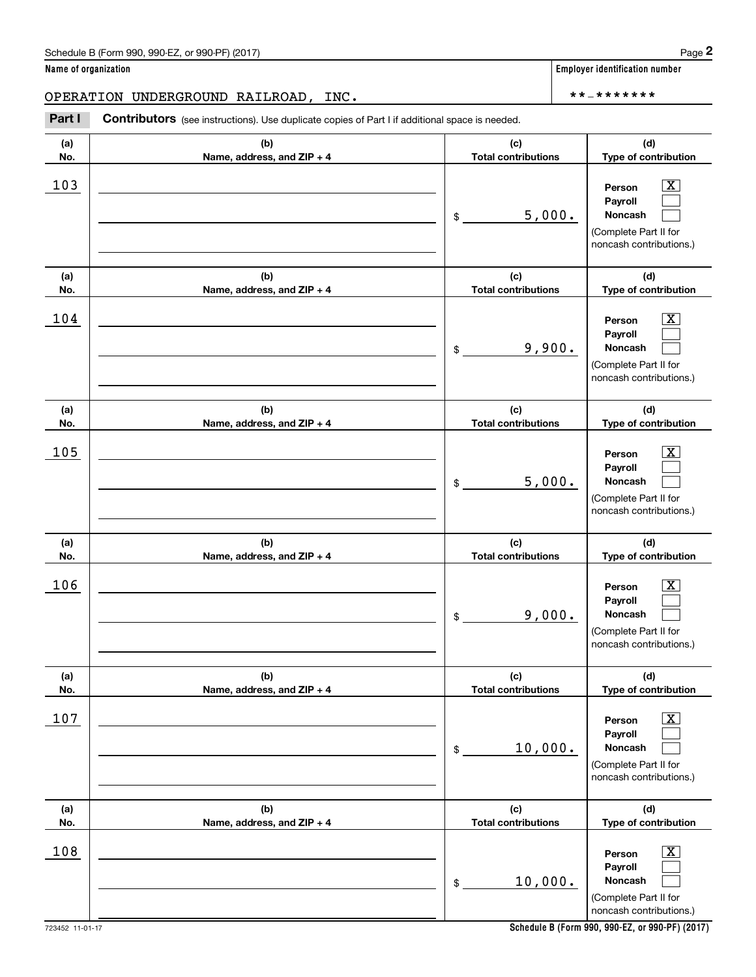noncash contributions.)

| . . |  |
|-----|--|

|                      | Schedule B (Form 990, 990-EZ, or 990-PF) (2017)                                                       |                                   |        | Page 2                                                                                                        |
|----------------------|-------------------------------------------------------------------------------------------------------|-----------------------------------|--------|---------------------------------------------------------------------------------------------------------------|
| Name of organization |                                                                                                       |                                   |        | <b>Employer identification number</b>                                                                         |
|                      | OPERATION UNDERGROUND RAILROAD, INC.                                                                  |                                   |        | **_*******                                                                                                    |
| Part I               | <b>Contributors</b> (see instructions). Use duplicate copies of Part I if additional space is needed. |                                   |        |                                                                                                               |
| (a)<br>No.           | (b)<br>Name, address, and ZIP + 4                                                                     | (c)<br><b>Total contributions</b> |        | (d)<br>Type of contribution                                                                                   |
| 103                  |                                                                                                       | \$                                | 5,000. | $\overline{\mathbf{X}}$<br>Person<br>Payroll<br>Noncash<br>(Complete Part II for<br>noncash contributions.)   |
| (a)<br>No.           | (b)<br>Name, address, and ZIP + 4                                                                     | (c)<br><b>Total contributions</b> |        | (d)<br>Type of contribution                                                                                   |
| 104                  |                                                                                                       | \$                                | 9,900. | x<br>Person<br>Payroll<br>Noncash<br>(Complete Part II for<br>noncash contributions.)                         |
| (a)<br>No.           | (b)<br>Name, address, and ZIP + 4                                                                     | (c)<br><b>Total contributions</b> |        | (d)<br>Type of contribution                                                                                   |
| 105                  |                                                                                                       | \$                                | 5,000. | x<br>Person<br>Payroll<br>Noncash<br>(Complete Part II for<br>noncash contributions.)                         |
| (a)<br>No.           | (b)<br>Name, address, and ZIP + 4                                                                     | (c)<br><b>Total contributions</b> |        | (d)<br>Type of contribution                                                                                   |
| 106                  |                                                                                                       | \$                                | 9,000. | $\overline{\mathbf{X}}$<br>Person<br>Payroll<br>Noncash<br>(Complete Part II for<br>noncash contributions.)   |
| (a)<br>No.           | (b)<br>Name, address, and ZIP + 4                                                                     | (c)<br><b>Total contributions</b> |        | (d)<br>Type of contribution                                                                                   |
| 107                  |                                                                                                       | 10,000.<br>\$                     |        | $\boxed{\text{X}}$<br>Person<br>Payroll<br><b>Noncash</b><br>(Complete Part II for<br>noncash contributions.) |
| (a)<br>No.           | (b)<br>Name, address, and ZIP + 4                                                                     | (c)<br><b>Total contributions</b> |        | (d)<br>Type of contribution                                                                                   |
| 108                  |                                                                                                       | 10,000.<br>\$                     |        | $\boxed{\text{X}}$<br>Person<br>Payroll<br>Noncash<br>(Complete Part II for<br>noncash contributions.)        |

**Schedule B (Form 990, 990-EZ, or 990-PF) (2017)**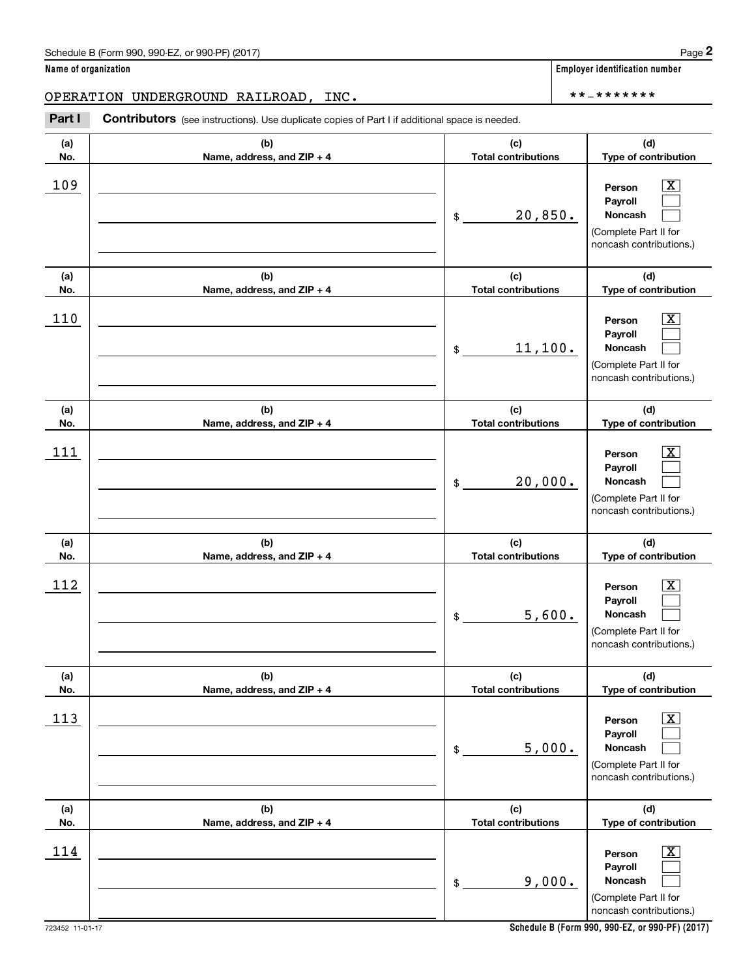(see instructions). Use duplicate copies of Part I if additional space is needed.<br> **2PERATION UNDERGROUND RAILROAD, INC.**<br> **Part I Contributors** (see instructions). Use duplicate copies of Part I if additional space is n

| (a) | (b)                        | (c)                         | (d)                                                                                                     |
|-----|----------------------------|-----------------------------|---------------------------------------------------------------------------------------------------------|
| No. | Name, address, and ZIP + 4 | <b>Total contributions</b>  | Type of contribution                                                                                    |
| 109 |                            | $20,850$ .<br>$\frac{1}{2}$ | $\mathbf{X}$<br>Person<br>Payroll<br>Noncash<br>(Complete Part II for<br>noncash contributions.)        |
| (a) | (b)                        | (c)                         | (d)                                                                                                     |
| No. | Name, address, and ZIP + 4 | <b>Total contributions</b>  | Type of contribution                                                                                    |
| 110 |                            | 11,100.<br>$\frac{1}{2}$    | $\mathbf{X}$<br>Person<br>Payroll<br>Noncash<br>(Complete Part II for<br>noncash contributions.)        |
| (a) | (b)                        | (c)                         | (d)                                                                                                     |
| No. | Name, address, and ZIP + 4 | <b>Total contributions</b>  | Type of contribution                                                                                    |
| 111 |                            | 20,000.<br>$\mathsf{\$}$    | $\mathbf{X}$<br>Person<br>Payroll<br>Noncash<br>(Complete Part II for<br>noncash contributions.)        |
| (a) | (b)                        | (c)                         | (d)                                                                                                     |
| No. | Name, address, and ZIP + 4 | <b>Total contributions</b>  | Type of contribution                                                                                    |
| 112 |                            | 5,600.<br>$\frac{1}{2}$     | $\mathbf{X}$<br>Person<br>Payroll<br><b>Noncash</b><br>(Complete Part II for<br>noncash contributions.) |
| (a) | (b)                        | (c)                         | (d)                                                                                                     |
| No. | Name, address, and ZIP + 4 | <b>Total contributions</b>  | Type of contribution                                                                                    |
| 113 |                            | 5,000.<br>\$                | $\boxed{\text{X}}$<br>Person<br>Payroll<br>Noncash<br>(Complete Part II for<br>noncash contributions.)  |
| (a) | (b)                        | (c)                         | (d)                                                                                                     |
| No. | Name, address, and ZIP + 4 | <b>Total contributions</b>  | Type of contribution                                                                                    |
| 114 |                            | 9,000.<br>\$                | $\boxed{\text{X}}$<br>Person<br>Payroll<br>Noncash<br>(Complete Part II for<br>noncash contributions.)  |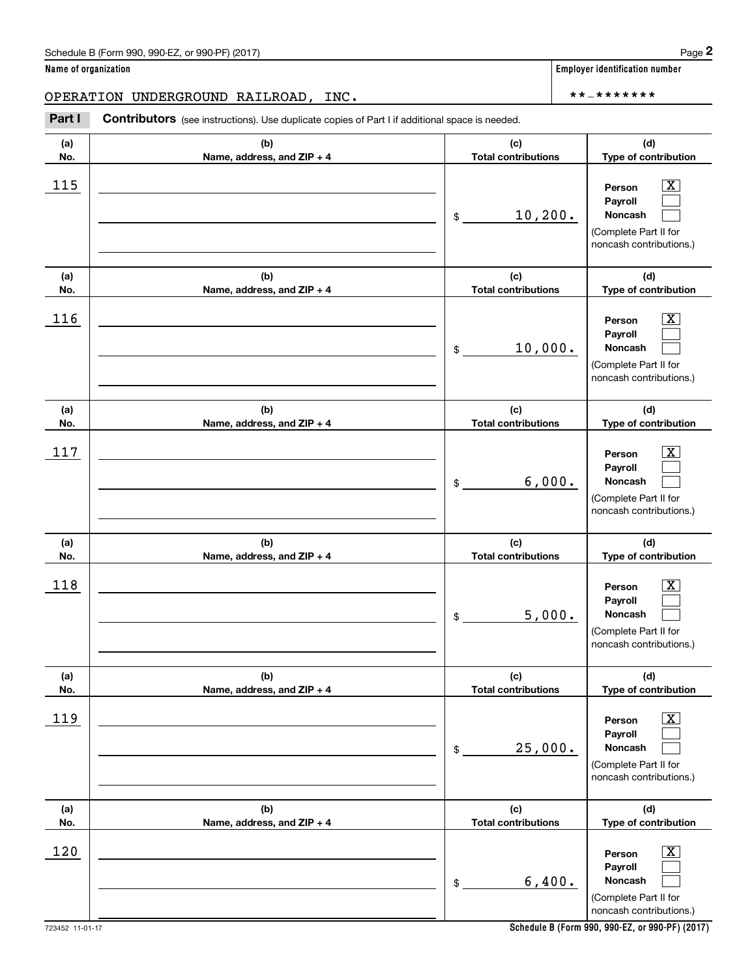(see instructions). Use duplicate copies of Part I if additional space is needed.<br> **2PERATION UNDERGROUND RAILROAD, INC.**<br> **Part I Contributors** (see instructions). Use duplicate copies of Part I if additional space is n

| (a)        | (b)                               | (c)                               | (d)                                                                                                    |
|------------|-----------------------------------|-----------------------------------|--------------------------------------------------------------------------------------------------------|
| No.        | Name, address, and ZIP + 4        | <b>Total contributions</b>        | Type of contribution                                                                                   |
| 115        |                                   | 10, 200.<br>\$                    | X<br>Person<br>Payroll<br>Noncash<br>(Complete Part II for<br>noncash contributions.)                  |
| (a)<br>No. | (b)<br>Name, address, and ZIP + 4 | (c)<br><b>Total contributions</b> | (d)<br>Type of contribution                                                                            |
| 116        |                                   | 10,000.<br>\$                     | X<br>Person<br>Payroll<br>Noncash<br>(Complete Part II for<br>noncash contributions.)                  |
| (a)<br>No. | (b)<br>Name, address, and ZIP + 4 | (c)<br><b>Total contributions</b> | (d)<br>Type of contribution                                                                            |
| 117        |                                   | 6,000.<br>\$                      | X<br>Person<br>Payroll<br>Noncash<br>(Complete Part II for<br>noncash contributions.)                  |
| (a)<br>No. | (b)<br>Name, address, and ZIP + 4 | (c)<br><b>Total contributions</b> | (d)<br>Type of contribution                                                                            |
| 118        |                                   | 5,000.<br>\$                      | x<br>Person<br>Payroll<br>Noncash<br>(Complete Part II for<br>noncash contributions.)                  |
| (a)<br>No. | (b)<br>Name, address, and ZIP + 4 | (c)<br><b>Total contributions</b> | (d)<br>Type of contribution                                                                            |
| 119        |                                   | 25,000.<br>\$                     | $\boxed{\text{X}}$<br>Person<br>Payroll<br>Noncash<br>(Complete Part II for<br>noncash contributions.) |
| (a)<br>No. | (b)<br>Name, address, and ZIP + 4 | (c)<br><b>Total contributions</b> | (d)<br>Type of contribution                                                                            |
| 120        |                                   | 6,400.<br>\$                      | $\boxed{\text{X}}$<br>Person<br>Payroll<br>Noncash<br>(Complete Part II for<br>noncash contributions.) |

**Schedule B (Form 990, 990-EZ, or 990-PF) (2017)**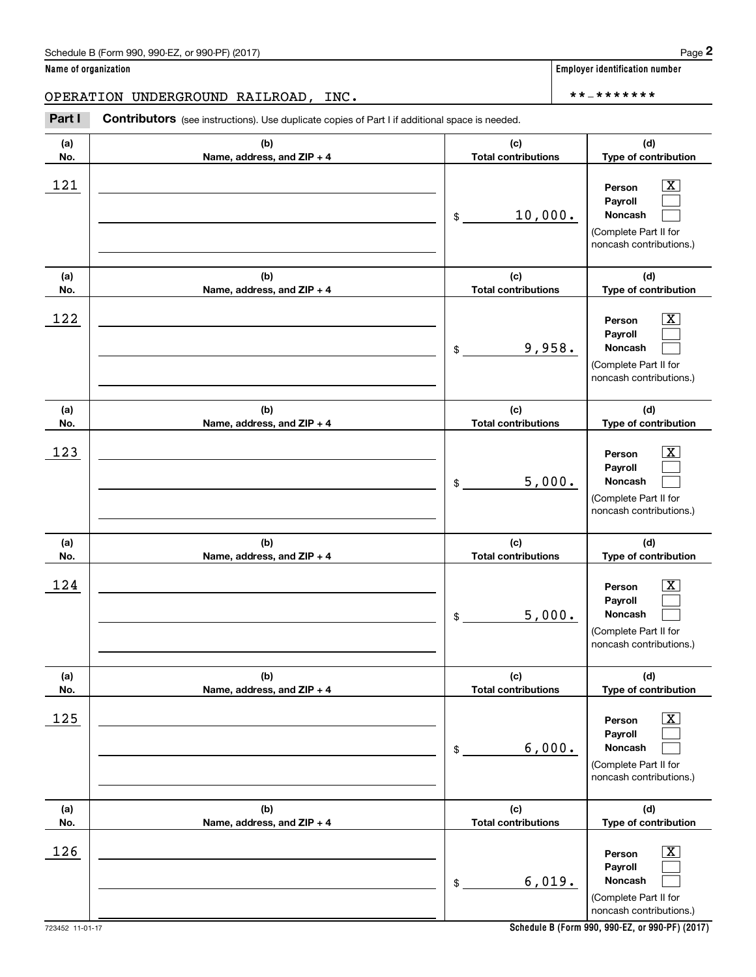(see instructions). Use duplicate copies of Part I if additional space is needed.<br> **2PERATION UNDERGROUND RAILROAD, INC.**<br> **Part I Contributors** (see instructions). Use duplicate copies of Part I if additional space is n

| (a)        | (b)                        | (c)                        | (d)                                                                                                       |
|------------|----------------------------|----------------------------|-----------------------------------------------------------------------------------------------------------|
| No.        | Name, address, and ZIP + 4 | <b>Total contributions</b> | Type of contribution                                                                                      |
| 121        |                            | 10,000.<br>$\frac{1}{2}$   | X<br>Person<br>Payroll<br><b>Noncash</b><br>(Complete Part II for<br>noncash contributions.)              |
| (a)        | (b)                        | (c)                        | (d)                                                                                                       |
| No.        | Name, address, and ZIP + 4 | <b>Total contributions</b> | Type of contribution                                                                                      |
| 122        |                            | 9,958.<br>$\frac{1}{2}$    | X<br>Person<br>Payroll<br>Noncash<br>(Complete Part II for<br>noncash contributions.)                     |
| (a)        | (b)                        | (c)                        | (d)                                                                                                       |
| No.        | Name, address, and ZIP + 4 | <b>Total contributions</b> | Type of contribution                                                                                      |
| 123        |                            | 5,000.<br>$\frac{1}{2}$    | X<br>Person<br>Payroll<br><b>Noncash</b><br>(Complete Part II for<br>noncash contributions.)              |
| (a)        | (b)                        | (c)                        | (d)                                                                                                       |
| No.        | Name, address, and ZIP + 4 | <b>Total contributions</b> | Type of contribution                                                                                      |
| 124        |                            | 5,000.<br>$\frac{1}{2}$    | X<br>Person<br>Payroll<br>Noncash<br>(Complete Part II for<br>noncash contributions.)                     |
| (a)        | (b)                        | (c)                        | (d)                                                                                                       |
| No.        | Name, address, and ZIP + 4 | <b>Total contributions</b> | Type of contribution                                                                                      |
| <u>125</u> |                            | 6,000.<br>$\frac{1}{2}$    | $\overline{\text{X}}$<br>Person<br>Payroll<br>Noncash<br>(Complete Part II for<br>noncash contributions.) |
| (a)        | (b)                        | (c)                        | (d)                                                                                                       |
| No.        | Name, address, and ZIP + 4 | <b>Total contributions</b> | Type of contribution                                                                                      |
| 126        |                            | 6,019.<br>$\frac{1}{2}$    | $\overline{\text{X}}$<br>Person<br>Payroll<br>Noncash<br>(Complete Part II for                            |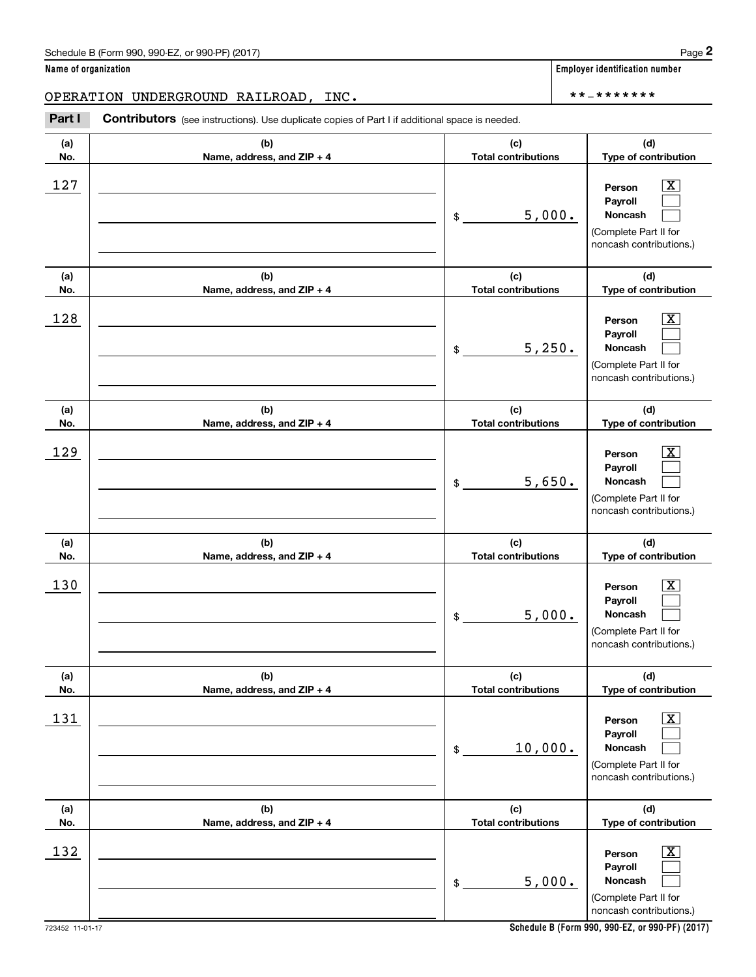(see instructions). Use duplicate copies of Part I if additional space is needed.<br> **2PERATION UNDERGROUND RAILROAD, INC.**<br> **Part I Contributors** (see instructions). Use duplicate copies of Part I if additional space is n

| (a)        | (b)                                 | (c)                               | (d)                                                                                                       |
|------------|-------------------------------------|-----------------------------------|-----------------------------------------------------------------------------------------------------------|
| No.        | Name, address, and ZIP + 4          | <b>Total contributions</b>        | Type of contribution                                                                                      |
| 127        |                                     | 5,000.<br>\$                      | X.<br>Person<br>Payroll<br>Noncash<br>(Complete Part II for<br>noncash contributions.)                    |
| (a)<br>No. | (b)<br>Name, address, and ZIP + 4   | (c)<br><b>Total contributions</b> | (d)<br>Type of contribution                                                                               |
| 128        |                                     | 5,250.<br>\$                      | x<br>Person<br>Payroll<br>Noncash<br>(Complete Part II for<br>noncash contributions.)                     |
| (a)<br>No. | (b)<br>Name, address, and ZIP + 4   | (c)<br><b>Total contributions</b> | (d)<br>Type of contribution                                                                               |
| 129        |                                     | 5,650.<br>\$                      | x<br>Person<br>Payroll<br>Noncash<br>(Complete Part II for<br>noncash contributions.)                     |
| (a)<br>No. | (b)<br>Name, address, and ZIP + 4   | (c)<br><b>Total contributions</b> | (d)<br>Type of contribution                                                                               |
| 130        |                                     | 5,000.<br>\$                      | x<br>Person<br>Payroll<br>Noncash<br>(Complete Part II for<br>noncash contributions.)                     |
| (a)<br>No. | (b)<br>Name, address, and $ZIP + 4$ | (c)<br><b>Total contributions</b> | (d)<br>Type of contribution                                                                               |
| <u>131</u> |                                     | 10,000.<br>\$                     | $\overline{\text{X}}$<br>Person<br>Payroll<br>Noncash<br>(Complete Part II for<br>noncash contributions.) |
| (a)<br>No. | (b)<br>Name, address, and ZIP + 4   | (c)<br><b>Total contributions</b> | (d)<br>Type of contribution                                                                               |
| 132        |                                     | 5,000.<br>\$                      | $\overline{\text{X}}$<br>Person<br>Payroll<br>Noncash<br>(Complete Part II for<br>noncash contributions.) |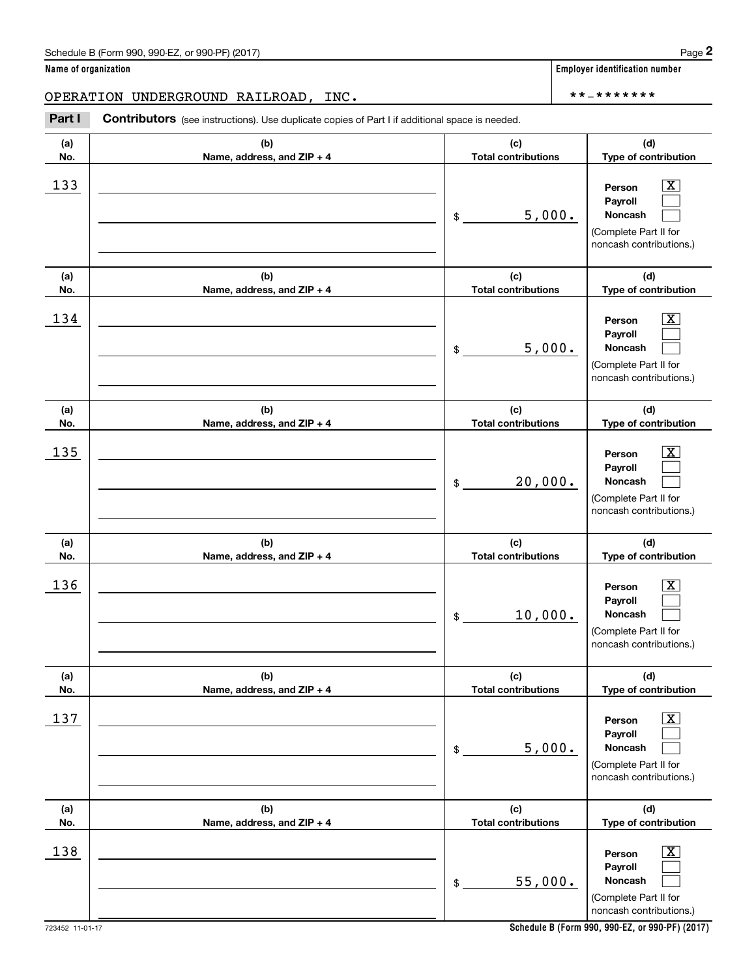(see instructions). Use duplicate copies of Part I if additional space is needed.<br> **2PERATION UNDERGROUND RAILROAD, INC.**<br> **Part I Contributors** (see instructions). Use duplicate copies of Part I if additional space is n

| (a)<br>No. | (b)<br>Name, address, and ZIP + 4 | (c)<br><b>Total contributions</b> | (d)<br>Type of contribution                                                                                 |
|------------|-----------------------------------|-----------------------------------|-------------------------------------------------------------------------------------------------------------|
| 133        |                                   | 5,000.<br>\$                      | $\mathbf{X}$<br>Person<br>Payroll<br>Noncash<br>(Complete Part II for<br>noncash contributions.)            |
| (a)<br>No. | (b)<br>Name, address, and ZIP + 4 | (c)<br><b>Total contributions</b> | (d)<br>Type of contribution                                                                                 |
| 134        |                                   | 5,000.<br>\$                      | $\mathbf{X}$<br>Person<br>Payroll<br>Noncash<br>(Complete Part II for<br>noncash contributions.)            |
| (a)<br>No. | (b)<br>Name, address, and ZIP + 4 | (c)<br><b>Total contributions</b> | (d)<br>Type of contribution                                                                                 |
| 135        |                                   | 20,000.<br>\$                     | $\mathbf{X}$<br>Person<br>Payroll<br>Noncash<br>(Complete Part II for<br>noncash contributions.)            |
| (a)<br>No. | (b)<br>Name, address, and ZIP + 4 | (c)<br><b>Total contributions</b> | (d)<br>Type of contribution                                                                                 |
| 136        |                                   | 10,000.<br>\$                     | $\mathbf{X}$<br>Person<br>Payroll<br>Noncash<br>(Complete Part II for<br>noncash contributions.)            |
| (a)<br>No. | (b)<br>Name, address, and ZIP + 4 | (c)<br><b>Total contributions</b> | (d)<br>Type of contribution                                                                                 |
| 137        |                                   | 5,000.<br>\$                      | $\overline{\mathbf{X}}$<br>Person<br>Payroll<br>Noncash<br>(Complete Part II for<br>noncash contributions.) |
| (a)<br>No. | (b)<br>Name, address, and ZIP + 4 | (c)<br><b>Total contributions</b> | (d)<br>Type of contribution                                                                                 |
| 138        |                                   | 55,000.<br>$\$$                   | $\mathbf{X}$<br>Person<br>Payroll<br>Noncash<br>(Complete Part II for<br>noncash contributions.)            |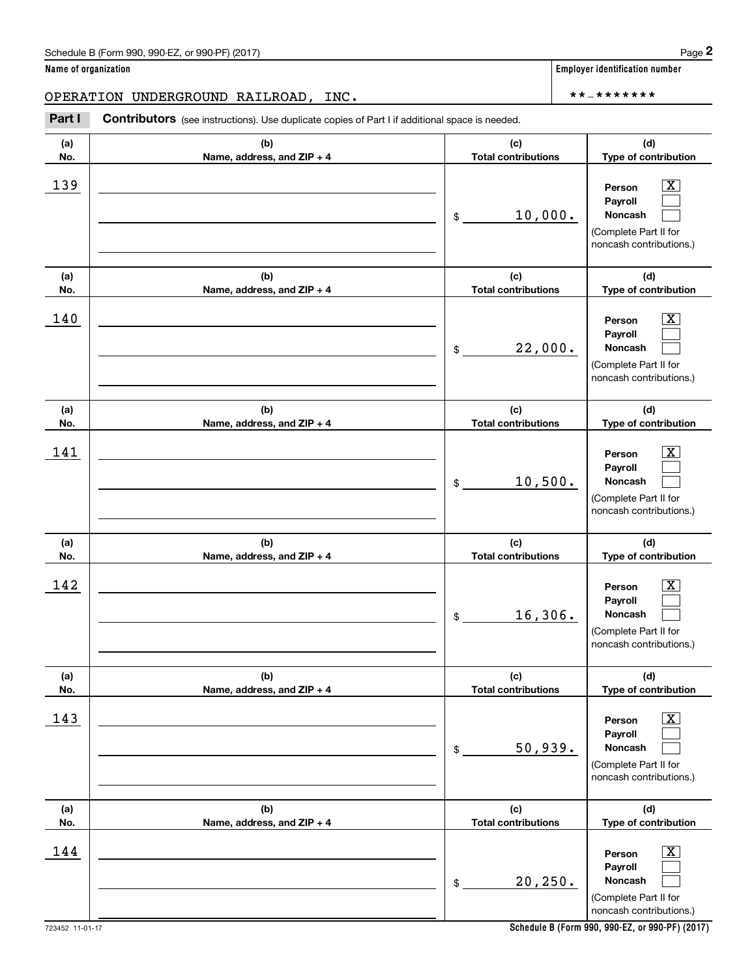(see instructions). Use duplicate copies of Part I if additional space is needed.<br> **2PERATION UNDERGROUND RAILROAD, INC.**<br> **Part I Contributors** (see instructions). Use duplicate copies of Part I if additional space is n

| (a)        | (b)                               | (c)                                                    | (d)                                                                                                                      |
|------------|-----------------------------------|--------------------------------------------------------|--------------------------------------------------------------------------------------------------------------------------|
| No.<br>139 | Name, address, and ZIP + 4        | <b>Total contributions</b><br>10,000.<br>$\frac{1}{2}$ | Type of contribution<br>$\mathbf{X}$<br>Person<br>Payroll<br>Noncash<br>(Complete Part II for<br>noncash contributions.) |
| (a)<br>No. | (b)<br>Name, address, and ZIP + 4 | (c)<br><b>Total contributions</b>                      | (d)<br>Type of contribution                                                                                              |
| 140        |                                   | 22,000.<br>$\mathsf{\$}$                               | $\mathbf{X}$<br>Person<br>Payroll<br>Noncash<br>(Complete Part II for<br>noncash contributions.)                         |
| (a)<br>No. | (b)<br>Name, address, and ZIP + 4 | (c)<br><b>Total contributions</b>                      | (d)<br>Type of contribution                                                                                              |
| 141        |                                   | 10,500.<br>$\mathsf{\$}$                               | $\mathbf{X}$<br>Person<br>Payroll<br>Noncash<br>(Complete Part II for<br>noncash contributions.)                         |
| (a)<br>No. | (b)<br>Name, address, and ZIP + 4 | (c)<br><b>Total contributions</b>                      | (d)<br>Type of contribution                                                                                              |
| 142        |                                   | 16,306.<br>\$                                          | $\mathbf{X}$<br>Person<br>Payroll<br>Noncash<br>(Complete Part II for<br>noncash contributions.)                         |
| (a)<br>No. | (b)<br>Name, address, and ZIP + 4 | (c)<br><b>Total contributions</b>                      | (d)<br>Type of contribution                                                                                              |
| 143        |                                   | 50,939.<br>$\,$                                        | $\boxed{\text{X}}$<br>Person<br>Payroll<br>Noncash<br>(Complete Part II for<br>noncash contributions.)                   |
| (a)<br>No. | (b)<br>Name, address, and ZIP + 4 | (c)<br><b>Total contributions</b>                      | (d)<br>Type of contribution                                                                                              |
| 144        |                                   | 20, 250.<br>$\,$                                       | $\boxed{\text{X}}$<br>Person<br>Payroll<br>Noncash<br>(Complete Part II for<br>noncash contributions.)                   |

**Schedule B (Form 990, 990-EZ, or 990-PF) (2017)**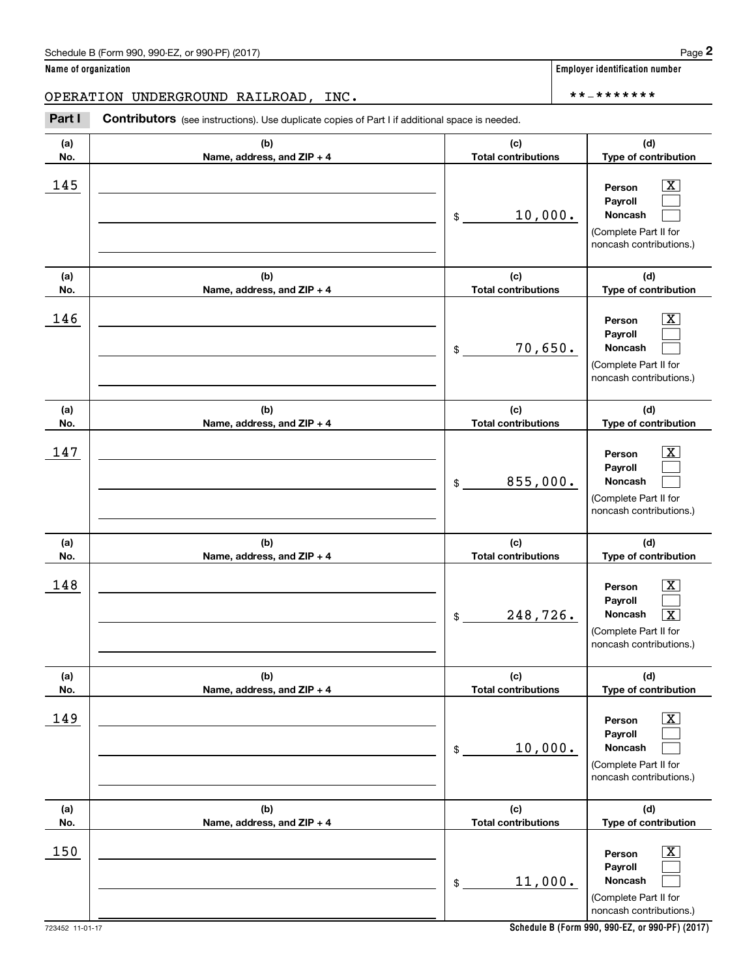(see instructions). Use duplicate copies of Part I if additional space is needed.<br> **2PERATION UNDERGROUND RAILROAD, INC.**<br> **Part I Contributors** (see instructions). Use duplicate copies of Part I if additional space is n

| (a) | (b)                        | (c)                        | (d)                                                                                                                         |
|-----|----------------------------|----------------------------|-----------------------------------------------------------------------------------------------------------------------------|
| No. | Name, address, and ZIP + 4 | <b>Total contributions</b> | Type of contribution                                                                                                        |
| 145 |                            | 10,000.<br>$\frac{1}{2}$   | $\overline{\text{X}}$<br>Person<br>Payroll<br>Noncash<br>(Complete Part II for<br>noncash contributions.)                   |
| (a) | (b)                        | (c)                        | (d)                                                                                                                         |
| No. | Name, address, and ZIP + 4 | <b>Total contributions</b> | Type of contribution                                                                                                        |
| 146 |                            | 70,650.<br>$\frac{1}{2}$   | X<br>Person<br>Payroll<br>Noncash<br>(Complete Part II for<br>noncash contributions.)                                       |
| (a) | (b)                        | (c)                        | (d)                                                                                                                         |
| No. | Name, address, and ZIP + 4 | <b>Total contributions</b> | Type of contribution                                                                                                        |
| 147 |                            | 855,000.<br>$\frac{1}{2}$  | X<br>Person<br>Payroll<br>Noncash<br>(Complete Part II for<br>noncash contributions.)                                       |
| (a) | (b)                        | (c)                        | (d)                                                                                                                         |
| No. | Name, address, and ZIP + 4 | <b>Total contributions</b> | Type of contribution                                                                                                        |
| 148 |                            | 248,726.<br>\$             | $\mathbf{X}$<br>Person<br>Payroll<br>$\overline{\mathbf{X}}$<br>Noncash<br>(Complete Part II for<br>noncash contributions.) |
| (a) | (b)                        | (c)                        | (d)                                                                                                                         |
| No. | Name, address, and ZIP + 4 | <b>Total contributions</b> | Type of contribution                                                                                                        |
| 149 |                            | 10,000.<br>\$              | $\overline{\mathbf{X}}$<br>Person<br>Payroll<br>Noncash<br>(Complete Part II for<br>noncash contributions.)                 |
| (a) | (b)                        | (c)                        | (d)                                                                                                                         |
| No. | Name, address, and ZIP + 4 | <b>Total contributions</b> | Type of contribution                                                                                                        |
|     |                            |                            |                                                                                                                             |

**Schedule B (Form 990, 990-EZ, or 990-PF) (2017)**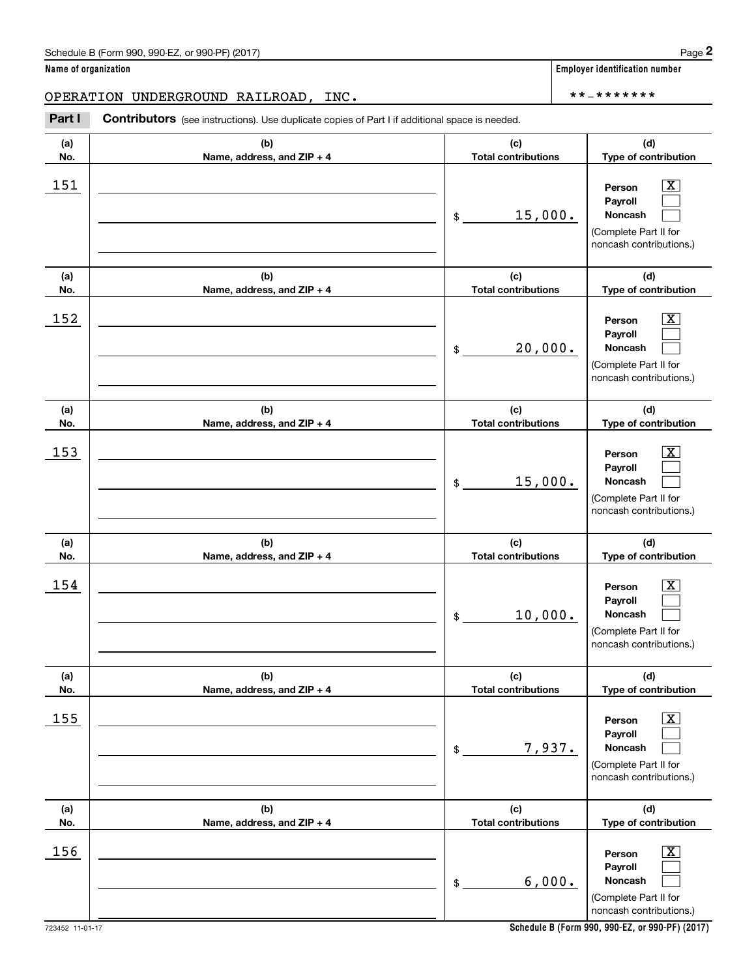| Schedule B (Form 990, 990-EZ, or 990-PF) (2017) |  |  |
|-------------------------------------------------|--|--|
|                                                 |  |  |

| Schedule B (Form 990, 990-EZ, or 990-PF) (2017)                                                                 | Page 2                                |
|-----------------------------------------------------------------------------------------------------------------|---------------------------------------|
| Name of organization                                                                                            | <b>Emplover identification number</b> |
| OPERATION UNDERGROUND RAILROAD,<br>INC.                                                                         | **_*******                            |
| Part I<br><b>Contributors</b> (see instructions). Use duplicate copies of Part I if additional space is needed. |                                       |

723452 11-01-17 **(a)No.(b)Name, address, and ZIP + 4 (c)Total contributions (d)Type of contribution PersonPayrollNoncash (a)No.(b)Name, address, and ZIP + 4 (c)Total contributions (d)Type of contribution PersonPayrollNoncash (a)No.(b)Name, address, and ZIP + 4 (c)Total contributions (d)Type of contribution PersonPayrollNoncash (a) No.(b) Name, address, and ZIP + 4 (c) Total contributions (d) Type of contribution PersonPayrollNoncash (a) No.(b) Name, address, and ZIP + 4 (c) Total contributions (d) Type of contribution PersonPayrollNoncash (a) No.(b)Name, address, and ZIP + 4 (c) Total contributions (d) Type of contribution PersonPayrollNoncash** \$(Complete Part II for noncash contributions.) \$(Complete Part II for noncash contributions.) \$(Complete Part II for noncash contributions.) \$(Complete Part II for noncash contributions.) \$(Complete Part II for noncash contributions.) \$(Complete Part II for noncash contributions.)  $\lceil \text{X} \rceil$  $\mathcal{L}^{\text{max}}$  $\mathcal{L}^{\text{max}}$  $\boxed{\text{X}}$  $\mathcal{L}^{\text{max}}$  $\mathcal{L}^{\text{max}}$  $|X|$  $\mathcal{L}^{\text{max}}$  $\mathcal{L}^{\text{max}}$  $|X|$  $\mathcal{L}^{\text{max}}$  $\mathcal{L}^{\text{max}}$  $|X|$  $\mathcal{L}^{\text{max}}$  $\mathcal{L}^{\text{max}}$  $\boxed{\text{X}}$  $\mathcal{L}^{\text{max}}$  $\mathcal{L}^{\text{max}}$ 151 X 15,000.  $152$  Person  $\overline{\text{X}}$ 20,000. 153 X 15,000.  $154$  Person  $\overline{\text{X}}$ 10,000.  $155$  Person  $\overline{\text{X}}$ 7,937.  $156$  Person  $\overline{\text{X}}$ 6,000.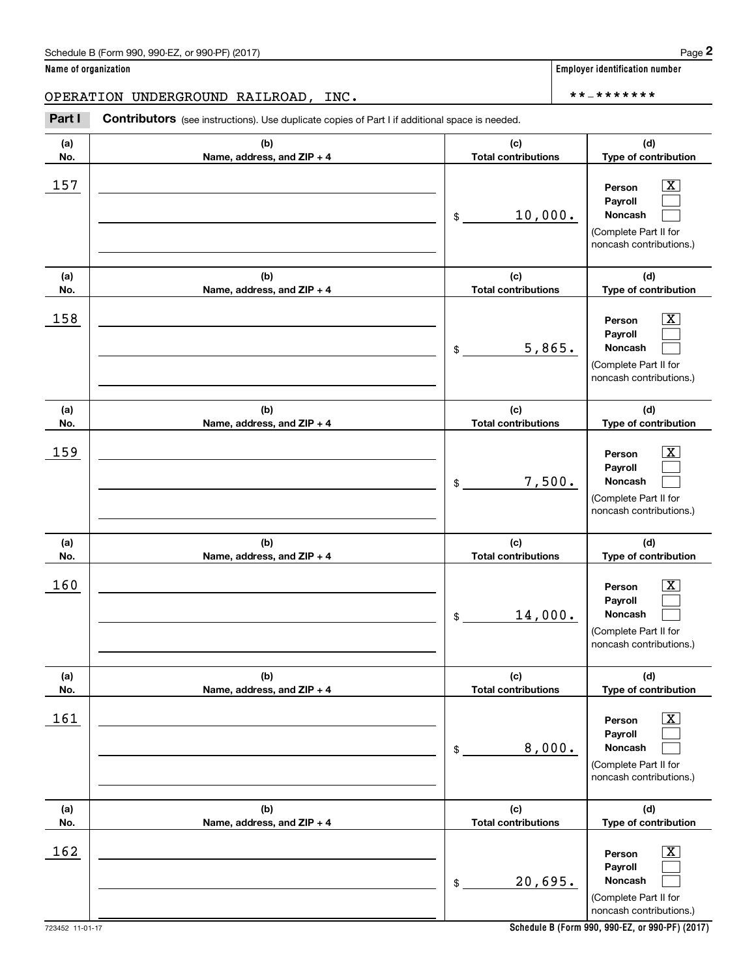(see instructions). Use duplicate copies of Part I if additional space is needed.<br> **2PERATION UNDERGROUND RAILROAD, INC.**<br> **Part I Contributors** (see instructions). Use duplicate copies of Part I if additional space is n OPERATION UNDERGROUND RAILROAD, INC. \*\*-\*\*\*\*\*\*\*

| (a)        | (b)                        | (c)                        | (d)                                                                                                       |
|------------|----------------------------|----------------------------|-----------------------------------------------------------------------------------------------------------|
| No.        | Name, address, and ZIP + 4 | <b>Total contributions</b> | Type of contribution                                                                                      |
| 157        |                            | 10,000.<br>$\$$            | x<br>Person<br>Payroll<br>Noncash<br>(Complete Part II for<br>noncash contributions.)                     |
| (a)        | (b)                        | (c)                        | (d)                                                                                                       |
| No.        | Name, address, and ZIP + 4 | <b>Total contributions</b> | Type of contribution                                                                                      |
| 158        |                            | 5,865.<br>\$               | X.<br>Person<br>Payroll<br>Noncash<br>(Complete Part II for<br>noncash contributions.)                    |
| (a)        | (b)                        | (c)                        | (d)                                                                                                       |
| No.        | Name, address, and ZIP + 4 | <b>Total contributions</b> | Type of contribution                                                                                      |
| 159        |                            | 7,500.<br>\$               | X.<br>Person<br>Payroll<br>Noncash<br>(Complete Part II for<br>noncash contributions.)                    |
| (a)        | (b)                        | (c)                        | (d)                                                                                                       |
| No.        | Name, address, and ZIP + 4 | <b>Total contributions</b> | Type of contribution                                                                                      |
| 160        |                            | 14,000.<br>\$              | X.<br>Person<br>Payroll<br>Noncash<br>(Complete Part II for<br>noncash contributions.)                    |
| (a)        | (b)                        | (c)                        | (d)                                                                                                       |
| No.        | Name, address, and ZIP + 4 | <b>Total contributions</b> | Type of contribution                                                                                      |
| <u>161</u> |                            |                            |                                                                                                           |
|            |                            | 8,000.<br>\$               | $\overline{\text{X}}$<br>Person<br>Payroll<br>Noncash<br>(Complete Part II for<br>noncash contributions.) |
| (a)        | (b)                        | (c)                        | (d)                                                                                                       |
| No.        | Name, address, and ZIP + 4 | <b>Total contributions</b> | Type of contribution                                                                                      |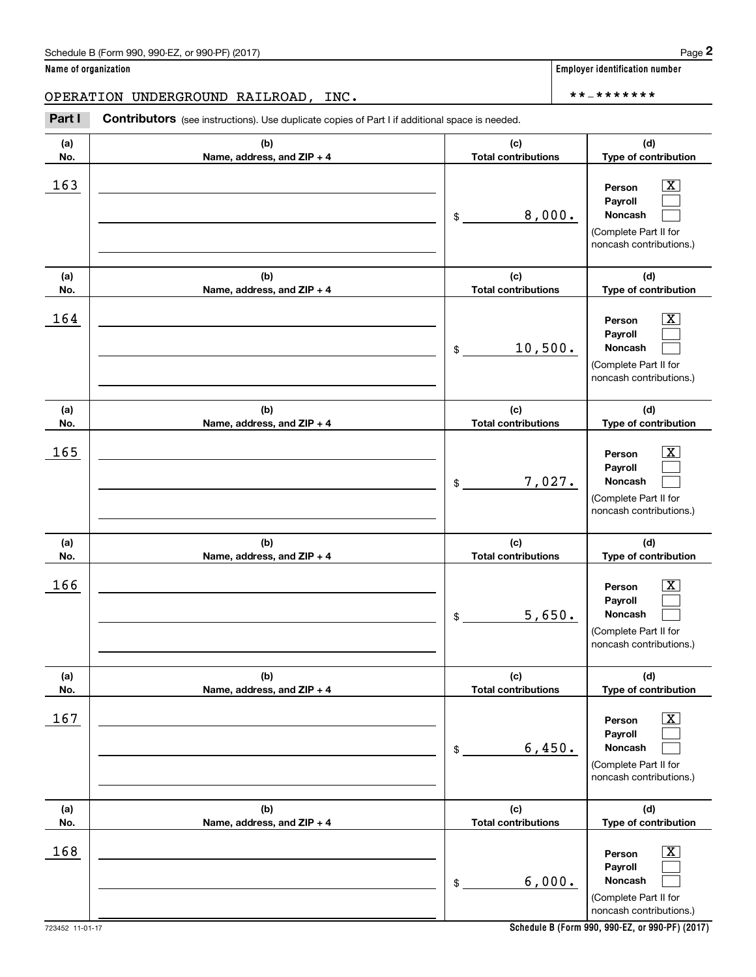(see instructions). Use duplicate copies of Part I if additional space is needed.<br> **2PERATION UNDERGROUND RAILROAD, INC.**<br> **Part I Contributors** (see instructions). Use duplicate copies of Part I if additional space is n OPERATION UNDERGROUND RAILROAD, INC. \*\*-\*\*\*\*\*\*\*

| (a)        | (b)                                 | (c)                               | (d)                                                                                                       |
|------------|-------------------------------------|-----------------------------------|-----------------------------------------------------------------------------------------------------------|
| No.        | Name, address, and ZIP + 4          | <b>Total contributions</b>        | Type of contribution                                                                                      |
| 163        |                                     | 8,000.<br>\$                      | X.<br>Person<br>Payroll<br>Noncash<br>(Complete Part II for<br>noncash contributions.)                    |
| (a)<br>No. | (b)<br>Name, address, and ZIP + 4   | (c)<br><b>Total contributions</b> | (d)<br>Type of contribution                                                                               |
| 164        |                                     | 10,500.<br>\$                     | x<br>Person<br>Payroll<br>Noncash<br>(Complete Part II for<br>noncash contributions.)                     |
| (a)<br>No. | (b)<br>Name, address, and ZIP + 4   | (c)<br><b>Total contributions</b> | (d)<br>Type of contribution                                                                               |
| 165        |                                     | 7,027.<br>$\frac{1}{2}$           | Person<br>x<br>Payroll<br>Noncash<br>(Complete Part II for<br>noncash contributions.)                     |
| (a)<br>No. | (b)<br>Name, address, and ZIP + 4   | (c)<br><b>Total contributions</b> | (d)<br>Type of contribution                                                                               |
| 166        |                                     | 5,650.<br>\$                      | x<br>Person<br>Payroll<br>Noncash<br>(Complete Part II for<br>noncash contributions.)                     |
| (a)<br>No. | (b)<br>Name, address, and $ZIP + 4$ | (c)<br><b>Total contributions</b> | (d)<br>Type of contribution                                                                               |
| 167        |                                     | 6,450.<br>\$                      | $\overline{\text{X}}$<br>Person<br>Payroll<br>Noncash<br>(Complete Part II for<br>noncash contributions.) |
| (a)<br>No. | (b)<br>Name, address, and ZIP + 4   | (c)<br><b>Total contributions</b> | (d)<br>Type of contribution                                                                               |
| 168        |                                     | 6,000.<br>\$                      | $\overline{\text{X}}$<br>Person<br>Payroll<br>Noncash<br>(Complete Part II for<br>noncash contributions.) |

**Schedule B (Form 990, 990-EZ, or 990-PF) (2017)**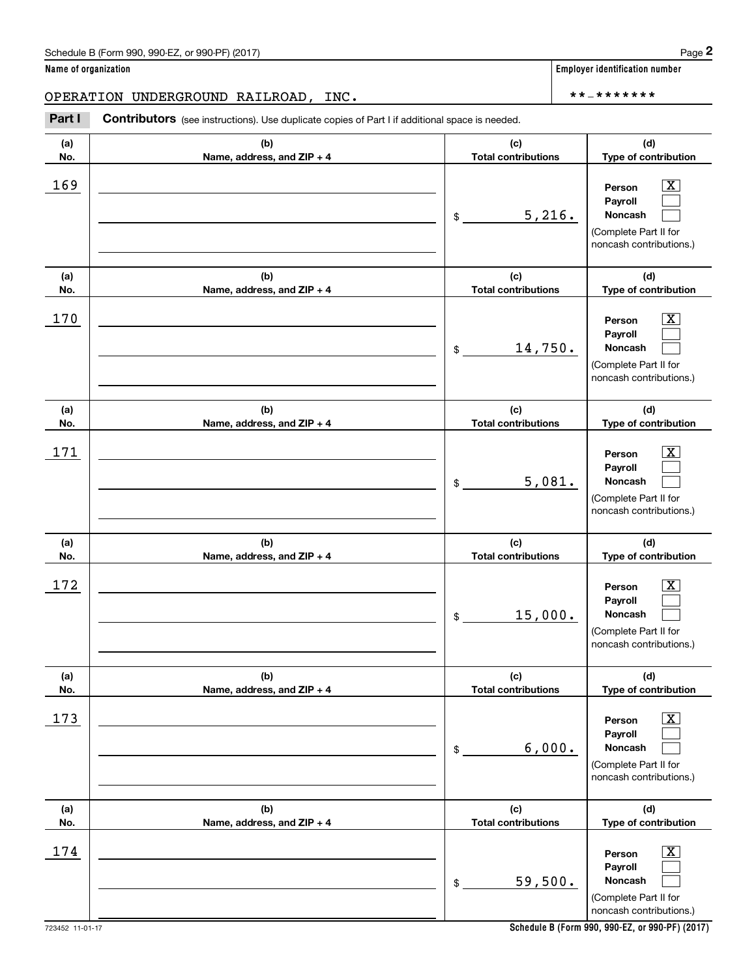(see instructions). Use duplicate copies of Part I if additional space is needed.<br> **2PERATION UNDERGROUND RAILROAD, INC.**<br> **Part I Contributors** (see instructions). Use duplicate copies of Part I if additional space is n

| (a)<br>No. | (b)<br>Name, address, and ZIP + 4 | (c)<br><b>Total contributions</b> | (d)<br>Type of contribution                                                                            |
|------------|-----------------------------------|-----------------------------------|--------------------------------------------------------------------------------------------------------|
| 169        |                                   | 5,216.<br>\$                      | $\boxed{\text{X}}$<br>Person<br>Payroll<br>Noncash<br>(Complete Part II for<br>noncash contributions.) |
| (a)<br>No. | (b)<br>Name, address, and ZIP + 4 | (c)<br><b>Total contributions</b> | (d)<br>Type of contribution                                                                            |
| 170        |                                   | 14,750.<br>\$                     | $\boxed{\text{X}}$<br>Person<br>Payroll<br>Noncash<br>(Complete Part II for<br>noncash contributions.) |
| (a)<br>No. | (b)<br>Name, address, and ZIP + 4 | (c)<br><b>Total contributions</b> | (d)<br>Type of contribution                                                                            |
| 171        |                                   | 5,081.<br>\$                      | $\boxed{\text{X}}$<br>Person<br>Payroll<br>Noncash<br>(Complete Part II for<br>noncash contributions.) |
| (a)<br>No. | (b)<br>Name, address, and ZIP + 4 | (c)<br><b>Total contributions</b> | (d)<br>Type of contribution                                                                            |
| 172        |                                   | 15,000.<br>\$                     | $\boxed{\text{X}}$<br>Person<br>Payroll<br>Noncash<br>(Complete Part II for<br>noncash contributions.) |
| (a)<br>No. | (b)<br>Name, address, and ZIP + 4 | (c)<br><b>Total contributions</b> | (d)<br>Type of contribution                                                                            |
| 173        |                                   | 6,000.<br>\$                      | $\boxed{\text{X}}$<br>Person<br>Payroll<br>Noncash<br>(Complete Part II for<br>noncash contributions.) |
| (a)<br>No. | (b)<br>Name, address, and ZIP + 4 | (c)<br><b>Total contributions</b> | (d)<br>Type of contribution                                                                            |
| 174        |                                   | 59,500.<br>\$                     | $\boxed{\text{X}}$<br>Person<br>Payroll<br>Noncash<br>(Complete Part II for<br>noncash contributions.) |

**Schedule B (Form 990, 990-EZ, or 990-PF) (2017)**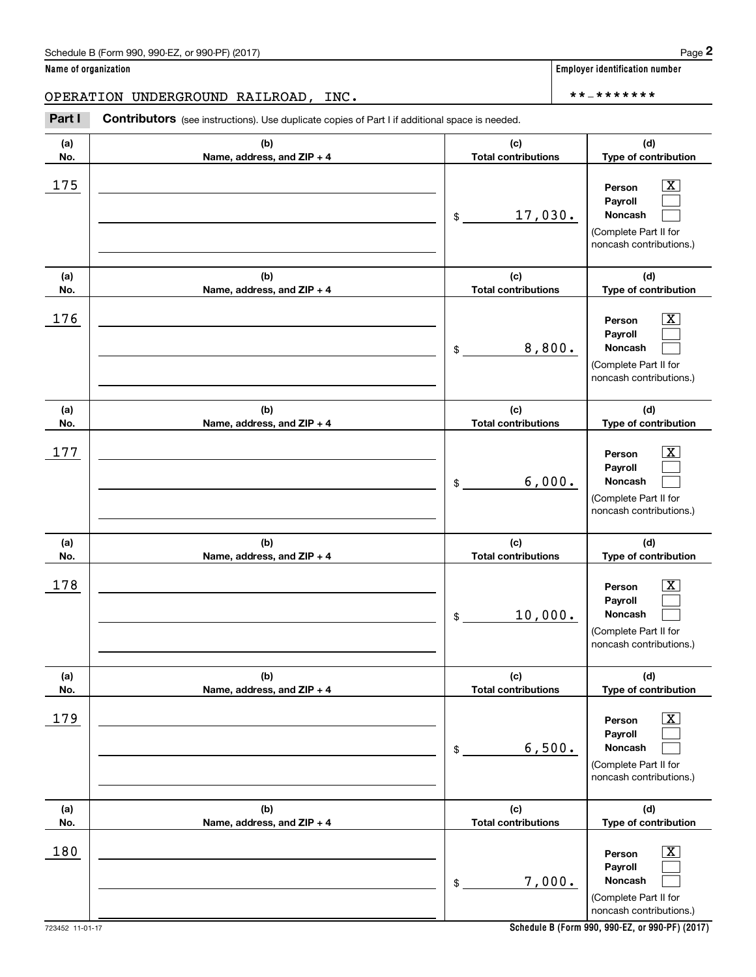(see instructions). Use duplicate copies of Part I if additional space is needed.<br> **2PERATION UNDERGROUND RAILROAD, INC.**<br> **Part I Contributors** (see instructions). Use duplicate copies of Part I if additional space is n

| (a)<br>No. | (b)<br>Name, address, and ZIP + 4 | (d)<br>(c)<br><b>Total contributions</b><br>Type of contribution |                                                                                                               |
|------------|-----------------------------------|------------------------------------------------------------------|---------------------------------------------------------------------------------------------------------------|
| 175        |                                   | 17,030.<br>$\frac{1}{2}$                                         | $\overline{\mathbf{x}}$<br>Person<br>Payroll<br>Noncash<br>(Complete Part II for<br>noncash contributions.)   |
| (a)<br>No. | (b)<br>Name, address, and ZIP + 4 | (c)<br><b>Total contributions</b>                                | (d)<br>Type of contribution                                                                                   |
| 176        |                                   | 8,800.<br>\$                                                     | $\overline{\mathbf{x}}$<br>Person<br>Payroll<br>Noncash<br>(Complete Part II for<br>noncash contributions.)   |
| (a)<br>No. | (b)<br>Name, address, and ZIP + 4 | (c)<br><b>Total contributions</b>                                | (d)<br>Type of contribution                                                                                   |
| 177        |                                   | 6,000.<br>\$                                                     | $\boxed{\text{X}}$<br>Person<br>Payroll<br>Noncash<br>(Complete Part II for<br>noncash contributions.)        |
| (a)<br>No. | (b)<br>Name, address, and ZIP + 4 | (c)<br><b>Total contributions</b>                                | (d)<br>Type of contribution                                                                                   |
| 178        |                                   | 10,000.<br>\$                                                    | $\boxed{\text{X}}$<br>Person<br>Payroll<br><b>Noncash</b><br>(Complete Part II for<br>noncash contributions.) |
| (a)<br>No. | (b)<br>Name, address, and ZIP + 4 | (c)<br><b>Total contributions</b>                                | (d)<br>Type of contribution                                                                                   |
| 179        |                                   | 6,500.<br>\$                                                     | $\boxed{\text{X}}$<br>Person<br>Payroll<br>Noncash<br>(Complete Part II for<br>noncash contributions.)        |
| (a)<br>No. | (b)<br>Name, address, and ZIP + 4 | (c)<br><b>Total contributions</b>                                | (d)<br>Type of contribution                                                                                   |
| 180        |                                   | 7,000.<br>\$                                                     | $\boxed{\text{X}}$<br>Person<br>Payroll<br>Noncash<br>(Complete Part II for<br>noncash contributions.)        |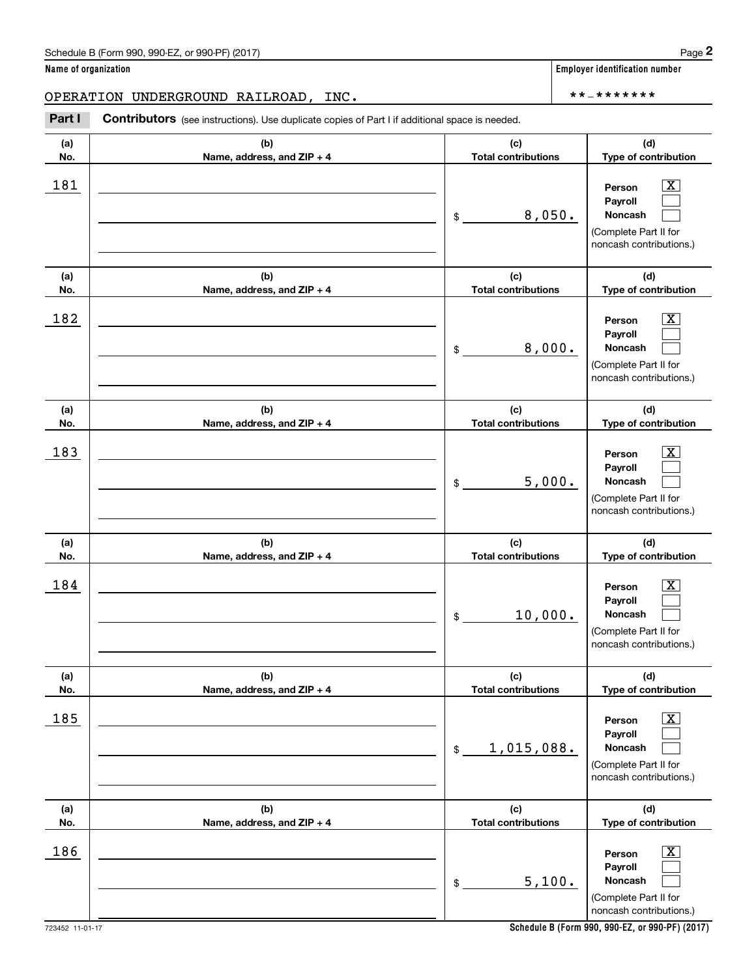(see instructions). Use duplicate copies of Part I if additional space is needed.<br> **2PERATION UNDERGROUND RAILROAD, INC.**<br> **Part I Contributors** (see instructions). Use duplicate copies of Part I if additional space is n

| (a)<br>No. | (b)<br>Name, address, and ZIP + 4 | (c)<br><b>Total contributions</b> | (d)<br>Type of contribution                                                                            |
|------------|-----------------------------------|-----------------------------------|--------------------------------------------------------------------------------------------------------|
| 181        |                                   | 8,050.<br>$\frac{1}{2}$           | $\boxed{\text{X}}$<br>Person<br>Payroll<br>Noncash<br>(Complete Part II for<br>noncash contributions.) |
| (a)<br>No. | (b)<br>Name, address, and ZIP + 4 | (c)<br><b>Total contributions</b> | (d)<br>Type of contribution                                                                            |
| 182        |                                   | 8,000.<br>$\mathsf{\$}$           | $\mathbf{X}$<br>Person<br>Payroll<br>Noncash<br>(Complete Part II for<br>noncash contributions.)       |
| (a)<br>No. | (b)<br>Name, address, and ZIP + 4 | (c)<br><b>Total contributions</b> | (d)<br>Type of contribution                                                                            |
| 183        |                                   | 5,000.<br>$\mathsf{\$}$           | $\mathbf{X}$<br>Person<br>Payroll<br>Noncash<br>(Complete Part II for<br>noncash contributions.)       |
| (a)<br>No. | (b)<br>Name, address, and ZIP + 4 | (c)<br><b>Total contributions</b> | (d)<br>Type of contribution                                                                            |
| 184        |                                   | 10,000.<br>$\mathfrak{S}$         | $\boxed{\text{X}}$<br>Person<br>Payroll<br>Noncash<br>(Complete Part II for<br>noncash contributions.) |
| (a)<br>No. | (b)<br>Name, address, and ZIP + 4 | (c)<br><b>Total contributions</b> | (d)<br>Type of contribution                                                                            |
| 185        |                                   | 1,015,088.<br>$\frac{1}{2}$       | $\boxed{\text{X}}$<br>Person<br>Payroll<br>Noncash<br>(Complete Part II for<br>noncash contributions.) |
| (a)<br>No. | (b)<br>Name, address, and ZIP + 4 | (c)<br><b>Total contributions</b> | (d)<br>Type of contribution                                                                            |
| 186        |                                   | 5,100.<br>$\mathcal{L}$           | $\boxed{\text{X}}$<br>Person<br>Payroll<br>Noncash<br>(Complete Part II for<br>noncash contributions.) |

**Name of organization Employer identification number**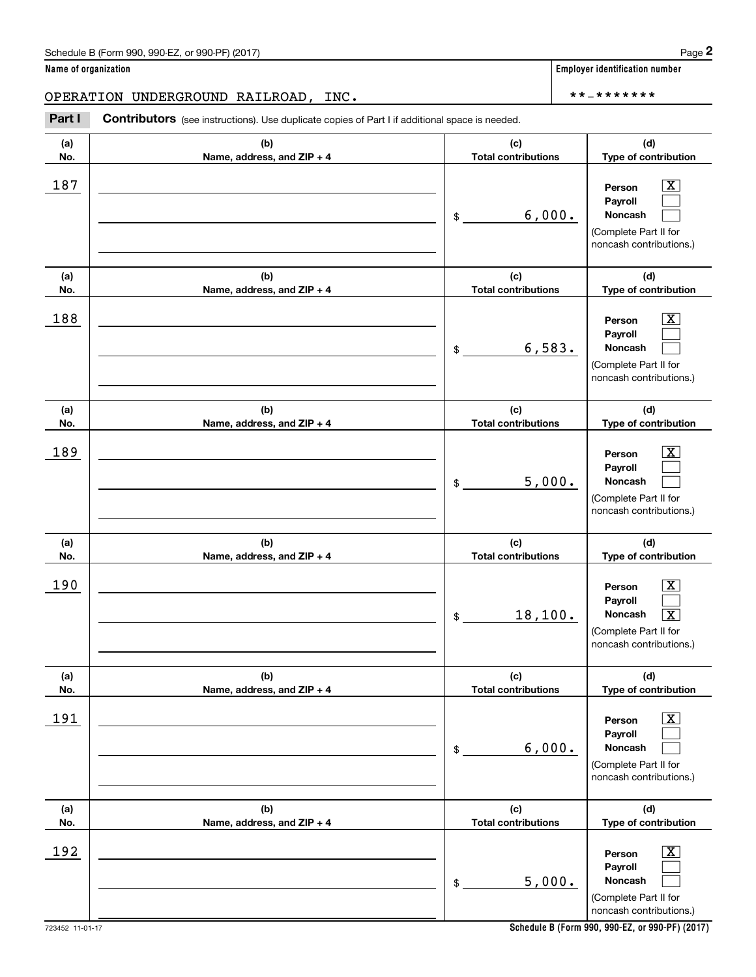(see instructions). Use duplicate copies of Part I if additional space is needed.<br> **2PERATION UNDERGROUND RAILROAD, INC.**<br> **Part I Contributors** (see instructions). Use duplicate copies of Part I if additional space is n

| (a)        | (b)                                 | (c)                               | (d)                                                                                                         |
|------------|-------------------------------------|-----------------------------------|-------------------------------------------------------------------------------------------------------------|
| No.        | Name, address, and ZIP + 4          | <b>Total contributions</b>        | Type of contribution                                                                                        |
| 187        |                                     | 6,000.<br>\$                      | Person<br>Payroll<br>Noncash<br>(Complete Part II for<br>noncash contributions.)                            |
| (a)<br>No. | (b)<br>Name, address, and ZIP + 4   | (c)<br><b>Total contributions</b> | (d)<br>Type of contribution                                                                                 |
| 188        |                                     | 6,583.<br>\$                      | Person<br>Payroll<br>Noncash<br>(Complete Part II for<br>noncash contributions.)                            |
| (a)<br>No. | (b)<br>Name, address, and ZIP + 4   | (c)<br><b>Total contributions</b> | (d)<br>Type of contribution                                                                                 |
| 189        |                                     | 5,000.<br>\$                      | Person<br>Payroll<br>Noncash<br>(Complete Part II for<br>noncash contributions.)                            |
| (a)<br>No. | (b)<br>Name, address, and ZIP + 4   | (c)<br><b>Total contributions</b> | (d)<br>Type of contribution                                                                                 |
| 190        |                                     | 18, 100.<br>\$                    | Person<br>Payroll<br>$\overline{\mathbf{X}}$<br>Noncash<br>(Complete Part II for<br>noncash contributions.) |
| (a)<br>No. | (b)<br>Name, address, and $ZIP + 4$ | (c)<br>Total contributions        | (d)<br>Type of contribution                                                                                 |
| 191        |                                     | 6,000.<br>\$                      | х<br>Person<br>Payroll<br>Noncash<br>(Complete Part II for<br>noncash contributions.)                       |
| (a)<br>No. | (b)<br>Name, address, and ZIP + 4   | (c)<br><b>Total contributions</b> | (d)<br>Type of contribution                                                                                 |
| 192        |                                     | 5,000.<br>\$                      | x<br>Person<br>Payroll<br>Noncash<br>(Complete Part II for<br>noncash contributions.)                       |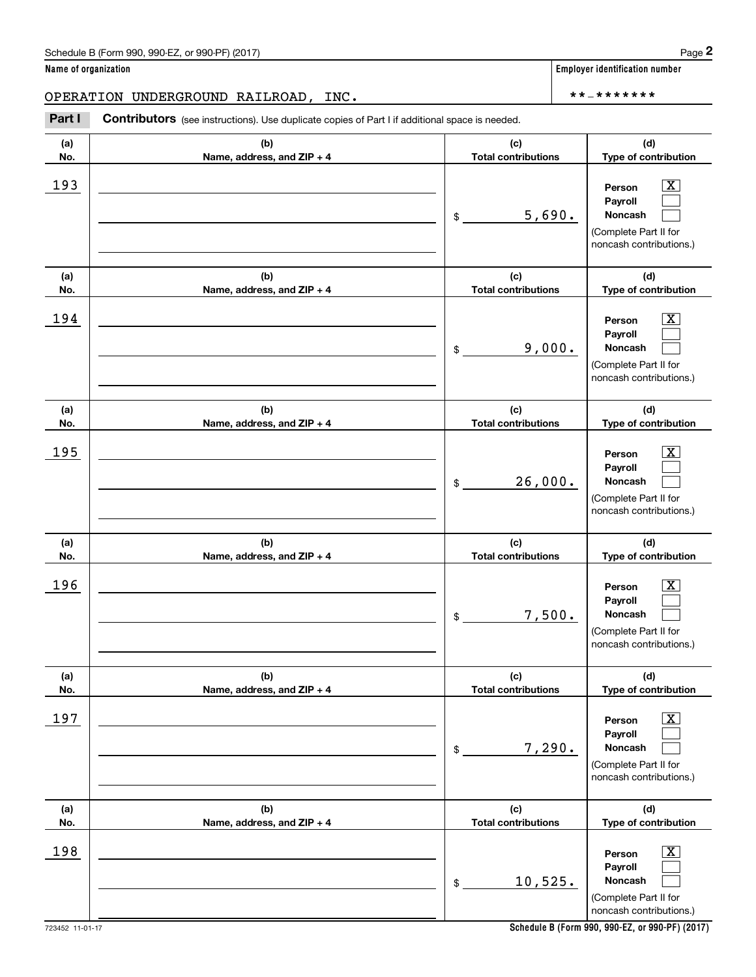(see instructions). Use duplicate copies of Part I if additional space is needed.<br> **2PERATION UNDERGROUND RAILROAD, INC.**<br> **Part I Contributors** (see instructions). Use duplicate copies of Part I if additional space is n

| (a)        | (b)                                 | (c)                                        | (d)                                                                                                           |
|------------|-------------------------------------|--------------------------------------------|---------------------------------------------------------------------------------------------------------------|
| No.<br>193 | Name, address, and ZIP + 4          | <b>Total contributions</b><br>5,690.<br>\$ | Type of contribution<br>X<br>Person<br>Pavroll<br>Noncash<br>(Complete Part II for<br>noncash contributions.) |
| (a)<br>No. | (b)<br>Name, address, and ZIP + 4   | (c)<br><b>Total contributions</b>          | (d)<br>Type of contribution                                                                                   |
| 194        |                                     | 9,000.<br>\$                               | Person<br>X<br>Payroll<br>Noncash<br>(Complete Part II for<br>noncash contributions.)                         |
| (a)<br>No. | (b)<br>Name, address, and ZIP + 4   | (c)<br><b>Total contributions</b>          | (d)<br>Type of contribution                                                                                   |
| 195        |                                     | 26,000.<br>\$                              | Person<br>x<br>Payroll<br>Noncash<br>(Complete Part II for<br>noncash contributions.)                         |
| (a)<br>No. | (b)<br>Name, address, and ZIP + 4   | (c)<br><b>Total contributions</b>          | (d)<br>Type of contribution                                                                                   |
| 196        |                                     | 7,500.<br>\$                               | x<br>Person<br>Payroll<br><b>Noncash</b><br>(Complete Part II for<br>noncash contributions.)                  |
| (a)<br>No. | (b)<br>Name, address, and $ZIP + 4$ | (c)<br><b>Total contributions</b>          | (d)<br><b>Type of contribution</b>                                                                            |
| <u>197</u> |                                     | 7,290.<br>$\mathcal{L}$                    | $\overline{\text{X}}$<br>Person<br>Payroll<br>Noncash<br>(Complete Part II for<br>noncash contributions.)     |
| (a)<br>No. | (b)<br>Name, address, and ZIP + 4   | (c)<br><b>Total contributions</b>          | (d)<br>Type of contribution                                                                                   |
| 198        |                                     | 10,525.<br>\$                              | X<br>Person<br>Payroll<br>Noncash<br>(Complete Part II for<br>noncash contributions.)                         |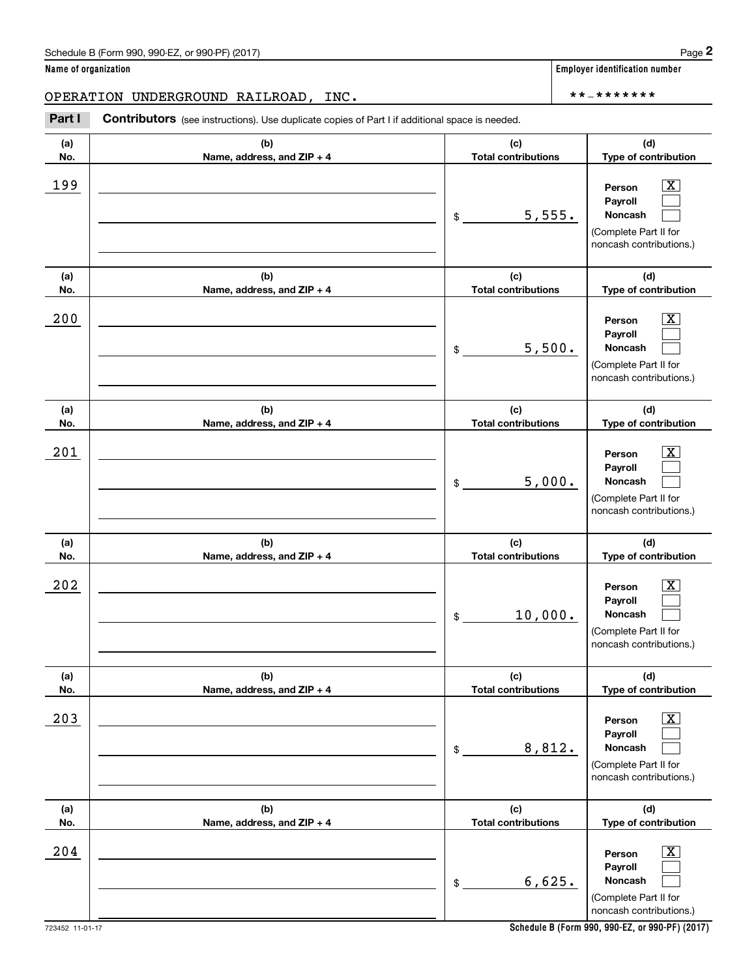OPERATION UNDERGROUND RAILROAD, INC. \*\*-\*\*\*\*\*\*\*

(see instructions). Use duplicate copies of Part I if additional space is needed. Chedule B (Form 990, 990-EZ, or 990-PF) (2017)<br>**2PARTION UNDERGROUND RAILROAD, INC.**<br>**PERATION UNDERGROUND RAILROAD, INC.**<br>**2PARTION UNDERGROUND RAILROAD, INC.** 

| <b>uiti</b> | <b>Dona ibutor</b> $\sigma$ (see instructions). Ose duplicate copies or narr in additional space is needed. |                                   |                                                                                                        |
|-------------|-------------------------------------------------------------------------------------------------------------|-----------------------------------|--------------------------------------------------------------------------------------------------------|
| (a)<br>No.  | (b)<br>Name, address, and ZIP + 4                                                                           | (c)<br><b>Total contributions</b> | (d)<br>Type of contribution                                                                            |
| <u> 199</u> |                                                                                                             | 5,555.<br>\$                      | $\boxed{\text{X}}$<br>Person<br>Payroll<br>Noncash<br>(Complete Part II for<br>noncash contributions.) |
| (a)<br>No.  | (b)<br>Name, address, and ZIP + 4                                                                           | (c)<br><b>Total contributions</b> | (d)<br>Type of contribution                                                                            |
| 200         |                                                                                                             | 5,500.<br>\$                      | x<br>Person<br>Payroll<br>Noncash<br>(Complete Part II for<br>noncash contributions.)                  |
| (a)<br>No.  | (b)<br>Name, address, and ZIP + 4                                                                           | (c)<br><b>Total contributions</b> | (d)<br>Type of contribution                                                                            |
| 201         |                                                                                                             | 5,000.<br>\$                      | $\mathbf{X}$<br>Person<br>Payroll<br>Noncash<br>(Complete Part II for<br>noncash contributions.)       |
| (a)<br>No.  | (b)<br>Name, address, and $ZIP + 4$                                                                         | (c)<br><b>Total contributions</b> | (d)<br>Type of contribution                                                                            |
| 202         |                                                                                                             | 10,000.<br>\$                     | $\boxed{\text{X}}$<br>Person<br>Payroll<br>Noncash<br>(Complete Part II for<br>noncash contributions.) |
| (a)<br>No.  | (b)<br>Name, address, and $ZIP + 4$                                                                         | (c)<br><b>Total contributions</b> | (d)<br>Type of contribution                                                                            |
| 203         |                                                                                                             | 8,812.<br>\$                      | X<br>Person<br>Payroll<br>Noncash<br>(Complete Part II for                                             |

|            |                                     | 8,812.<br>\$                      | <b>Noncash</b><br>(Complete Part II for<br>noncash contributions.)                                         |
|------------|-------------------------------------|-----------------------------------|------------------------------------------------------------------------------------------------------------|
| (a)<br>No. | (b)<br>Name, address, and $ZIP + 4$ | (c)<br><b>Total contributions</b> | (d)<br>Type of contribution                                                                                |
| 204        |                                     | 6,625.<br>\$                      | $\vert X \vert$<br>Person<br>Payroll<br><b>Noncash</b><br>(Complete Part II for<br>noncash contributions.) |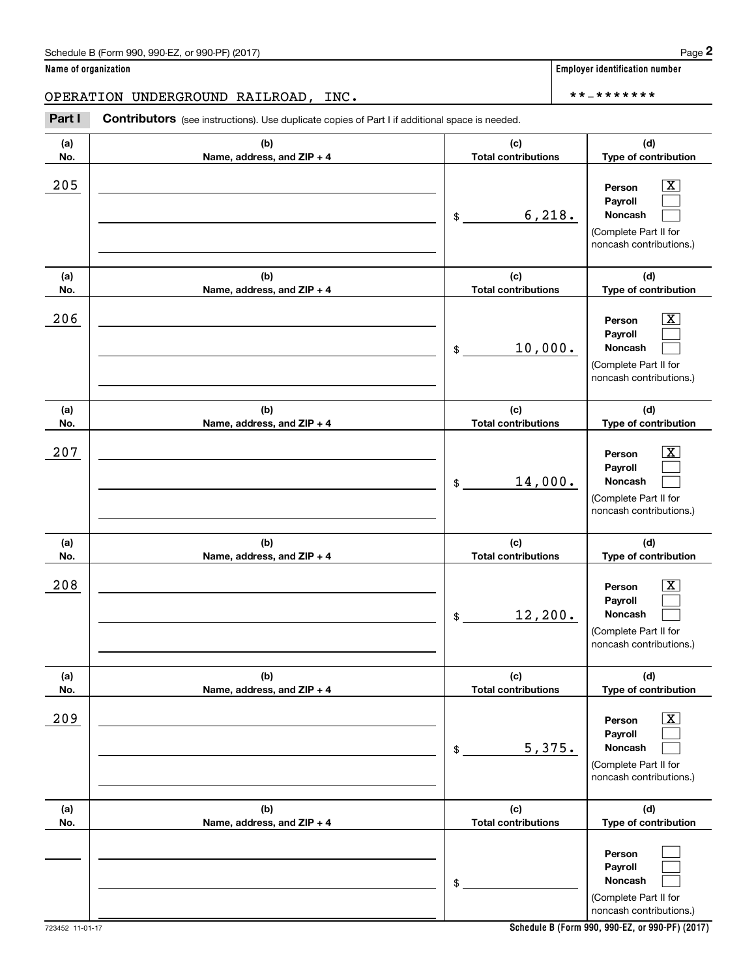Chedule B (Form 990, 990-EZ, or 990-PF) (2017)<br>**2PARTION UNDERGROUND RAILROAD, INC.**<br>**PERATION UNDERGROUND RAILROAD, INC.**<br>**2PARTION UNDERGROUND RAILROAD, INC.** OPERATION UNDERGROUND RAILROAD, INC. \*\*-\*\*\*\*\*\*\*

Contributors (see instructions). Use duplicate copies of Part I if additional space is needed.

| (a) | (b)                        | (c)                        | (d)                                                                                                         |
|-----|----------------------------|----------------------------|-------------------------------------------------------------------------------------------------------------|
| No. | Name, address, and ZIP + 4 | <b>Total contributions</b> | Type of contribution                                                                                        |
| 205 |                            | 6,218.<br>$\frac{1}{2}$    | $\overline{\mathbf{X}}$<br>Person<br>Payroll<br>Noncash<br>(Complete Part II for<br>noncash contributions.) |
| (a) | (b)                        | (c)                        | (d)                                                                                                         |
| No. | Name, address, and ZIP + 4 | <b>Total contributions</b> | Type of contribution                                                                                        |
| 206 |                            | 10,000.<br>$\mathsf{\$}$   | $\overline{\text{X}}$<br>Person<br>Payroll<br>Noncash<br>(Complete Part II for<br>noncash contributions.)   |
| (a) | (b)                        | (c)                        | (d)                                                                                                         |
| No. | Name, address, and ZIP + 4 | <b>Total contributions</b> | Type of contribution                                                                                        |
| 207 |                            | 14,000.<br>$\frac{1}{2}$   | $\overline{\text{X}}$<br>Person<br>Payroll<br>Noncash<br>(Complete Part II for<br>noncash contributions.)   |
| (a) | (b)                        | (c)                        | (d)                                                                                                         |
| No. | Name, address, and ZIP + 4 | <b>Total contributions</b> | Type of contribution                                                                                        |
| 208 |                            | 12,200.<br>$\frac{1}{2}$   | $\overline{\texttt{X}}$<br>Person<br>Payroll<br>Noncash<br>(Complete Part II for<br>noncash contributions.) |
| (a) | (b)                        | (c)                        | (d)                                                                                                         |
| No. | Name, address, and ZIP + 4 | <b>Total contributions</b> | Type of contribution                                                                                        |
| 209 |                            | 5,375.<br>\$               | x<br>Person<br>Payroll<br>Noncash<br>(Complete Part II for<br>noncash contributions.)                       |
| (a) | (b)                        | (c)                        | (d)                                                                                                         |
| No. | Name, address, and ZIP + 4 | <b>Total contributions</b> | Type of contribution                                                                                        |
|     |                            | \$                         | Person<br>Payroll<br>Noncash<br>(Complete Part II for<br>noncash contributions.)                            |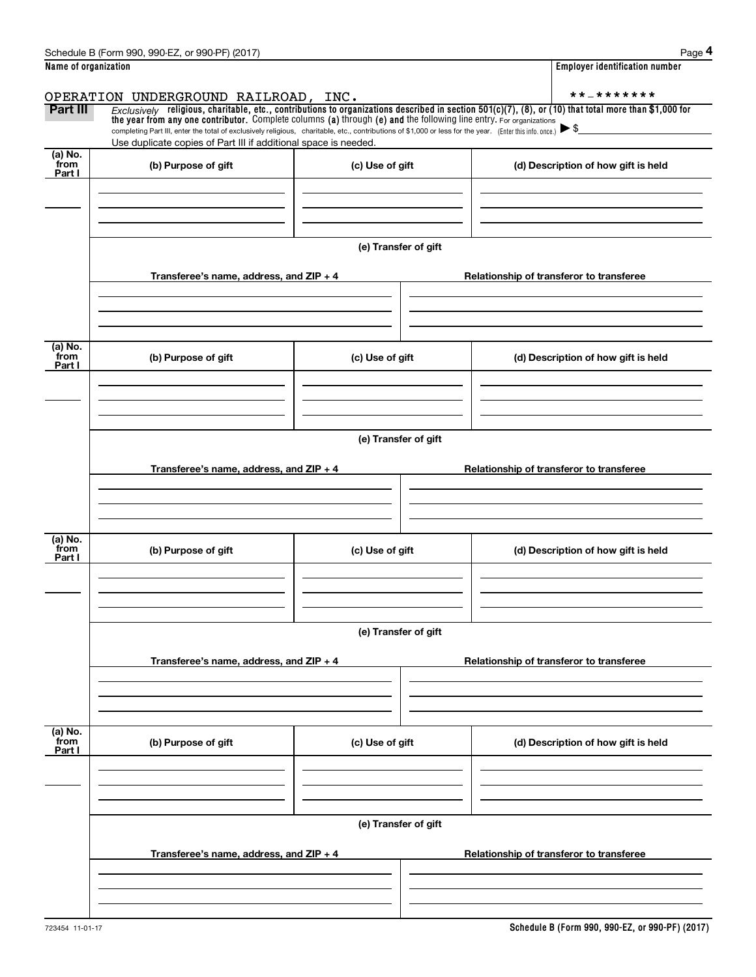|                      | Schedule B (Form 990, 990-EZ, or 990-PF) (2017)                                                                                                                                                                                                                                                          |                      |  | Page 4                                                                                                                                                   |
|----------------------|----------------------------------------------------------------------------------------------------------------------------------------------------------------------------------------------------------------------------------------------------------------------------------------------------------|----------------------|--|----------------------------------------------------------------------------------------------------------------------------------------------------------|
| Name of organization |                                                                                                                                                                                                                                                                                                          |                      |  | <b>Employer identification number</b>                                                                                                                    |
|                      |                                                                                                                                                                                                                                                                                                          |                      |  | **_*******                                                                                                                                               |
| Part III             | OPERATION UNDERGROUND RAILROAD, INC.                                                                                                                                                                                                                                                                     |                      |  | Exclusively religious, charitable, etc., contributions to organizations described in section $501(c)(7)$ , (8), or (10) that total more than \$1,000 for |
|                      | the year from any one contributor. Complete columns (a) through (e) and the following line entry. For organizations<br>completing Part III, enter the total of exclusively religious, charitable, etc., contributions of \$1,000 or less for the year. (Enter this info. once.) $\blacktriangleright$ \$ |                      |  |                                                                                                                                                          |
|                      | Use duplicate copies of Part III if additional space is needed.                                                                                                                                                                                                                                          |                      |  |                                                                                                                                                          |
| (a) No.<br>from      | (b) Purpose of gift                                                                                                                                                                                                                                                                                      | (c) Use of gift      |  | (d) Description of how gift is held                                                                                                                      |
| Part I               |                                                                                                                                                                                                                                                                                                          |                      |  |                                                                                                                                                          |
|                      |                                                                                                                                                                                                                                                                                                          |                      |  |                                                                                                                                                          |
|                      |                                                                                                                                                                                                                                                                                                          |                      |  |                                                                                                                                                          |
|                      |                                                                                                                                                                                                                                                                                                          |                      |  |                                                                                                                                                          |
|                      |                                                                                                                                                                                                                                                                                                          | (e) Transfer of gift |  |                                                                                                                                                          |
|                      |                                                                                                                                                                                                                                                                                                          |                      |  |                                                                                                                                                          |
|                      | Transferee's name, address, and ZIP + 4                                                                                                                                                                                                                                                                  |                      |  | Relationship of transferor to transferee                                                                                                                 |
|                      |                                                                                                                                                                                                                                                                                                          |                      |  |                                                                                                                                                          |
|                      |                                                                                                                                                                                                                                                                                                          |                      |  |                                                                                                                                                          |
| (a) No.              |                                                                                                                                                                                                                                                                                                          |                      |  |                                                                                                                                                          |
| from<br>Part I       | (b) Purpose of gift                                                                                                                                                                                                                                                                                      | (c) Use of gift      |  | (d) Description of how gift is held                                                                                                                      |
|                      |                                                                                                                                                                                                                                                                                                          |                      |  |                                                                                                                                                          |
|                      |                                                                                                                                                                                                                                                                                                          |                      |  |                                                                                                                                                          |
|                      |                                                                                                                                                                                                                                                                                                          |                      |  |                                                                                                                                                          |
|                      |                                                                                                                                                                                                                                                                                                          |                      |  |                                                                                                                                                          |
|                      | (e) Transfer of gift                                                                                                                                                                                                                                                                                     |                      |  |                                                                                                                                                          |
|                      | Transferee's name, address, and $ZIP + 4$                                                                                                                                                                                                                                                                |                      |  | Relationship of transferor to transferee                                                                                                                 |
|                      |                                                                                                                                                                                                                                                                                                          |                      |  |                                                                                                                                                          |
|                      |                                                                                                                                                                                                                                                                                                          |                      |  |                                                                                                                                                          |
|                      |                                                                                                                                                                                                                                                                                                          |                      |  |                                                                                                                                                          |
| (a) No.<br>from      |                                                                                                                                                                                                                                                                                                          | (c) Use of gift      |  |                                                                                                                                                          |
| Part I               | (b) Purpose of gift                                                                                                                                                                                                                                                                                      |                      |  | (d) Description of how gift is held                                                                                                                      |
|                      |                                                                                                                                                                                                                                                                                                          |                      |  |                                                                                                                                                          |
|                      |                                                                                                                                                                                                                                                                                                          |                      |  |                                                                                                                                                          |
|                      |                                                                                                                                                                                                                                                                                                          |                      |  |                                                                                                                                                          |
|                      |                                                                                                                                                                                                                                                                                                          | (e) Transfer of gift |  |                                                                                                                                                          |
|                      | Transferee's name, address, and ZIP + 4                                                                                                                                                                                                                                                                  |                      |  |                                                                                                                                                          |
|                      |                                                                                                                                                                                                                                                                                                          |                      |  | Relationship of transferor to transferee                                                                                                                 |
|                      |                                                                                                                                                                                                                                                                                                          |                      |  |                                                                                                                                                          |
|                      |                                                                                                                                                                                                                                                                                                          |                      |  |                                                                                                                                                          |
| (a) No.              |                                                                                                                                                                                                                                                                                                          |                      |  |                                                                                                                                                          |
| from<br>Part I       | (b) Purpose of gift                                                                                                                                                                                                                                                                                      | (c) Use of gift      |  | (d) Description of how gift is held                                                                                                                      |
|                      |                                                                                                                                                                                                                                                                                                          |                      |  |                                                                                                                                                          |
|                      |                                                                                                                                                                                                                                                                                                          |                      |  |                                                                                                                                                          |
|                      |                                                                                                                                                                                                                                                                                                          |                      |  |                                                                                                                                                          |
|                      |                                                                                                                                                                                                                                                                                                          | (e) Transfer of gift |  |                                                                                                                                                          |
|                      |                                                                                                                                                                                                                                                                                                          |                      |  |                                                                                                                                                          |
|                      | Transferee's name, address, and ZIP + 4                                                                                                                                                                                                                                                                  |                      |  | Relationship of transferor to transferee                                                                                                                 |
|                      |                                                                                                                                                                                                                                                                                                          |                      |  |                                                                                                                                                          |
|                      |                                                                                                                                                                                                                                                                                                          |                      |  |                                                                                                                                                          |
|                      |                                                                                                                                                                                                                                                                                                          |                      |  |                                                                                                                                                          |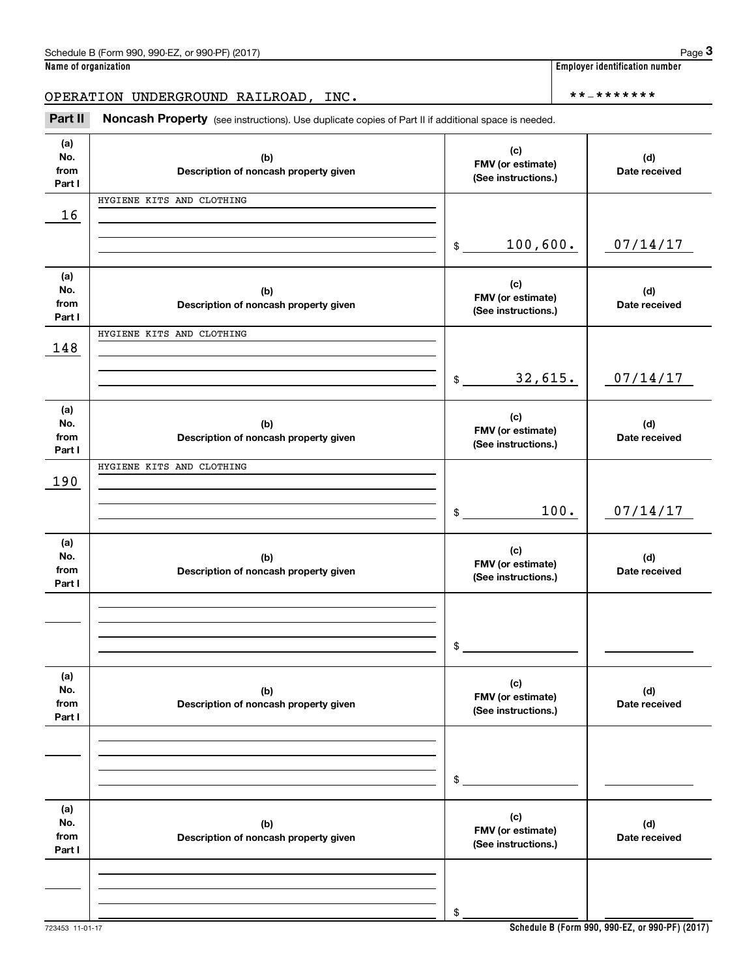**Name of organization Employer identification number**

## OPERATION UNDERGROUND RAILROAD, INC. \*\*-\*\*\*\*\*\*\*

(see instructions). Use duplicate copies of Part II if additional space is needed.<br> **1998 PERATION UNDERGROUND RAILROAD, INC.**<br> **Part II Noncash Property** (see instructions). Use duplicate copies of Part II if additional

| (a)<br>No.<br>from<br>Part I | (b)<br>Description of noncash property given | (c)<br>FMV (or estimate)<br>(See instructions.) | (d)<br>Date received |
|------------------------------|----------------------------------------------|-------------------------------------------------|----------------------|
| 16                           | HYGIENE KITS AND CLOTHING                    |                                                 |                      |
|                              |                                              |                                                 |                      |
|                              |                                              | 100,600.<br>$$$ $\qquad$                        | 07/14/17             |
| (a)<br>No.                   |                                              | (c)                                             |                      |
| from                         | (b)<br>Description of noncash property given | FMV (or estimate)                               | (d)<br>Date received |
| Part I                       |                                              | (See instructions.)                             |                      |
| 148                          | HYGIENE KITS AND CLOTHING                    |                                                 |                      |
|                              |                                              |                                                 |                      |
|                              |                                              | 32,615.<br>$$\overline{\hspace{1.5cm}}$$        | 07/14/17             |
|                              |                                              |                                                 |                      |
| (a)<br>No.                   | (b)                                          | (c)                                             | (d)                  |
| from                         | Description of noncash property given        | FMV (or estimate)<br>(See instructions.)        | Date received        |
| Part I                       |                                              |                                                 |                      |
| 190                          | HYGIENE KITS AND CLOTHING                    |                                                 |                      |
|                              |                                              |                                                 |                      |
|                              |                                              | 100.<br>$\sim$                                  | 07/14/17             |
|                              |                                              |                                                 |                      |
| (a)<br>No.                   | (b)                                          | (c)                                             | (d)                  |
| from                         | Description of noncash property given        | FMV (or estimate)                               | Date received        |
| Part I                       |                                              | (See instructions.)                             |                      |
|                              |                                              |                                                 |                      |
|                              |                                              |                                                 |                      |
|                              |                                              | \$                                              |                      |
|                              |                                              |                                                 |                      |
| (a)<br>No.                   |                                              | (c)                                             |                      |
| from                         | (b)<br>Description of noncash property given | FMV (or estimate)                               | (d)<br>Date received |
| Part I                       |                                              | (See instructions.)                             |                      |
|                              |                                              |                                                 |                      |
|                              |                                              |                                                 |                      |
|                              |                                              | \$                                              |                      |
|                              |                                              |                                                 |                      |
| (a)<br>No.                   |                                              | (c)                                             |                      |
| from                         | (b)<br>Description of noncash property given | FMV (or estimate)                               | (d)<br>Date received |
| Part I                       |                                              | (See instructions.)                             |                      |
|                              |                                              |                                                 |                      |
|                              |                                              |                                                 |                      |
|                              |                                              | \$                                              |                      |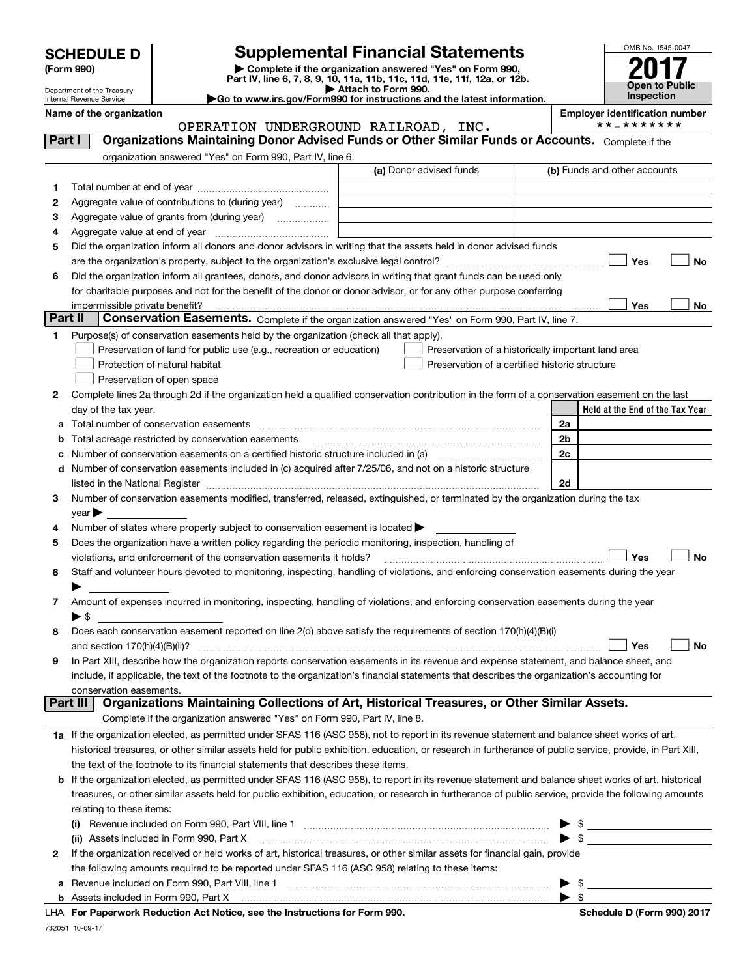| <b>SCHEDULE D</b> |  |
|-------------------|--|
|-------------------|--|

Department of the Treasury Internal Revenue Service

# **SCHEDULE D Supplemental Financial Statements**

(Form 990)<br>
Pepartment of the Treasury<br>
Department of the Treasury<br>
Department of the Treasury<br>
Department of the Treasury<br> **Co to www.irs.gov/Form990 for instructions and the latest information.**<br> **Co to www.irs.gov/Form9** 

| <b>ìo to www.irs.gov/Form990 for instructions and the latest informati</b> |  |
|----------------------------------------------------------------------------|--|



|    | Name of the organization<br>OPERATION UNDERGROUND RAILROAD, INC.                                                                                           |                                                | <b>Employer identification number</b><br>**_******* |
|----|------------------------------------------------------------------------------------------------------------------------------------------------------------|------------------------------------------------|-----------------------------------------------------|
|    | Organizations Maintaining Donor Advised Funds or Other Similar Funds or Accounts. Complete if the<br>Part I                                                |                                                |                                                     |
|    | organization answered "Yes" on Form 990, Part IV, line 6.                                                                                                  |                                                |                                                     |
|    | (a) Donor advised funds                                                                                                                                    |                                                | (b) Funds and other accounts                        |
| 1. |                                                                                                                                                            |                                                |                                                     |
| 2  | Aggregate value of contributions to (during year)                                                                                                          |                                                |                                                     |
| з  | Aggregate value of grants from (during year)                                                                                                               |                                                |                                                     |
| 4  |                                                                                                                                                            |                                                |                                                     |
| 5  | Did the organization inform all donors and donor advisors in writing that the assets held in donor advised funds                                           |                                                |                                                     |
|    |                                                                                                                                                            |                                                | Yes<br>No                                           |
| 6  | Did the organization inform all grantees, donors, and donor advisors in writing that grant funds can be used only                                          |                                                |                                                     |
|    | for charitable purposes and not for the benefit of the donor or donor advisor, or for any other purpose conferring                                         |                                                |                                                     |
|    |                                                                                                                                                            |                                                | Yes<br>No                                           |
|    | Part II<br>Conservation Easements. Complete if the organization answered "Yes" on Form 990, Part IV, line 7.                                               |                                                |                                                     |
| 1  | Purpose(s) of conservation easements held by the organization (check all that apply).                                                                      |                                                |                                                     |
|    | Preservation of land for public use (e.g., recreation or education)                                                                                        |                                                | Preservation of a historically important land area  |
|    | Protection of natural habitat                                                                                                                              | Preservation of a certified historic structure |                                                     |
|    | Preservation of open space                                                                                                                                 |                                                |                                                     |
| 2  | Complete lines 2a through 2d if the organization held a qualified conservation contribution in the form of a conservation easement on the last             |                                                |                                                     |
|    | day of the tax year.                                                                                                                                       |                                                | Held at the End of the Tax Year                     |
| а  | Total number of conservation easements                                                                                                                     |                                                | 2a                                                  |
| b  | Total acreage restricted by conservation easements                                                                                                         |                                                | 2 <sub>b</sub>                                      |
| c  | Number of conservation easements on a certified historic structure included in (a) manufacture of conservation                                             |                                                | 2c                                                  |
| d  | Number of conservation easements included in (c) acquired after 7/25/06, and not on a historic structure                                                   |                                                |                                                     |
|    |                                                                                                                                                            |                                                | 2d                                                  |
| 3  | Number of conservation easements modified, transferred, released, extinguished, or terminated by the organization during the tax                           |                                                |                                                     |
|    | year                                                                                                                                                       |                                                |                                                     |
| 4  | Number of states where property subject to conservation easement is located >                                                                              |                                                |                                                     |
| 5  | Does the organization have a written policy regarding the periodic monitoring, inspection, handling of                                                     |                                                |                                                     |
|    | violations, and enforcement of the conservation easements it holds?                                                                                        |                                                | Yes<br><b>No</b>                                    |
| 6  | Staff and volunteer hours devoted to monitoring, inspecting, handling of violations, and enforcing conservation easements during the year                  |                                                |                                                     |
|    |                                                                                                                                                            |                                                |                                                     |
| 7  | Amount of expenses incurred in monitoring, inspecting, handling of violations, and enforcing conservation easements during the year                        |                                                |                                                     |
|    | $\blacktriangleright$ \$                                                                                                                                   |                                                |                                                     |
| 8  | Does each conservation easement reported on line 2(d) above satisfy the requirements of section 170(h)(4)(B)(i)                                            |                                                |                                                     |
|    | and section $170(h)(4)(B)(ii)?$                                                                                                                            |                                                | Yes<br><b>No</b>                                    |
| 9  | In Part XIII, describe how the organization reports conservation easements in its revenue and expense statement, and balance sheet, and                    |                                                |                                                     |
|    | include, if applicable, the text of the footnote to the organization's financial statements that describes the organization's accounting for               |                                                |                                                     |
|    | conservation easements.<br>Organizations Maintaining Collections of Art, Historical Treasures, or Other Similar Assets.<br>Part III                        |                                                |                                                     |
|    |                                                                                                                                                            |                                                |                                                     |
|    | Complete if the organization answered "Yes" on Form 990, Part IV, line 8.                                                                                  |                                                |                                                     |
|    | 1a If the organization elected, as permitted under SFAS 116 (ASC 958), not to report in its revenue statement and balance sheet works of art,              |                                                |                                                     |
|    | historical treasures, or other similar assets held for public exhibition, education, or research in furtherance of public service, provide, in Part XIII,  |                                                |                                                     |
|    | the text of the footnote to its financial statements that describes these items.                                                                           |                                                |                                                     |
|    | <b>b</b> If the organization elected, as permitted under SFAS 116 (ASC 958), to report in its revenue statement and balance sheet works of art, historical |                                                |                                                     |
|    | treasures, or other similar assets held for public exhibition, education, or research in furtherance of public service, provide the following amounts      |                                                |                                                     |
|    | relating to these items:                                                                                                                                   |                                                |                                                     |
|    |                                                                                                                                                            |                                                | $\triangleright$ \$                                 |
|    | (ii) Assets included in Form 990, Part X                                                                                                                   |                                                | $\blacktriangleright$ \$                            |
| 2  | If the organization received or held works of art, historical treasures, or other similar assets for financial gain, provide                               |                                                |                                                     |
|    | the following amounts required to be reported under SFAS 116 (ASC 958) relating to these items:                                                            |                                                |                                                     |
|    | a Revenue included on Form 990, Part VIII, line 1 [2000] [2000] [2000] [2000] [2000] [2000] [2000] [2000] [2000                                            |                                                | $\blacktriangleright$ \$                            |
|    |                                                                                                                                                            |                                                | $\blacktriangleright$ \$                            |

732051 10-09-17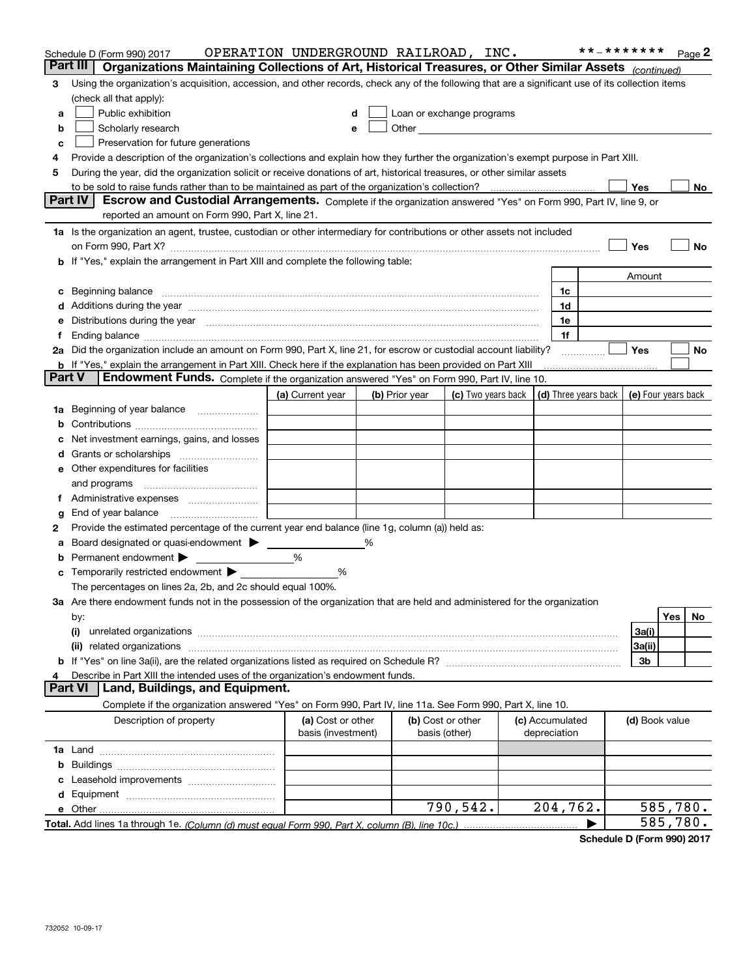|               | Schedule D (Form 990) 2017<br>Organizations Maintaining Collections of Art, Historical Treasures, or Other Similar Assets (continued)<br>Part III                                                                                                                                                                                               | OPERATION UNDERGROUND RAILROAD, INC.    |   |                |                                                                                                               |  |                                 | **_******* |                | Page 2                                     |  |
|---------------|-------------------------------------------------------------------------------------------------------------------------------------------------------------------------------------------------------------------------------------------------------------------------------------------------------------------------------------------------|-----------------------------------------|---|----------------|---------------------------------------------------------------------------------------------------------------|--|---------------------------------|------------|----------------|--------------------------------------------|--|
| 3             | Using the organization's acquisition, accession, and other records, check any of the following that are a significant use of its collection items                                                                                                                                                                                               |                                         |   |                |                                                                                                               |  |                                 |            |                |                                            |  |
|               | (check all that apply):                                                                                                                                                                                                                                                                                                                         |                                         |   |                |                                                                                                               |  |                                 |            |                |                                            |  |
| a             | Public exhibition                                                                                                                                                                                                                                                                                                                               | d                                       |   |                | Loan or exchange programs                                                                                     |  |                                 |            |                |                                            |  |
| b             | Scholarly research                                                                                                                                                                                                                                                                                                                              |                                         |   |                | Other and the contract of the contract of the contract of the contract of the contract of the contract of the |  |                                 |            |                |                                            |  |
| c             | Preservation for future generations                                                                                                                                                                                                                                                                                                             |                                         |   |                |                                                                                                               |  |                                 |            |                |                                            |  |
| 4             | Provide a description of the organization's collections and explain how they further the organization's exempt purpose in Part XIII.                                                                                                                                                                                                            |                                         |   |                |                                                                                                               |  |                                 |            |                |                                            |  |
| 5             | During the year, did the organization solicit or receive donations of art, historical treasures, or other similar assets                                                                                                                                                                                                                        |                                         |   |                |                                                                                                               |  |                                 |            |                |                                            |  |
|               | to be sold to raise funds rather than to be maintained as part of the organization's collection?                                                                                                                                                                                                                                                |                                         |   |                |                                                                                                               |  |                                 |            | Yes            | No                                         |  |
|               | <b>Part IV</b><br>Escrow and Custodial Arrangements. Complete if the organization answered "Yes" on Form 990, Part IV, line 9, or                                                                                                                                                                                                               |                                         |   |                |                                                                                                               |  |                                 |            |                |                                            |  |
|               | reported an amount on Form 990, Part X, line 21.                                                                                                                                                                                                                                                                                                |                                         |   |                |                                                                                                               |  |                                 |            |                |                                            |  |
|               | 1a Is the organization an agent, trustee, custodian or other intermediary for contributions or other assets not included                                                                                                                                                                                                                        |                                         |   |                |                                                                                                               |  |                                 |            |                |                                            |  |
|               | on Form 990, Part X? [11] matter contracts and contracts and contracts are contracted as a function of the set of the set of the set of the set of the set of the set of the set of the set of the set of the set of the set o                                                                                                                  |                                         |   |                |                                                                                                               |  |                                 |            | Yes            | No                                         |  |
|               | b If "Yes," explain the arrangement in Part XIII and complete the following table:                                                                                                                                                                                                                                                              |                                         |   |                |                                                                                                               |  |                                 |            |                |                                            |  |
|               |                                                                                                                                                                                                                                                                                                                                                 |                                         |   |                |                                                                                                               |  |                                 |            | Amount         |                                            |  |
|               | c Beginning balance measurements and the contract of the contract of the contract of the contract of the contract of the contract of the contract of the contract of the contract of the contract of the contract of the contr                                                                                                                  |                                         |   |                |                                                                                                               |  | 1c<br>1d                        |            |                |                                            |  |
|               | d Additions during the year measurements are all an according to the year measurement of the year measurement<br>e Distributions during the year manufactured and continuum and control of the control of the control of the control of the control of the control of the control of the control of the control of the control of the control o |                                         |   |                |                                                                                                               |  | 1e                              |            |                |                                            |  |
| Ť.            | Ending balance manufactured and contract the contract of the contract of the contract of the contract of the contract of the contract of the contract of the contract of the contract of the contract of the contract of the c                                                                                                                  |                                         |   |                |                                                                                                               |  | 1f                              |            |                |                                            |  |
|               | 2a Did the organization include an amount on Form 990, Part X, line 21, for escrow or custodial account liability?                                                                                                                                                                                                                              |                                         |   |                |                                                                                                               |  |                                 |            | Yes            | No                                         |  |
|               | <b>b</b> If "Yes," explain the arrangement in Part XIII. Check here if the explanation has been provided on Part XIII                                                                                                                                                                                                                           |                                         |   |                |                                                                                                               |  |                                 |            |                |                                            |  |
| <b>Part V</b> | Endowment Funds. Complete if the organization answered "Yes" on Form 990, Part IV, line 10.                                                                                                                                                                                                                                                     |                                         |   |                |                                                                                                               |  |                                 |            |                |                                            |  |
|               |                                                                                                                                                                                                                                                                                                                                                 | (a) Current year                        |   | (b) Prior year | (c) Two years back                                                                                            |  |                                 |            |                | (d) Three years back   (e) Four years back |  |
|               | 1a Beginning of year balance                                                                                                                                                                                                                                                                                                                    |                                         |   |                |                                                                                                               |  |                                 |            |                |                                            |  |
|               |                                                                                                                                                                                                                                                                                                                                                 |                                         |   |                |                                                                                                               |  |                                 |            |                |                                            |  |
| c             | Net investment earnings, gains, and losses                                                                                                                                                                                                                                                                                                      |                                         |   |                |                                                                                                               |  |                                 |            |                |                                            |  |
|               |                                                                                                                                                                                                                                                                                                                                                 |                                         |   |                |                                                                                                               |  |                                 |            |                |                                            |  |
|               | e Other expenditures for facilities                                                                                                                                                                                                                                                                                                             |                                         |   |                |                                                                                                               |  |                                 |            |                |                                            |  |
|               | and programs                                                                                                                                                                                                                                                                                                                                    |                                         |   |                |                                                                                                               |  |                                 |            |                |                                            |  |
|               | f Administrative expenses                                                                                                                                                                                                                                                                                                                       |                                         |   |                |                                                                                                               |  |                                 |            |                |                                            |  |
| g             |                                                                                                                                                                                                                                                                                                                                                 |                                         |   |                |                                                                                                               |  |                                 |            |                |                                            |  |
| 2             | Provide the estimated percentage of the current year end balance (line 1g, column (a)) held as:                                                                                                                                                                                                                                                 |                                         |   |                |                                                                                                               |  |                                 |            |                |                                            |  |
| а             | Board designated or quasi-endowment >                                                                                                                                                                                                                                                                                                           |                                         | % |                |                                                                                                               |  |                                 |            |                |                                            |  |
|               | <b>b</b> Permanent endowment $\blacktriangleright$                                                                                                                                                                                                                                                                                              | %                                       |   |                |                                                                                                               |  |                                 |            |                |                                            |  |
|               | <b>c</b> Temporarily restricted endowment $\blacktriangleright$                                                                                                                                                                                                                                                                                 | %                                       |   |                |                                                                                                               |  |                                 |            |                |                                            |  |
|               | The percentages on lines 2a, 2b, and 2c should equal 100%.                                                                                                                                                                                                                                                                                      |                                         |   |                |                                                                                                               |  |                                 |            |                |                                            |  |
|               | 3a Are there endowment funds not in the possession of the organization that are held and administered for the organization                                                                                                                                                                                                                      |                                         |   |                |                                                                                                               |  |                                 |            |                |                                            |  |
|               | by:                                                                                                                                                                                                                                                                                                                                             |                                         |   |                |                                                                                                               |  |                                 |            |                | Yes<br>No                                  |  |
|               | (i)                                                                                                                                                                                                                                                                                                                                             |                                         |   |                |                                                                                                               |  |                                 |            | 3a(i)          |                                            |  |
|               |                                                                                                                                                                                                                                                                                                                                                 |                                         |   |                |                                                                                                               |  |                                 |            | 3a(ii)         |                                            |  |
|               |                                                                                                                                                                                                                                                                                                                                                 |                                         |   |                |                                                                                                               |  |                                 |            | 3b             |                                            |  |
| 4             | Describe in Part XIII the intended uses of the organization's endowment funds.<br>Land, Buildings, and Equipment.<br><b>Part VI</b>                                                                                                                                                                                                             |                                         |   |                |                                                                                                               |  |                                 |            |                |                                            |  |
|               | Complete if the organization answered "Yes" on Form 990, Part IV, line 11a. See Form 990, Part X, line 10.                                                                                                                                                                                                                                      |                                         |   |                |                                                                                                               |  |                                 |            |                |                                            |  |
|               |                                                                                                                                                                                                                                                                                                                                                 |                                         |   |                | (b) Cost or other                                                                                             |  |                                 |            |                |                                            |  |
|               | Description of property                                                                                                                                                                                                                                                                                                                         | (a) Cost or other<br>basis (investment) |   |                | basis (other)                                                                                                 |  | (c) Accumulated<br>depreciation |            | (d) Book value |                                            |  |
|               |                                                                                                                                                                                                                                                                                                                                                 |                                         |   |                |                                                                                                               |  |                                 |            |                |                                            |  |
|               |                                                                                                                                                                                                                                                                                                                                                 |                                         |   |                |                                                                                                               |  |                                 |            |                |                                            |  |
|               |                                                                                                                                                                                                                                                                                                                                                 |                                         |   |                |                                                                                                               |  |                                 |            |                |                                            |  |
|               |                                                                                                                                                                                                                                                                                                                                                 |                                         |   |                |                                                                                                               |  |                                 |            |                |                                            |  |
|               |                                                                                                                                                                                                                                                                                                                                                 |                                         |   |                | 790,542.                                                                                                      |  | 204,762.                        |            |                | 585,780.                                   |  |
|               |                                                                                                                                                                                                                                                                                                                                                 |                                         |   |                |                                                                                                               |  |                                 |            |                | 585,780.                                   |  |

**Schedule D (Form 990) 2017**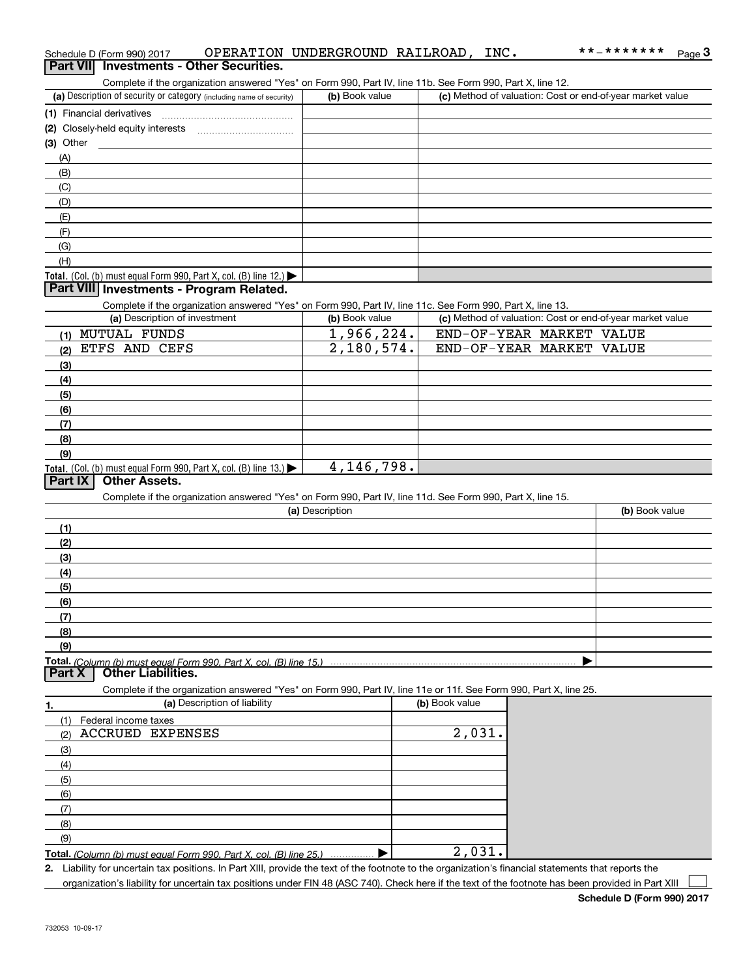| Schedule D (Form 990) 2017                                                                                                                           | OPERATION UNDERGROUND RAILROAD, INC. |                       | **_*******<br>Page $3$                                    |
|------------------------------------------------------------------------------------------------------------------------------------------------------|--------------------------------------|-----------------------|-----------------------------------------------------------|
| <b>Part VII</b> Investments - Other Securities.                                                                                                      |                                      |                       |                                                           |
| Complete if the organization answered "Yes" on Form 990, Part IV, line 11b. See Form 990, Part X, line 12.                                           |                                      |                       |                                                           |
| (a) Description of security or category (including name of security)                                                                                 | (b) Book value                       |                       | (c) Method of valuation: Cost or end-of-year market value |
|                                                                                                                                                      |                                      |                       |                                                           |
|                                                                                                                                                      |                                      |                       |                                                           |
| (3) Other                                                                                                                                            |                                      |                       |                                                           |
| (A)                                                                                                                                                  |                                      |                       |                                                           |
| (B)                                                                                                                                                  |                                      |                       |                                                           |
| (C)                                                                                                                                                  |                                      |                       |                                                           |
| (D)                                                                                                                                                  |                                      |                       |                                                           |
| (E)                                                                                                                                                  |                                      |                       |                                                           |
| (F)                                                                                                                                                  |                                      |                       |                                                           |
| (G)                                                                                                                                                  |                                      |                       |                                                           |
| (H)                                                                                                                                                  |                                      |                       |                                                           |
| Total. (Col. (b) must equal Form 990, Part X, col. (B) line 12.)                                                                                     |                                      |                       |                                                           |
| Part VIII Investments - Program Related.                                                                                                             |                                      |                       |                                                           |
| Complete if the organization answered "Yes" on Form 990, Part IV, line 11c. See Form 990, Part X, line 13.                                           |                                      |                       |                                                           |
| (a) Description of investment                                                                                                                        | (b) Book value                       |                       | (c) Method of valuation: Cost or end-of-year market value |
| <b>MUTUAL FUNDS</b><br>(1)                                                                                                                           | 1,966,224.                           |                       | END-OF-YEAR MARKET VALUE                                  |
| ETFS AND CEFS<br>(2)                                                                                                                                 | 2,180,574.                           |                       | END-OF-YEAR MARKET VALUE                                  |
| (3)                                                                                                                                                  |                                      |                       |                                                           |
| (4)                                                                                                                                                  |                                      |                       |                                                           |
| (5)                                                                                                                                                  |                                      |                       |                                                           |
| (6)                                                                                                                                                  |                                      |                       |                                                           |
| (7)                                                                                                                                                  |                                      |                       |                                                           |
| (8)                                                                                                                                                  |                                      |                       |                                                           |
| (9)                                                                                                                                                  |                                      |                       |                                                           |
| Total. (Col. (b) must equal Form 990, Part X, col. (B) line $13.$ )                                                                                  | 4, 146, 798.                         |                       |                                                           |
| <b>Other Assets.</b><br><b>Part IX</b>                                                                                                               |                                      |                       |                                                           |
| Complete if the organization answered "Yes" on Form 990, Part IV, line 11d. See Form 990, Part X, line 15.                                           |                                      |                       |                                                           |
|                                                                                                                                                      | (a) Description                      |                       | (b) Book value                                            |
| (1)                                                                                                                                                  |                                      |                       |                                                           |
| (2)                                                                                                                                                  |                                      |                       |                                                           |
| (3)                                                                                                                                                  |                                      |                       |                                                           |
| (4)                                                                                                                                                  |                                      |                       |                                                           |
| (5)                                                                                                                                                  |                                      |                       |                                                           |
| (6)                                                                                                                                                  |                                      |                       |                                                           |
| (7)                                                                                                                                                  |                                      |                       |                                                           |
| (8)                                                                                                                                                  |                                      |                       |                                                           |
| (9)                                                                                                                                                  |                                      |                       |                                                           |
|                                                                                                                                                      |                                      |                       |                                                           |
| Part X<br><b>Other Liabilities.</b>                                                                                                                  |                                      |                       |                                                           |
| Complete if the organization answered "Yes" on Form 990, Part IV, line 11e or 11f. See Form 990, Part X, line 25.                                    |                                      |                       |                                                           |
| (a) Description of liability<br>1.                                                                                                                   |                                      | (b) Book value        |                                                           |
| (1)<br>Federal income taxes                                                                                                                          |                                      |                       |                                                           |
| <b>ACCRUED EXPENSES</b><br>(2)                                                                                                                       |                                      | $\overline{2}$ , 031. |                                                           |
| (3)                                                                                                                                                  |                                      |                       |                                                           |
| (4)                                                                                                                                                  |                                      |                       |                                                           |
| (5)                                                                                                                                                  |                                      |                       |                                                           |
| (6)                                                                                                                                                  |                                      |                       |                                                           |
| (7)                                                                                                                                                  |                                      |                       |                                                           |
| (8)                                                                                                                                                  |                                      |                       |                                                           |
| (9)                                                                                                                                                  |                                      |                       |                                                           |
| Total. (Column (b) must equal Form 990, Part X, col. (B) line 25.)                                                                                   |                                      | 2,031.                |                                                           |
| 2. Liability for uncertain tax positions. In Part XIII, provide the text of the footnote to the organization's financial statements that reports the |                                      |                       |                                                           |

Liability for uncertain tax positions. In Part XIII, provide the text of the footnote to the organization's financial statements that reports the organization's liability for uncertain tax positions under FIN 48 (ASC 740). Check here if the text of the footnote has been provided in Part XIII

┓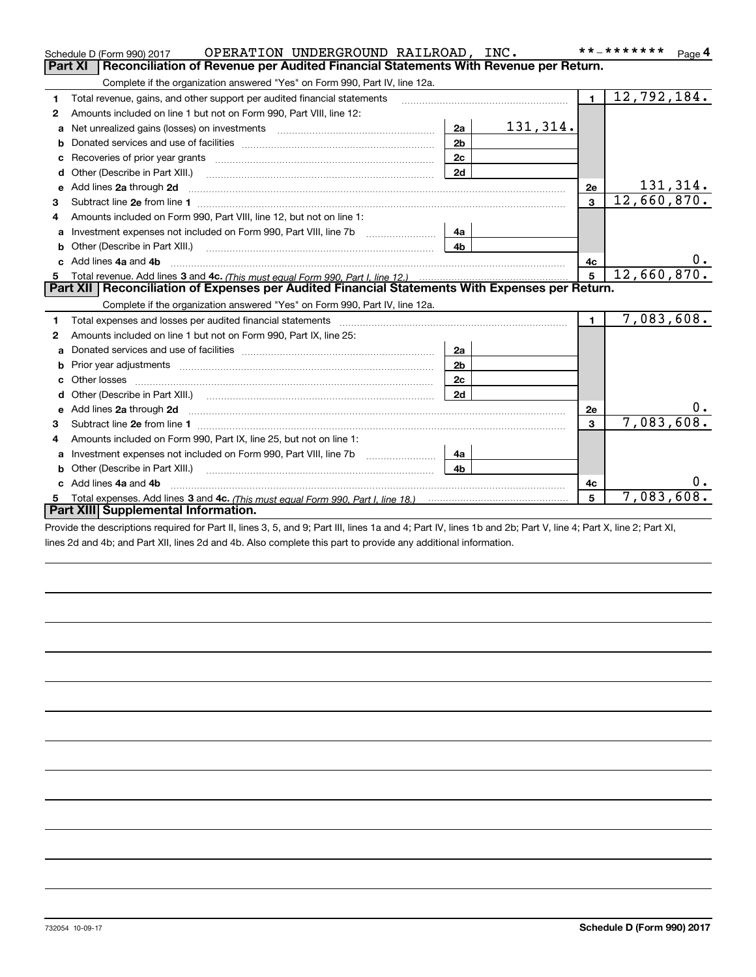| <b>Part XI</b><br>Reconciliation of Revenue per Audited Financial Statements With Revenue per Return.<br>Complete if the organization answered "Yes" on Form 990, Part IV, line 12a.<br>12,792,184.<br>$\blacksquare$<br>Total revenue, gains, and other support per audited financial statements<br>1<br>Amounts included on line 1 but not on Form 990, Part VIII, line 12:<br>$\mathbf{2}$<br><u>131,314.</u><br>2a<br>a<br>2 <sub>b</sub><br>b<br>2c<br>Recoveries of prior year grants [111] matter contracts and prior year grants and matter contracts and all all<br>2d<br>Other (Describe in Part XIII.) <b>Construction Contract Construction</b> [<br>d<br>131,314.<br>Add lines 2a through 2d<br>2e<br>е<br>12,660,870.<br>$\mathbf{3}$<br>з<br>Amounts included on Form 990, Part VIII, line 12, but not on line 1:<br>4<br>4a<br>a<br>4b<br>Other (Describe in Part XIII.) <b>Construction Construction</b> Chern Construction Chern Chern Chern Chern Chern Chern<br>Add lines 4a and 4b<br>c.<br>4c<br>12,660,870.<br>5<br>Part XII   Reconciliation of Expenses per Audited Financial Statements With Expenses per Return.<br>Complete if the organization answered "Yes" on Form 990, Part IV, line 12a.<br>7,083,608.<br>$\blacksquare$<br>Total expenses and losses per audited financial statements<br>1<br>Amounts included on line 1 but not on Form 990, Part IX, line 25:<br>2<br>2a<br>a<br>2 <sub>b</sub><br>b<br>2c<br>2d<br>d<br>υ.<br>Add lines 2a through 2d <b>continuum contract and all contract and all contract and all contract and all contract and all contract and all contract and all contract and all contract and all contract and all contract and all </b><br>2e<br>e<br>7,083,608.<br>3<br>3<br>Amounts included on Form 990, Part IX, line 25, but not on line 1:<br>4<br>Investment expenses not included on Form 990, Part VIII, line 7b [100] [100] [100] [100] [100] [100] [100] [10<br>4a<br>a<br>4 <sub>b</sub><br>Other (Describe in Part XIII.)<br>Add lines 4a and 4b<br>4c<br>7,083,608.<br>5<br>Total expenses. Add lines 3 and 4c. (This must equal Form 990, Part I, line 18.) <b>Conservers</b> manufactured in the<br>Part XIII Supplemental Information. | OPERATION UNDERGROUND RAILROAD, INC.<br>Schedule D (Form 990) 2017 |  | * * _ * * * * * * *<br>Page $4$ |
|--------------------------------------------------------------------------------------------------------------------------------------------------------------------------------------------------------------------------------------------------------------------------------------------------------------------------------------------------------------------------------------------------------------------------------------------------------------------------------------------------------------------------------------------------------------------------------------------------------------------------------------------------------------------------------------------------------------------------------------------------------------------------------------------------------------------------------------------------------------------------------------------------------------------------------------------------------------------------------------------------------------------------------------------------------------------------------------------------------------------------------------------------------------------------------------------------------------------------------------------------------------------------------------------------------------------------------------------------------------------------------------------------------------------------------------------------------------------------------------------------------------------------------------------------------------------------------------------------------------------------------------------------------------------------------------------------------------------------------------------------------------------------------------------------------------------------------------------------------------------------------------------------------------------------------------------------------------------------------------------------------------------------------------------------------------------------------------------------------------------------------------------------------------------------------------------------------------------------|--------------------------------------------------------------------|--|---------------------------------|
|                                                                                                                                                                                                                                                                                                                                                                                                                                                                                                                                                                                                                                                                                                                                                                                                                                                                                                                                                                                                                                                                                                                                                                                                                                                                                                                                                                                                                                                                                                                                                                                                                                                                                                                                                                                                                                                                                                                                                                                                                                                                                                                                                                                                                          |                                                                    |  |                                 |
|                                                                                                                                                                                                                                                                                                                                                                                                                                                                                                                                                                                                                                                                                                                                                                                                                                                                                                                                                                                                                                                                                                                                                                                                                                                                                                                                                                                                                                                                                                                                                                                                                                                                                                                                                                                                                                                                                                                                                                                                                                                                                                                                                                                                                          |                                                                    |  |                                 |
|                                                                                                                                                                                                                                                                                                                                                                                                                                                                                                                                                                                                                                                                                                                                                                                                                                                                                                                                                                                                                                                                                                                                                                                                                                                                                                                                                                                                                                                                                                                                                                                                                                                                                                                                                                                                                                                                                                                                                                                                                                                                                                                                                                                                                          |                                                                    |  |                                 |
|                                                                                                                                                                                                                                                                                                                                                                                                                                                                                                                                                                                                                                                                                                                                                                                                                                                                                                                                                                                                                                                                                                                                                                                                                                                                                                                                                                                                                                                                                                                                                                                                                                                                                                                                                                                                                                                                                                                                                                                                                                                                                                                                                                                                                          |                                                                    |  |                                 |
|                                                                                                                                                                                                                                                                                                                                                                                                                                                                                                                                                                                                                                                                                                                                                                                                                                                                                                                                                                                                                                                                                                                                                                                                                                                                                                                                                                                                                                                                                                                                                                                                                                                                                                                                                                                                                                                                                                                                                                                                                                                                                                                                                                                                                          |                                                                    |  |                                 |
|                                                                                                                                                                                                                                                                                                                                                                                                                                                                                                                                                                                                                                                                                                                                                                                                                                                                                                                                                                                                                                                                                                                                                                                                                                                                                                                                                                                                                                                                                                                                                                                                                                                                                                                                                                                                                                                                                                                                                                                                                                                                                                                                                                                                                          |                                                                    |  |                                 |
|                                                                                                                                                                                                                                                                                                                                                                                                                                                                                                                                                                                                                                                                                                                                                                                                                                                                                                                                                                                                                                                                                                                                                                                                                                                                                                                                                                                                                                                                                                                                                                                                                                                                                                                                                                                                                                                                                                                                                                                                                                                                                                                                                                                                                          |                                                                    |  |                                 |
|                                                                                                                                                                                                                                                                                                                                                                                                                                                                                                                                                                                                                                                                                                                                                                                                                                                                                                                                                                                                                                                                                                                                                                                                                                                                                                                                                                                                                                                                                                                                                                                                                                                                                                                                                                                                                                                                                                                                                                                                                                                                                                                                                                                                                          |                                                                    |  |                                 |
|                                                                                                                                                                                                                                                                                                                                                                                                                                                                                                                                                                                                                                                                                                                                                                                                                                                                                                                                                                                                                                                                                                                                                                                                                                                                                                                                                                                                                                                                                                                                                                                                                                                                                                                                                                                                                                                                                                                                                                                                                                                                                                                                                                                                                          |                                                                    |  |                                 |
|                                                                                                                                                                                                                                                                                                                                                                                                                                                                                                                                                                                                                                                                                                                                                                                                                                                                                                                                                                                                                                                                                                                                                                                                                                                                                                                                                                                                                                                                                                                                                                                                                                                                                                                                                                                                                                                                                                                                                                                                                                                                                                                                                                                                                          |                                                                    |  |                                 |
|                                                                                                                                                                                                                                                                                                                                                                                                                                                                                                                                                                                                                                                                                                                                                                                                                                                                                                                                                                                                                                                                                                                                                                                                                                                                                                                                                                                                                                                                                                                                                                                                                                                                                                                                                                                                                                                                                                                                                                                                                                                                                                                                                                                                                          |                                                                    |  |                                 |
|                                                                                                                                                                                                                                                                                                                                                                                                                                                                                                                                                                                                                                                                                                                                                                                                                                                                                                                                                                                                                                                                                                                                                                                                                                                                                                                                                                                                                                                                                                                                                                                                                                                                                                                                                                                                                                                                                                                                                                                                                                                                                                                                                                                                                          |                                                                    |  |                                 |
|                                                                                                                                                                                                                                                                                                                                                                                                                                                                                                                                                                                                                                                                                                                                                                                                                                                                                                                                                                                                                                                                                                                                                                                                                                                                                                                                                                                                                                                                                                                                                                                                                                                                                                                                                                                                                                                                                                                                                                                                                                                                                                                                                                                                                          |                                                                    |  |                                 |
|                                                                                                                                                                                                                                                                                                                                                                                                                                                                                                                                                                                                                                                                                                                                                                                                                                                                                                                                                                                                                                                                                                                                                                                                                                                                                                                                                                                                                                                                                                                                                                                                                                                                                                                                                                                                                                                                                                                                                                                                                                                                                                                                                                                                                          |                                                                    |  |                                 |
|                                                                                                                                                                                                                                                                                                                                                                                                                                                                                                                                                                                                                                                                                                                                                                                                                                                                                                                                                                                                                                                                                                                                                                                                                                                                                                                                                                                                                                                                                                                                                                                                                                                                                                                                                                                                                                                                                                                                                                                                                                                                                                                                                                                                                          |                                                                    |  |                                 |
|                                                                                                                                                                                                                                                                                                                                                                                                                                                                                                                                                                                                                                                                                                                                                                                                                                                                                                                                                                                                                                                                                                                                                                                                                                                                                                                                                                                                                                                                                                                                                                                                                                                                                                                                                                                                                                                                                                                                                                                                                                                                                                                                                                                                                          |                                                                    |  |                                 |
|                                                                                                                                                                                                                                                                                                                                                                                                                                                                                                                                                                                                                                                                                                                                                                                                                                                                                                                                                                                                                                                                                                                                                                                                                                                                                                                                                                                                                                                                                                                                                                                                                                                                                                                                                                                                                                                                                                                                                                                                                                                                                                                                                                                                                          |                                                                    |  |                                 |
|                                                                                                                                                                                                                                                                                                                                                                                                                                                                                                                                                                                                                                                                                                                                                                                                                                                                                                                                                                                                                                                                                                                                                                                                                                                                                                                                                                                                                                                                                                                                                                                                                                                                                                                                                                                                                                                                                                                                                                                                                                                                                                                                                                                                                          |                                                                    |  |                                 |
|                                                                                                                                                                                                                                                                                                                                                                                                                                                                                                                                                                                                                                                                                                                                                                                                                                                                                                                                                                                                                                                                                                                                                                                                                                                                                                                                                                                                                                                                                                                                                                                                                                                                                                                                                                                                                                                                                                                                                                                                                                                                                                                                                                                                                          |                                                                    |  |                                 |
|                                                                                                                                                                                                                                                                                                                                                                                                                                                                                                                                                                                                                                                                                                                                                                                                                                                                                                                                                                                                                                                                                                                                                                                                                                                                                                                                                                                                                                                                                                                                                                                                                                                                                                                                                                                                                                                                                                                                                                                                                                                                                                                                                                                                                          |                                                                    |  |                                 |
|                                                                                                                                                                                                                                                                                                                                                                                                                                                                                                                                                                                                                                                                                                                                                                                                                                                                                                                                                                                                                                                                                                                                                                                                                                                                                                                                                                                                                                                                                                                                                                                                                                                                                                                                                                                                                                                                                                                                                                                                                                                                                                                                                                                                                          |                                                                    |  |                                 |
|                                                                                                                                                                                                                                                                                                                                                                                                                                                                                                                                                                                                                                                                                                                                                                                                                                                                                                                                                                                                                                                                                                                                                                                                                                                                                                                                                                                                                                                                                                                                                                                                                                                                                                                                                                                                                                                                                                                                                                                                                                                                                                                                                                                                                          |                                                                    |  |                                 |
|                                                                                                                                                                                                                                                                                                                                                                                                                                                                                                                                                                                                                                                                                                                                                                                                                                                                                                                                                                                                                                                                                                                                                                                                                                                                                                                                                                                                                                                                                                                                                                                                                                                                                                                                                                                                                                                                                                                                                                                                                                                                                                                                                                                                                          |                                                                    |  |                                 |
|                                                                                                                                                                                                                                                                                                                                                                                                                                                                                                                                                                                                                                                                                                                                                                                                                                                                                                                                                                                                                                                                                                                                                                                                                                                                                                                                                                                                                                                                                                                                                                                                                                                                                                                                                                                                                                                                                                                                                                                                                                                                                                                                                                                                                          |                                                                    |  |                                 |
|                                                                                                                                                                                                                                                                                                                                                                                                                                                                                                                                                                                                                                                                                                                                                                                                                                                                                                                                                                                                                                                                                                                                                                                                                                                                                                                                                                                                                                                                                                                                                                                                                                                                                                                                                                                                                                                                                                                                                                                                                                                                                                                                                                                                                          |                                                                    |  |                                 |
|                                                                                                                                                                                                                                                                                                                                                                                                                                                                                                                                                                                                                                                                                                                                                                                                                                                                                                                                                                                                                                                                                                                                                                                                                                                                                                                                                                                                                                                                                                                                                                                                                                                                                                                                                                                                                                                                                                                                                                                                                                                                                                                                                                                                                          |                                                                    |  |                                 |
|                                                                                                                                                                                                                                                                                                                                                                                                                                                                                                                                                                                                                                                                                                                                                                                                                                                                                                                                                                                                                                                                                                                                                                                                                                                                                                                                                                                                                                                                                                                                                                                                                                                                                                                                                                                                                                                                                                                                                                                                                                                                                                                                                                                                                          |                                                                    |  |                                 |
|                                                                                                                                                                                                                                                                                                                                                                                                                                                                                                                                                                                                                                                                                                                                                                                                                                                                                                                                                                                                                                                                                                                                                                                                                                                                                                                                                                                                                                                                                                                                                                                                                                                                                                                                                                                                                                                                                                                                                                                                                                                                                                                                                                                                                          |                                                                    |  |                                 |
|                                                                                                                                                                                                                                                                                                                                                                                                                                                                                                                                                                                                                                                                                                                                                                                                                                                                                                                                                                                                                                                                                                                                                                                                                                                                                                                                                                                                                                                                                                                                                                                                                                                                                                                                                                                                                                                                                                                                                                                                                                                                                                                                                                                                                          |                                                                    |  |                                 |
|                                                                                                                                                                                                                                                                                                                                                                                                                                                                                                                                                                                                                                                                                                                                                                                                                                                                                                                                                                                                                                                                                                                                                                                                                                                                                                                                                                                                                                                                                                                                                                                                                                                                                                                                                                                                                                                                                                                                                                                                                                                                                                                                                                                                                          |                                                                    |  |                                 |
|                                                                                                                                                                                                                                                                                                                                                                                                                                                                                                                                                                                                                                                                                                                                                                                                                                                                                                                                                                                                                                                                                                                                                                                                                                                                                                                                                                                                                                                                                                                                                                                                                                                                                                                                                                                                                                                                                                                                                                                                                                                                                                                                                                                                                          |                                                                    |  |                                 |

Provide the descriptions required for Part II, lines 3, 5, and 9; Part III, lines 1a and 4; Part IV, lines 1b and 2b; Part V, line 4; Part X, line 2; Part XI, lines 2d and 4b; and Part XII, lines 2d and 4b. Also complete this part to provide any additional information.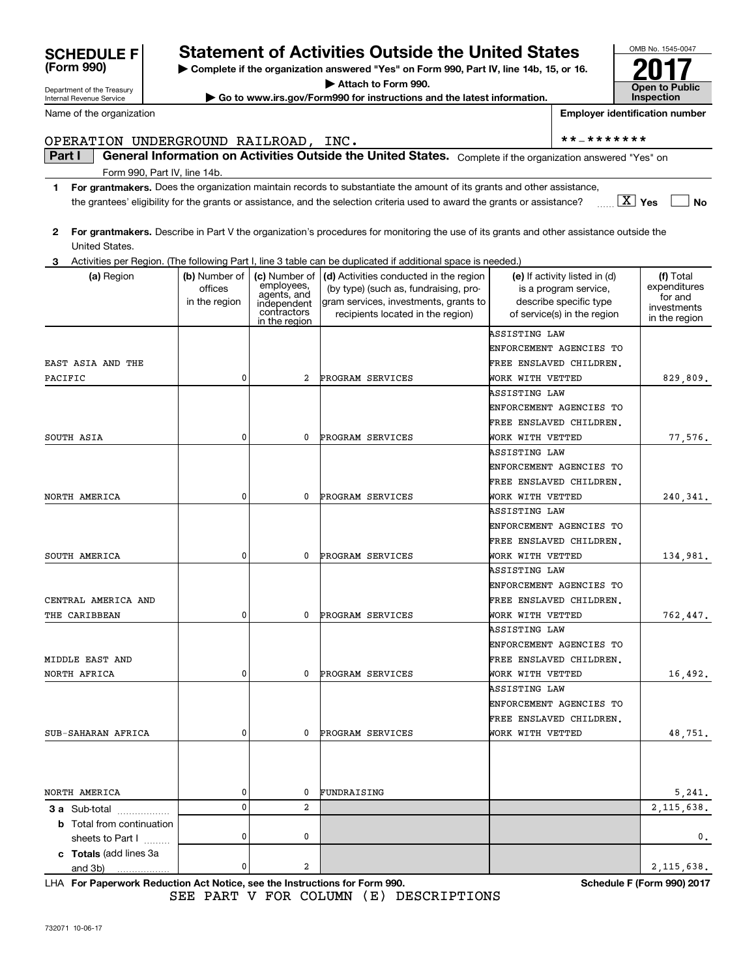# **SCHEDULE F Statement of Activities Outside the United States**

**| Complete if the organization answered "Yes" on Form 990, Part IV, line 14b, 15, or 16.**

**| Attach to Form 990.**

**| Go to www.irs.gov/Form990 for instructions and the latest information.**

**2For grantmakers.**  Describe in Part V the organization's procedures for monitoring the use of its grants and other assistance outside the

**Part I**  $\parallel$  General Information on Activities Outside the United States. Complete if the organization answered "Yes" on

OPERATION UNDERGROUND RAILROAD, INC.  $\left| \begin{array}{ccc} * & * & * & * & * \ * & * & * & * \ * & * & * & * \end{array} \right|$ 

**1For grantmakers.**  Does the organization maintain records to substantiate the amount of its grants and other assistance,

the grantees' eligibility for the grants or assistance, and the selection criteria used to award the grants or assistance?

| (b) Number of<br>offices<br>in the region | employees,<br>agents, and<br>independent<br>contractors<br>in the region | (by type) (such as, fundraising, pro-<br>gram services, investments, grants to<br>recipients located in the region) | (e) If activity listed in (d)<br>is a program service,<br>describe specific type<br>of service(s) in the region                                                                                          | (f) Total<br>expenditures<br>for and<br>investments<br>in the region                                                                                                                                                                                                                                                                                                                                                                                                                                                                                                                                                                                                                                                                                                        |
|-------------------------------------------|--------------------------------------------------------------------------|---------------------------------------------------------------------------------------------------------------------|----------------------------------------------------------------------------------------------------------------------------------------------------------------------------------------------------------|-----------------------------------------------------------------------------------------------------------------------------------------------------------------------------------------------------------------------------------------------------------------------------------------------------------------------------------------------------------------------------------------------------------------------------------------------------------------------------------------------------------------------------------------------------------------------------------------------------------------------------------------------------------------------------------------------------------------------------------------------------------------------------|
|                                           |                                                                          |                                                                                                                     |                                                                                                                                                                                                          |                                                                                                                                                                                                                                                                                                                                                                                                                                                                                                                                                                                                                                                                                                                                                                             |
|                                           |                                                                          |                                                                                                                     |                                                                                                                                                                                                          |                                                                                                                                                                                                                                                                                                                                                                                                                                                                                                                                                                                                                                                                                                                                                                             |
|                                           |                                                                          |                                                                                                                     |                                                                                                                                                                                                          |                                                                                                                                                                                                                                                                                                                                                                                                                                                                                                                                                                                                                                                                                                                                                                             |
| 0                                         | 2                                                                        |                                                                                                                     |                                                                                                                                                                                                          | 829,809.                                                                                                                                                                                                                                                                                                                                                                                                                                                                                                                                                                                                                                                                                                                                                                    |
|                                           |                                                                          |                                                                                                                     |                                                                                                                                                                                                          |                                                                                                                                                                                                                                                                                                                                                                                                                                                                                                                                                                                                                                                                                                                                                                             |
|                                           |                                                                          |                                                                                                                     |                                                                                                                                                                                                          |                                                                                                                                                                                                                                                                                                                                                                                                                                                                                                                                                                                                                                                                                                                                                                             |
|                                           |                                                                          |                                                                                                                     |                                                                                                                                                                                                          |                                                                                                                                                                                                                                                                                                                                                                                                                                                                                                                                                                                                                                                                                                                                                                             |
| 0                                         | 0                                                                        |                                                                                                                     |                                                                                                                                                                                                          | 77,576.                                                                                                                                                                                                                                                                                                                                                                                                                                                                                                                                                                                                                                                                                                                                                                     |
|                                           |                                                                          |                                                                                                                     |                                                                                                                                                                                                          |                                                                                                                                                                                                                                                                                                                                                                                                                                                                                                                                                                                                                                                                                                                                                                             |
|                                           |                                                                          |                                                                                                                     |                                                                                                                                                                                                          |                                                                                                                                                                                                                                                                                                                                                                                                                                                                                                                                                                                                                                                                                                                                                                             |
|                                           |                                                                          |                                                                                                                     |                                                                                                                                                                                                          |                                                                                                                                                                                                                                                                                                                                                                                                                                                                                                                                                                                                                                                                                                                                                                             |
| 0                                         | 0                                                                        |                                                                                                                     |                                                                                                                                                                                                          | 240, 341.                                                                                                                                                                                                                                                                                                                                                                                                                                                                                                                                                                                                                                                                                                                                                                   |
|                                           |                                                                          |                                                                                                                     |                                                                                                                                                                                                          |                                                                                                                                                                                                                                                                                                                                                                                                                                                                                                                                                                                                                                                                                                                                                                             |
|                                           |                                                                          |                                                                                                                     |                                                                                                                                                                                                          |                                                                                                                                                                                                                                                                                                                                                                                                                                                                                                                                                                                                                                                                                                                                                                             |
|                                           |                                                                          |                                                                                                                     |                                                                                                                                                                                                          |                                                                                                                                                                                                                                                                                                                                                                                                                                                                                                                                                                                                                                                                                                                                                                             |
| 0                                         | 0                                                                        |                                                                                                                     |                                                                                                                                                                                                          | 134,981.                                                                                                                                                                                                                                                                                                                                                                                                                                                                                                                                                                                                                                                                                                                                                                    |
|                                           |                                                                          |                                                                                                                     |                                                                                                                                                                                                          |                                                                                                                                                                                                                                                                                                                                                                                                                                                                                                                                                                                                                                                                                                                                                                             |
|                                           |                                                                          |                                                                                                                     |                                                                                                                                                                                                          |                                                                                                                                                                                                                                                                                                                                                                                                                                                                                                                                                                                                                                                                                                                                                                             |
|                                           |                                                                          |                                                                                                                     |                                                                                                                                                                                                          |                                                                                                                                                                                                                                                                                                                                                                                                                                                                                                                                                                                                                                                                                                                                                                             |
| 0                                         | 0                                                                        |                                                                                                                     |                                                                                                                                                                                                          | 762,447.                                                                                                                                                                                                                                                                                                                                                                                                                                                                                                                                                                                                                                                                                                                                                                    |
|                                           |                                                                          |                                                                                                                     |                                                                                                                                                                                                          |                                                                                                                                                                                                                                                                                                                                                                                                                                                                                                                                                                                                                                                                                                                                                                             |
|                                           |                                                                          |                                                                                                                     |                                                                                                                                                                                                          |                                                                                                                                                                                                                                                                                                                                                                                                                                                                                                                                                                                                                                                                                                                                                                             |
|                                           |                                                                          |                                                                                                                     |                                                                                                                                                                                                          |                                                                                                                                                                                                                                                                                                                                                                                                                                                                                                                                                                                                                                                                                                                                                                             |
| 0                                         | 0                                                                        |                                                                                                                     |                                                                                                                                                                                                          | 16,492.                                                                                                                                                                                                                                                                                                                                                                                                                                                                                                                                                                                                                                                                                                                                                                     |
|                                           |                                                                          |                                                                                                                     |                                                                                                                                                                                                          |                                                                                                                                                                                                                                                                                                                                                                                                                                                                                                                                                                                                                                                                                                                                                                             |
|                                           |                                                                          |                                                                                                                     |                                                                                                                                                                                                          |                                                                                                                                                                                                                                                                                                                                                                                                                                                                                                                                                                                                                                                                                                                                                                             |
|                                           |                                                                          |                                                                                                                     |                                                                                                                                                                                                          |                                                                                                                                                                                                                                                                                                                                                                                                                                                                                                                                                                                                                                                                                                                                                                             |
| 0                                         | 0                                                                        |                                                                                                                     |                                                                                                                                                                                                          | 48,751.                                                                                                                                                                                                                                                                                                                                                                                                                                                                                                                                                                                                                                                                                                                                                                     |
|                                           |                                                                          |                                                                                                                     |                                                                                                                                                                                                          |                                                                                                                                                                                                                                                                                                                                                                                                                                                                                                                                                                                                                                                                                                                                                                             |
| 0                                         | 0                                                                        | FUNDRAISING                                                                                                         |                                                                                                                                                                                                          | 5,241.                                                                                                                                                                                                                                                                                                                                                                                                                                                                                                                                                                                                                                                                                                                                                                      |
| 0                                         | $\overline{2}$                                                           |                                                                                                                     |                                                                                                                                                                                                          | 2, 115, 638.                                                                                                                                                                                                                                                                                                                                                                                                                                                                                                                                                                                                                                                                                                                                                                |
|                                           |                                                                          |                                                                                                                     |                                                                                                                                                                                                          |                                                                                                                                                                                                                                                                                                                                                                                                                                                                                                                                                                                                                                                                                                                                                                             |
| 0                                         | 0                                                                        |                                                                                                                     |                                                                                                                                                                                                          | 0.                                                                                                                                                                                                                                                                                                                                                                                                                                                                                                                                                                                                                                                                                                                                                                          |
|                                           |                                                                          |                                                                                                                     |                                                                                                                                                                                                          |                                                                                                                                                                                                                                                                                                                                                                                                                                                                                                                                                                                                                                                                                                                                                                             |
| 0                                         | $\overline{\mathbf{c}}$                                                  |                                                                                                                     |                                                                                                                                                                                                          | 2, 115, 638.                                                                                                                                                                                                                                                                                                                                                                                                                                                                                                                                                                                                                                                                                                                                                                |
|                                           |                                                                          |                                                                                                                     | (c) Number of $\vert$ (d) Activities conducted in the region<br>PROGRAM SERVICES<br>PROGRAM SERVICES<br>PROGRAM SERVICES<br>PROGRAM SERVICES<br>PROGRAM SERVICES<br>PROGRAM SERVICES<br>PROGRAM SERVICES | 3 Activities per Region. (The following Part I, line 3 table can be duplicated if additional space is needed.)<br>ASSISTING LAW<br>ENFORCEMENT AGENCIES TO<br>FREE ENSLAVED CHILDREN.<br>WORK WITH VETTED<br>ASSISTING LAW<br>ENFORCEMENT AGENCIES TO<br>FREE ENSLAVED CHILDREN.<br>WORK WITH VETTED<br>ASSISTING LAW<br>ENFORCEMENT AGENCIES TO<br>FREE ENSLAVED CHILDREN.<br>WORK WITH VETTED<br>ASSISTING LAW<br>ENFORCEMENT AGENCIES TO<br>FREE ENSLAVED CHILDREN.<br>WORK WITH VETTED<br>ASSISTING LAW<br>ENFORCEMENT AGENCIES TO<br>FREE ENSLAVED CHILDREN.<br>WORK WITH VETTED<br>ASSISTING LAW<br>ENFORCEMENT AGENCIES TO<br>FREE ENSLAVED CHILDREN.<br>WORK WITH VETTED<br>ASSISTING LAW<br>ENFORCEMENT AGENCIES TO<br>FREE ENSLAVED CHILDREN.<br>WORK WITH VETTED |

**For Paperwork Reduction Act Notice, see the Instructions for Form 990. Schedule F (Form 990) 2017** LHA SEE PART V FOR COLUMN (E) DESCRIPTIONS

Department of the Treasury Internal Revenue Service

Form 990, Part IV, line 14b.

Name of the organization

**(Form 990)**

| side the United            |  |  |
|----------------------------|--|--|
| on Form 990, Part IV, line |  |  |

| OMB No. 1545-0047     |
|-----------------------|
|                       |
|                       |
| <b>Open to Public</b> |
| Inspection            |

**Employer identification number**

**Yes No** X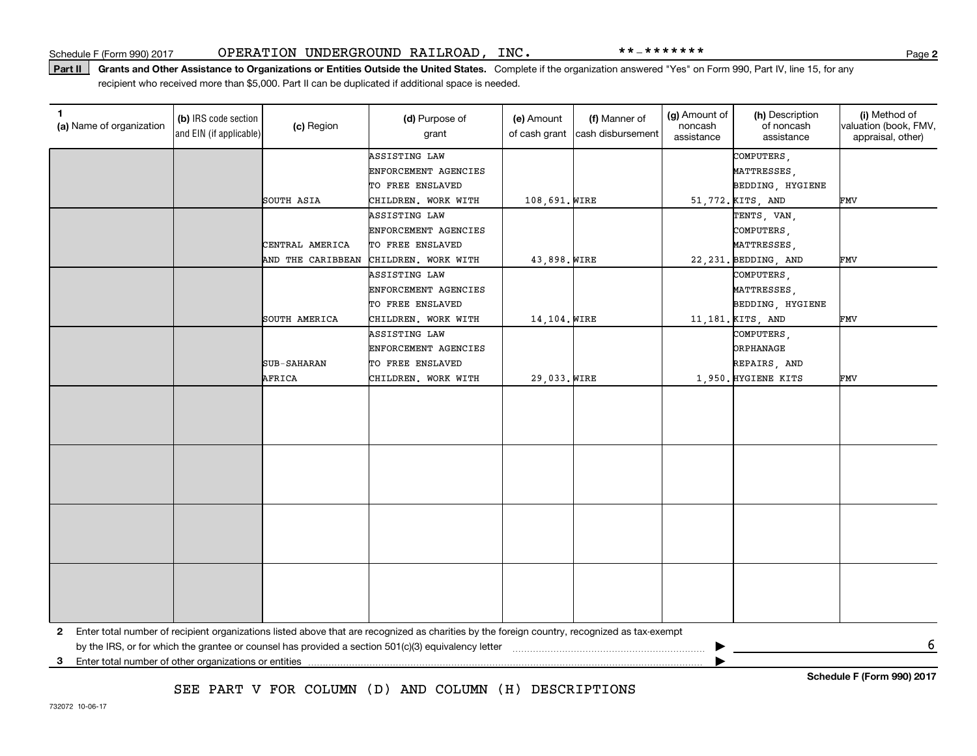### Part II | Grants and Other Assistance to Organizations or Entities Outside the United States. Complete if the organization answered "Yes" on Form 990, Part IV, line 15, for any recipient who received more than \$5,000. Part II can be duplicated if additional space is needed.

| $\mathbf{1}$<br>(a) Name of organization | (b) IRS code section<br>and EIN (if applicable)       | (c) Region         | (d) Purpose of<br>grant                                                                                                                      | (e) Amount<br>of cash grant | (f) Manner of<br>cash disbursement | (g) Amount of<br>noncash<br>assistance | (h) Description<br>of noncash<br>assistance | (i) Method of<br>valuation (book, FMV,<br>appraisal, other) |  |  |
|------------------------------------------|-------------------------------------------------------|--------------------|----------------------------------------------------------------------------------------------------------------------------------------------|-----------------------------|------------------------------------|----------------------------------------|---------------------------------------------|-------------------------------------------------------------|--|--|
|                                          |                                                       |                    | ASSISTING LAW                                                                                                                                |                             |                                    |                                        | COMPUTERS,                                  |                                                             |  |  |
|                                          |                                                       |                    | ENFORCEMENT AGENCIES                                                                                                                         |                             |                                    |                                        | MATTRESSES,                                 |                                                             |  |  |
|                                          |                                                       |                    | TO FREE ENSLAVED                                                                                                                             |                             |                                    |                                        | BEDDING, HYGIENE                            |                                                             |  |  |
|                                          |                                                       | SOUTH ASIA         | CHILDREN. WORK WITH                                                                                                                          | 108,691. WIRE               |                                    |                                        | 51,772. KITS, AND                           | FMV                                                         |  |  |
|                                          |                                                       |                    | ASSISTING LAW                                                                                                                                |                             |                                    |                                        | TENTS, VAN,                                 |                                                             |  |  |
|                                          |                                                       |                    | ENFORCEMENT AGENCIES                                                                                                                         |                             |                                    |                                        | COMPUTERS,                                  |                                                             |  |  |
|                                          |                                                       | CENTRAL AMERICA    | TO FREE ENSLAVED                                                                                                                             |                             |                                    |                                        | MATTRESSES,                                 |                                                             |  |  |
|                                          |                                                       | AND THE CARIBBEAN  | CHILDREN. WORK WITH                                                                                                                          | 43,898. WIRE                |                                    |                                        | 22, 231. BEDDING, AND                       | FMV                                                         |  |  |
|                                          |                                                       |                    | ASSISTING LAW                                                                                                                                |                             |                                    |                                        | COMPUTERS,                                  |                                                             |  |  |
|                                          |                                                       |                    | ENFORCEMENT AGENCIES                                                                                                                         |                             |                                    |                                        | MATTRESSES,                                 |                                                             |  |  |
|                                          |                                                       |                    | TO FREE ENSLAVED                                                                                                                             |                             |                                    |                                        | BEDDING, HYGIENE                            |                                                             |  |  |
|                                          |                                                       | SOUTH AMERICA      | CHILDREN. WORK WITH                                                                                                                          | 14,104. WIRE                |                                    |                                        | 11,181. KITS, AND                           | FMV                                                         |  |  |
|                                          |                                                       |                    | ASSISTING LAW                                                                                                                                |                             |                                    |                                        | COMPUTERS,                                  |                                                             |  |  |
|                                          |                                                       |                    | ENFORCEMENT AGENCIES                                                                                                                         |                             |                                    |                                        | ORPHANAGE                                   |                                                             |  |  |
|                                          |                                                       | <b>SUB-SAHARAN</b> | TO FREE ENSLAVED                                                                                                                             |                             |                                    |                                        | REPAIRS, AND                                |                                                             |  |  |
|                                          |                                                       | AFRICA             | CHILDREN. WORK WITH                                                                                                                          | 29,033. WIRE                |                                    |                                        | 1,950. HYGIENE KITS                         | FMV                                                         |  |  |
|                                          |                                                       |                    |                                                                                                                                              |                             |                                    |                                        |                                             |                                                             |  |  |
|                                          |                                                       |                    |                                                                                                                                              |                             |                                    |                                        |                                             |                                                             |  |  |
|                                          |                                                       |                    |                                                                                                                                              |                             |                                    |                                        |                                             |                                                             |  |  |
|                                          |                                                       |                    |                                                                                                                                              |                             |                                    |                                        |                                             |                                                             |  |  |
| $\mathbf{2}$                             |                                                       |                    | Enter total number of recipient organizations listed above that are recognized as charities by the foreign country, recognized as tax-exempt |                             |                                    |                                        |                                             |                                                             |  |  |
|                                          |                                                       |                    |                                                                                                                                              |                             |                                    |                                        |                                             | 6                                                           |  |  |
| 3                                        | Enter total number of other organizations or entities |                    |                                                                                                                                              |                             |                                    |                                        |                                             |                                                             |  |  |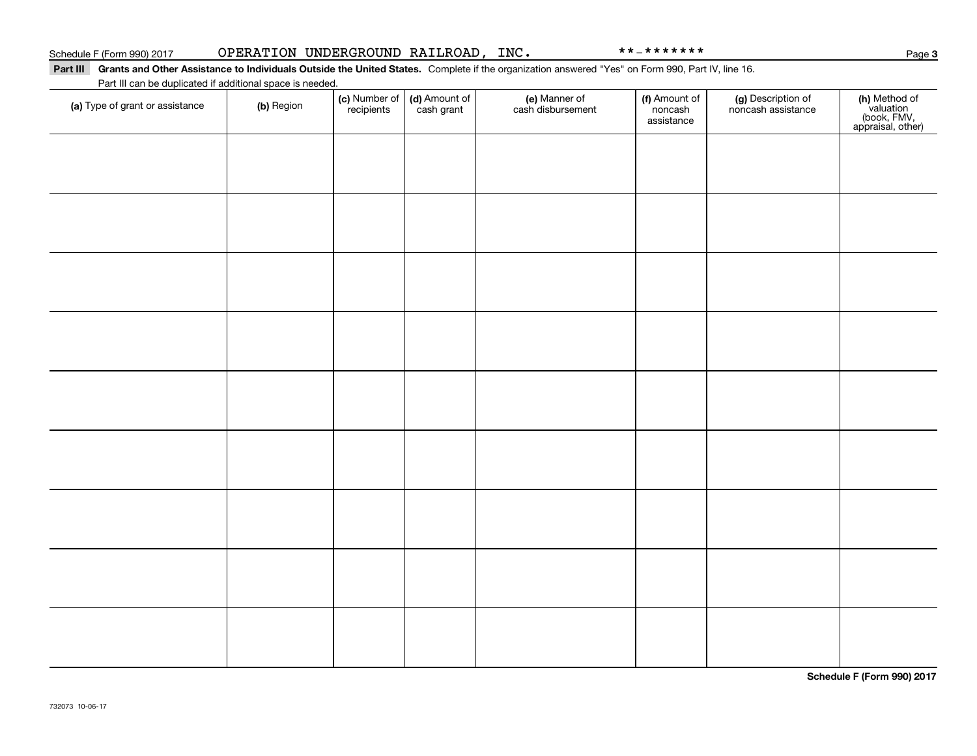#### Part III Grants and Other Assistance to Individuals Outside the United States. Complete if the organization answered "Yes" on Form 990, Part IV, line 16. Part III can be duplicated if additional space is needed.

| Part in car be duplicated if additional space is needed.<br>(a) Type of grant or assistance | (b) Region | (c) Number of<br>recipients | (d) Amount of<br>cash grant | (e) Manner of<br>cash disbursement | (f) Amount of<br>noncash<br>assistance | (g) Description of<br>noncash assistance | (h) Method of<br>valuation<br>(book, FMV,<br>appraisal, other) |
|---------------------------------------------------------------------------------------------|------------|-----------------------------|-----------------------------|------------------------------------|----------------------------------------|------------------------------------------|----------------------------------------------------------------|
|                                                                                             |            |                             |                             |                                    |                                        |                                          |                                                                |
|                                                                                             |            |                             |                             |                                    |                                        |                                          |                                                                |
|                                                                                             |            |                             |                             |                                    |                                        |                                          |                                                                |
|                                                                                             |            |                             |                             |                                    |                                        |                                          |                                                                |
|                                                                                             |            |                             |                             |                                    |                                        |                                          |                                                                |
|                                                                                             |            |                             |                             |                                    |                                        |                                          |                                                                |
|                                                                                             |            |                             |                             |                                    |                                        |                                          |                                                                |
|                                                                                             |            |                             |                             |                                    |                                        |                                          |                                                                |
|                                                                                             |            |                             |                             |                                    |                                        |                                          |                                                                |
|                                                                                             |            |                             |                             |                                    |                                        |                                          |                                                                |
|                                                                                             |            |                             |                             |                                    |                                        |                                          |                                                                |

**Schedule F (Form 990) 2017**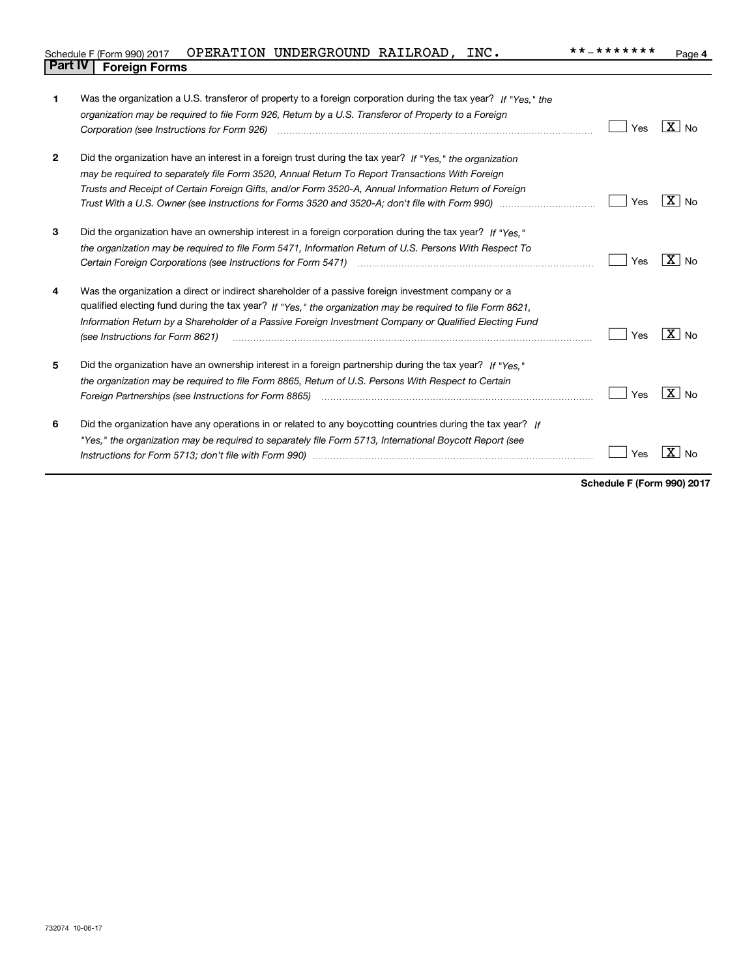| Schedule F (Form 990) 2017  OPERATION UNDERGROUND RAILROAD, |  | INC. | **_******* | $P$ age |
|-------------------------------------------------------------|--|------|------------|---------|
| <b>Part IV   Foreign Forms</b>                              |  |      |            |         |

| 1            | Was the organization a U.S. transferor of property to a foreign corporation during the tax year? If "Yes." the                             |     |                     |
|--------------|--------------------------------------------------------------------------------------------------------------------------------------------|-----|---------------------|
|              | organization may be required to file Form 926, Return by a U.S. Transferor of Property to a Foreign                                        |     |                     |
|              | Corporation (see Instructions for Form 926) manufactured control control control of the Instruction of the Uni                             | Yes | $X _{\text{No}}$    |
| $\mathbf{2}$ | Did the organization have an interest in a foreign trust during the tax year? If "Yes," the organization                                   |     |                     |
|              | may be required to separately file Form 3520, Annual Return To Report Transactions With Foreign                                            |     |                     |
|              | Trusts and Receipt of Certain Foreign Gifts, and/or Form 3520-A, Annual Information Return of Foreign                                      |     |                     |
|              | Trust With a U.S. Owner (see Instructions for Forms 3520 and 3520-A; don't file with Form 990) manufaction manufactured.                   | Yes | $X \mid N_{\Omega}$ |
| 3            | Did the organization have an ownership interest in a foreign corporation during the tax year? If "Yes."                                    |     |                     |
|              | the organization may be required to file Form 5471, Information Return of U.S. Persons With Respect To                                     |     |                     |
|              |                                                                                                                                            | Yes | $X _{\text{No}}$    |
| 4            | Was the organization a direct or indirect shareholder of a passive foreign investment company or a                                         |     |                     |
|              | qualified electing fund during the tax year? If "Yes," the organization may be required to file Form 8621,                                 |     |                     |
|              | Information Return by a Shareholder of a Passive Foreign Investment Company or Qualified Electing Fund<br>(see Instructions for Form 8621) | Yes | $X _{\text{No}}$    |
| 5            | Did the organization have an ownership interest in a foreign partnership during the tax year? If "Yes."                                    |     |                     |
|              | the organization may be required to file Form 8865, Return of U.S. Persons With Respect to Certain                                         |     |                     |
|              |                                                                                                                                            | Yes | $\sqrt{X}$ No       |
| 6            | Did the organization have any operations in or related to any boycotting countries during the tax year? If                                 |     |                     |
|              | "Yes," the organization may be required to separately file Form 5713, International Boycott Report (see                                    |     |                     |
|              | Instructions for Form 5713; don't file with Form 990) manufactured and the control of the control of the with                              | Yes | X.<br><b>No</b>     |
|              |                                                                                                                                            |     |                     |

**Schedule F (Form 990) 2017**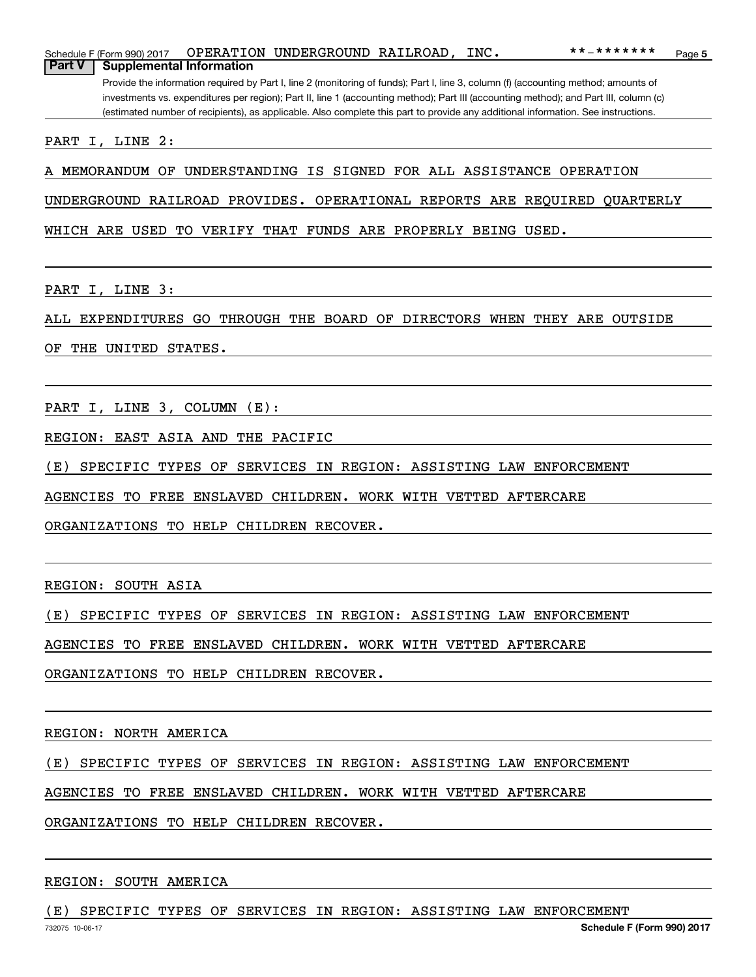| OPERATION UNDERGROUND RAILROAD,<br>INC.<br>Schedule F (Form 990) 2017                                                                 | **_******* | Page 5 |  |  |  |  |  |  |
|---------------------------------------------------------------------------------------------------------------------------------------|------------|--------|--|--|--|--|--|--|
| <b>Part V</b><br><b>Supplemental Information</b>                                                                                      |            |        |  |  |  |  |  |  |
| Provide the information required by Part I, line 2 (monitoring of funds); Part I, line 3, column (f) (accounting method; amounts of   |            |        |  |  |  |  |  |  |
| investments vs. expenditures per region); Part II, line 1 (accounting method); Part III (accounting method); and Part III, column (c) |            |        |  |  |  |  |  |  |
| (estimated number of recipients), as applicable. Also complete this part to provide any additional information. See instructions.     |            |        |  |  |  |  |  |  |
| PART I, LINE 2:                                                                                                                       |            |        |  |  |  |  |  |  |
| UNDERSTANDING IS SIGNED FOR ALL ASSISTANCE OPERATION<br>A MEMORANDUM<br>OF                                                            |            |        |  |  |  |  |  |  |

UNDERGROUND RAILROAD PROVIDES. OPERATIONAL REPORTS ARE REQUIRED QUARTERLY

WHICH ARE USED TO VERIFY THAT FUNDS ARE PROPERLY BEING USED.

PART I, LINE 3:

ALL EXPENDITURES GO THROUGH THE BOARD OF DIRECTORS WHEN THEY ARE OUTSIDE

OF THE UNITED STATES.

PART I, LINE 3, COLUMN (E):

REGION: EAST ASIA AND THE PACIFIC

(E) SPECIFIC TYPES OF SERVICES IN REGION: ASSISTING LAW ENFORCEMENT

AGENCIES TO FREE ENSLAVED CHILDREN. WORK WITH VETTED AFTERCARE

ORGANIZATIONS TO HELP CHILDREN RECOVER.

REGION: SOUTH ASIA

(E) SPECIFIC TYPES OF SERVICES IN REGION: ASSISTING LAW ENFORCEMENT

AGENCIES TO FREE ENSLAVED CHILDREN. WORK WITH VETTED AFTERCARE

ORGANIZATIONS TO HELP CHILDREN RECOVER.

REGION: NORTH AMERICA

(E) SPECIFIC TYPES OF SERVICES IN REGION: ASSISTING LAW ENFORCEMENT

AGENCIES TO FREE ENSLAVED CHILDREN. WORK WITH VETTED AFTERCARE

ORGANIZATIONS TO HELP CHILDREN RECOVER.

### REGION: SOUTH AMERICA

#### (E) SPECIFIC TYPES OF SERVICES IN REGION: ASSISTING LAW ENFORCEMENT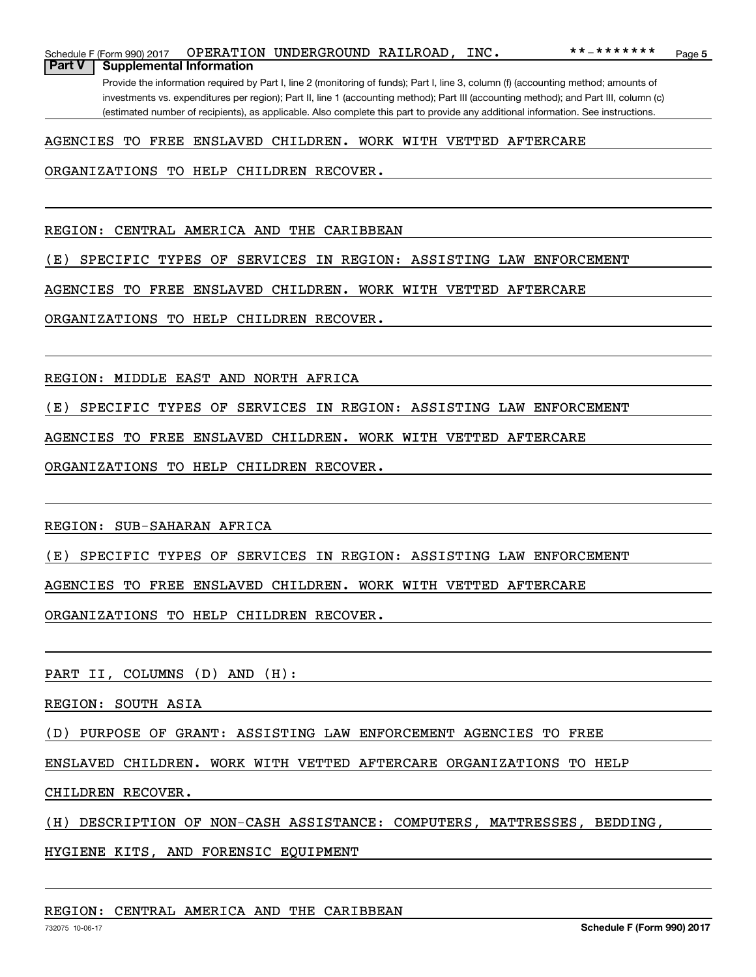#### **5** Schedule F (Form 990) 2017  ${\sf OPERATION}$   ${\sf UNDERGROUND}$   ${\sf RAILROAD}$  ,  ${\sf INC.}$  \*\*-\*\*\*\*\*\*\* Page Provide the information required by Part I, line 2 (monitoring of funds); Part I, line 3, column (f) (accounting method; amounts of **Part V Supplemental Information**

investments vs. expenditures per region); Part II, line 1 (accounting method); Part III (accounting method); and Part III, column (c) (estimated number of recipients), as applicable. Also complete this part to provide any additional information. See instructions.

## AGENCIES TO FREE ENSLAVED CHILDREN. WORK WITH VETTED AFTERCARE

ORGANIZATIONS TO HELP CHILDREN RECOVER.

REGION: CENTRAL AMERICA AND THE CARIBBEAN

(E) SPECIFIC TYPES OF SERVICES IN REGION: ASSISTING LAW ENFORCEMENT

AGENCIES TO FREE ENSLAVED CHILDREN. WORK WITH VETTED AFTERCARE

ORGANIZATIONS TO HELP CHILDREN RECOVER.

REGION: MIDDLE EAST AND NORTH AFRICA

(E) SPECIFIC TYPES OF SERVICES IN REGION: ASSISTING LAW ENFORCEMENT

AGENCIES TO FREE ENSLAVED CHILDREN. WORK WITH VETTED AFTERCARE

ORGANIZATIONS TO HELP CHILDREN RECOVER.

REGION: SUB-SAHARAN AFRICA

(E) SPECIFIC TYPES OF SERVICES IN REGION: ASSISTING LAW ENFORCEMENT

AGENCIES TO FREE ENSLAVED CHILDREN. WORK WITH VETTED AFTERCARE

ORGANIZATIONS TO HELP CHILDREN RECOVER.

PART II, COLUMNS (D) AND (H):

REGION: SOUTH ASIA

(D) PURPOSE OF GRANT: ASSISTING LAW ENFORCEMENT AGENCIES TO FREE

ENSLAVED CHILDREN. WORK WITH VETTED AFTERCARE ORGANIZATIONS TO HELP

CHILDREN RECOVER.

(H) DESCRIPTION OF NON-CASH ASSISTANCE: COMPUTERS, MATTRESSES, BEDDING,

HYGIENE KITS, AND FORENSIC EQUIPMENT

## REGION: CENTRAL AMERICA AND THE CARIBBEAN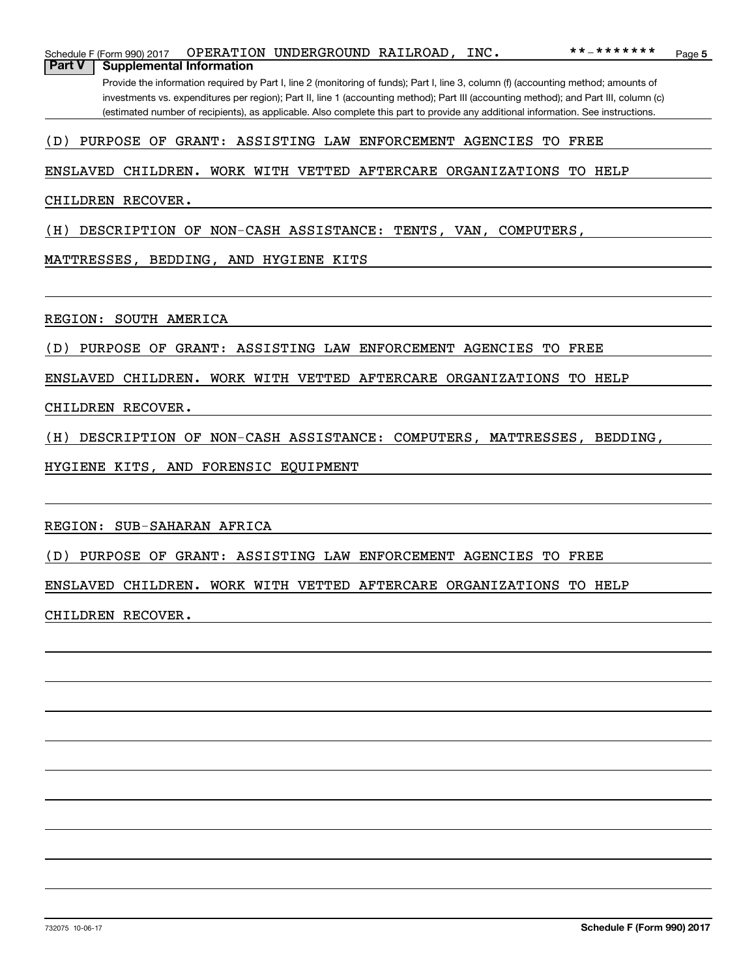|               | Schedule F (Form 990) 2017      | OPERATION UNDERGROUND RAILROAD | INC. | **_*******                                                                                                                            | Page 5 |
|---------------|---------------------------------|--------------------------------|------|---------------------------------------------------------------------------------------------------------------------------------------|--------|
| <b>Part V</b> | <b>Supplemental Information</b> |                                |      |                                                                                                                                       |        |
|               |                                 |                                |      | Provide the information required by Part I, line 2 (monitoring of funds); Part I, line 3, column (f) (accounting method; amounts of   |        |
|               |                                 |                                |      | investments vs. expenditures per region); Part II, line 1 (accounting method); Part III (accounting method); and Part III, column (c) |        |
|               |                                 |                                |      | (estimated number of recipients), as applicable. Also complete this part to provide any additional information. See instructions.     |        |
|               |                                 |                                |      |                                                                                                                                       |        |

## (D) PURPOSE OF GRANT: ASSISTING LAW ENFORCEMENT AGENCIES TO FREE

ENSLAVED CHILDREN. WORK WITH VETTED AFTERCARE ORGANIZATIONS TO HELP

CHILDREN RECOVER.

(H) DESCRIPTION OF NON-CASH ASSISTANCE: TENTS, VAN, COMPUTERS,

MATTRESSES, BEDDING, AND HYGIENE KITS

REGION: SOUTH AMERICA

(D) PURPOSE OF GRANT: ASSISTING LAW ENFORCEMENT AGENCIES TO FREE

ENSLAVED CHILDREN. WORK WITH VETTED AFTERCARE ORGANIZATIONS TO HELP

CHILDREN RECOVER.

(H) DESCRIPTION OF NON-CASH ASSISTANCE: COMPUTERS, MATTRESSES, BEDDING,

HYGIENE KITS, AND FORENSIC EQUIPMENT

REGION: SUB-SAHARAN AFRICA

(D) PURPOSE OF GRANT: ASSISTING LAW ENFORCEMENT AGENCIES TO FREE

ENSLAVED CHILDREN. WORK WITH VETTED AFTERCARE ORGANIZATIONS TO HELP

CHILDREN RECOVER.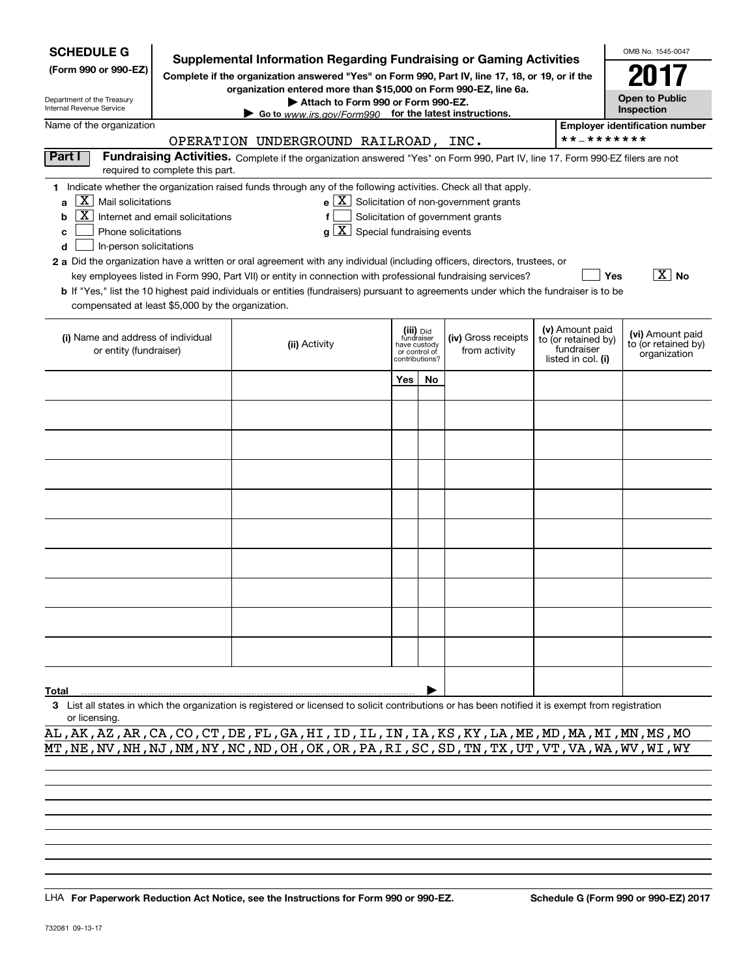| <b>SCHEDULE G</b>                                            |                                                                                                 | <b>Supplemental Information Regarding Fundraising or Gaming Activities</b>                                                                                                                                                                |     |                                                                            |                                                       |  |                                                                            | OMB No. 1545-0047                                       |
|--------------------------------------------------------------|-------------------------------------------------------------------------------------------------|-------------------------------------------------------------------------------------------------------------------------------------------------------------------------------------------------------------------------------------------|-----|----------------------------------------------------------------------------|-------------------------------------------------------|--|----------------------------------------------------------------------------|---------------------------------------------------------|
| (Form 990 or 990-EZ)                                         | Complete if the organization answered "Yes" on Form 990, Part IV, line 17, 18, or 19, or if the |                                                                                                                                                                                                                                           |     |                                                                            |                                                       |  |                                                                            |                                                         |
| Department of the Treasury                                   |                                                                                                 | organization entered more than \$15,000 on Form 990-EZ, line 6a.<br>Attach to Form 990 or Form 990-EZ.                                                                                                                                    |     |                                                                            |                                                       |  |                                                                            | <b>Open to Public</b>                                   |
| Internal Revenue Service                                     |                                                                                                 | Go to www.irs.gov/Form990 for the latest instructions.                                                                                                                                                                                    |     |                                                                            |                                                       |  |                                                                            | Inspection                                              |
| Name of the organization                                     |                                                                                                 |                                                                                                                                                                                                                                           |     |                                                                            |                                                       |  | **_*******                                                                 | <b>Employer identification number</b>                   |
| Part I                                                       |                                                                                                 | OPERATION UNDERGROUND RAILROAD, INC.<br>Fundraising Activities. Complete if the organization answered "Yes" on Form 990, Part IV, line 17. Form 990-EZ filers are not                                                                     |     |                                                                            |                                                       |  |                                                                            |                                                         |
|                                                              | required to complete this part.                                                                 |                                                                                                                                                                                                                                           |     |                                                                            |                                                       |  |                                                                            |                                                         |
| $ \mathbf{X} $ Mail solicitations<br>$\mathbf{a}$            |                                                                                                 | 1 Indicate whether the organization raised funds through any of the following activities. Check all that apply.                                                                                                                           |     |                                                                            | $e$ $\boxed{X}$ Solicitation of non-government grants |  |                                                                            |                                                         |
| b                                                            | $\mathbf{X}$ Internet and email solicitations                                                   | f                                                                                                                                                                                                                                         |     |                                                                            | Solicitation of government grants                     |  |                                                                            |                                                         |
| Phone solicitations<br>c                                     |                                                                                                 | $g\mid X$ Special fundraising events                                                                                                                                                                                                      |     |                                                                            |                                                       |  |                                                                            |                                                         |
| In-person solicitations<br>d                                 |                                                                                                 |                                                                                                                                                                                                                                           |     |                                                                            |                                                       |  |                                                                            |                                                         |
|                                                              |                                                                                                 | 2 a Did the organization have a written or oral agreement with any individual (including officers, directors, trustees, or<br>key employees listed in Form 990, Part VII) or entity in connection with professional fundraising services? |     |                                                                            |                                                       |  |                                                                            | $ \overline{X} $ No<br>Yes                              |
|                                                              |                                                                                                 | <b>b</b> If "Yes," list the 10 highest paid individuals or entities (fundraisers) pursuant to agreements under which the fundraiser is to be                                                                                              |     |                                                                            |                                                       |  |                                                                            |                                                         |
| compensated at least \$5,000 by the organization.            |                                                                                                 |                                                                                                                                                                                                                                           |     |                                                                            |                                                       |  |                                                                            |                                                         |
| (i) Name and address of individual<br>or entity (fundraiser) |                                                                                                 | (ii) Activity                                                                                                                                                                                                                             |     | (iii) Did<br>fundraiser<br>have custody<br>or control of<br>contributions? | (iv) Gross receipts<br>from activity                  |  | (v) Amount paid<br>to (or retained by)<br>fundraiser<br>listed in col. (i) | (vi) Amount paid<br>to (or retained by)<br>organization |
|                                                              |                                                                                                 |                                                                                                                                                                                                                                           | Yes | No.                                                                        |                                                       |  |                                                                            |                                                         |
|                                                              |                                                                                                 |                                                                                                                                                                                                                                           |     |                                                                            |                                                       |  |                                                                            |                                                         |
|                                                              |                                                                                                 |                                                                                                                                                                                                                                           |     |                                                                            |                                                       |  |                                                                            |                                                         |
|                                                              |                                                                                                 |                                                                                                                                                                                                                                           |     |                                                                            |                                                       |  |                                                                            |                                                         |
|                                                              |                                                                                                 |                                                                                                                                                                                                                                           |     |                                                                            |                                                       |  |                                                                            |                                                         |
|                                                              |                                                                                                 |                                                                                                                                                                                                                                           |     |                                                                            |                                                       |  |                                                                            |                                                         |
|                                                              |                                                                                                 |                                                                                                                                                                                                                                           |     |                                                                            |                                                       |  |                                                                            |                                                         |
|                                                              |                                                                                                 |                                                                                                                                                                                                                                           |     |                                                                            |                                                       |  |                                                                            |                                                         |
|                                                              |                                                                                                 |                                                                                                                                                                                                                                           |     |                                                                            |                                                       |  |                                                                            |                                                         |
|                                                              |                                                                                                 |                                                                                                                                                                                                                                           |     |                                                                            |                                                       |  |                                                                            |                                                         |
| Total                                                        |                                                                                                 |                                                                                                                                                                                                                                           |     |                                                                            |                                                       |  |                                                                            |                                                         |
|                                                              |                                                                                                 | 3 List all states in which the organization is registered or licensed to solicit contributions or has been notified it is exempt from registration                                                                                        |     |                                                                            |                                                       |  |                                                                            |                                                         |

or licensing.

AL,AK,AZ,AR,CA,CO,CT,DE,FL,GA,HI,ID,IL,IN,IA,KS,KY,LA,ME,MD,MA,MI,MN,MS,MO MT,NE,NV,NH,NJ,NM,NY,NC,ND,OH,OK,OR,PA,RI,SC,SD,TN,TX,UT,VT,VA,WA,WV,WI,WY

LHA For Paperwork Reduction Act Notice, see the Instructions for Form 990 or 990-EZ. Schedule G (Form 990 or 990-EZ) 2017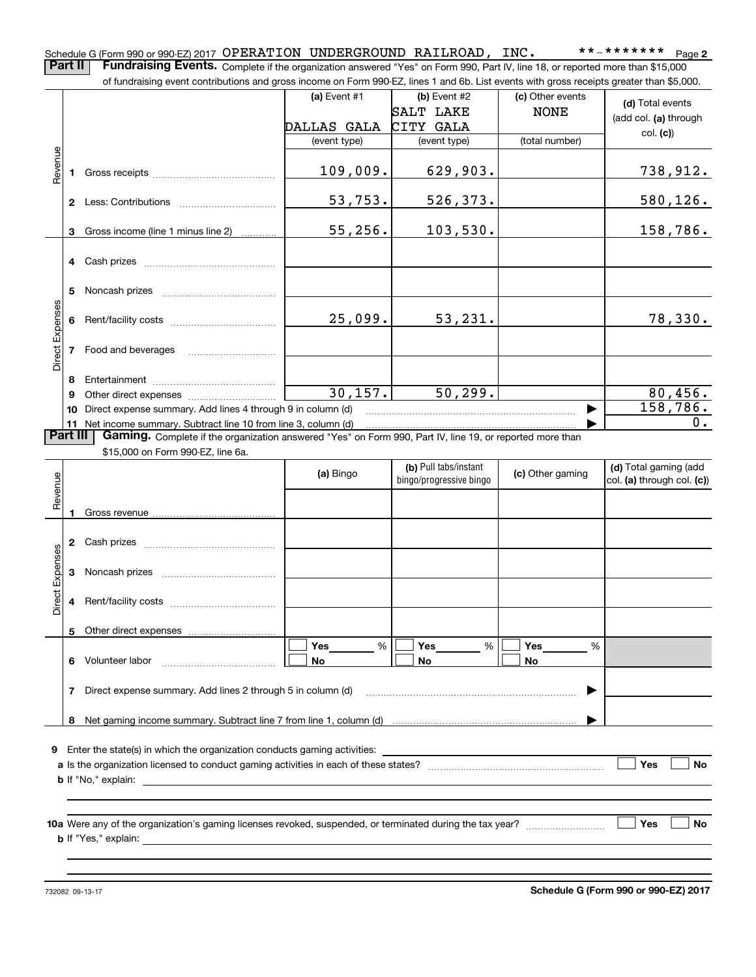**2** Schedule G (Form 990 or 990-EZ) 2017 Page OPERATION UNDERGROUND RAILROAD, INC. \*\*-\*\*\*\*\*\*\* **Part II** | Fundraising Events. Complete if the organization answered "Yes" on Form 990, Part IV, line 18, or reported more than \$15,000 of fundraising event contributions and gross income on Form 990-EZ, lines 1 and 6b. List events with gross receipts greater than \$5,000.

|                                                                                                                             |                | ה ומחמומוסות כלכות סטותווסמוסווס מחט קוטסט וחסטוחס טודו טוחו טטט בב, ווחסט דמותו טט. בוטג כלכותט אתנו קוטסט וכסכופוט קוטמנטו גומוז שט,טטט. |                |                         |                  |                            |  |  |
|-----------------------------------------------------------------------------------------------------------------------------|----------------|--------------------------------------------------------------------------------------------------------------------------------------------|----------------|-------------------------|------------------|----------------------------|--|--|
|                                                                                                                             |                |                                                                                                                                            | (a) Event $#1$ | $(b)$ Event #2          | (c) Other events |                            |  |  |
|                                                                                                                             |                |                                                                                                                                            |                | SALT LAKE               | <b>NONE</b>      | (d) Total events           |  |  |
|                                                                                                                             |                |                                                                                                                                            | DALLAS GALA    | CITY GALA               |                  | (add col. (a) through      |  |  |
|                                                                                                                             |                |                                                                                                                                            | (event type)   | (event type)            | (total number)   | col. (c)                   |  |  |
|                                                                                                                             |                |                                                                                                                                            |                |                         |                  |                            |  |  |
| Revenue                                                                                                                     |                |                                                                                                                                            | 109,009.       | 629,903.                |                  | 738,912.                   |  |  |
|                                                                                                                             | 1.             |                                                                                                                                            |                |                         |                  |                            |  |  |
|                                                                                                                             |                |                                                                                                                                            |                |                         |                  |                            |  |  |
|                                                                                                                             |                |                                                                                                                                            | 53,753.        | 526, 373.               |                  | 580, 126.                  |  |  |
|                                                                                                                             |                |                                                                                                                                            |                |                         |                  |                            |  |  |
|                                                                                                                             | 3              | Gross income (line 1 minus line 2)                                                                                                         | 55, 256.       | 103,530.                |                  | 158,786.                   |  |  |
|                                                                                                                             |                |                                                                                                                                            |                |                         |                  |                            |  |  |
|                                                                                                                             | 4              |                                                                                                                                            |                |                         |                  |                            |  |  |
|                                                                                                                             |                |                                                                                                                                            |                |                         |                  |                            |  |  |
|                                                                                                                             | 5              |                                                                                                                                            |                |                         |                  |                            |  |  |
| <b>Direct Expenses</b>                                                                                                      |                |                                                                                                                                            |                |                         |                  |                            |  |  |
|                                                                                                                             | 6              |                                                                                                                                            | 25,099.        | 53, 231.                |                  | 78,330.                    |  |  |
|                                                                                                                             |                |                                                                                                                                            |                |                         |                  |                            |  |  |
|                                                                                                                             | $\overline{7}$ | Food and beverages                                                                                                                         |                |                         |                  |                            |  |  |
|                                                                                                                             |                |                                                                                                                                            |                |                         |                  |                            |  |  |
|                                                                                                                             | 8              |                                                                                                                                            |                |                         |                  |                            |  |  |
|                                                                                                                             | 9              |                                                                                                                                            | 30, 157.       | 50, 299.                |                  | 80,456.                    |  |  |
|                                                                                                                             | 10             | Direct expense summary. Add lines 4 through 9 in column (d)                                                                                |                |                         |                  | 158,786.                   |  |  |
|                                                                                                                             |                |                                                                                                                                            |                | 0.                      |                  |                            |  |  |
| <b>Part III</b><br>Gaming. Complete if the organization answered "Yes" on Form 990, Part IV, line 19, or reported more than |                |                                                                                                                                            |                |                         |                  |                            |  |  |
|                                                                                                                             |                | \$15,000 on Form 990-EZ, line 6a.                                                                                                          |                |                         |                  |                            |  |  |
|                                                                                                                             |                |                                                                                                                                            | (a) Bingo      | (b) Pull tabs/instant   | (c) Other gaming | (d) Total gaming (add      |  |  |
|                                                                                                                             |                |                                                                                                                                            |                | bingo/progressive bingo |                  | col. (a) through col. (c)) |  |  |
| Revenue                                                                                                                     |                |                                                                                                                                            |                |                         |                  |                            |  |  |
|                                                                                                                             | 1.             |                                                                                                                                            |                |                         |                  |                            |  |  |
|                                                                                                                             |                |                                                                                                                                            |                |                         |                  |                            |  |  |
|                                                                                                                             |                |                                                                                                                                            |                |                         |                  |                            |  |  |
| 8                                                                                                                           |                |                                                                                                                                            |                |                         |                  |                            |  |  |

| Direct Expenses | з  | Noncash prizes                                                                       |                    |                    |                       |           |
|-----------------|----|--------------------------------------------------------------------------------------|--------------------|--------------------|-----------------------|-----------|
|                 |    | Rent/facility costs                                                                  |                    |                    |                       |           |
|                 | 5. | Other direct expenses                                                                |                    |                    |                       |           |
|                 | 6  | Volunteer labor                                                                      | $\%$<br>Yes<br>No. | $\%$<br>Yes<br>No. | %<br><b>Yes</b><br>No |           |
|                 | 7  | Direct expense summary. Add lines 2 through 5 in column (d)                          |                    |                    |                       |           |
|                 | 8  |                                                                                      |                    |                    |                       |           |
| 9               |    | Enter the state(s) in which the organization conducts gaming activities:             |                    |                    |                       |           |
|                 |    | a Is the organization licensed to conduct gaming activities in each of these states? |                    |                    |                       | No<br>Yes |

**b**If "No," explain:

**10 a Yes**Were any of the organization's gaming licenses revoked, suspended, or terminated during the tax year? ~~~~~~~~~ **b** If "Yes," explain:

732082 09-13-17

**No**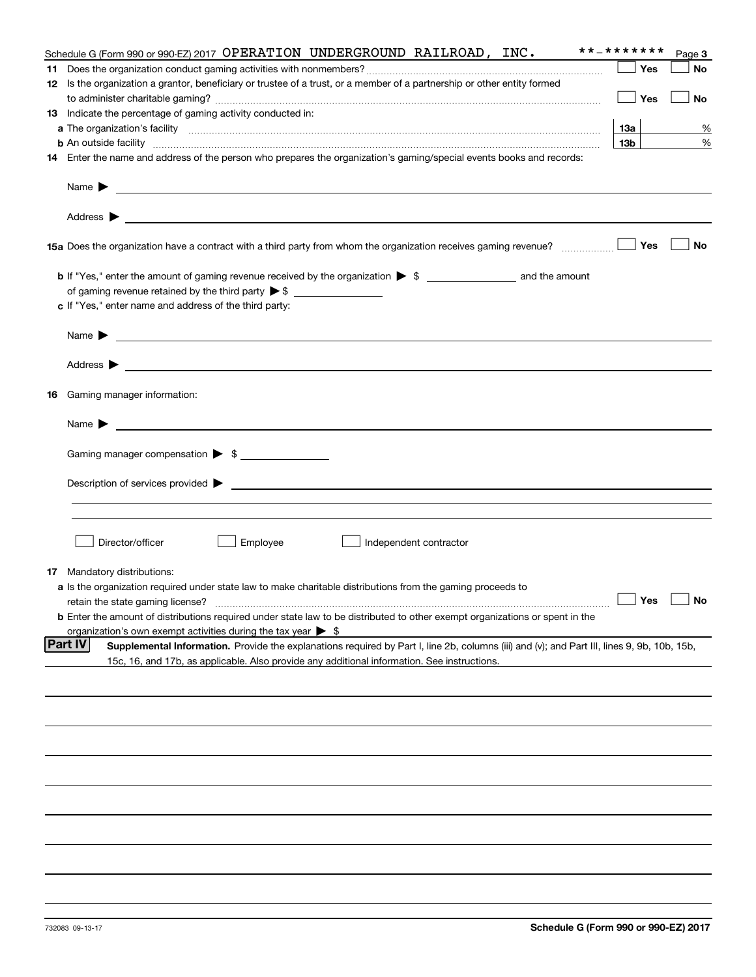|    | Schedule G (Form 990 or 990-EZ) 2017 OPERATION UNDERGROUND RAILROAD, INC.                                                                                                                                                                                             | **_*******      | Page 3    |
|----|-----------------------------------------------------------------------------------------------------------------------------------------------------------------------------------------------------------------------------------------------------------------------|-----------------|-----------|
|    |                                                                                                                                                                                                                                                                       | Yes             | No        |
|    | 12 Is the organization a grantor, beneficiary or trustee of a trust, or a member of a partnership or other entity formed                                                                                                                                              |                 |           |
|    |                                                                                                                                                                                                                                                                       | Yes             | No        |
|    | 13 Indicate the percentage of gaming activity conducted in:                                                                                                                                                                                                           |                 |           |
|    |                                                                                                                                                                                                                                                                       | 13a             | %         |
|    | <b>b</b> An outside facility <i>www.communicality communicality communicality communicality communicality communicality</i>                                                                                                                                           | 13 <sub>b</sub> | %         |
|    | 14 Enter the name and address of the person who prepares the organization's gaming/special events books and records:                                                                                                                                                  |                 |           |
|    | Name $\blacktriangleright$                                                                                                                                                                                                                                            |                 |           |
|    | and the control of the control of the control of the control of the control of the control of the control of the                                                                                                                                                      |                 |           |
|    | <u> 1980 - Johann Barn, fransk politik formuler (d. 1980)</u><br>Address >                                                                                                                                                                                            |                 |           |
|    | 15a Does the organization have a contract with a third party from whom the organization receives gaming revenue?                                                                                                                                                      | Yes             | No        |
|    |                                                                                                                                                                                                                                                                       |                 |           |
|    |                                                                                                                                                                                                                                                                       |                 |           |
|    | c If "Yes," enter name and address of the third party:                                                                                                                                                                                                                |                 |           |
|    |                                                                                                                                                                                                                                                                       |                 |           |
|    | Name $\blacktriangleright$                                                                                                                                                                                                                                            |                 |           |
|    | Address $\blacktriangleright$<br><u>state and the state of the state of the state of the state of the state of the state of the state of the state of the state of the state of the state of the state of the state of the state of the state of the state of the</u> |                 |           |
| 16 | Gaming manager information:                                                                                                                                                                                                                                           |                 |           |
|    | Name $\blacktriangleright$                                                                                                                                                                                                                                            |                 |           |
|    |                                                                                                                                                                                                                                                                       |                 |           |
|    | Gaming manager compensation > \$                                                                                                                                                                                                                                      |                 |           |
|    |                                                                                                                                                                                                                                                                       |                 |           |
|    |                                                                                                                                                                                                                                                                       |                 |           |
|    |                                                                                                                                                                                                                                                                       |                 |           |
|    |                                                                                                                                                                                                                                                                       |                 |           |
|    |                                                                                                                                                                                                                                                                       |                 |           |
|    | Director/officer<br>Employee<br>Independent contractor                                                                                                                                                                                                                |                 |           |
|    |                                                                                                                                                                                                                                                                       |                 |           |
|    | <b>17</b> Mandatory distributions:                                                                                                                                                                                                                                    |                 |           |
|    | a Is the organization required under state law to make charitable distributions from the gaming proceeds to<br>retain the state gaming license?                                                                                                                       | Yes             | <b>No</b> |
|    | <b>b</b> Enter the amount of distributions required under state law to be distributed to other exempt organizations or spent in the                                                                                                                                   |                 |           |
|    | organization's own exempt activities during the tax year $\triangleright$ \$                                                                                                                                                                                          |                 |           |
|    | <b>Part IV</b><br>Supplemental Information. Provide the explanations required by Part I, line 2b, columns (iii) and (v); and Part III, lines 9, 9b, 10b, 15b,                                                                                                         |                 |           |
|    | 15c, 16, and 17b, as applicable. Also provide any additional information. See instructions.                                                                                                                                                                           |                 |           |
|    |                                                                                                                                                                                                                                                                       |                 |           |
|    |                                                                                                                                                                                                                                                                       |                 |           |
|    |                                                                                                                                                                                                                                                                       |                 |           |
|    |                                                                                                                                                                                                                                                                       |                 |           |
|    |                                                                                                                                                                                                                                                                       |                 |           |
|    |                                                                                                                                                                                                                                                                       |                 |           |
|    |                                                                                                                                                                                                                                                                       |                 |           |
|    |                                                                                                                                                                                                                                                                       |                 |           |
|    |                                                                                                                                                                                                                                                                       |                 |           |
|    |                                                                                                                                                                                                                                                                       |                 |           |
|    |                                                                                                                                                                                                                                                                       |                 |           |
|    |                                                                                                                                                                                                                                                                       |                 |           |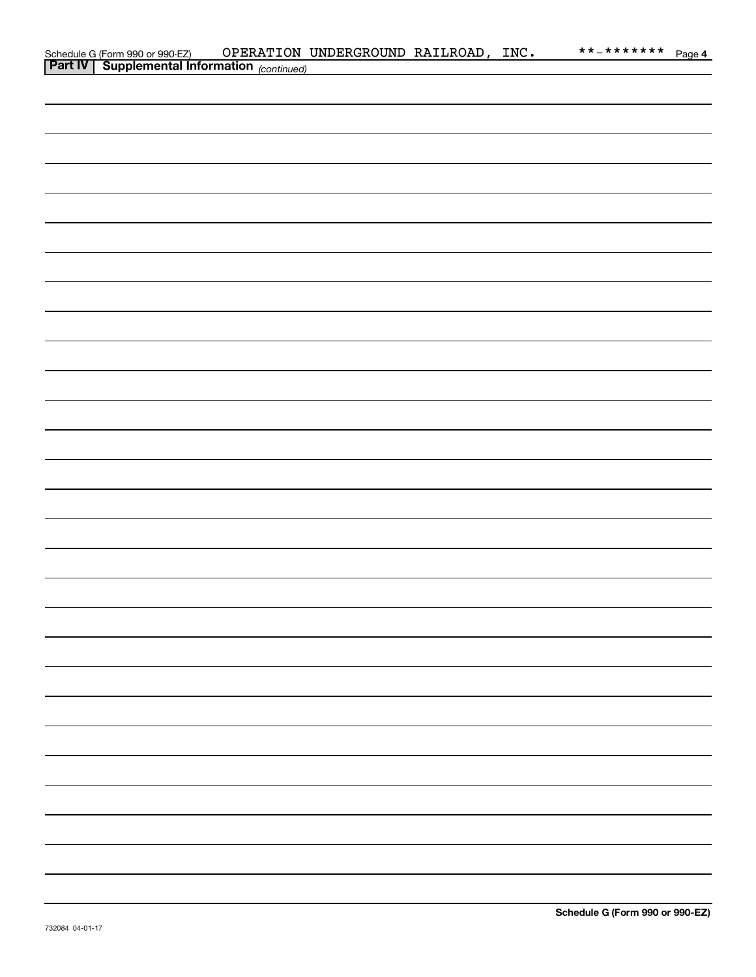|                                                                                               | OPERATION UNDERGROUND RAILROAD, INC. |  | $***$ _ * * * * * * * | Page 4 |
|-----------------------------------------------------------------------------------------------|--------------------------------------|--|-----------------------|--------|
| Schedule G (Form 990 or 990-EZ) OPERATION 1<br>Part IV   Supplemental Information (continued) |                                      |  |                       |        |
|                                                                                               |                                      |  |                       |        |
|                                                                                               |                                      |  |                       |        |
|                                                                                               |                                      |  |                       |        |
|                                                                                               |                                      |  |                       |        |
|                                                                                               |                                      |  |                       |        |
|                                                                                               |                                      |  |                       |        |
|                                                                                               |                                      |  |                       |        |
|                                                                                               |                                      |  |                       |        |
|                                                                                               |                                      |  |                       |        |
|                                                                                               |                                      |  |                       |        |
|                                                                                               |                                      |  |                       |        |
|                                                                                               |                                      |  |                       |        |
|                                                                                               |                                      |  |                       |        |
|                                                                                               |                                      |  |                       |        |
|                                                                                               |                                      |  |                       |        |
|                                                                                               |                                      |  |                       |        |
|                                                                                               |                                      |  |                       |        |
|                                                                                               |                                      |  |                       |        |
|                                                                                               |                                      |  |                       |        |
|                                                                                               |                                      |  |                       |        |
|                                                                                               |                                      |  |                       |        |
|                                                                                               |                                      |  |                       |        |
|                                                                                               |                                      |  |                       |        |
|                                                                                               |                                      |  |                       |        |
|                                                                                               |                                      |  |                       |        |
|                                                                                               |                                      |  |                       |        |
|                                                                                               |                                      |  |                       |        |
|                                                                                               |                                      |  |                       |        |
|                                                                                               |                                      |  |                       |        |
|                                                                                               |                                      |  |                       |        |
|                                                                                               |                                      |  |                       |        |
|                                                                                               |                                      |  |                       |        |
|                                                                                               |                                      |  |                       |        |
|                                                                                               |                                      |  |                       |        |
|                                                                                               |                                      |  |                       |        |
|                                                                                               |                                      |  |                       |        |
|                                                                                               |                                      |  |                       |        |
|                                                                                               |                                      |  |                       |        |
|                                                                                               |                                      |  |                       |        |
|                                                                                               |                                      |  |                       |        |
|                                                                                               |                                      |  |                       |        |
|                                                                                               |                                      |  |                       |        |
|                                                                                               |                                      |  |                       |        |
|                                                                                               |                                      |  |                       |        |
|                                                                                               |                                      |  |                       |        |
|                                                                                               |                                      |  |                       |        |
|                                                                                               |                                      |  |                       |        |
|                                                                                               |                                      |  |                       |        |
|                                                                                               |                                      |  |                       |        |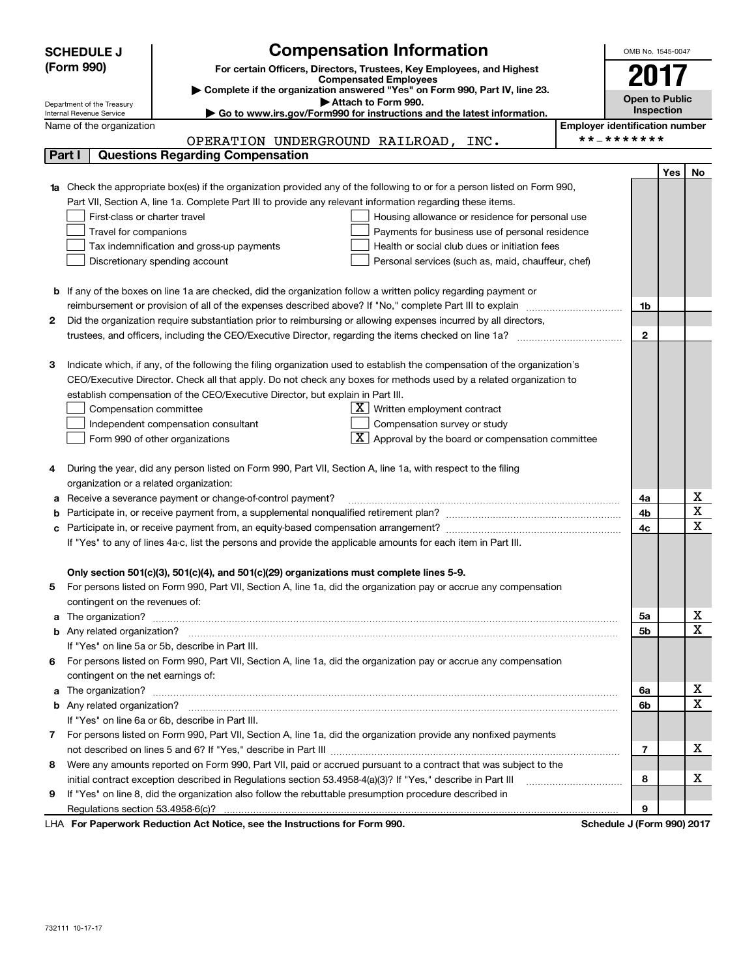|    | <b>SCHEDULE J</b>                       | <b>Compensation Information</b>                                                                                                  |                                                     | OMB No. 1545-0047     |     |             |
|----|-----------------------------------------|----------------------------------------------------------------------------------------------------------------------------------|-----------------------------------------------------|-----------------------|-----|-------------|
|    | (Form 990)                              | For certain Officers, Directors, Trustees, Key Employees, and Highest                                                            |                                                     | 2017                  |     |             |
|    |                                         | <b>Compensated Employees</b><br>Complete if the organization answered "Yes" on Form 990, Part IV, line 23.                       |                                                     |                       |     |             |
|    | Department of the Treasury              | Attach to Form 990.                                                                                                              |                                                     | <b>Open to Public</b> |     |             |
|    | Internal Revenue Service                | ► Go to www.irs.gov/Form990 for instructions and the latest information.                                                         |                                                     | Inspection            |     |             |
|    | Name of the organization                |                                                                                                                                  | <b>Employer identification number</b><br>**_******* |                       |     |             |
|    | Part I                                  | OPERATION UNDERGROUND RAILROAD, INC.<br><b>Questions Regarding Compensation</b>                                                  |                                                     |                       |     |             |
|    |                                         |                                                                                                                                  |                                                     |                       |     |             |
|    |                                         |                                                                                                                                  |                                                     |                       | Yes | No          |
|    |                                         | <b>1a</b> Check the appropriate box(es) if the organization provided any of the following to or for a person listed on Form 990, |                                                     |                       |     |             |
|    |                                         | Part VII, Section A, line 1a. Complete Part III to provide any relevant information regarding these items.                       |                                                     |                       |     |             |
|    | First-class or charter travel           | Housing allowance or residence for personal use                                                                                  |                                                     |                       |     |             |
|    | Travel for companions                   | Payments for business use of personal residence<br>Health or social club dues or initiation fees                                 |                                                     |                       |     |             |
|    |                                         | Tax indemnification and gross-up payments                                                                                        |                                                     |                       |     |             |
|    |                                         | Discretionary spending account<br>Personal services (such as, maid, chauffeur, chef)                                             |                                                     |                       |     |             |
|    |                                         | <b>b</b> If any of the boxes on line 1a are checked, did the organization follow a written policy regarding payment or           |                                                     |                       |     |             |
|    |                                         |                                                                                                                                  |                                                     | 1b                    |     |             |
| 2  |                                         | Did the organization require substantiation prior to reimbursing or allowing expenses incurred by all directors,                 |                                                     |                       |     |             |
|    |                                         |                                                                                                                                  |                                                     | $\mathbf{2}$          |     |             |
|    |                                         |                                                                                                                                  |                                                     |                       |     |             |
| з  |                                         | Indicate which, if any, of the following the filing organization used to establish the compensation of the organization's        |                                                     |                       |     |             |
|    |                                         | CEO/Executive Director. Check all that apply. Do not check any boxes for methods used by a related organization to               |                                                     |                       |     |             |
|    |                                         | establish compensation of the CEO/Executive Director, but explain in Part III.                                                   |                                                     |                       |     |             |
|    | Compensation committee                  | $X$ Written employment contract                                                                                                  |                                                     |                       |     |             |
|    |                                         | Compensation survey or study<br>Independent compensation consultant                                                              |                                                     |                       |     |             |
|    |                                         | $\mathbf{X}$ Approval by the board or compensation committee<br>Form 990 of other organizations                                  |                                                     |                       |     |             |
|    |                                         |                                                                                                                                  |                                                     |                       |     |             |
| 4  |                                         | During the year, did any person listed on Form 990, Part VII, Section A, line 1a, with respect to the filing                     |                                                     |                       |     |             |
|    | organization or a related organization: |                                                                                                                                  |                                                     |                       |     |             |
| а  |                                         | Receive a severance payment or change-of-control payment?                                                                        |                                                     | 4a                    |     | X           |
| b  |                                         |                                                                                                                                  |                                                     | 4b                    |     | X           |
| c  |                                         |                                                                                                                                  |                                                     | 4c                    |     | $\mathbf X$ |
|    |                                         | If "Yes" to any of lines 4a-c, list the persons and provide the applicable amounts for each item in Part III.                    |                                                     |                       |     |             |
|    |                                         |                                                                                                                                  |                                                     |                       |     |             |
|    |                                         | Only section 501(c)(3), 501(c)(4), and 501(c)(29) organizations must complete lines 5-9.                                         |                                                     |                       |     |             |
|    |                                         | For persons listed on Form 990, Part VII, Section A, line 1a, did the organization pay or accrue any compensation                |                                                     |                       |     |             |
|    | contingent on the revenues of:          |                                                                                                                                  |                                                     |                       |     |             |
| a  |                                         |                                                                                                                                  |                                                     | 5а                    |     | х           |
|    |                                         |                                                                                                                                  |                                                     | <b>5b</b>             |     | X           |
|    |                                         | If "Yes" on line 5a or 5b, describe in Part III.                                                                                 |                                                     |                       |     |             |
| 6. |                                         | For persons listed on Form 990, Part VII, Section A, line 1a, did the organization pay or accrue any compensation                |                                                     |                       |     |             |
|    | contingent on the net earnings of:      |                                                                                                                                  |                                                     |                       |     |             |
| a  |                                         |                                                                                                                                  |                                                     | 6a                    |     | X           |
|    |                                         |                                                                                                                                  |                                                     | 6b                    |     | $\mathbf X$ |
|    |                                         | If "Yes" on line 6a or 6b, describe in Part III.                                                                                 |                                                     |                       |     |             |
|    |                                         | 7 For persons listed on Form 990, Part VII, Section A, line 1a, did the organization provide any nonfixed payments               |                                                     |                       |     |             |
|    |                                         |                                                                                                                                  |                                                     | 7                     |     | X           |
| 8  |                                         | Were any amounts reported on Form 990, Part VII, paid or accrued pursuant to a contract that was subject to the                  |                                                     |                       |     |             |
|    |                                         | initial contract exception described in Regulations section 53.4958-4(a)(3)? If "Yes," describe in Part III                      |                                                     | 8                     |     | х           |
| 9  |                                         | If "Yes" on line 8, did the organization also follow the rebuttable presumption procedure described in                           |                                                     |                       |     |             |
|    |                                         |                                                                                                                                  |                                                     | 9                     |     |             |
|    |                                         |                                                                                                                                  |                                                     |                       |     |             |

LHA For Paperwork Reduction Act Notice, see the Instructions for Form 990. Schedule J (Form 990) 2017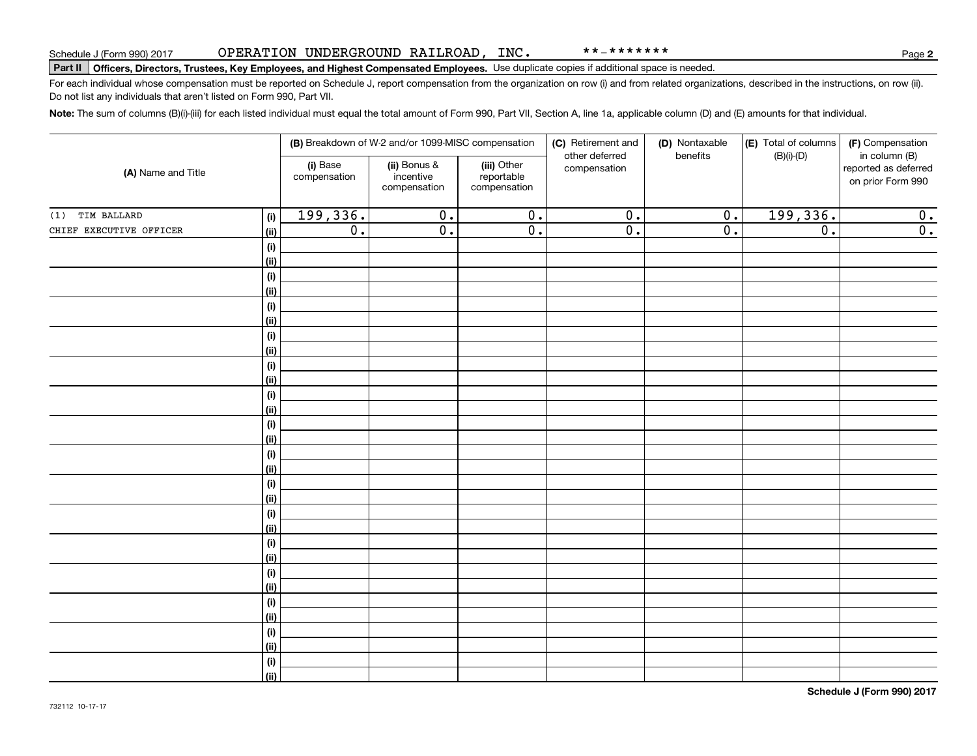#### **Part II Officers, Directors, Trustees, Key Employees, and Highest Compensated Employees.**  Schedule J (Form 990) 2017 Page Use duplicate copies if additional space is needed. OPERATION UNDERGROUND RAILROAD, INC.

For each individual whose compensation must be reported on Schedule J, report compensation from the organization on row (i) and from related organizations, described in the instructions, on row (ii). Do not list any individuals that aren't listed on Form 990, Part VII.

**Note:**  The sum of columns (B)(i)-(iii) for each listed individual must equal the total amount of Form 990, Part VII, Section A, line 1a, applicable column (D) and (E) amounts for that individual.

|                         |            |                          | (B) Breakdown of W-2 and/or 1099-MISC compensation |                                           | (C) Retirement and             | (D) Nontaxable   | (E) Total of columns | (F) Compensation                                           |
|-------------------------|------------|--------------------------|----------------------------------------------------|-------------------------------------------|--------------------------------|------------------|----------------------|------------------------------------------------------------|
| (A) Name and Title      |            | (i) Base<br>compensation | (ii) Bonus &<br>incentive<br>compensation          | (iii) Other<br>reportable<br>compensation | other deferred<br>compensation | benefits         | $(B)(i)-(D)$         | in column (B)<br>reported as deferred<br>on prior Form 990 |
| (1) TIM BALLARD         | (i)        | 199,336.                 | $\overline{0}$ .                                   | $\overline{0}$ .                          | $\overline{0}$ .               | $\overline{0}$ . | 199,336.             | 0.                                                         |
| CHIEF EXECUTIVE OFFICER | (ii)       | $\overline{0}$ .         | $\overline{0}$ .                                   | $\overline{0}$ .                          | $\overline{0}$ .               | $\overline{0}$ . | $\overline{0}$ .     | $\overline{0}$ .                                           |
|                         | $(\sf{i})$ |                          |                                                    |                                           |                                |                  |                      |                                                            |
|                         | (ii)       |                          |                                                    |                                           |                                |                  |                      |                                                            |
|                         | (i)        |                          |                                                    |                                           |                                |                  |                      |                                                            |
|                         | (ii)       |                          |                                                    |                                           |                                |                  |                      |                                                            |
|                         | (i)        |                          |                                                    |                                           |                                |                  |                      |                                                            |
|                         | (ii)       |                          |                                                    |                                           |                                |                  |                      |                                                            |
|                         | $(\sf{i})$ |                          |                                                    |                                           |                                |                  |                      |                                                            |
|                         | (ii)       |                          |                                                    |                                           |                                |                  |                      |                                                            |
|                         | $(\sf{i})$ |                          |                                                    |                                           |                                |                  |                      |                                                            |
|                         | (ii)       |                          |                                                    |                                           |                                |                  |                      |                                                            |
|                         | (i)        |                          |                                                    |                                           |                                |                  |                      |                                                            |
|                         | (ii)       |                          |                                                    |                                           |                                |                  |                      |                                                            |
|                         | $(\sf{i})$ |                          |                                                    |                                           |                                |                  |                      |                                                            |
|                         | (ii)       |                          |                                                    |                                           |                                |                  |                      |                                                            |
|                         | $(\sf{i})$ |                          |                                                    |                                           |                                |                  |                      |                                                            |
|                         | (ii)       |                          |                                                    |                                           |                                |                  |                      |                                                            |
|                         | (i)        |                          |                                                    |                                           |                                |                  |                      |                                                            |
|                         | (ii)       |                          |                                                    |                                           |                                |                  |                      |                                                            |
|                         | $(\sf{i})$ |                          |                                                    |                                           |                                |                  |                      |                                                            |
|                         | (ii)       |                          |                                                    |                                           |                                |                  |                      |                                                            |
|                         | $(\sf{i})$ |                          |                                                    |                                           |                                |                  |                      |                                                            |
|                         | (ii)       |                          |                                                    |                                           |                                |                  |                      |                                                            |
|                         | $(\sf{i})$ |                          |                                                    |                                           |                                |                  |                      |                                                            |
|                         | (ii)       |                          |                                                    |                                           |                                |                  |                      |                                                            |
|                         | $(\sf{i})$ |                          |                                                    |                                           |                                |                  |                      |                                                            |
|                         | (ii)       |                          |                                                    |                                           |                                |                  |                      |                                                            |
|                         | $(\sf{i})$ |                          |                                                    |                                           |                                |                  |                      |                                                            |
|                         | (ii)       |                          |                                                    |                                           |                                |                  |                      |                                                            |
|                         | (i)        |                          |                                                    |                                           |                                |                  |                      |                                                            |
|                         | (ii)       |                          |                                                    |                                           |                                |                  |                      |                                                            |

**Schedule J (Form 990) 2017**

\*\*-\*\*\*\*\*\*\*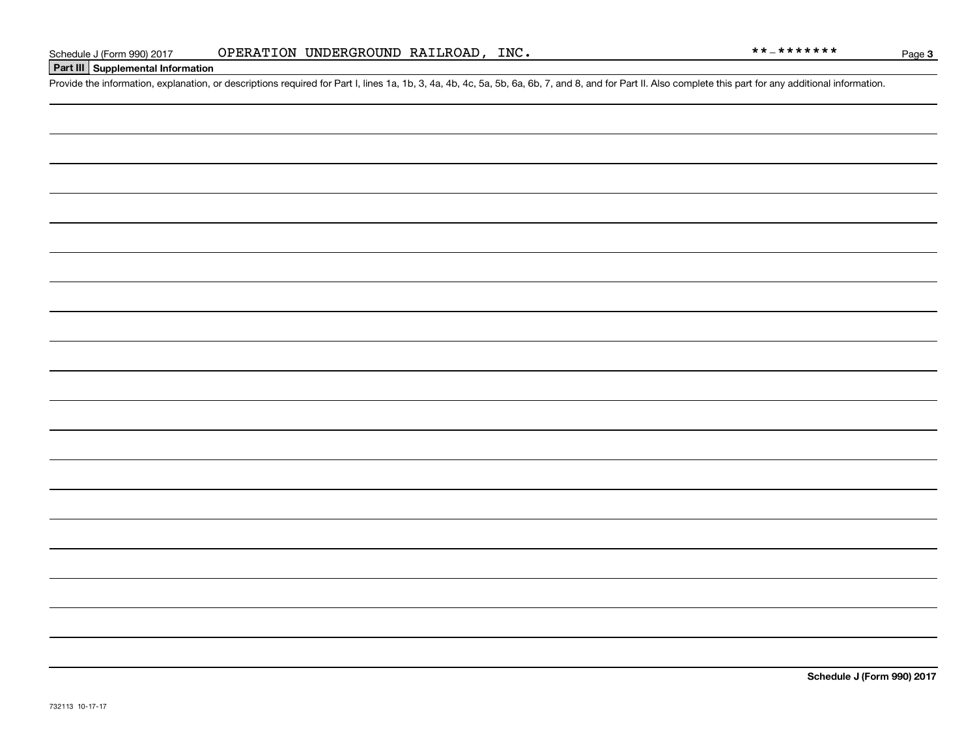### **Part III Supplemental Information**

Schedule J (Form 990) 2017 OPERATION UNDERGROUND RAILROAD, INC.<br>Part III Supplemental Information<br>Provide the information, explanation, or descriptions required for Part I, lines 1a, 1b, 3, 4a, 4b, 4c, 5a, 5b, 6a, 6b, 7, a

**Schedule J (Form 990) 2017**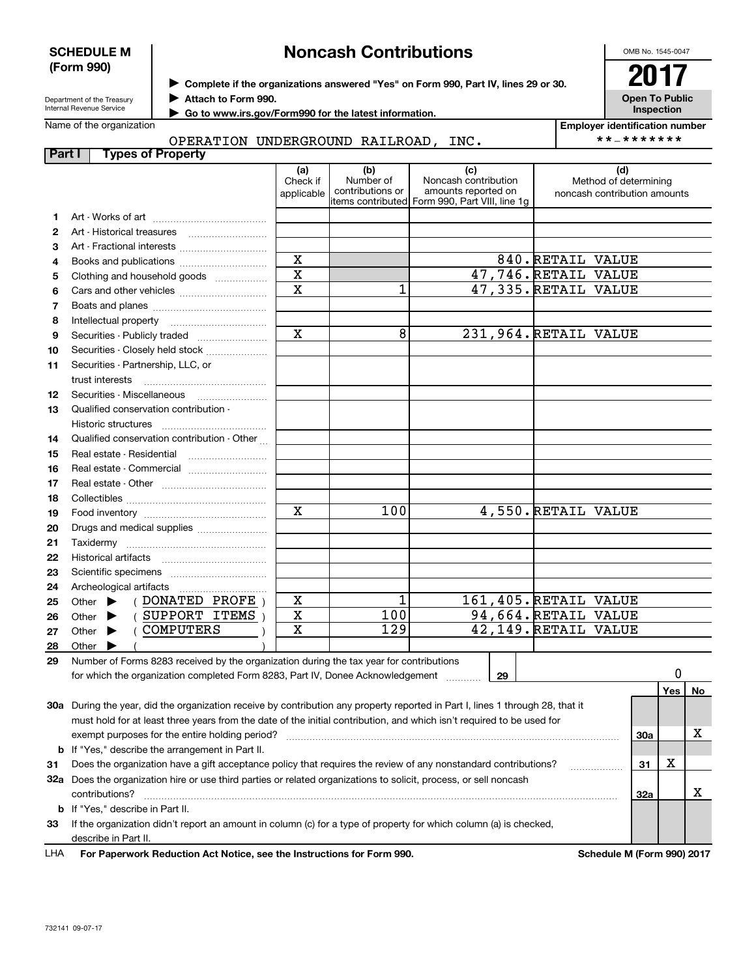# **Noncash Contributions**

OMB No. 1545-0047

Department of the Treasury Internal Revenue Service

**SCHEDULE M**

**Attach to Form 990.** J

 $\blacktriangleright$  Complete if the organizations answered "Yes" on Form 990, Part IV, lines 29 or 30.  $\vert$   $\vert$   $\rm{2017}$ **Open To Public Inspection**

**Employer identification number**

\*\*-\*\*\*\*\*\*\*

Name of the organization

 **Go to www.irs.gov/Form990 for the latest information.** J

### OPERATION UNDERGROUND RAILROAD, INC.

| Part I       | <b>Types of Property</b>                                                                                                       |                         |                               |                                                |                     |                                                       |     |    |
|--------------|--------------------------------------------------------------------------------------------------------------------------------|-------------------------|-------------------------------|------------------------------------------------|---------------------|-------------------------------------------------------|-----|----|
|              |                                                                                                                                | (a)                     | (b)                           | (c)                                            |                     | (d)                                                   |     |    |
|              |                                                                                                                                | Check if<br>applicable  | Number of<br>contributions or | Noncash contribution<br>amounts reported on    |                     | Method of determining<br>noncash contribution amounts |     |    |
|              |                                                                                                                                |                         |                               | items contributed Form 990, Part VIII, line 1g |                     |                                                       |     |    |
| 1            |                                                                                                                                |                         |                               |                                                |                     |                                                       |     |    |
| $\mathbf{2}$ |                                                                                                                                |                         |                               |                                                |                     |                                                       |     |    |
| з            | Art - Fractional interests                                                                                                     |                         |                               |                                                |                     |                                                       |     |    |
| 4            | Books and publications                                                                                                         | $\mathbf X$             |                               |                                                | 840. RETAIL VALUE   |                                                       |     |    |
| 5            | Clothing and household goods                                                                                                   | $\overline{\mathbf{x}}$ |                               | 47,746. RETAIL VALUE                           |                     |                                                       |     |    |
| 6            |                                                                                                                                | $\overline{\textbf{X}}$ | 1                             | 47,335. RETAIL                                 |                     | <b>VALUE</b>                                          |     |    |
| 7            |                                                                                                                                |                         |                               |                                                |                     |                                                       |     |    |
| 8            | Intellectual property                                                                                                          |                         |                               |                                                |                     |                                                       |     |    |
| 9            | Securities - Publicly traded                                                                                                   | $\overline{\mathbf{x}}$ | 8                             | 231,964. RETAIL VALUE                          |                     |                                                       |     |    |
| 10           | Securities - Closely held stock                                                                                                |                         |                               |                                                |                     |                                                       |     |    |
| 11           | Securities - Partnership, LLC, or                                                                                              |                         |                               |                                                |                     |                                                       |     |    |
|              | trust interests                                                                                                                |                         |                               |                                                |                     |                                                       |     |    |
| 12           |                                                                                                                                |                         |                               |                                                |                     |                                                       |     |    |
| 13           | Qualified conservation contribution -                                                                                          |                         |                               |                                                |                     |                                                       |     |    |
|              | Historic structures                                                                                                            |                         |                               |                                                |                     |                                                       |     |    |
| 14           | Qualified conservation contribution - Other                                                                                    |                         |                               |                                                |                     |                                                       |     |    |
| 15           | Real estate - Residential                                                                                                      |                         |                               |                                                |                     |                                                       |     |    |
| 16           | Real estate - Commercial                                                                                                       |                         |                               |                                                |                     |                                                       |     |    |
| 17           |                                                                                                                                |                         |                               |                                                |                     |                                                       |     |    |
| 18           |                                                                                                                                |                         |                               |                                                |                     |                                                       |     |    |
| 19           |                                                                                                                                | X                       | 100                           |                                                | 4,550. RETAIL VALUE |                                                       |     |    |
| 20           | Drugs and medical supplies                                                                                                     |                         |                               |                                                |                     |                                                       |     |    |
| 21           |                                                                                                                                |                         |                               |                                                |                     |                                                       |     |    |
| 22           |                                                                                                                                |                         |                               |                                                |                     |                                                       |     |    |
| 23           |                                                                                                                                |                         |                               |                                                |                     |                                                       |     |    |
| 24           | Archeological artifacts                                                                                                        |                         |                               |                                                |                     |                                                       |     |    |
| 25           | (DONATED PROFE)<br>Other $\blacktriangleright$                                                                                 | X                       | 1                             | 161,405. RETAIL VALUE                          |                     |                                                       |     |    |
| 26           | (SUPPORT ITEMS)<br>Other $\blacktriangleright$                                                                                 | $\overline{\textbf{X}}$ | 100                           | 94,664. RETAIL VALUE                           |                     |                                                       |     |    |
| 27           | (COMPUTERS<br>Other $\blacktriangleright$                                                                                      | X                       | 129                           | 42,149. RETAIL VALUE                           |                     |                                                       |     |    |
| 28           | Other $\blacktriangleright$                                                                                                    |                         |                               |                                                |                     |                                                       |     |    |
| 29           | Number of Forms 8283 received by the organization during the tax year for contributions                                        |                         |                               |                                                |                     |                                                       |     |    |
|              | for which the organization completed Form 8283, Part IV, Donee Acknowledgement                                                 |                         |                               | 29                                             |                     |                                                       | 0   |    |
|              |                                                                                                                                |                         |                               |                                                |                     |                                                       | Yes | No |
|              | 30a During the year, did the organization receive by contribution any property reported in Part I, lines 1 through 28, that it |                         |                               |                                                |                     |                                                       |     |    |
|              | must hold for at least three years from the date of the initial contribution, and which isn't required to be used for          |                         |                               |                                                |                     |                                                       |     |    |
|              |                                                                                                                                |                         |                               |                                                |                     | 30a                                                   |     | х  |
|              | <b>b</b> If "Yes," describe the arrangement in Part II.                                                                        |                         |                               |                                                |                     |                                                       |     |    |
| 31           | Does the organization have a gift acceptance policy that requires the review of any nonstandard contributions?                 |                         |                               |                                                |                     | 31<br>.                                               | х   |    |
|              | 32a Does the organization hire or use third parties or related organizations to solicit, process, or sell noncash              |                         |                               |                                                |                     |                                                       |     |    |

~~~~~~~~~~~~~~~~~~~~~~~~~~~~~~~~~~~~~~~~~~~~~~~~~~~~~~

**33**If the organization didn't report an amount in column (c) for a type of property for which column (a) is checked, **b**If "Yes," describe in Part II. describe in Part II.

**For Paperwork Reduction Act Notice, see the Instructions for Form 990. Schedule M (Form 990) 2017** LHA

**32a**

X

contributions?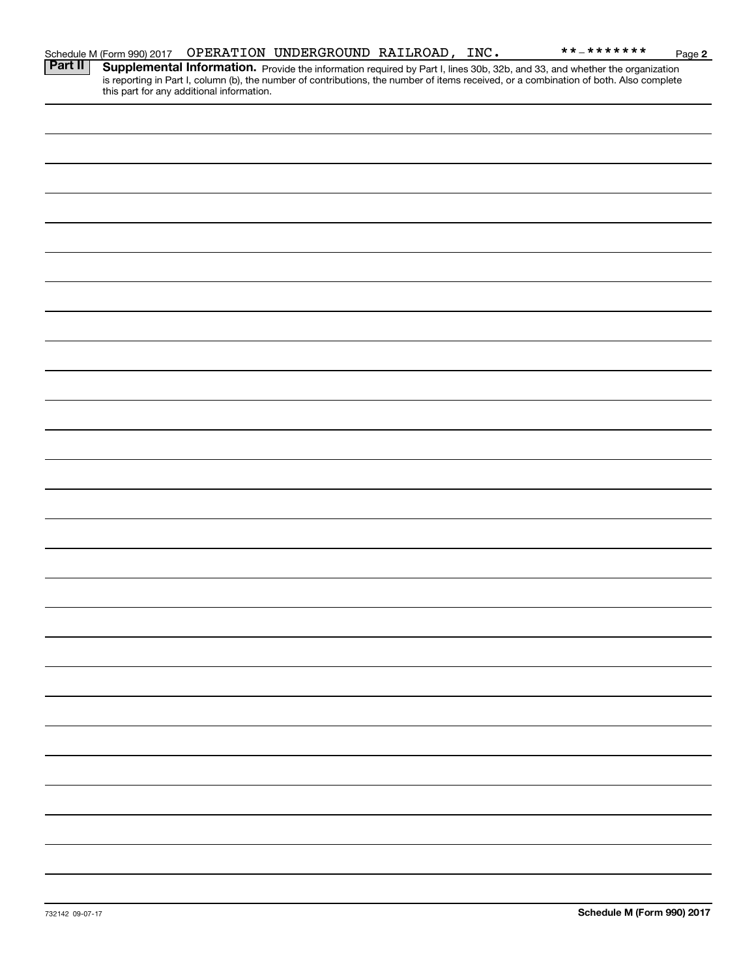|         | Schedule M (Form 990) 2017 |                                           | OPERATION UNDERGROUND RAILROAD, INC. |  | **_*******                                                                                                                                                                                                                          | Page 2 |
|---------|----------------------------|-------------------------------------------|--------------------------------------|--|-------------------------------------------------------------------------------------------------------------------------------------------------------------------------------------------------------------------------------------|--------|
| Part II |                            | this part for any additional information. |                                      |  | <b>Supplemental Information.</b> Provide the information required by Part I, lines 30b, 32b, and 33, and whether the organization is reporting in Part I, column (b), the number of contributions, the number of items received, or |        |
|         |                            |                                           |                                      |  |                                                                                                                                                                                                                                     |        |
|         |                            |                                           |                                      |  |                                                                                                                                                                                                                                     |        |
|         |                            |                                           |                                      |  |                                                                                                                                                                                                                                     |        |
|         |                            |                                           |                                      |  |                                                                                                                                                                                                                                     |        |
|         |                            |                                           |                                      |  |                                                                                                                                                                                                                                     |        |
|         |                            |                                           |                                      |  |                                                                                                                                                                                                                                     |        |
|         |                            |                                           |                                      |  |                                                                                                                                                                                                                                     |        |
|         |                            |                                           |                                      |  |                                                                                                                                                                                                                                     |        |
|         |                            |                                           |                                      |  |                                                                                                                                                                                                                                     |        |
|         |                            |                                           |                                      |  |                                                                                                                                                                                                                                     |        |
|         |                            |                                           |                                      |  |                                                                                                                                                                                                                                     |        |
|         |                            |                                           |                                      |  |                                                                                                                                                                                                                                     |        |
|         |                            |                                           |                                      |  |                                                                                                                                                                                                                                     |        |
|         |                            |                                           |                                      |  |                                                                                                                                                                                                                                     |        |
|         |                            |                                           |                                      |  |                                                                                                                                                                                                                                     |        |
|         |                            |                                           |                                      |  |                                                                                                                                                                                                                                     |        |
|         |                            |                                           |                                      |  |                                                                                                                                                                                                                                     |        |
|         |                            |                                           |                                      |  |                                                                                                                                                                                                                                     |        |
|         |                            |                                           |                                      |  |                                                                                                                                                                                                                                     |        |
|         |                            |                                           |                                      |  |                                                                                                                                                                                                                                     |        |
|         |                            |                                           |                                      |  |                                                                                                                                                                                                                                     |        |
|         |                            |                                           |                                      |  |                                                                                                                                                                                                                                     |        |
|         |                            |                                           |                                      |  |                                                                                                                                                                                                                                     |        |
|         |                            |                                           |                                      |  |                                                                                                                                                                                                                                     |        |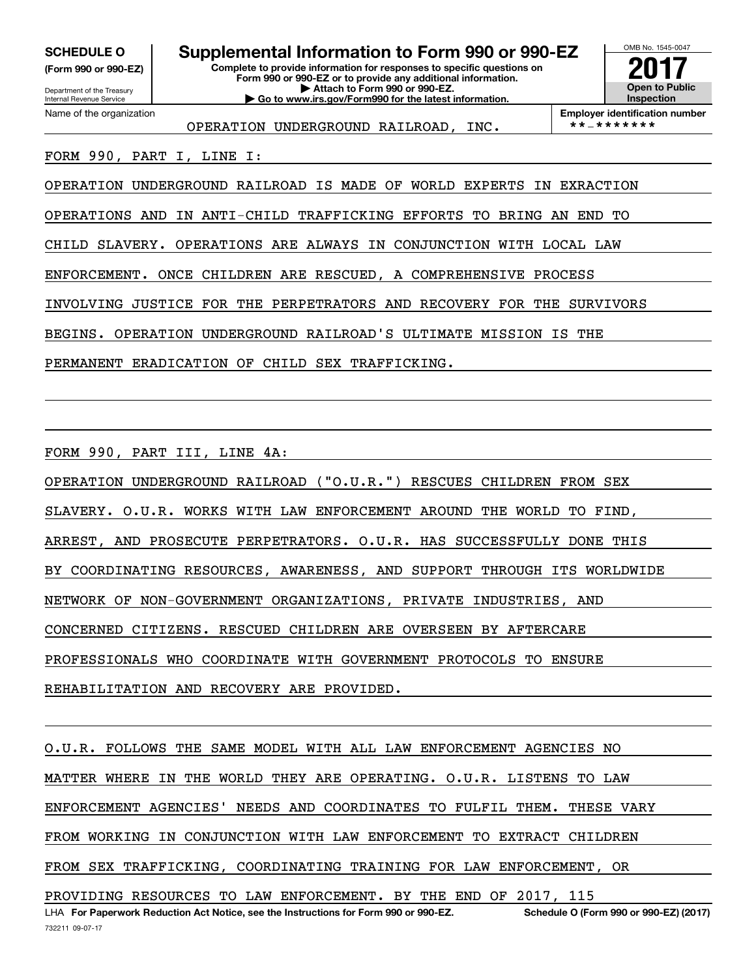**(Form 990 or 990-EZ)**

Department of the Treasury Internal Revenue Service Name of the organization

**Complete to provide information for responses to specific questions on SCHEDULE O Supplemental Information to Form 990 or 990-EZ**

**Form 990 or 990-EZ or to provide any additional information. | Attach to Form 990 or 990-EZ. | Go to www.irs.gov/Form990 for the latest information.**

OPERATION UNDERGROUND RAILROAD, INC.  $\vert$  \*\*-\*\*\*\*\*\*\*

**Employer identification number**

OMB No. 1545-0047

**2017**

**Open to Public Inspection**

FORM 990, PART I, LINE I:

OPERATION UNDERGROUND RAILROAD IS MADE OF WORLD EXPERTS IN EXRACTION

OPERATIONS AND IN ANTI-CHILD TRAFFICKING EFFORTS TO BRING AN END TO

CHILD SLAVERY. OPERATIONS ARE ALWAYS IN CONJUNCTION WITH LOCAL LAW

ENFORCEMENT. ONCE CHILDREN ARE RESCUED, A COMPREHENSIVE PROCESS

INVOLVING JUSTICE FOR THE PERPETRATORS AND RECOVERY FOR THE SURVIVORS

BEGINS. OPERATION UNDERGROUND RAILROAD'S ULTIMATE MISSION IS THE

PERMANENT ERADICATION OF CHILD SEX TRAFFICKING.

FORM 990, PART III, LINE 4A:

OPERATION UNDERGROUND RAILROAD ("O.U.R.") RESCUES CHILDREN FROM SEX

SLAVERY. O.U.R. WORKS WITH LAW ENFORCEMENT AROUND THE WORLD TO FIND,

ARREST, AND PROSECUTE PERPETRATORS. O.U.R. HAS SUCCESSFULLY DONE THIS

BY COORDINATING RESOURCES, AWARENESS, AND SUPPORT THROUGH ITS WORLDWIDE

NETWORK OF NON-GOVERNMENT ORGANIZATIONS, PRIVATE INDUSTRIES, AND

CONCERNED CITIZENS. RESCUED CHILDREN ARE OVERSEEN BY AFTERCARE

PROFESSIONALS WHO COORDINATE WITH GOVERNMENT PROTOCOLS TO ENSURE

REHABILITATION AND RECOVERY ARE PROVIDED.

LHA For Paperwork Reduction Act Notice, see the Instructions for Form 990 or 990-EZ. Schedule O (Form 990 or 990-EZ) (2017) O.U.R. FOLLOWS THE SAME MODEL WITH ALL LAW ENFORCEMENT AGENCIES NO MATTER WHERE IN THE WORLD THEY ARE OPERATING. O.U.R. LISTENS TO LAW ENFORCEMENT AGENCIES' NEEDS AND COORDINATES TO FULFIL THEM. THESE VARY FROM WORKING IN CONJUNCTION WITH LAW ENFORCEMENT TO EXTRACT CHILDREN FROM SEX TRAFFICKING, COORDINATING TRAINING FOR LAW ENFORCEMENT, OR PROVIDING RESOURCES TO LAW ENFORCEMENT. BY THE END OF 2017, 115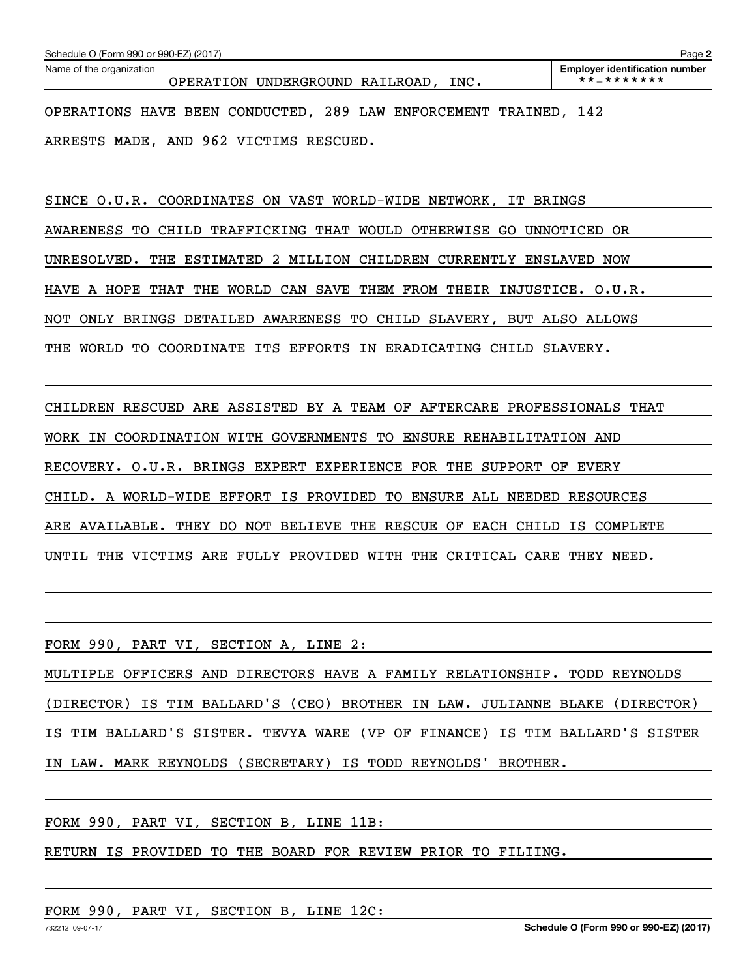| Schedule O (Form 990 or 990-EZ) (2017)                            | Page 2                                              |
|-------------------------------------------------------------------|-----------------------------------------------------|
| Name of the organization<br>OPERATION UNDERGROUND RAILROAD, INC.  | <b>Employer identification number</b><br>**_******* |
| OPERATIONS HAVE BEEN CONDUCTED, 289 LAW ENFORCEMENT TRAINED, 142  |                                                     |
| ARRESTS MADE, AND 962 VICTIMS RESCUED.                            |                                                     |
|                                                                   |                                                     |
| SINCE O.U.R. COORDINATES ON VAST WORLD-WIDE NETWORK,<br>IT BRINGS |                                                     |
| CHILD TRAFFICKING THAT WOULD OTHERWISE GO<br>AWARENESS TO         | UNNOTICED<br>0R                                     |
| THE ESTIMATED 2 MILLION CHILDREN<br>CURRENTLY<br>UNRESOLVED.      | <b>NOW</b><br>ENSLAVED                              |
| WORLD CAN SAVE THEM FROM<br>THE<br>HAVE A HOPE<br>THAT<br>THEIR   | INJUSTICE. O.U.R.                                   |
| DETAILED AWARENESS TO<br>ONLY BRINGS<br>CHILD<br>SLAVERY,<br>NOT  | BUT ALSO ALLOWS                                     |

THE WORLD TO COORDINATE ITS EFFORTS IN ERADICATING CHILD SLAVERY.

CHILDREN RESCUED ARE ASSISTED BY A TEAM OF AFTERCARE PROFESSIONALS THAT WORK IN COORDINATION WITH GOVERNMENTS TO ENSURE REHABILITATION AND RECOVERY. O.U.R. BRINGS EXPERT EXPERIENCE FOR THE SUPPORT OF EVERY CHILD. A WORLD-WIDE EFFORT IS PROVIDED TO ENSURE ALL NEEDED RESOURCES ARE AVAILABLE. THEY DO NOT BELIEVE THE RESCUE OF EACH CHILD IS COMPLETE UNTIL THE VICTIMS ARE FULLY PROVIDED WITH THE CRITICAL CARE THEY NEED.

FORM 990, PART VI, SECTION A, LINE 2:

MULTIPLE OFFICERS AND DIRECTORS HAVE A FAMILY RELATIONSHIP. TODD REYNOLDS (DIRECTOR) IS TIM BALLARD'S (CEO) BROTHER IN LAW. JULIANNE BLAKE (DIRECTOR) IS TIM BALLARD'S SISTER. TEVYA WARE (VP OF FINANCE) IS TIM BALLARD'S SISTER IN LAW. MARK REYNOLDS (SECRETARY) IS TODD REYNOLDS' BROTHER.

FORM 990, PART VI, SECTION B, LINE 11B:

RETURN IS PROVIDED TO THE BOARD FOR REVIEW PRIOR TO FILIING.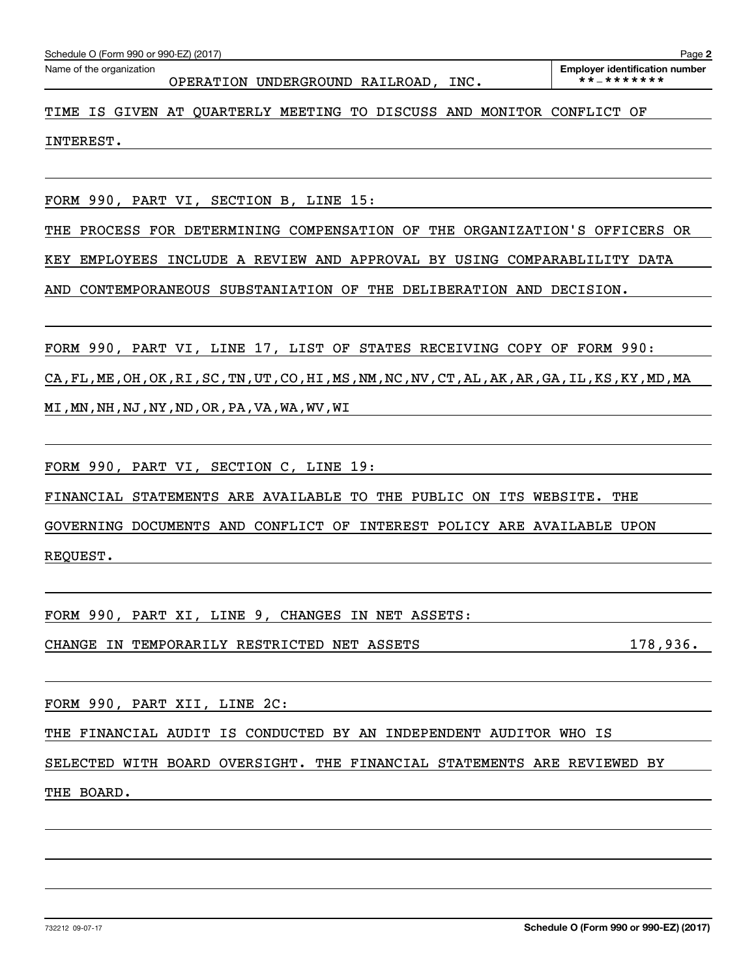#### OPERATION UNDERGROUND RAILROAD, INC. \*\*-\*\*\*\*\*\*\*\*

**Employer identification number**

TIME IS GIVEN AT QUARTERLY MEETING TO DISCUSS AND MONITOR CONFLICT OF INTEREST.

FORM 990, PART VI, SECTION B, LINE 15:

THE PROCESS FOR DETERMINING COMPENSATION OF THE ORGANIZATION'S OFFICERS OR

KEY EMPLOYEES INCLUDE A REVIEW AND APPROVAL BY USING COMPARABLILITY DATA

AND CONTEMPORANEOUS SUBSTANIATION OF THE DELIBERATION AND DECISION.

FORM 990, PART VI, LINE 17, LIST OF STATES RECEIVING COPY OF FORM 990:

CA,FL,ME,OH,OK,RI,SC,TN,UT,CO,HI,MS,NM,NC,NV,CT,AL,AK,AR,GA,IL,KS,KY,MD,MA

MI,MN,NH,NJ,NY,ND,OR,PA,VA,WA,WV,WI

FORM 990, PART VI, SECTION C, LINE 19:

FINANCIAL STATEMENTS ARE AVAILABLE TO THE PUBLIC ON ITS WEBSITE. THE

GOVERNING DOCUMENTS AND CONFLICT OF INTEREST POLICY ARE AVAILABLE UPON REQUEST.

FORM 990, PART XI, LINE 9, CHANGES IN NET ASSETS:

CHANGE IN TEMPORARILY RESTRICTED NET ASSETS 178,936.

FORM 990, PART XII, LINE 2C:

THE FINANCIAL AUDIT IS CONDUCTED BY AN INDEPENDENT AUDITOR WHO IS

SELECTED WITH BOARD OVERSIGHT. THE FINANCIAL STATEMENTS ARE REVIEWED BY

THE BOARD.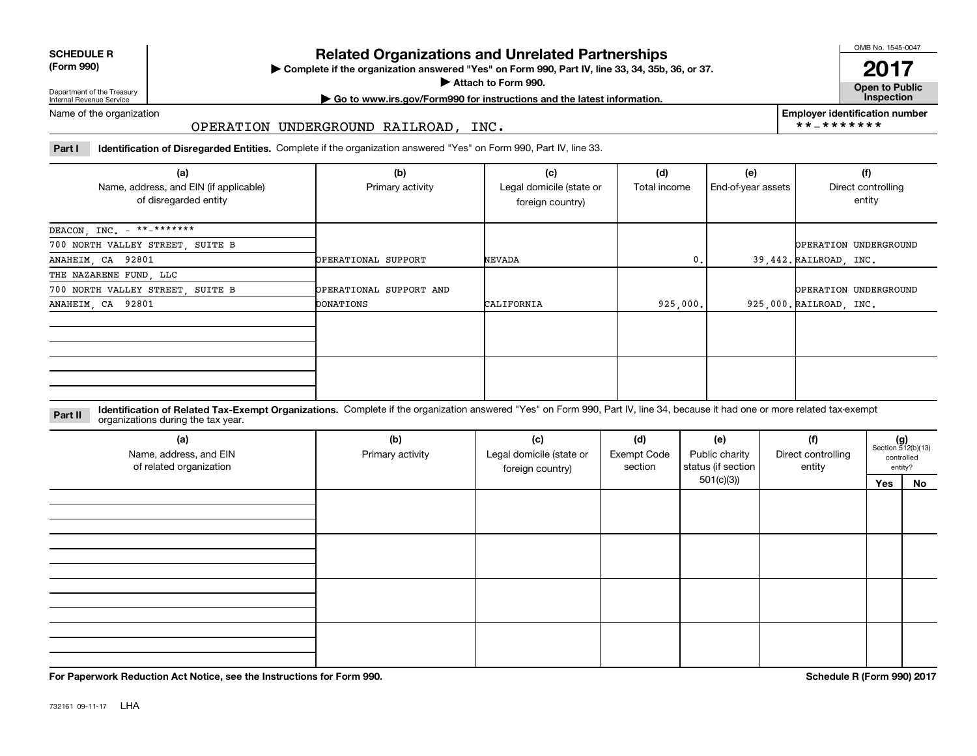| <b>SCHEDULE R</b> |             |  |
|-------------------|-------------|--|
|                   | $\sim$ 0.00 |  |

#### **(Form 990)**

# **Related Organizations and Unrelated Partnerships**

**Complete if the organization answered "Yes" on Form 990, Part IV, line 33, 34, 35b, 36, or 37.** |

**Attach to Form 990.**  |

OMB No. 1545-0047

**Open to Public 2017**

**Employer identification number**

\*\*-\*\*\*\*\*\*\*

Department of the Treasury Internal Revenue Service

**| Go to www.irs.gov/Form990 for instructions and the latest information. Inspection**

Name of the organization

#### OPERATION UNDERGROUND RAILROAD, INC.

**Part I Identification of Disregarded Entities.**  Complete if the organization answered "Yes" on Form 990, Part IV, line 33.

| (a)<br>Name, address, and EIN (if applicable)<br>of disregarded entity | (b)<br>Primary activity | (c)<br>Legal domicile (state or<br>foreign country) | (d)<br>Total income | (e)<br>End-of-year assets | (f)<br>Direct controlling<br>entity |
|------------------------------------------------------------------------|-------------------------|-----------------------------------------------------|---------------------|---------------------------|-------------------------------------|
| DEACON, INC. $-$ **-*******                                            |                         |                                                     |                     |                           |                                     |
| 700 NORTH VALLEY STREET, SUITE B                                       |                         |                                                     |                     |                           | OPERATION UNDERGROUND               |
| ANAHEIM, CA 92801                                                      | OPERATIONAL SUPPORT     | NEVADA                                              | 0.                  |                           | 39,442. RAILROAD, INC.              |
| THE NAZARENE FUND, LLC                                                 |                         |                                                     |                     |                           |                                     |
| 700 NORTH VALLEY STREET, SUITE B                                       | OPERATIONAL SUPPORT AND |                                                     |                     |                           | OPERATION UNDERGROUND               |
| ANAHEIM, CA 92801                                                      | DONATIONS               | CALIFORNIA                                          | 925,000.            |                           | 925,000. RAILROAD, INC.             |
|                                                                        |                         |                                                     |                     |                           |                                     |
|                                                                        |                         |                                                     |                     |                           |                                     |

**Identification of Related Tax-Exempt Organizations.** Complete if the organization answered "Yes" on Form 990, Part IV, line 34, because it had one or more related tax-exempt **Part II** organizations during the tax year.

| (a)<br>Name, address, and EIN<br>of related organization | (b)<br>Primary activity | (c)<br>Legal domicile (state or<br>foreign country) | (d)<br><b>Exempt Code</b><br>section | (e)<br>Public charity<br>status (if section | (f)<br>Direct controlling<br>entity | $(g)$<br>Section 512(b)(13) | controlled<br>entity? |
|----------------------------------------------------------|-------------------------|-----------------------------------------------------|--------------------------------------|---------------------------------------------|-------------------------------------|-----------------------------|-----------------------|
|                                                          |                         |                                                     |                                      | 501(c)(3)                                   |                                     | Yes                         | No                    |
|                                                          |                         |                                                     |                                      |                                             |                                     |                             |                       |
|                                                          |                         |                                                     |                                      |                                             |                                     |                             |                       |
|                                                          |                         |                                                     |                                      |                                             |                                     |                             |                       |

**For Paperwork Reduction Act Notice, see the Instructions for Form 990. Schedule R (Form 990) 2017**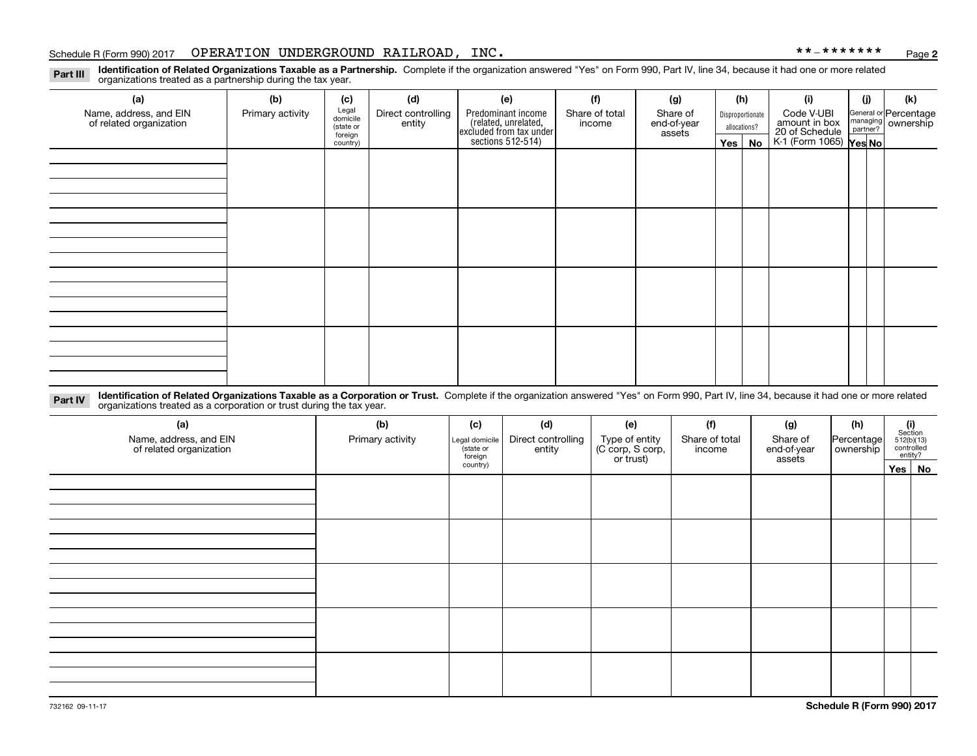#### Schedule R (Form 990) 2017 Page OPERATION UNDERGROUND RAILROAD, INC. \*\*-\*\*\*\*\*\*\*

**2**

**Identification of Related Organizations Taxable as a Partnership.** Complete if the organization answered "Yes" on Form 990, Part IV, line 34, because it had one or more related **Part III** organizations treated as a partnership during the tax year.

| (a)<br>Name, address, and EIN<br>of related organization | (b)<br>Primary activity | (c)<br>Legal<br>domicile<br>(state or<br>foreign<br>country) | (d)<br>Direct controlling<br>entity | (e)<br>Predominant income<br>(related, unrelated,<br>excluded from tax under<br>sections 512-514) | (f)<br>Share of total<br>income | (g)<br>Share of<br>end-of-year<br>assets | (h)<br>$Yes \mid$ | Disproportionate<br>allocations?<br>No | (i)<br>Code V-UBI<br>amount in box<br>20 of Schedule<br>K-1 (Form 1065) Yes No | (i) | (k)<br>General or Percentage<br>managing<br>partner?<br>partner? |
|----------------------------------------------------------|-------------------------|--------------------------------------------------------------|-------------------------------------|---------------------------------------------------------------------------------------------------|---------------------------------|------------------------------------------|-------------------|----------------------------------------|--------------------------------------------------------------------------------|-----|------------------------------------------------------------------|
|                                                          |                         |                                                              |                                     |                                                                                                   |                                 |                                          |                   |                                        |                                                                                |     |                                                                  |
|                                                          |                         |                                                              |                                     |                                                                                                   |                                 |                                          |                   |                                        |                                                                                |     |                                                                  |
|                                                          |                         |                                                              |                                     |                                                                                                   |                                 |                                          |                   |                                        |                                                                                |     |                                                                  |
|                                                          |                         |                                                              |                                     |                                                                                                   |                                 |                                          |                   |                                        |                                                                                |     |                                                                  |

**Identification of Related Organizations Taxable as a Corporation or Trust.** Complete if the organization answered "Yes" on Form 990, Part IV, line 34, because it had one or more related **Part IV** organizations treated as a corporation or trust during the tax year.

| (a)<br>Name, address, and EIN<br>of related organization | (b)<br>Primary activity | (c)<br>(d)<br>Direct controlling<br>Legal domicile<br>state or<br>entity<br>foreign |  | (e)<br>Type of entity<br>(C corp, S corp,<br>or trust) | (f)<br>Share of total<br>income | (g)<br>Share of<br>end-of-year<br>assets | (h)<br>Percentage<br>ownership | $(i)$ Section<br>512(b)(13)<br>controlled<br>entity? |  |  |
|----------------------------------------------------------|-------------------------|-------------------------------------------------------------------------------------|--|--------------------------------------------------------|---------------------------------|------------------------------------------|--------------------------------|------------------------------------------------------|--|--|
|                                                          |                         | country)                                                                            |  |                                                        |                                 |                                          |                                | Yes   No                                             |  |  |
|                                                          |                         |                                                                                     |  |                                                        |                                 |                                          |                                |                                                      |  |  |
|                                                          |                         |                                                                                     |  |                                                        |                                 |                                          |                                |                                                      |  |  |
|                                                          |                         |                                                                                     |  |                                                        |                                 |                                          |                                |                                                      |  |  |
|                                                          |                         |                                                                                     |  |                                                        |                                 |                                          |                                |                                                      |  |  |
|                                                          |                         |                                                                                     |  |                                                        |                                 |                                          |                                |                                                      |  |  |
|                                                          |                         |                                                                                     |  |                                                        |                                 |                                          |                                |                                                      |  |  |
|                                                          |                         |                                                                                     |  |                                                        |                                 |                                          |                                |                                                      |  |  |
|                                                          |                         |                                                                                     |  |                                                        |                                 |                                          |                                |                                                      |  |  |
|                                                          |                         |                                                                                     |  |                                                        |                                 |                                          |                                |                                                      |  |  |
|                                                          |                         |                                                                                     |  |                                                        |                                 |                                          |                                |                                                      |  |  |
|                                                          |                         |                                                                                     |  |                                                        |                                 |                                          |                                |                                                      |  |  |
|                                                          |                         |                                                                                     |  |                                                        |                                 |                                          |                                |                                                      |  |  |
|                                                          |                         |                                                                                     |  |                                                        |                                 |                                          |                                |                                                      |  |  |
|                                                          |                         |                                                                                     |  |                                                        |                                 |                                          |                                |                                                      |  |  |
|                                                          |                         |                                                                                     |  |                                                        |                                 |                                          |                                |                                                      |  |  |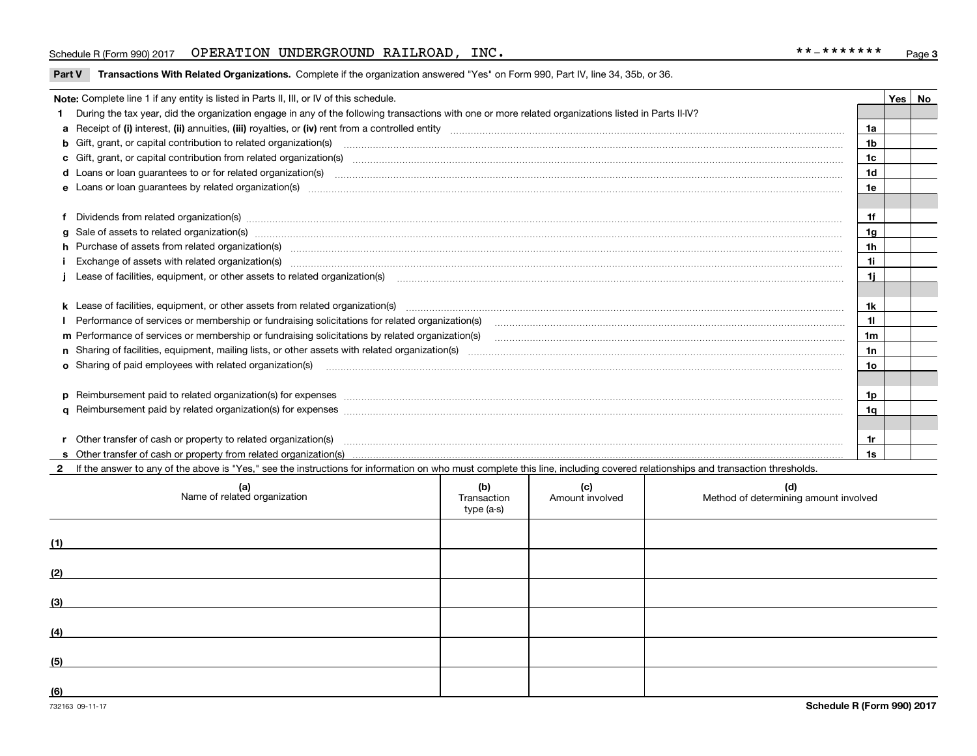#### Schedule R (Form 990) 2017 Page OPERATION UNDERGROUND RAILROAD, INC. \*\*-\*\*\*\*\*\*\*

**Part V** T**ransactions With Related Organizations.** Complete if the organization answered "Yes" on Form 990, Part IV, line 34, 35b, or 36.

| Note: Complete line 1 if any entity is listed in Parts II, III, or IV of this schedule.                                                                                                                                        |                | Yes   No |
|--------------------------------------------------------------------------------------------------------------------------------------------------------------------------------------------------------------------------------|----------------|----------|
| During the tax year, did the organization engage in any of the following transactions with one or more related organizations listed in Parts II-IV?                                                                            |                |          |
|                                                                                                                                                                                                                                | 1a             |          |
| <b>b</b> Gift, grant, or capital contribution to related organization(s)                                                                                                                                                       | 1 <sub>b</sub> |          |
|                                                                                                                                                                                                                                | 1c             |          |
|                                                                                                                                                                                                                                | 1 <sub>d</sub> |          |
| e Loans or loan guarantees by related organization(s) enconversement contracts and contained and contained and contained and contained and contained and contained and contained and contained and contained and contained and | 1e             |          |
|                                                                                                                                                                                                                                |                |          |
| f Dividends from related organization(s) manufactured and content to the content of the content of the content of the content of the content of the content of the content of the content of the content of the content of the | 1f             |          |
|                                                                                                                                                                                                                                | 1g             |          |
| h Purchase of assets from related organization(s) manufactured and content to content the content of assets from related organization(s)                                                                                       | 1 <sub>h</sub> |          |
|                                                                                                                                                                                                                                | 1i             |          |
| Lease of facilities, equipment, or other assets to related organization(s) manufactured content and content and content and content and content and content and content and content and content and content and content and co | 1i.            |          |
|                                                                                                                                                                                                                                |                |          |
| k Lease of facilities, equipment, or other assets from related organization(s) manufaction content and content to the assets from related organization(s) manufaction content and content and content and content and content  | 1k             |          |
|                                                                                                                                                                                                                                | 11             |          |
| m Performance of services or membership or fundraising solicitations by related organization(s)                                                                                                                                | 1 <sub>m</sub> |          |
|                                                                                                                                                                                                                                | 1n             |          |
| <b>o</b> Sharing of paid employees with related organization(s)                                                                                                                                                                | 1o             |          |
|                                                                                                                                                                                                                                |                |          |
| p Reimbursement paid to related organization(s) for expenses [1111] and the content of the content of the content of the content of the content of the content of the content of the content of the content of the content of  | 1p             |          |
|                                                                                                                                                                                                                                | 1q             |          |
|                                                                                                                                                                                                                                |                |          |
| r Other transfer of cash or property to related organization(s)                                                                                                                                                                | 1r             |          |
|                                                                                                                                                                                                                                | 1s             |          |
| 2 If the answer to any of the above is "Yes," see the instructions for information on who must complete this line, including covered relationships and transaction thresholds.                                                 |                |          |

| (a)<br>Name of related organization | (b)<br>Transaction<br>type (a-s) | (c)<br>Amount involved | (d)<br>Method of determining amount involved |
|-------------------------------------|----------------------------------|------------------------|----------------------------------------------|
| (1)                                 |                                  |                        |                                              |
| (2)                                 |                                  |                        |                                              |
| (3)                                 |                                  |                        |                                              |
| (4)                                 |                                  |                        |                                              |
| (5)                                 |                                  |                        |                                              |
| (6)                                 |                                  |                        |                                              |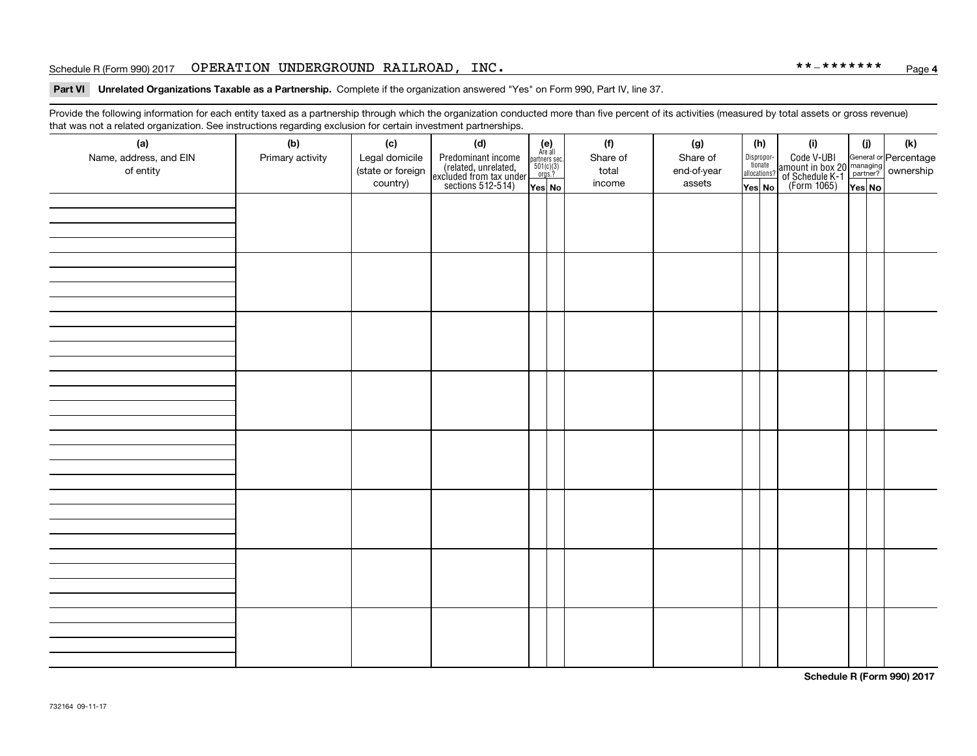#### Schedule R (Form 990) 2017 Page OPERATION UNDERGROUND RAILROAD, INC. \*\*-\*\*\*\*\*\*\*

#### **Part VI Unrelated Organizations Taxable as a Partnership. Complete if the organization answered "Yes" on Form 990, Part IV, line 37.**

Provide the following information for each entity taxed as a partnership through which the organization conducted more than five percent of its activities (measured by total assets or gross revenue) that was not a related organization. See instructions regarding exclusion for certain investment partnerships.

| ັ                                   | ັ<br>ັ           |                                     |                                                                                            |                                          |                   |                         |                                       |                                                                                                                                       |        |     |
|-------------------------------------|------------------|-------------------------------------|--------------------------------------------------------------------------------------------|------------------------------------------|-------------------|-------------------------|---------------------------------------|---------------------------------------------------------------------------------------------------------------------------------------|--------|-----|
| (a)                                 | (b)              | (c)                                 | (d)                                                                                        | (e)<br>Are all                           | (f)               | (g)                     | (h)                                   | (i)                                                                                                                                   | (i)    | (k) |
| Name, address, and EIN<br>of entity | Primary activity | Legal domicile<br>(state or foreign | Predominant income<br>(related, unrelated,<br>excluded from tax under<br>sections 512-514) | partners sec.<br>$501(c)(3)$<br>$orgs.?$ | Share of<br>total | Share of<br>end-of-year | Dispropor-<br>tionate<br>allocations? | Code V-UBI<br>  amount in box 20 managing<br>  of Schedule K-1 partner? ownership<br>  of Schedule K-1 partner? ownership<br>  Yes No |        |     |
|                                     |                  | country)                            |                                                                                            |                                          | income            | assets                  |                                       |                                                                                                                                       |        |     |
|                                     |                  |                                     |                                                                                            | Yes No                                   |                   |                         | Yes No                                |                                                                                                                                       | Yes No |     |
|                                     |                  |                                     |                                                                                            |                                          |                   |                         |                                       |                                                                                                                                       |        |     |
|                                     |                  |                                     |                                                                                            |                                          |                   |                         |                                       |                                                                                                                                       |        |     |
|                                     |                  |                                     |                                                                                            |                                          |                   |                         |                                       |                                                                                                                                       |        |     |
|                                     |                  |                                     |                                                                                            |                                          |                   |                         |                                       |                                                                                                                                       |        |     |
|                                     |                  |                                     |                                                                                            |                                          |                   |                         |                                       |                                                                                                                                       |        |     |
|                                     |                  |                                     |                                                                                            |                                          |                   |                         |                                       |                                                                                                                                       |        |     |
|                                     |                  |                                     |                                                                                            |                                          |                   |                         |                                       |                                                                                                                                       |        |     |
|                                     |                  |                                     |                                                                                            |                                          |                   |                         |                                       |                                                                                                                                       |        |     |
|                                     |                  |                                     |                                                                                            |                                          |                   |                         |                                       |                                                                                                                                       |        |     |
|                                     |                  |                                     |                                                                                            |                                          |                   |                         |                                       |                                                                                                                                       |        |     |
|                                     |                  |                                     |                                                                                            |                                          |                   |                         |                                       |                                                                                                                                       |        |     |
|                                     |                  |                                     |                                                                                            |                                          |                   |                         |                                       |                                                                                                                                       |        |     |
|                                     |                  |                                     |                                                                                            |                                          |                   |                         |                                       |                                                                                                                                       |        |     |
|                                     |                  |                                     |                                                                                            |                                          |                   |                         |                                       |                                                                                                                                       |        |     |
|                                     |                  |                                     |                                                                                            |                                          |                   |                         |                                       |                                                                                                                                       |        |     |
|                                     |                  |                                     |                                                                                            |                                          |                   |                         |                                       |                                                                                                                                       |        |     |
|                                     |                  |                                     |                                                                                            |                                          |                   |                         |                                       |                                                                                                                                       |        |     |
|                                     |                  |                                     |                                                                                            |                                          |                   |                         |                                       |                                                                                                                                       |        |     |
|                                     |                  |                                     |                                                                                            |                                          |                   |                         |                                       |                                                                                                                                       |        |     |
|                                     |                  |                                     |                                                                                            |                                          |                   |                         |                                       |                                                                                                                                       |        |     |
|                                     |                  |                                     |                                                                                            |                                          |                   |                         |                                       |                                                                                                                                       |        |     |
|                                     |                  |                                     |                                                                                            |                                          |                   |                         |                                       |                                                                                                                                       |        |     |
|                                     |                  |                                     |                                                                                            |                                          |                   |                         |                                       |                                                                                                                                       |        |     |
|                                     |                  |                                     |                                                                                            |                                          |                   |                         |                                       |                                                                                                                                       |        |     |
|                                     |                  |                                     |                                                                                            |                                          |                   |                         |                                       |                                                                                                                                       |        |     |
|                                     |                  |                                     |                                                                                            |                                          |                   |                         |                                       |                                                                                                                                       |        |     |
|                                     |                  |                                     |                                                                                            |                                          |                   |                         |                                       |                                                                                                                                       |        |     |
|                                     |                  |                                     |                                                                                            |                                          |                   |                         |                                       |                                                                                                                                       |        |     |
|                                     |                  |                                     |                                                                                            |                                          |                   |                         |                                       |                                                                                                                                       |        |     |
|                                     |                  |                                     |                                                                                            |                                          |                   |                         |                                       |                                                                                                                                       |        |     |
|                                     |                  |                                     |                                                                                            |                                          |                   |                         |                                       |                                                                                                                                       |        |     |
|                                     |                  |                                     |                                                                                            |                                          |                   |                         |                                       |                                                                                                                                       |        |     |
|                                     |                  |                                     |                                                                                            |                                          |                   |                         |                                       |                                                                                                                                       |        |     |
|                                     |                  |                                     |                                                                                            |                                          |                   |                         |                                       |                                                                                                                                       |        |     |
|                                     |                  |                                     |                                                                                            |                                          |                   |                         |                                       |                                                                                                                                       |        |     |

**Schedule R (Form 990) 2017**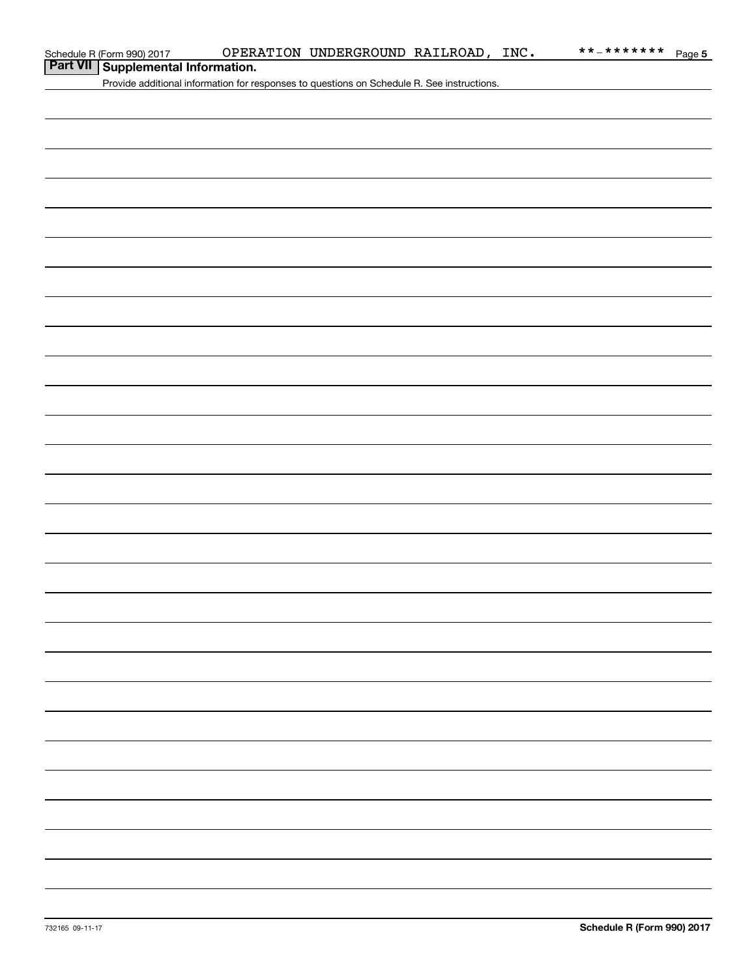## **Part VII Supplemental Information.**

Provide additional information for responses to questions on Schedule R. See instructions.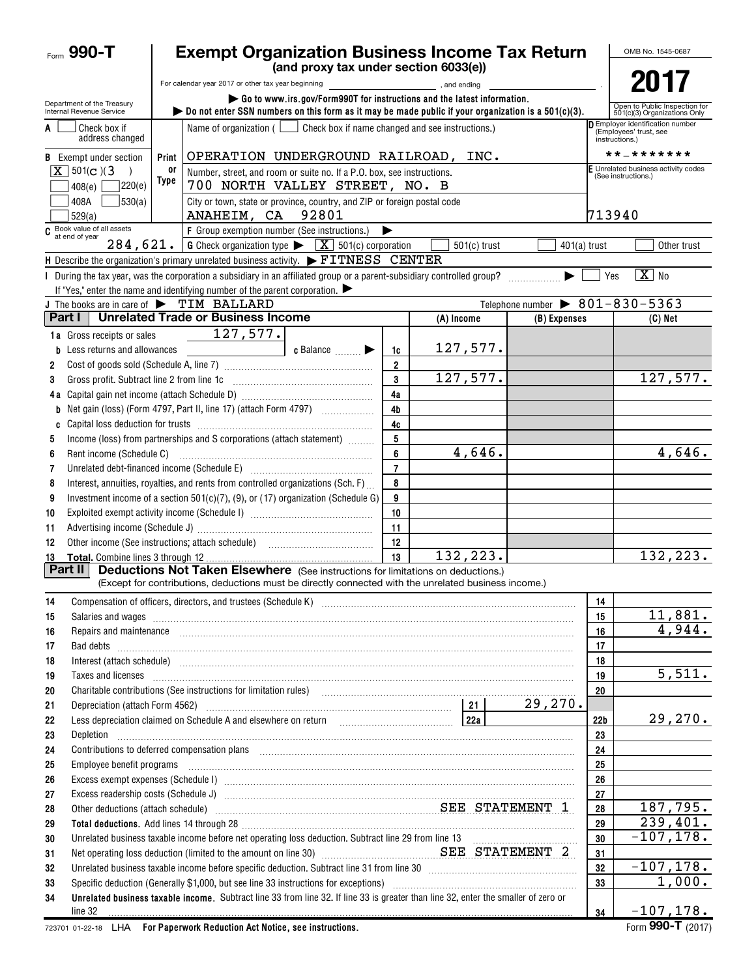|          | Form $990 - T$                                         | <b>Exempt Organization Business Income Tax Return</b> |                                                                                                                                                                                                                                     |                | OMB No. 1545-0687 |                                                                |                 |                     |                                                               |
|----------|--------------------------------------------------------|-------------------------------------------------------|-------------------------------------------------------------------------------------------------------------------------------------------------------------------------------------------------------------------------------------|----------------|-------------------|----------------------------------------------------------------|-----------------|---------------------|---------------------------------------------------------------|
|          |                                                        |                                                       | (and proxy tax under section 6033(e))                                                                                                                                                                                               |                |                   |                                                                |                 |                     |                                                               |
|          |                                                        |                                                       | For calendar year 2017 or other tax year beginning                                                                                                                                                                                  |                | and ending        |                                                                |                 |                     | 2017                                                          |
|          | Department of the Treasury<br>Internal Revenue Service |                                                       | Go to www.irs.gov/Form990T for instructions and the latest information.<br>bo not enter SSN numbers on this form as it may be made public if your organization is a $501(c)(3)$ .                                                   |                |                   |                                                                |                 |                     | Open to Public Inspection for<br>501(c)(3) Organizations Only |
| A        | Check box if<br>address changed                        |                                                       | Name of organization ( $\Box$ Check box if name changed and see instructions.)                                                                                                                                                      |                |                   |                                                                |                 | instructions.)      | Employer identification number<br>(Employees' trust, see      |
|          | <b>B</b> Exempt under section                          | Print                                                 | OPERATION UNDERGROUND RAILROAD, INC.                                                                                                                                                                                                |                |                   |                                                                |                 |                     | * * _ * * * * * * *                                           |
|          | $X$ 501(c)(3)                                          | 0ľ<br>Type                                            | Number, street, and room or suite no. If a P.O. box, see instructions.                                                                                                                                                              |                |                   |                                                                |                 | (See instructions.) | F Unrelated business activity codes                           |
|          | 7220(e)<br>408(e)                                      |                                                       | 700 NORTH VALLEY STREET, NO. B                                                                                                                                                                                                      |                |                   |                                                                |                 |                     |                                                               |
|          | 530(a)<br>408A<br>529(a)                               |                                                       | City or town, state or province, country, and ZIP or foreign postal code<br>ANAHEIM, CA 92801                                                                                                                                       |                |                   |                                                                |                 | 713940              |                                                               |
|          | $C$ Book value of all assets<br>at end of year         |                                                       | F Group exemption number (See instructions.)                                                                                                                                                                                        |                |                   |                                                                |                 |                     |                                                               |
|          | 284,621.                                               |                                                       | <b>G</b> Check organization type $\triangleright$ $\boxed{\mathbf{X}}$ 501(c) corporation                                                                                                                                           |                | $501(c)$ trust    | $401(a)$ trust                                                 |                 |                     | Other trust                                                   |
|          |                                                        |                                                       | $H$ Describe the organization's primary unrelated business activity. $\blacktriangleright$ $\texttt{FTINESS}$ CENTER                                                                                                                |                |                   |                                                                |                 |                     |                                                               |
|          |                                                        |                                                       |                                                                                                                                                                                                                                     |                |                   |                                                                | Yes             |                     | $\overline{X}$ No                                             |
|          |                                                        |                                                       | If "Yes," enter the name and identifying number of the parent corporation. $\blacktriangleright$<br>J The books are in care of $\blacktriangleright$ TIM BALLARD                                                                    |                |                   |                                                                |                 |                     |                                                               |
|          | Part I                                                 |                                                       | <b>Unrelated Trade or Business Income</b>                                                                                                                                                                                           |                | (A) Income        | Telephone number $\triangleright$ 801-830-5363<br>(B) Expenses |                 |                     | (C) Net                                                       |
|          | 1a Gross receipts or sales                             |                                                       | 127,577.                                                                                                                                                                                                                            |                |                   |                                                                |                 |                     |                                                               |
| b        | Less returns and allowances                            |                                                       | c Balance                                                                                                                                                                                                                           | 1c             | 127,577.          |                                                                |                 |                     |                                                               |
| 2        |                                                        |                                                       | <u>and the state of the state</u>                                                                                                                                                                                                   | $\overline{2}$ |                   |                                                                |                 |                     |                                                               |
| 3        |                                                        |                                                       |                                                                                                                                                                                                                                     | 3              | 127,577.          |                                                                |                 |                     | 127,577.                                                      |
|          |                                                        |                                                       |                                                                                                                                                                                                                                     | 4a             |                   |                                                                |                 |                     |                                                               |
| b        |                                                        |                                                       | Net gain (loss) (Form 4797, Part II, line 17) (attach Form 4797)                                                                                                                                                                    | 4 <sub>b</sub> |                   |                                                                |                 |                     |                                                               |
| C        |                                                        |                                                       |                                                                                                                                                                                                                                     | 4c             |                   |                                                                |                 |                     |                                                               |
| 5        |                                                        |                                                       | Income (loss) from partnerships and S corporations (attach statement)                                                                                                                                                               | 5              |                   |                                                                |                 |                     |                                                               |
| 6        |                                                        |                                                       |                                                                                                                                                                                                                                     | 6              | 4,646.            |                                                                |                 |                     | 4,646.                                                        |
| 7        |                                                        |                                                       | Unrelated debt-financed income (Schedule E) [11] [2010] [2010] [2010] [2010] [2010] [2010] [2010] [2010] [2010                                                                                                                      | $\overline{7}$ |                   |                                                                |                 |                     |                                                               |
| 8        |                                                        |                                                       | Interest, annuities, royalties, and rents from controlled organizations (Sch. F)                                                                                                                                                    | 8              |                   |                                                                |                 |                     |                                                               |
| 9        |                                                        |                                                       | Investment income of a section 501(c)(7), (9), or (17) organization (Schedule G)                                                                                                                                                    | 9              |                   |                                                                |                 |                     |                                                               |
| 10       |                                                        |                                                       |                                                                                                                                                                                                                                     | 10             |                   |                                                                |                 |                     |                                                               |
| 11       |                                                        |                                                       |                                                                                                                                                                                                                                     | 11             |                   |                                                                |                 |                     |                                                               |
| 12       |                                                        |                                                       |                                                                                                                                                                                                                                     | 12             |                   |                                                                |                 |                     |                                                               |
| 13       | Part II                                                |                                                       | <b>Deductions Not Taken Elsewhere</b> (See instructions for limitations on deductions.)                                                                                                                                             | 13             | 132,223.          |                                                                |                 |                     | 132,223.                                                      |
|          |                                                        |                                                       | (Except for contributions, deductions must be directly connected with the unrelated business income.)                                                                                                                               |                |                   |                                                                |                 |                     |                                                               |
| 14       |                                                        |                                                       | Compensation of officers, directors, and trustees (Schedule K) [11] manufacture material manufacture material material material material material material material material material material material material material mate      |                |                   |                                                                | 14              |                     |                                                               |
| 15       |                                                        |                                                       | Salaries and wages <b>with a construction of the construction of the construction of the construction</b> of the construction of the construction of the construction of the construction of the construction of the construction o |                |                   |                                                                | 15              |                     | 11,881.                                                       |
| 16       |                                                        |                                                       | Repairs and maintenance <i>maintenance</i> and contained and anti-                                                                                                                                                                  |                |                   |                                                                | 16              |                     | 4,944.                                                        |
| 17       |                                                        |                                                       |                                                                                                                                                                                                                                     |                |                   |                                                                | 17              |                     |                                                               |
| 18       |                                                        |                                                       |                                                                                                                                                                                                                                     |                |                   |                                                                | 18              |                     |                                                               |
| 19       |                                                        |                                                       | Taxes and licenses <b>construction and construction of the construction of the construction</b> of the construction of the construction of the construction of the construction of the construction of the construction of the cons |                |                   |                                                                | 19              |                     | 5,511.                                                        |
| 20       |                                                        |                                                       | Charitable contributions (See instructions for limitation rules) [11] manufacture in the contributions (See instructions for limitation rules) [11] manufacture in the contributions (See instructions for limitation rules) [      |                |                   | 29,270.                                                        | 20              |                     |                                                               |
| 21       |                                                        |                                                       | Less depreciation claimed on Schedule A and elsewhere on return [10] [22a]                                                                                                                                                          |                |                   |                                                                | 22 <sub>b</sub> |                     | 29,270.                                                       |
| 22<br>23 | Depletion                                              |                                                       |                                                                                                                                                                                                                                     |                |                   |                                                                | 23              |                     |                                                               |
| 24       |                                                        |                                                       | Contributions to deferred compensation plans [11] manufactured contributions to deferred compensation plans [11] manufactured compensation plans [11] manufactured compensation plans [11] manufactured contributions to defer      |                |                   |                                                                | 24              |                     |                                                               |
| 25       |                                                        |                                                       | Employee benefit programs in the continuum contract of the contract of the contract of the contract of the contract of the contract of the contract of the contract of the contract of the contract of the contract of the con      |                |                   |                                                                | 25              |                     |                                                               |
| 26       |                                                        |                                                       |                                                                                                                                                                                                                                     |                |                   |                                                                | 26              |                     |                                                               |
| 27       |                                                        |                                                       | Excess readership costs (Schedule J) <b>continuous continuous continuous continuous continuous continuous continuous</b>                                                                                                            |                |                   |                                                                | 27              |                     |                                                               |
| 28       |                                                        |                                                       | Other deductions (attach schedule) Material Material Material SEE STATEMENT 1                                                                                                                                                       |                |                   |                                                                | 28              |                     | 187,795.                                                      |
| 29       |                                                        |                                                       | Total deductions. Add lines 14 through 28 [11] manufactures and the control of the state of the control of the state of the state of the state of the state of the state of the state of the state of the state of the state o      |                |                   |                                                                | 29              |                     | 239,401.                                                      |
| 30       |                                                        |                                                       | Unrelated business taxable income before net operating loss deduction. Subtract line 29 from line 13 [111] [12                                                                                                                      |                |                   |                                                                | 30              |                     | $-107, 178.$                                                  |
| 31       |                                                        |                                                       | Net operating loss deduction (limited to the amount on line 30) <b>Manual SEE STATEMENT 2</b>                                                                                                                                       |                |                   |                                                                | 31              |                     |                                                               |
| 32       |                                                        |                                                       | Unrelated business taxable income before specific deduction. Subtract line 31 from line 30 [11] [11] Unrelated business taxable income before specific deduction. Subtract line 31 from line 30                                     |                |                   |                                                                | 32              |                     | $-107, 178.$                                                  |
| 33       |                                                        |                                                       | Specific deduction (Generally \$1,000, but see line 33 instructions for exceptions) manufactured manufactured manufactured with the Specific deduction (Generally \$1,000, but see line 33 instructions for exceptions)             |                |                   |                                                                | 33              |                     | 1,000.                                                        |
| 34       |                                                        |                                                       | Unrelated business taxable income. Subtract line 33 from line 32. If line 33 is greater than line 32, enter the smaller of zero or                                                                                                  |                |                   |                                                                |                 |                     |                                                               |
|          | line 32                                                |                                                       |                                                                                                                                                                                                                                     |                |                   |                                                                | 34              |                     | $-107,178.$                                                   |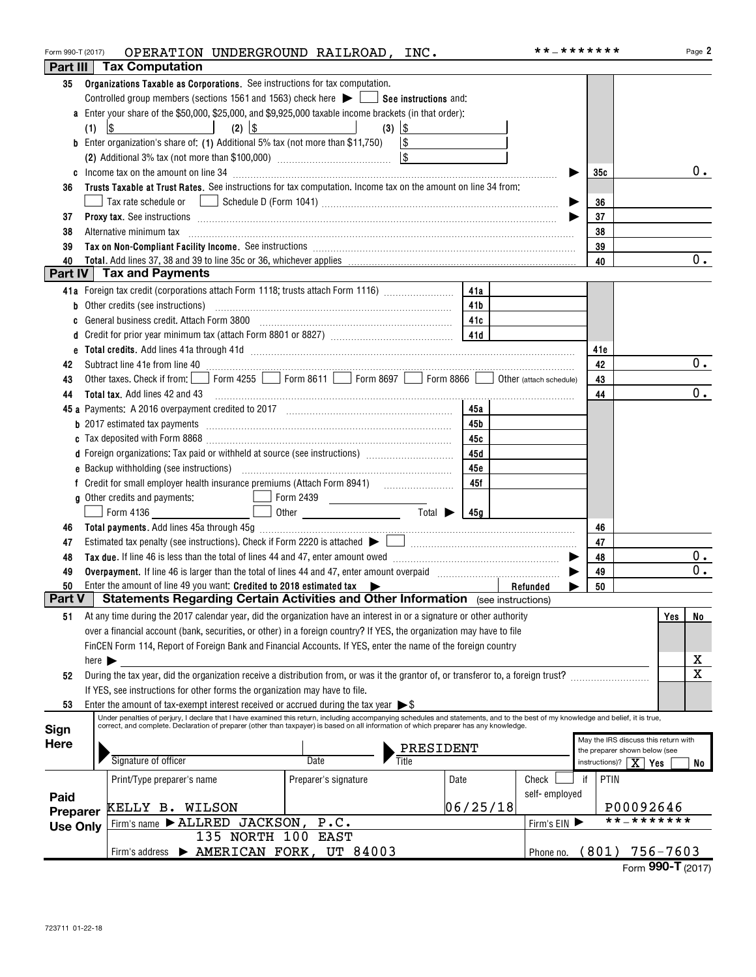| Form 990-T (2017) | OPERATION UNDERGROUND RAILROAD, INC.                                                                                                                                                                                                                                                    |          |               | **_*******                       | Page 2                               |
|-------------------|-----------------------------------------------------------------------------------------------------------------------------------------------------------------------------------------------------------------------------------------------------------------------------------------|----------|---------------|----------------------------------|--------------------------------------|
| Part III          | <b>Tax Computation</b>                                                                                                                                                                                                                                                                  |          |               |                                  |                                      |
| 35                | Organizations Taxable as Corporations. See instructions for tax computation.                                                                                                                                                                                                            |          |               |                                  |                                      |
|                   | Controlled group members (sections 1561 and 1563) check here $\blacktriangleright$ $\Box$ See instructions and:                                                                                                                                                                         |          |               |                                  |                                      |
|                   | a Enter your share of the \$50,000, \$25,000, and \$9,925,000 taxable income brackets (in that order):                                                                                                                                                                                  |          |               |                                  |                                      |
|                   | $(2)$ $ $ \$<br>the contract of the contract of<br>the contract of the contract of<br>$\frac{1}{2}$<br>$(3)$ $ $ \$<br>(1)                                                                                                                                                              |          |               |                                  |                                      |
|                   | <b>b</b> Enter organization's share of: (1) Additional 5% tax (not more than \$11,750) $\boxed{\$}$                                                                                                                                                                                     |          |               |                                  |                                      |
|                   |                                                                                                                                                                                                                                                                                         |          |               |                                  |                                      |
|                   |                                                                                                                                                                                                                                                                                         |          |               | 35c                              | $0$ .                                |
| 36                | Trusts Taxable at Trust Rates. See instructions for tax computation. Income tax on the amount on line 34 from:                                                                                                                                                                          |          |               |                                  |                                      |
|                   |                                                                                                                                                                                                                                                                                         |          |               | 36                               |                                      |
| 37<br>38          | Alternative minimum tax                                                                                                                                                                                                                                                                 |          |               | 37<br>38                         |                                      |
| 39                | Tax on Non-Compliant Facility Income. See instructions [111] [12] Tax on Non-Compliant Facility Income. See instructions [11] Tax on Non-Compliant Facility Income. See instructions [11] Tax on Non-Compliant Facility Income                                                          |          |               | 39                               |                                      |
| 40                |                                                                                                                                                                                                                                                                                         |          |               | 40                               | 0.                                   |
| Part IV           | <b>Tax and Payments</b>                                                                                                                                                                                                                                                                 |          |               |                                  |                                      |
|                   | 41a Foreign tax credit (corporations attach Form 1118; trusts attach Form 1116)                                                                                                                                                                                                         | 41a      |               |                                  |                                      |
|                   |                                                                                                                                                                                                                                                                                         | 41 b     |               |                                  |                                      |
|                   | c General business credit. Attach Form 3800 [11] [12] Case Contract Contract Attach Form 3800 [12] [2] Case Contract Contract Contract Contract Contract Contract Contract Contract Contract Contract Contract Contract Contra                                                          |          |               |                                  |                                      |
|                   |                                                                                                                                                                                                                                                                                         |          |               |                                  |                                      |
|                   |                                                                                                                                                                                                                                                                                         |          |               | 41e                              |                                      |
| 42                | Subtract line 41e from line 40 <b>magazine and the contract of the 40</b> magazine and the 41e from line 40 magazine and the substantial contract of the 41e from line 40 magazine and the 41e from line 40 magazine and the 41e fr                                                     |          |               | 42                               | 0.                                   |
| 43                | Other taxes. Check if from: Form 4255 Form 8611 Form 8697 Form 8866 Obther (attach schedule)                                                                                                                                                                                            |          |               | 43                               |                                      |
| 44                | Total tax. Add lines 42 and 43                                                                                                                                                                                                                                                          |          |               | 44                               | $0_{.}$                              |
|                   |                                                                                                                                                                                                                                                                                         | 45a      |               |                                  |                                      |
|                   |                                                                                                                                                                                                                                                                                         | 45 b     |               |                                  |                                      |
|                   |                                                                                                                                                                                                                                                                                         | 45с      |               |                                  |                                      |
|                   | d Foreign organizations: Tax paid or withheld at source (see instructions) [                                                                                                                                                                                                            | 45 d     |               |                                  |                                      |
|                   |                                                                                                                                                                                                                                                                                         | 45e      |               |                                  |                                      |
|                   |                                                                                                                                                                                                                                                                                         | 45f      |               |                                  |                                      |
|                   | g Other credits and payments:<br>Other Total business and the Union of the Union of the Union of the Union of the Union of the Union of the Union of the Union of the Union of the Union of the Union of the Union of the Union of the Union of the Union of th<br>$\Box$ Form 4136     |          |               |                                  |                                      |
| 46                |                                                                                                                                                                                                                                                                                         |          |               | 46                               |                                      |
| 47                |                                                                                                                                                                                                                                                                                         |          |               | 47                               |                                      |
| 48                |                                                                                                                                                                                                                                                                                         |          |               | 48                               | 0.                                   |
| 49                | Overpayment. If line 46 is larger than the total of lines 44 and 47, enter amount overpaid manufactured and the summan set                                                                                                                                                              |          |               | 49                               | $0$ .                                |
| 50                | Enter the amount of line 49 you want: Credited to 2018 estimated tax $\blacktriangleright$                                                                                                                                                                                              |          | Refunded      | 50                               |                                      |
| Part V            | <b>Statements Regarding Certain Activities and Other Information</b> (see instructions)                                                                                                                                                                                                 |          |               |                                  |                                      |
| 51                | At any time during the 2017 calendar year, did the organization have an interest in or a signature or other authority                                                                                                                                                                   |          |               |                                  | Yes<br>No                            |
|                   | over a financial account (bank, securities, or other) in a foreign country? If YES, the organization may have to file                                                                                                                                                                   |          |               |                                  |                                      |
|                   | FinCEN Form 114, Report of Foreign Bank and Financial Accounts. If YES, enter the name of the foreign country                                                                                                                                                                           |          |               |                                  |                                      |
|                   | here $\blacktriangleright$                                                                                                                                                                                                                                                              |          |               |                                  | х                                    |
| 52                | During the tax year, did the organization receive a distribution from, or was it the grantor of, or transferor to, a foreign trust?                                                                                                                                                     |          |               |                                  | $\overline{\text{x}}$                |
|                   | If YES, see instructions for other forms the organization may have to file.                                                                                                                                                                                                             |          |               |                                  |                                      |
| 53                | Enter the amount of tax-exempt interest received or accrued during the tax year $\triangleright$ \$<br>Under penalties of perjury, I declare that I have examined this return, including accompanying schedules and statements, and to the best of my knowledge and belief, it is true, |          |               |                                  |                                      |
| Sign              | correct, and complete. Declaration of preparer (other than taxpayer) is based on all information of which preparer has any knowledge.                                                                                                                                                   |          |               |                                  |                                      |
| <b>Here</b>       | PRESIDENT                                                                                                                                                                                                                                                                               |          |               |                                  | May the IRS discuss this return with |
|                   | Signature of officer<br>Title<br>Date                                                                                                                                                                                                                                                   |          |               | instructions)? $\mid X \mid Yes$ | the preparer shown below (see<br>No  |
|                   | Preparer's signature<br>Print/Type preparer's name                                                                                                                                                                                                                                      | Date     | Check         | PTIN<br>if                       |                                      |
| Paid              |                                                                                                                                                                                                                                                                                         |          | self-employed |                                  |                                      |
| Preparer          | KELLY B. WILSON                                                                                                                                                                                                                                                                         | 06/25/18 |               |                                  | P00092646                            |
| <b>Use Only</b>   | Firm's name > ALLRED JACKSON,<br>P.C.                                                                                                                                                                                                                                                   |          | Firm's EIN    |                                  | * * _ * * * * * * *                  |
|                   | 135 NORTH 100<br>EAST                                                                                                                                                                                                                                                                   |          |               |                                  |                                      |
|                   | AMERICAN FORK, UT 84003<br>Firm's address                                                                                                                                                                                                                                               |          | Phone no.     |                                  | $(801)$ 756-7603                     |

|  | Form 990-T (2017) |  |
|--|-------------------|--|
|--|-------------------|--|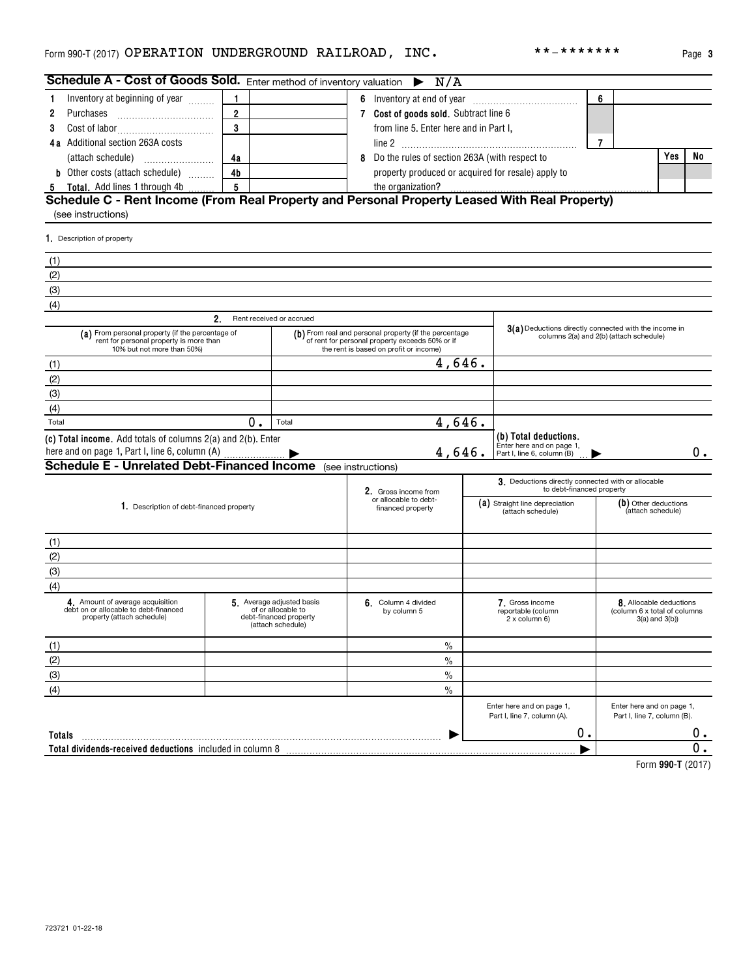| Schedule A - Cost of Goods Sold. Enter method of inventory valuation $\triangleright N/A$                                 |                |                                                                                                |                    |                                                                                                                                                     |        |                                                                                  |                |                                                                            |       |
|---------------------------------------------------------------------------------------------------------------------------|----------------|------------------------------------------------------------------------------------------------|--------------------|-----------------------------------------------------------------------------------------------------------------------------------------------------|--------|----------------------------------------------------------------------------------|----------------|----------------------------------------------------------------------------|-------|
| Inventory at beginning of year<br>1                                                                                       | 1              |                                                                                                |                    |                                                                                                                                                     |        |                                                                                  | 6              |                                                                            |       |
| 2                                                                                                                         | $\overline{2}$ |                                                                                                |                    | 7 Cost of goods sold. Subtract line 6                                                                                                               |        |                                                                                  |                |                                                                            |       |
| 3                                                                                                                         | 3              |                                                                                                |                    | from line 5. Enter here and in Part I,                                                                                                              |        |                                                                                  |                |                                                                            |       |
| 4a Additional section 263A costs                                                                                          |                |                                                                                                |                    |                                                                                                                                                     |        |                                                                                  | $\overline{7}$ |                                                                            |       |
|                                                                                                                           | 4a             |                                                                                                |                    | 8 Do the rules of section 263A (with respect to                                                                                                     |        |                                                                                  |                | Yes                                                                        | No    |
| <b>b</b> Other costs (attach schedule)                                                                                    | 4b             |                                                                                                |                    | property produced or acquired for resale) apply to                                                                                                  |        |                                                                                  |                |                                                                            |       |
| 5 Total. Add lines 1 through 4b                                                                                           | 5              |                                                                                                |                    | the organization?                                                                                                                                   |        |                                                                                  |                |                                                                            |       |
| Schedule C - Rent Income (From Real Property and Personal Property Leased With Real Property)<br>(see instructions)       |                |                                                                                                |                    |                                                                                                                                                     |        |                                                                                  |                |                                                                            |       |
| 1. Description of property                                                                                                |                |                                                                                                |                    |                                                                                                                                                     |        |                                                                                  |                |                                                                            |       |
| (1)                                                                                                                       |                |                                                                                                |                    |                                                                                                                                                     |        |                                                                                  |                |                                                                            |       |
| (2)                                                                                                                       |                |                                                                                                |                    |                                                                                                                                                     |        |                                                                                  |                |                                                                            |       |
| (3)                                                                                                                       |                |                                                                                                |                    |                                                                                                                                                     |        |                                                                                  |                |                                                                            |       |
| (4)                                                                                                                       |                |                                                                                                |                    |                                                                                                                                                     |        |                                                                                  |                |                                                                            |       |
|                                                                                                                           | 2.             | Rent received or accrued                                                                       |                    |                                                                                                                                                     |        |                                                                                  |                |                                                                            |       |
| (a) From personal property (if the percentage of<br>rent for personal property is more than<br>10% but not more than 50%) |                |                                                                                                |                    | (b) From real and personal property (if the percentage<br>of rent for personal property exceeds 50% or if<br>the rent is based on profit or income) |        | 3(a) Deductions directly connected with the income in                            |                | columns 2(a) and 2(b) (attach schedule)                                    |       |
| (1)                                                                                                                       |                |                                                                                                |                    | 4,646.                                                                                                                                              |        |                                                                                  |                |                                                                            |       |
| (2)                                                                                                                       |                |                                                                                                |                    |                                                                                                                                                     |        |                                                                                  |                |                                                                            |       |
| (3)                                                                                                                       |                |                                                                                                |                    |                                                                                                                                                     |        |                                                                                  |                |                                                                            |       |
| (4)                                                                                                                       |                |                                                                                                |                    |                                                                                                                                                     |        |                                                                                  |                |                                                                            |       |
| Total                                                                                                                     | 0.             | Total                                                                                          |                    |                                                                                                                                                     | 4,646. |                                                                                  |                |                                                                            |       |
| (c) Total income. Add totals of columns 2(a) and 2(b). Enter<br>here and on page 1, Part I, line 6, column (A)            |                |                                                                                                |                    |                                                                                                                                                     | 4,646. | (b) Total deductions.<br>Enter here and on page 1,<br>Part I, line 6, column (B) |                |                                                                            | $0$ . |
| <b>Schedule E - Unrelated Debt-Financed Income</b>                                                                        |                |                                                                                                | (see instructions) |                                                                                                                                                     |        |                                                                                  |                |                                                                            |       |
|                                                                                                                           |                |                                                                                                |                    | 2. Gross income from                                                                                                                                |        | 3. Deductions directly connected with or allocable<br>to debt-financed property  |                |                                                                            |       |
| 1. Description of debt-financed property                                                                                  |                |                                                                                                |                    | or allocable to debt-<br>financed property                                                                                                          |        | (a) Straight line depreciation<br>(attach schedule)                              |                | (b) Other deductions<br>(attach schedule)                                  |       |
| (1)                                                                                                                       |                |                                                                                                |                    |                                                                                                                                                     |        |                                                                                  |                |                                                                            |       |
| (2)                                                                                                                       |                |                                                                                                |                    |                                                                                                                                                     |        |                                                                                  |                |                                                                            |       |
| (3)                                                                                                                       |                |                                                                                                |                    |                                                                                                                                                     |        |                                                                                  |                |                                                                            |       |
| (4)                                                                                                                       |                |                                                                                                |                    |                                                                                                                                                     |        |                                                                                  |                |                                                                            |       |
| 4. Amount of average acquisition<br>debt on or allocable to debt-financed<br>property (attach schedule)                   |                | 5. Average adjusted basis<br>of or allocable to<br>debt-financed property<br>(attach schedule) |                    | 6. Column 4 divided<br>by column 5                                                                                                                  |        | 7. Gross income<br>reportable (column<br>2 x column 6)                           |                | 8. Allocable deductions<br>(column 6 x total of columns)<br>3(a) and 3(b)) |       |
| (1)                                                                                                                       |                |                                                                                                |                    | $\%$                                                                                                                                                |        |                                                                                  |                |                                                                            |       |
| (2)                                                                                                                       |                |                                                                                                |                    | $\%$                                                                                                                                                |        |                                                                                  |                |                                                                            |       |
| (3)                                                                                                                       |                |                                                                                                |                    | $\%$                                                                                                                                                |        |                                                                                  |                |                                                                            |       |
| (4)                                                                                                                       |                |                                                                                                |                    | $\%$                                                                                                                                                |        |                                                                                  |                |                                                                            |       |
|                                                                                                                           |                |                                                                                                |                    |                                                                                                                                                     |        | Enter here and on page 1,<br>Part I, line 7, column (A).                         |                | Enter here and on page 1,<br>Part I, line 7, column (B).                   |       |
| Totals                                                                                                                    |                |                                                                                                |                    |                                                                                                                                                     |        | Ο.                                                                               |                |                                                                            | 0.    |
| Total dividends-received deductions included in column 8                                                                  |                |                                                                                                |                    |                                                                                                                                                     |        |                                                                                  |                |                                                                            | $0$ . |

**990-T**  Form (2017)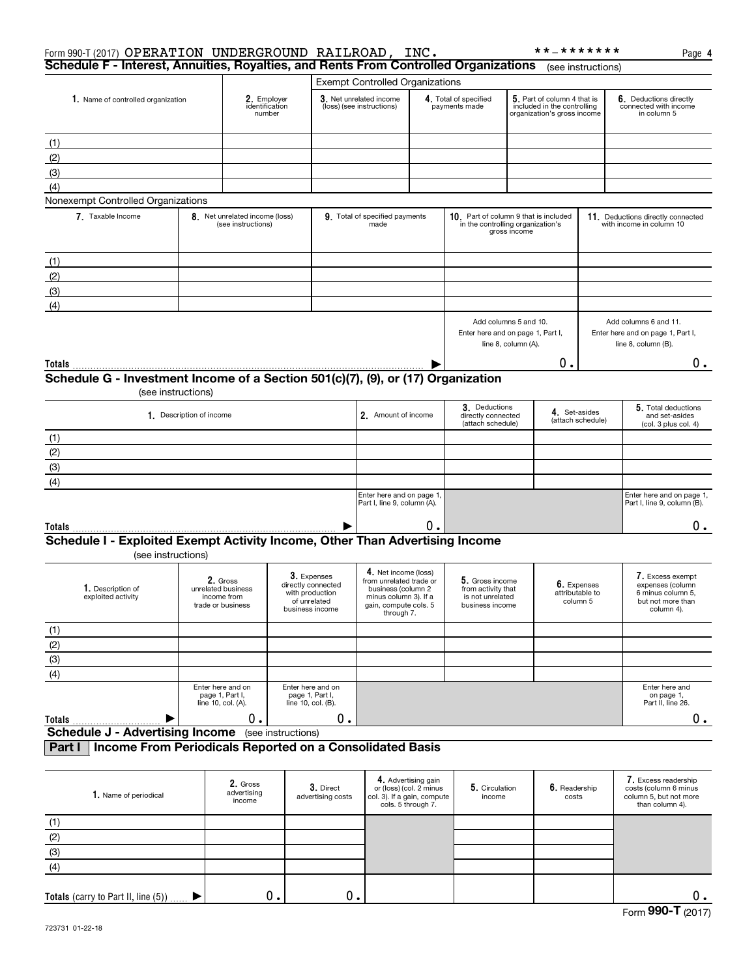| Form 990-T (2017) OPERATION UNDERGROUND RAILROAD, INC.                                                 |                          |                                                                    |                                                                                         |    |                                                                                                                                       |                     |                                                                              |                     | **_*******                                                                                |                                | Page 4                                                                                       |
|--------------------------------------------------------------------------------------------------------|--------------------------|--------------------------------------------------------------------|-----------------------------------------------------------------------------------------|----|---------------------------------------------------------------------------------------------------------------------------------------|---------------------|------------------------------------------------------------------------------|---------------------|-------------------------------------------------------------------------------------------|--------------------------------|----------------------------------------------------------------------------------------------|
| Schedule F - Interest, Annuities, Royalties, and Rents From Controlled Organizations                   |                          |                                                                    |                                                                                         |    |                                                                                                                                       |                     |                                                                              |                     |                                                                                           | (see instructions)             |                                                                                              |
|                                                                                                        |                          |                                                                    |                                                                                         |    | <b>Exempt Controlled Organizations</b>                                                                                                |                     |                                                                              |                     |                                                                                           |                                |                                                                                              |
| 1. Name of controlled organization                                                                     |                          | 2. Employer<br>identification<br>number                            |                                                                                         |    | 3. Net unrelated income<br>(loss) (see instructions)                                                                                  |                     | 4. Total of specified<br>payments made                                       |                     | 5. Part of column 4 that is<br>included in the controlling<br>organization's gross income |                                | 6. Deductions directly<br>connected with income<br>in column 5                               |
| (1)                                                                                                    |                          |                                                                    |                                                                                         |    |                                                                                                                                       |                     |                                                                              |                     |                                                                                           |                                |                                                                                              |
| (2)                                                                                                    |                          |                                                                    |                                                                                         |    |                                                                                                                                       |                     |                                                                              |                     |                                                                                           |                                |                                                                                              |
| (3)                                                                                                    |                          |                                                                    |                                                                                         |    |                                                                                                                                       |                     |                                                                              |                     |                                                                                           |                                |                                                                                              |
| (4)                                                                                                    |                          |                                                                    |                                                                                         |    |                                                                                                                                       |                     |                                                                              |                     |                                                                                           |                                |                                                                                              |
| Nonexempt Controlled Organizations                                                                     |                          |                                                                    |                                                                                         |    |                                                                                                                                       |                     |                                                                              |                     |                                                                                           |                                |                                                                                              |
| 7. Taxable Income                                                                                      |                          | 8. Net unrelated income (loss)<br>(see instructions)               |                                                                                         |    | 9. Total of specified payments<br>made                                                                                                |                     | 10. Part of column 9 that is included<br>in the controlling organization's   | gross income        |                                                                                           |                                | 11. Deductions directly connected<br>with income in column 10                                |
| (1)                                                                                                    |                          |                                                                    |                                                                                         |    |                                                                                                                                       |                     |                                                                              |                     |                                                                                           |                                |                                                                                              |
| (2)                                                                                                    |                          |                                                                    |                                                                                         |    |                                                                                                                                       |                     |                                                                              |                     |                                                                                           |                                |                                                                                              |
| (3)                                                                                                    |                          |                                                                    |                                                                                         |    |                                                                                                                                       |                     |                                                                              |                     |                                                                                           |                                |                                                                                              |
| (4)                                                                                                    |                          |                                                                    |                                                                                         |    |                                                                                                                                       |                     |                                                                              |                     |                                                                                           |                                |                                                                                              |
|                                                                                                        |                          |                                                                    |                                                                                         |    |                                                                                                                                       |                     | Add columns 5 and 10.<br>Enter here and on page 1, Part I,                   | line 8, column (A). |                                                                                           |                                | Add columns 6 and 11.<br>Enter here and on page 1, Part I,<br>line 8, column (B).            |
| Totals                                                                                                 |                          |                                                                    |                                                                                         |    |                                                                                                                                       |                     |                                                                              |                     | 0.                                                                                        |                                | 0.                                                                                           |
| Schedule G - Investment Income of a Section 501(c)(7), (9), or (17) Organization<br>(see instructions) |                          |                                                                    |                                                                                         |    |                                                                                                                                       |                     |                                                                              |                     |                                                                                           |                                |                                                                                              |
|                                                                                                        | 1. Description of income |                                                                    |                                                                                         |    | 2. Amount of income                                                                                                                   |                     | 3. Deductions<br>directly connected<br>(attach schedule)                     |                     | 4. Set-asides                                                                             | (attach schedule)              | 5. Total deductions<br>and set-asides<br>(col. 3 plus col. 4)                                |
| (1)                                                                                                    |                          |                                                                    |                                                                                         |    |                                                                                                                                       |                     |                                                                              |                     |                                                                                           |                                |                                                                                              |
| (2)                                                                                                    |                          |                                                                    |                                                                                         |    |                                                                                                                                       |                     |                                                                              |                     |                                                                                           |                                |                                                                                              |
| (3)                                                                                                    |                          |                                                                    |                                                                                         |    |                                                                                                                                       |                     |                                                                              |                     |                                                                                           |                                |                                                                                              |
| (4)                                                                                                    |                          |                                                                    |                                                                                         |    |                                                                                                                                       |                     |                                                                              |                     |                                                                                           |                                |                                                                                              |
|                                                                                                        |                          |                                                                    |                                                                                         |    | Enter here and on page 1,<br>Part I, line 9, column (A).                                                                              |                     |                                                                              |                     |                                                                                           |                                | Enter here and on page 1,<br>Part I, line 9, column (B).                                     |
| Totals                                                                                                 |                          |                                                                    |                                                                                         |    |                                                                                                                                       | 0.                  |                                                                              |                     |                                                                                           |                                | 0.                                                                                           |
| Schedule I - Exploited Exempt Activity Income, Other Than Advertising Income<br>(see instructions)     |                          |                                                                    |                                                                                         |    |                                                                                                                                       |                     |                                                                              |                     |                                                                                           |                                |                                                                                              |
| 1. Description of<br>exploited activity                                                                |                          | 2. Gross<br>unrelated business<br>income from<br>trade or business | 3. Expenses<br>directly connected<br>with production<br>of unrelated<br>business income |    | 4. Net income (loss)<br>from unrelated trade or<br>business (column 2<br>minus column 3). If a<br>gain, compute cols. 5<br>through 7. |                     | 5. Gross income<br>from activity that<br>is not unrelated<br>business income |                     | column 5                                                                                  | 6. Expenses<br>attributable to | 7. Excess exempt<br>expenses (column<br>6 minus column 5,<br>but not more than<br>column 4). |
| (1)                                                                                                    |                          |                                                                    |                                                                                         |    |                                                                                                                                       |                     |                                                                              |                     |                                                                                           |                                |                                                                                              |
| (2)                                                                                                    |                          |                                                                    |                                                                                         |    |                                                                                                                                       |                     |                                                                              |                     |                                                                                           |                                |                                                                                              |
| (3)                                                                                                    |                          |                                                                    |                                                                                         |    |                                                                                                                                       |                     |                                                                              |                     |                                                                                           |                                |                                                                                              |
| (4)                                                                                                    |                          |                                                                    |                                                                                         |    |                                                                                                                                       |                     |                                                                              |                     |                                                                                           |                                |                                                                                              |
|                                                                                                        |                          | Enter here and on<br>page 1, Part I,<br>line 10, col. (A).         | Enter here and on<br>page 1, Part I,<br>line 10, col. (B).                              |    |                                                                                                                                       |                     |                                                                              |                     |                                                                                           |                                | Enter here and<br>on page 1,<br>Part II, line 26.                                            |
| Totals                                                                                                 |                          | 0.                                                                 |                                                                                         | 0. |                                                                                                                                       |                     |                                                                              |                     |                                                                                           |                                | $0$ .                                                                                        |
| <b>Schedule J - Advertising Income</b>                                                                 |                          |                                                                    | (see instructions)                                                                      |    |                                                                                                                                       |                     |                                                                              |                     |                                                                                           |                                |                                                                                              |
| Income From Periodicals Reported on a Consolidated Basis<br>Part I                                     |                          |                                                                    |                                                                                         |    |                                                                                                                                       |                     |                                                                              |                     |                                                                                           |                                |                                                                                              |
|                                                                                                        |                          | 2. Gross                                                           | 3. Direct                                                                               |    | or (loss) (col. 2 minus                                                                                                               | 4. Advertising gain | 5. Circulation                                                               |                     | 6. Readership                                                                             |                                | 7. Excess readership<br>costs (column 6 minus                                                |
| 1. Name of periodical                                                                                  |                          | advertising<br>income                                              | advertising costs                                                                       |    | col. 3). If a gain, compute                                                                                                           | cols. 5 through 7.  | income                                                                       |                     | costs                                                                                     |                                | column 5, but not more<br>than column 4).                                                    |
| (1)                                                                                                    |                          |                                                                    |                                                                                         |    |                                                                                                                                       |                     |                                                                              |                     |                                                                                           |                                |                                                                                              |
| (2)                                                                                                    |                          |                                                                    |                                                                                         |    |                                                                                                                                       |                     |                                                                              |                     |                                                                                           |                                |                                                                                              |

 (3) (4)

**Totals** (carry to Part II, line (5))

 $\blacktriangleright$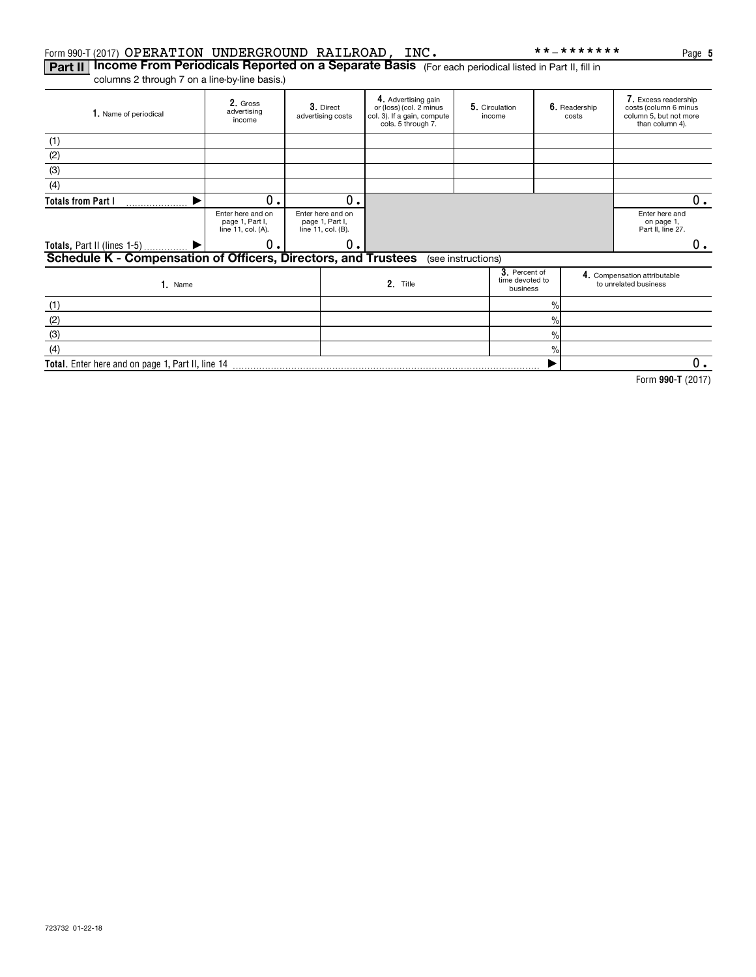# Enter here and on page 1, Part I, line 11, col. (A).

**Totals from Part I**

(1) (2) (3) (4) **1.** Name of periodical

| Totals, Part II (lines 1-5)                                    |                    |                                              |                                                       |  |
|----------------------------------------------------------------|--------------------|----------------------------------------------|-------------------------------------------------------|--|
| Schedule K - Compensation of Officers, Directors, and Trustees | (see instructions) |                                              |                                                       |  |
| 1. Name                                                        | 2. Title           | 3. Percent of<br>time devoted to<br>business | 4. Compensation attributable<br>to unrelated business |  |
| (1)                                                            |                    |                                              |                                                       |  |
| (2)                                                            |                    |                                              |                                                       |  |
| (3)                                                            |                    |                                              |                                                       |  |
| (4)                                                            |                    |                                              |                                                       |  |
| Total. Enter here and on page 1, Part II, line 14              |                    |                                              |                                                       |  |

**4.** Advertising gain<br>or (loss) (col. 2 minus col. 3). If a gain, compute cols. 5 through 7.

**5.** Circulation | **6.** income

0. 0. 0.

Readership costs

**Part II | Income From Periodicals Reported on a Separate Basis** (For each periodical listed in Part II, fill in

**3.** Direct advertising costs

Enter here and on page 1, Part I, line 11, col. (B).

**2.** Gross<br>advertising income

columns 2 through 7 on a line-by-line basis.)

 $\blacktriangleright$ 

**5**

Excess readership costs (column 6 minus **7.**  column 5, but not more than column 4).

Enter here and on page 1, Part II, line 27.

**990-T**  Form (2017)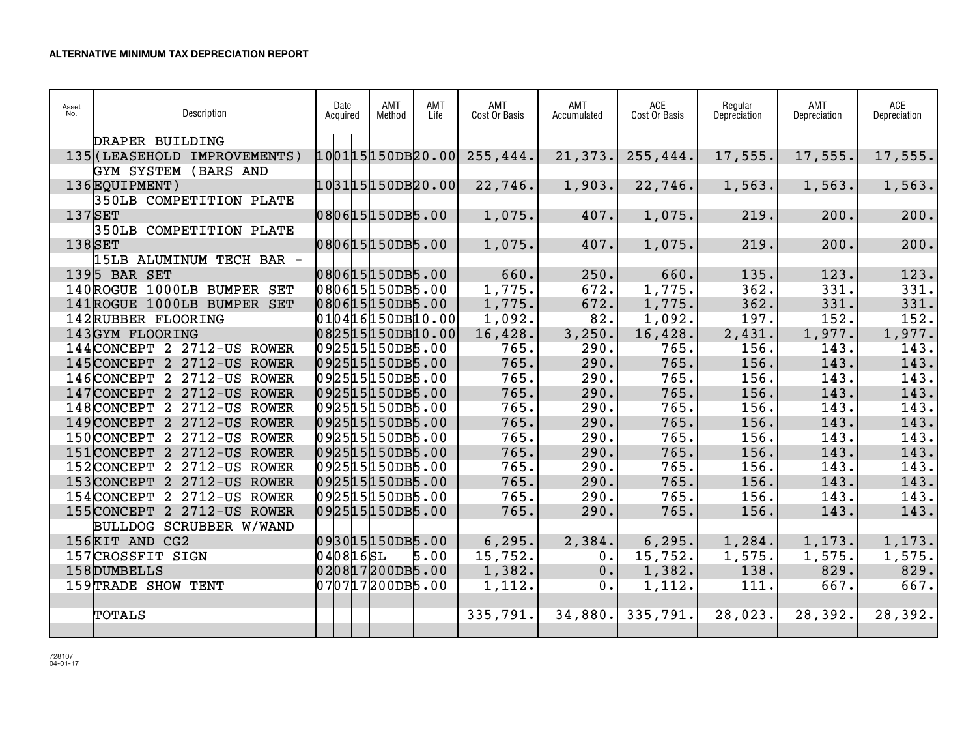| Asset<br>No. | Description                  | Date<br>Acquired | AMT<br>Method | AMT<br>Life | AMT<br>Cost Or Basis        | AMT<br>Accumulated | ACE<br>Cost Or Basis | Regular<br>Depreciation | AMT<br>Depreciation | ACE<br>Depreciation |
|--------------|------------------------------|------------------|---------------|-------------|-----------------------------|--------------------|----------------------|-------------------------|---------------------|---------------------|
|              | DRAPER BUILDING              |                  |               |             |                             |                    |                      |                         |                     |                     |
|              | 135 (LEASEHOLD IMPROVEMENTS) |                  |               |             | $100115150DB20.00$ 255,444. | 21,373.            | 255, 444.            | 17,555.                 | 17,555.             | 17,555.             |
|              | GYM SYSTEM (BARS AND         |                  |               |             |                             |                    |                      |                         |                     |                     |
|              | 136EQUIPMENT)                | 103115150DB20.00 |               |             | 22,746.                     | 1,903.             | 22, 746.             | 1,563.                  | 1,563.              | 1,563.              |
|              | 350LB COMPETITION PLATE      |                  |               |             |                             |                    |                      |                         |                     |                     |
| $137$ SET    |                              | 080615150DB5.00  |               |             | 1,075.                      | 407.               | 1,075.               | 219.                    | 200.                | 200.                |
|              | 350LB COMPETITION PLATE      |                  |               |             |                             |                    |                      |                         |                     |                     |
| $138$ SET    |                              | 080615150DB5.00  |               |             | 1,075.                      | 407.               | 1,075.               | 219.                    | 200.                | 200.                |
|              | 15LB ALUMINUM TECH BAR -     |                  |               |             |                             |                    |                      |                         |                     |                     |
|              | 1395 BAR SET                 | 080615150DB5.00  |               |             | 660.                        | 250.               | 660.                 | 135.                    | 123.                | 123.                |
|              | 140ROGUE 1000LB BUMPER SET   | 080615150DB5.00  |               |             | 1,775.                      | 672.               | 1,775.               | 362.                    | 331.                | 331.                |
|              | 141ROGUE 1000LB BUMPER SET   | 080615150DB5.00  |               |             | 1,775.                      | 672.               | 1,775.               | 362.                    | 331.                | 331.                |
|              | 142RUBBER FLOORING           | 010416150DB10.00 |               |             | 1,092.                      | 82.                | 1,092.               | 197.                    | 152.                | 152.                |
|              | 143GYM FLOORING              | 082515150DB10.00 |               |             | 16,428.                     | 3,250.             | 16,428.              | 2,431.                  | 1,977.              | 1,977.              |
|              | 144 CONCEPT 2 2712-US ROWER  | 092515150DB5.00  |               |             | 765.                        | 290.               | 765.                 | 156.                    | 143.                | 143.                |
|              | 145 CONCEPT 2 2712-US ROWER  | 092515150DB5.00  |               |             | 765.                        | 290.               | 765.                 | 156.                    | 143.                | 143.                |
|              | 146 CONCEPT 2 2712-US ROWER  | 092515150DB5.00  |               |             | 765.                        | 290.               | 765.                 | 156.                    | 143.                | 143.                |
|              | 147 CONCEPT 2 2712-US ROWER  | 092515150DB5.00  |               |             | 765.                        | 290.               | 765.                 | 156.                    | 143.                | 143.                |
|              | 148 CONCEPT 2 2712-US ROWER  | 092515150DB5.00  |               |             | 765.                        | 290.               | 765.                 | 156.                    | 143.                | 143.                |
|              | 149 CONCEPT 2 2712-US ROWER  | 092515150DB5.00  |               |             | 765.                        | 290.               | 765.                 | 156.                    | 143.                | 143.                |
|              | 150 CONCEPT 2 2712-US ROWER  | 092515150DB5.00  |               |             | 765.                        | 290.               | 765.                 | 156.                    | 143.                | 143.                |
|              | 151 CONCEPT 2 2712-US ROWER  | 092515150DB5.00  |               |             | 765.                        | 290.               | 765.                 | 156.                    | 143.                | 143.                |
|              | 152 CONCEPT 2 2712-US ROWER  | 092515150DB5.00  |               |             | 765.                        | 290.               | 765.                 | 156.                    | 143.                | 143.                |
|              | 153 CONCEPT 2 2712-US ROWER  | 092515150DB5.00  |               |             | 765.                        | 290.               | 765.                 | 156.                    | 143.                | 143.                |
|              | 154 CONCEPT 2 2712-US ROWER  | 092515150DB5.00  |               |             | 765.                        | 290.               | 765.                 | 156.                    | 143.                | 143.                |
|              | 155 CONCEPT 2 2712-US ROWER  | 092515150DB5.00  |               |             | 765.                        | 290.               | 765.                 | 156.                    | 143.                | 143.                |
|              | BULLDOG SCRUBBER W/WAND      |                  |               |             |                             |                    |                      |                         |                     |                     |
|              | 156KIT AND CG2               | 093015150DB5.00  |               |             | 6, 295.                     | 2,384.             | 6, 295.              | 1, 284.                 | 1, 173.             | 1, 173.             |
|              | 157 CROSSFIT SIGN            | 040816SL         |               | 5.00        | 15,752.                     | 0.1                | 15,752.              | 1,575.                  | 1,575.              | 1,575.              |
|              | 158DUMBELLS                  | 020817200DB5.00  |               |             | 1,382.                      | 0.                 | 1,382.               | 138.                    | 829.                | 829.                |
|              | 159TRADE SHOW TENT           | 070717200DB5.00  |               |             | 1,112.                      | 0.                 | 1,112.               | 111.                    | 667.                | 667.                |
|              |                              |                  |               |             |                             |                    |                      |                         |                     |                     |
|              | <b>TOTALS</b>                |                  |               |             | 335,791.                    |                    | $34,880.$ 335,791.   | 28,023.                 | 28, 392.            | 28,392.             |
|              |                              |                  |               |             |                             |                    |                      |                         |                     |                     |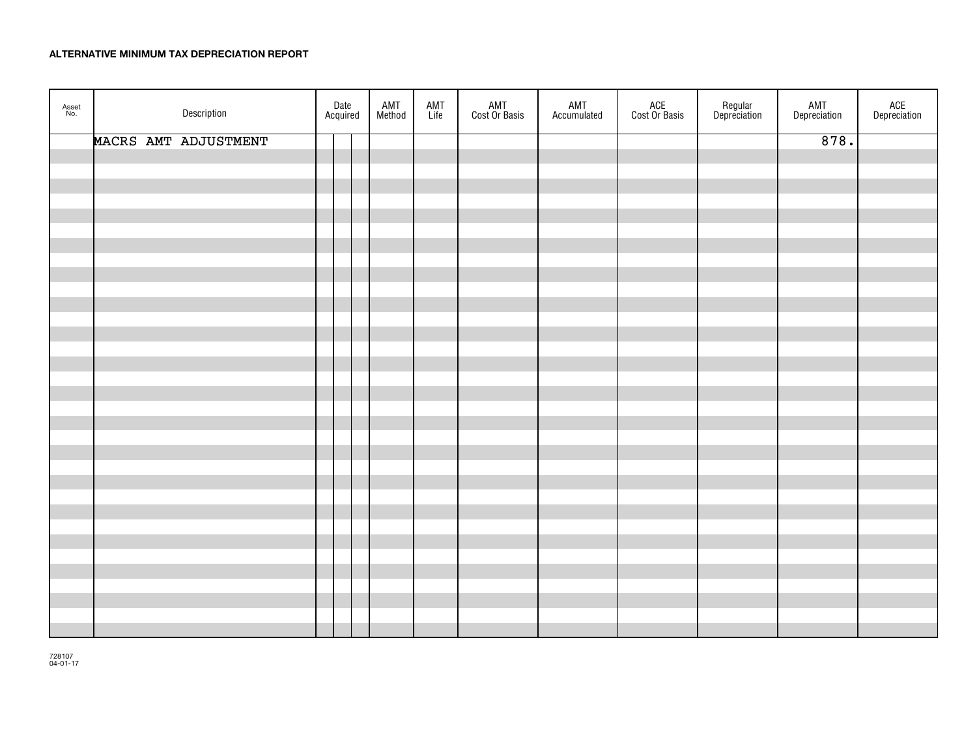#### **ALTERNATIVE MINIMUM TAX DEPRECIATION REPORT**

| Asset<br>No. | Description          | Date<br>Acquired | AMT<br>Method | AMT<br>Life | AMT<br>Cost Or Basis | AMT<br>Accumulated | ACE<br>Cost Or Basis | Regular<br>Depreciation | AMT<br>Depreciation | ACE<br>Depreciation |
|--------------|----------------------|------------------|---------------|-------------|----------------------|--------------------|----------------------|-------------------------|---------------------|---------------------|
|              | MACRS AMT ADJUSTMENT |                  |               |             |                      |                    |                      |                         | 878.                |                     |
|              |                      |                  |               |             |                      |                    |                      |                         |                     |                     |
|              |                      |                  |               |             |                      |                    |                      |                         |                     |                     |
|              |                      |                  |               |             |                      |                    |                      |                         |                     |                     |
|              |                      |                  |               |             |                      |                    |                      |                         |                     |                     |
|              |                      |                  |               |             |                      |                    |                      |                         |                     |                     |
|              |                      |                  |               |             |                      |                    |                      |                         |                     |                     |
|              |                      |                  |               |             |                      |                    |                      |                         |                     |                     |
|              |                      |                  |               |             |                      |                    |                      |                         |                     |                     |
|              |                      |                  |               |             |                      |                    |                      |                         |                     |                     |
|              |                      |                  |               |             |                      |                    |                      |                         |                     |                     |
|              |                      |                  |               |             |                      |                    |                      |                         |                     |                     |
|              |                      |                  |               |             |                      |                    |                      |                         |                     |                     |
|              |                      |                  |               |             |                      |                    |                      |                         |                     |                     |
|              |                      |                  |               |             |                      |                    |                      |                         |                     |                     |
|              |                      |                  |               |             |                      |                    |                      |                         |                     |                     |
|              |                      |                  |               |             |                      |                    |                      |                         |                     |                     |
|              |                      |                  |               |             |                      |                    |                      |                         |                     |                     |
|              |                      |                  |               |             |                      |                    |                      |                         |                     |                     |
|              |                      |                  |               |             |                      |                    |                      |                         |                     |                     |
|              |                      |                  |               |             |                      |                    |                      |                         |                     |                     |
|              |                      |                  |               |             |                      |                    |                      |                         |                     |                     |
|              |                      |                  |               |             |                      |                    |                      |                         |                     |                     |
|              |                      |                  |               |             |                      |                    |                      |                         |                     |                     |
|              |                      |                  |               |             |                      |                    |                      |                         |                     |                     |
|              |                      |                  |               |             |                      |                    |                      |                         |                     |                     |
|              |                      |                  |               |             |                      |                    |                      |                         |                     |                     |
|              |                      |                  |               |             |                      |                    |                      |                         |                     |                     |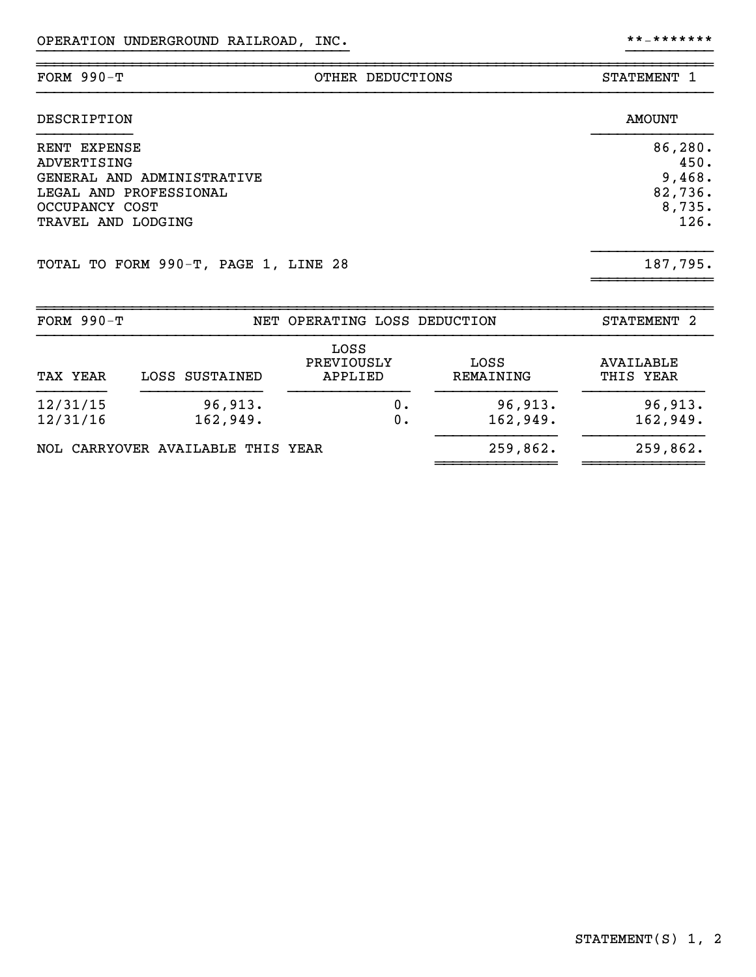| FORM $990-T$                                                                                                                | OTHER DEDUCTIONS | STATEMENT 1                                            |
|-----------------------------------------------------------------------------------------------------------------------------|------------------|--------------------------------------------------------|
| DESCRIPTION                                                                                                                 |                  | <b>AMOUNT</b>                                          |
| RENT EXPENSE<br>ADVERTISING<br>GENERAL AND ADMINISTRATIVE<br>LEGAL AND PROFESSIONAL<br>OCCUPANCY COST<br>TRAVEL AND LODGING |                  | 86,280.<br>450.<br>9,468.<br>82,736.<br>8,735.<br>126. |
| TOTAL TO FORM 990-T, PAGE 1, LINE 28                                                                                        |                  | 187,795.                                               |

}}}}}}}}}}}}}}}}}}}}}}}}}}}}}}}}}}}} }}}}}}}}}}

| FORM $990-T$         |                                   | NET OPERATING LOSS DEDUCTION  |                     | STATEMENT <sub>2</sub> |
|----------------------|-----------------------------------|-------------------------------|---------------------|------------------------|
| TAX YEAR             | LOSS SUSTAINED                    | LOSS<br>PREVIOUSLY<br>APPLIED | LOSS<br>REMAINING   | AVAILABLE<br>THIS YEAR |
| 12/31/15<br>12/31/16 | 96,913.<br>162,949.               | 0.<br>0.                      | 96,913.<br>162,949. | 96,913.<br>162,949.    |
|                      | NOL CARRYOVER AVAILABLE THIS YEAR |                               | 259,862.            | 259,862.               |

~~~~~~~~~~~~~~~~~~~~~~~~~~~~~~~~~~~~~~~~~~~~~~~~~~~~~~~~~~~~~~~~~~~~~~~~~~~~~~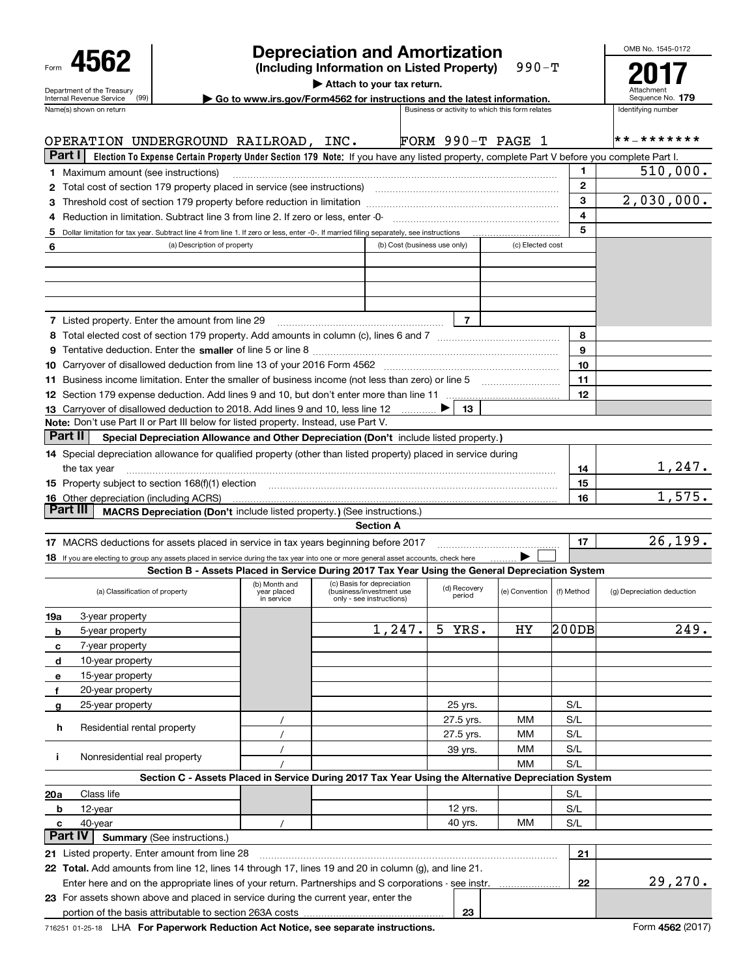| Form                                                   |  |
|--------------------------------------------------------|--|
| Department of the Treasury<br>Internal Revenue Service |  |
|                                                        |  |

## **Depreciation and Amortization**

**(Including Information on Listed Property)** 990-T

| Attach to your tax return.<br>Department of the Treasury<br>Go to www.irs.gov/Form4562 for instructions and the latest information.                                                                                                 |                                                                                                                                           |                           |  |                                                      |                        |                                                 |                         | ΖU<br>Attachment                       |
|-------------------------------------------------------------------------------------------------------------------------------------------------------------------------------------------------------------------------------------|-------------------------------------------------------------------------------------------------------------------------------------------|---------------------------|--|------------------------------------------------------|------------------------|-------------------------------------------------|-------------------------|----------------------------------------|
| (99)<br>Internal Revenue Service<br>Name(s) shown on return                                                                                                                                                                         |                                                                                                                                           |                           |  |                                                      |                        | Business or activity to which this form relates |                         | Sequence No. 179<br>Identifying number |
|                                                                                                                                                                                                                                     |                                                                                                                                           |                           |  |                                                      |                        |                                                 |                         | **_*******                             |
| OPERATION UNDERGROUND RAILROAD, INC.<br>Part I                                                                                                                                                                                      |                                                                                                                                           |                           |  |                                                      |                        | FORM $990-T$ PAGE 1                             |                         |                                        |
|                                                                                                                                                                                                                                     | Election To Expense Certain Property Under Section 179 Note: If you have any listed property, complete Part V before you complete Part I. |                           |  |                                                      |                        |                                                 | $\mathbf{1}$            | 510,000.                               |
| 1 Maximum amount (see instructions)                                                                                                                                                                                                 |                                                                                                                                           |                           |  |                                                      |                        |                                                 | $\mathbf{2}$            |                                        |
| 2 Total cost of section 179 property placed in service (see instructions) manufactured cost of section 179 property placed in service (see instructions)                                                                            |                                                                                                                                           |                           |  |                                                      |                        |                                                 | 3                       | 2,030,000.                             |
| Threshold cost of section 179 property before reduction in limitation material content of the section of the section 179 property before reduction in limitation material content of the section of the section of the section<br>з |                                                                                                                                           |                           |  |                                                      |                        |                                                 | $\overline{\mathbf{4}}$ |                                        |
| Reduction in limitation. Subtract line 3 from line 2. If zero or less, enter -0-                                                                                                                                                    |                                                                                                                                           |                           |  |                                                      |                        |                                                 | 5                       |                                        |
| 5                                                                                                                                                                                                                                   | (a) Description of property                                                                                                               |                           |  | (b) Cost (business use only)                         |                        | (c) Elected cost                                |                         |                                        |
| 6                                                                                                                                                                                                                                   |                                                                                                                                           |                           |  |                                                      |                        |                                                 |                         |                                        |
|                                                                                                                                                                                                                                     |                                                                                                                                           |                           |  |                                                      |                        |                                                 |                         |                                        |
|                                                                                                                                                                                                                                     |                                                                                                                                           |                           |  |                                                      |                        |                                                 |                         |                                        |
|                                                                                                                                                                                                                                     |                                                                                                                                           |                           |  |                                                      |                        |                                                 |                         |                                        |
| 7 Listed property. Enter the amount from line 29                                                                                                                                                                                    |                                                                                                                                           |                           |  |                                                      | $\overline{7}$         |                                                 |                         |                                        |
|                                                                                                                                                                                                                                     |                                                                                                                                           |                           |  |                                                      |                        |                                                 | 8                       |                                        |
|                                                                                                                                                                                                                                     |                                                                                                                                           |                           |  |                                                      |                        |                                                 | 9                       |                                        |
|                                                                                                                                                                                                                                     |                                                                                                                                           |                           |  |                                                      |                        |                                                 | 10                      |                                        |
|                                                                                                                                                                                                                                     |                                                                                                                                           |                           |  |                                                      |                        |                                                 |                         |                                        |
|                                                                                                                                                                                                                                     |                                                                                                                                           |                           |  |                                                      |                        |                                                 | 11<br>12                |                                        |
|                                                                                                                                                                                                                                     |                                                                                                                                           |                           |  |                                                      | 13                     |                                                 |                         |                                        |
| 13 Carryover of disallowed deduction to 2018. Add lines 9 and 10, less line 12<br>Note: Don't use Part II or Part III below for listed property. Instead, use Part V.                                                               |                                                                                                                                           |                           |  |                                                      |                        |                                                 |                         |                                        |
| Part II                                                                                                                                                                                                                             | Special Depreciation Allowance and Other Depreciation (Don't include listed property.)                                                    |                           |  |                                                      |                        |                                                 |                         |                                        |
| 14 Special depreciation allowance for qualified property (other than listed property) placed in service during                                                                                                                      |                                                                                                                                           |                           |  |                                                      |                        |                                                 |                         |                                        |
|                                                                                                                                                                                                                                     |                                                                                                                                           |                           |  |                                                      |                        |                                                 |                         | 1,247.                                 |
| the tax year                                                                                                                                                                                                                        |                                                                                                                                           |                           |  |                                                      |                        |                                                 | 14                      |                                        |
| 15 Property subject to section 168(f)(1) election manufactured content to the content of the content of the content of the content of the content of the content of the content of the content of the content of the content o      |                                                                                                                                           |                           |  |                                                      |                        |                                                 | 15<br>16                | 1,575.                                 |
| <b>16</b> Other depreciation (including ACRS)<br>Part III                                                                                                                                                                           | MACRS Depreciation (Don't include listed property.) (See instructions.)                                                                   |                           |  |                                                      |                        |                                                 |                         |                                        |
|                                                                                                                                                                                                                                     |                                                                                                                                           |                           |  | <b>Section A</b>                                     |                        |                                                 |                         |                                        |
| 17 MACRS deductions for assets placed in service in tax years beginning before 2017                                                                                                                                                 |                                                                                                                                           |                           |  |                                                      |                        |                                                 | 17                      | 26, 199.                               |
| 18 If you are electing to group any assets placed in service during the tax year into one or more general asset accounts, check here                                                                                                |                                                                                                                                           |                           |  |                                                      |                        |                                                 |                         |                                        |
|                                                                                                                                                                                                                                     | Section B - Assets Placed in Service During 2017 Tax Year Using the General Depreciation System                                           |                           |  |                                                      |                        |                                                 |                         |                                        |
|                                                                                                                                                                                                                                     |                                                                                                                                           | (b) Month and             |  | (c) Basis for depreciation                           |                        |                                                 |                         |                                        |
| (a) Classification of property                                                                                                                                                                                                      |                                                                                                                                           | year placed<br>in service |  | (business/investment use<br>only - see instructions) | (d) Recovery<br>period | (e) Convention                                  | (f) Method              | (g) Depreciation deduction             |
| 3-year property<br>19a                                                                                                                                                                                                              |                                                                                                                                           |                           |  |                                                      |                        |                                                 |                         |                                        |
|                                                                                                                                                                                                                                     |                                                                                                                                           |                           |  | 1, 247.                                              | $\overline{5}$ YRS.    | HY                                              | $200$ DB                | 249.                                   |
| b<br>5-year property<br>7-year property                                                                                                                                                                                             |                                                                                                                                           |                           |  |                                                      |                        |                                                 |                         |                                        |
| с<br>10-year property<br>d                                                                                                                                                                                                          |                                                                                                                                           |                           |  |                                                      |                        |                                                 |                         |                                        |
| 15-year property<br>е                                                                                                                                                                                                               |                                                                                                                                           |                           |  |                                                      |                        |                                                 |                         |                                        |
| 20-year property<br>f                                                                                                                                                                                                               |                                                                                                                                           |                           |  |                                                      |                        |                                                 |                         |                                        |
| 25-year property                                                                                                                                                                                                                    |                                                                                                                                           |                           |  |                                                      | 25 yrs.                |                                                 | S/L                     |                                        |
| g                                                                                                                                                                                                                                   |                                                                                                                                           |                           |  |                                                      | 27.5 yrs.              | MМ                                              | S/L                     |                                        |
| h<br>Residential rental property                                                                                                                                                                                                    |                                                                                                                                           |                           |  |                                                      | 27.5 yrs.              | MМ                                              | S/L                     |                                        |
|                                                                                                                                                                                                                                     |                                                                                                                                           |                           |  |                                                      |                        | MМ                                              | S/L                     |                                        |
| Nonresidential real property<br>j.                                                                                                                                                                                                  |                                                                                                                                           |                           |  |                                                      | 39 yrs.                | МM                                              | S/L                     |                                        |
|                                                                                                                                                                                                                                     | Section C - Assets Placed in Service During 2017 Tax Year Using the Alternative Depreciation System                                       |                           |  |                                                      |                        |                                                 |                         |                                        |
| Class life                                                                                                                                                                                                                          |                                                                                                                                           |                           |  |                                                      |                        |                                                 | S/L                     |                                        |
| 20a<br>12-year<br>b                                                                                                                                                                                                                 |                                                                                                                                           |                           |  |                                                      | 12 yrs.                |                                                 | S/L                     |                                        |
| 40-year<br>c                                                                                                                                                                                                                        |                                                                                                                                           |                           |  |                                                      | 40 yrs.                | MМ                                              | S/L                     |                                        |
| Part IV                                                                                                                                                                                                                             | <b>Summary (See instructions.)</b>                                                                                                        |                           |  |                                                      |                        |                                                 |                         |                                        |
| 21 Listed property. Enter amount from line 28                                                                                                                                                                                       |                                                                                                                                           |                           |  |                                                      |                        |                                                 | 21                      |                                        |
| 22 Total. Add amounts from line 12, lines 14 through 17, lines 19 and 20 in column (g), and line 21.                                                                                                                                |                                                                                                                                           |                           |  |                                                      |                        |                                                 |                         |                                        |
| Enter here and on the appropriate lines of your return. Partnerships and S corporations - see instr.                                                                                                                                |                                                                                                                                           |                           |  |                                                      |                        |                                                 | 22                      | 29,270.                                |
| 23 For assets shown above and placed in service during the current year, enter the                                                                                                                                                  |                                                                                                                                           |                           |  |                                                      |                        |                                                 |                         |                                        |

**23**

portion of the basis attributable to section 263A costs

OMB No. 1545-0172

**2017**